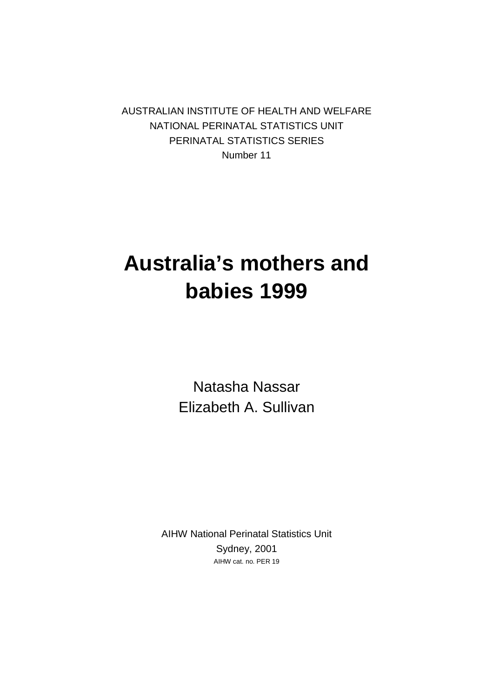AUSTRALIAN INSTITUTE OF HEALTH AND WELFARE NATIONAL PERINATAL STATISTICS UNIT PERINATAL STATISTICS SERIES Number 11

## **Australia's mothers and babies 1999**

Natasha Nassar Elizabeth A. Sullivan

AIHW National Perinatal Statistics Unit Sydney, 2001 AIHW cat. no. PER 19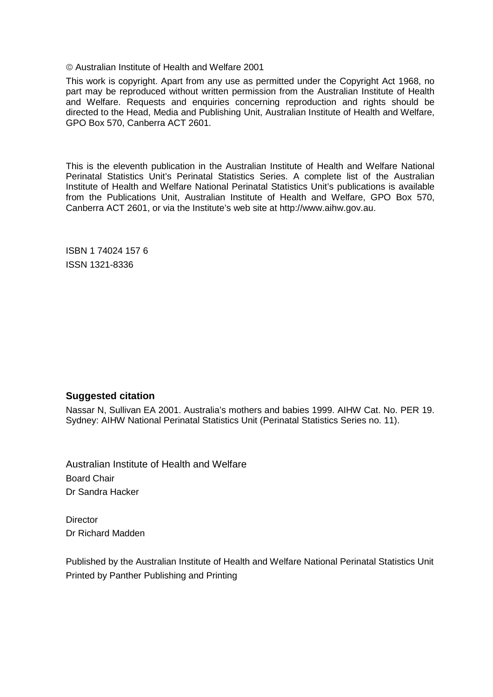Australian Institute of Health and Welfare 2001

This work is copyright. Apart from any use as permitted under the Copyright Act 1968, no part may be reproduced without written permission from the Australian Institute of Health and Welfare. Requests and enquiries concerning reproduction and rights should be directed to the Head, Media and Publishing Unit, Australian Institute of Health and Welfare, GPO Box 570, Canberra ACT 2601.

This is the eleventh publication in the Australian Institute of Health and Welfare National Perinatal Statistics Unit's Perinatal Statistics Series. A complete list of the Australian Institute of Health and Welfare National Perinatal Statistics Unit's publications is available from the Publications Unit, Australian Institute of Health and Welfare, GPO Box 570, Canberra ACT 2601, or via the Institute's web site at http://www.aihw.gov.au.

ISBN 1 74024 157 6 ISSN 1321-8336

#### **Suggested citation**

Nassar N, Sullivan EA 2001. Australia's mothers and babies 1999. AIHW Cat. No. PER 19. Sydney: AIHW National Perinatal Statistics Unit (Perinatal Statistics Series no. 11).

Australian Institute of Health and Welfare Board Chair Dr Sandra Hacker

**Director** Dr Richard Madden

Published by the Australian Institute of Health and Welfare National Perinatal Statistics Unit Printed by Panther Publishing and Printing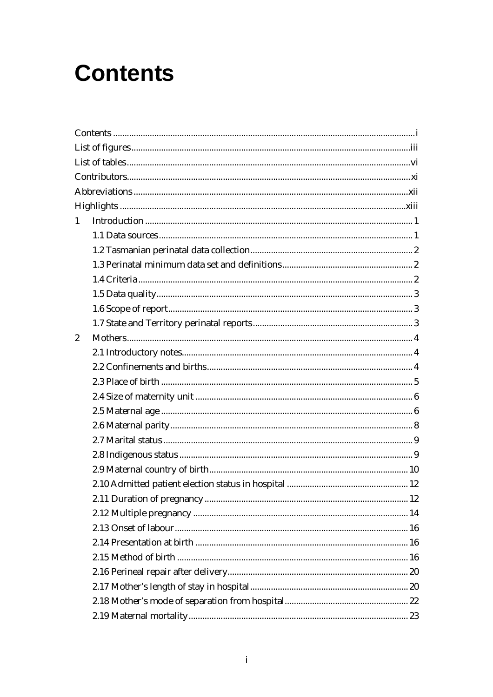## **Contents**

| $\mathbf{1}$   |  |
|----------------|--|
|                |  |
|                |  |
|                |  |
|                |  |
|                |  |
|                |  |
|                |  |
| $\overline{2}$ |  |
|                |  |
|                |  |
|                |  |
|                |  |
|                |  |
|                |  |
|                |  |
|                |  |
|                |  |
|                |  |
|                |  |
|                |  |
|                |  |
|                |  |
|                |  |
|                |  |
|                |  |
|                |  |
|                |  |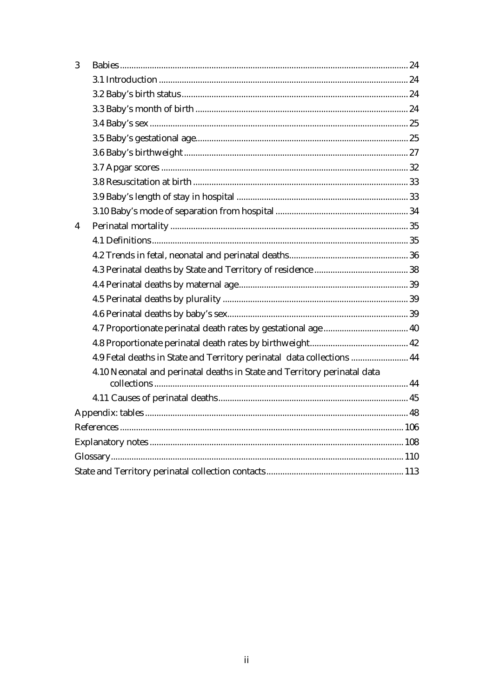| 4                                                                        |
|--------------------------------------------------------------------------|
|                                                                          |
|                                                                          |
|                                                                          |
|                                                                          |
|                                                                          |
|                                                                          |
|                                                                          |
|                                                                          |
|                                                                          |
|                                                                          |
|                                                                          |
|                                                                          |
|                                                                          |
|                                                                          |
|                                                                          |
|                                                                          |
|                                                                          |
|                                                                          |
|                                                                          |
| 4.9 Fetal deaths in State and Territory perinatal data collections  44   |
| 4.10 Neonatal and perinatal deaths in State and Territory perinatal data |
|                                                                          |
|                                                                          |
|                                                                          |
|                                                                          |
|                                                                          |
|                                                                          |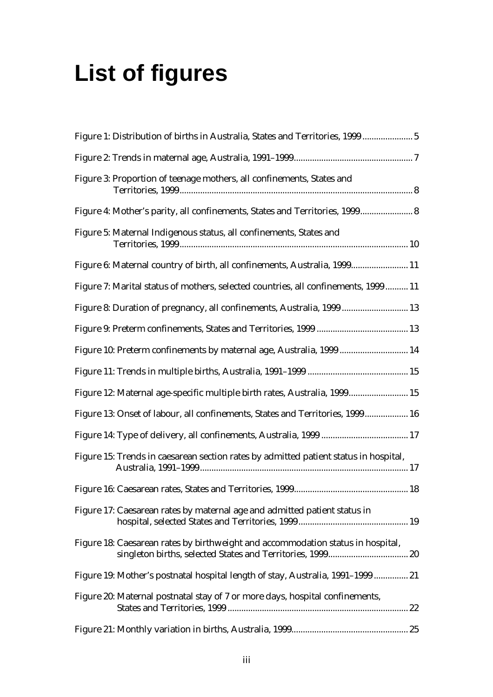## **List of figures**

| Figure 1: Distribution of births in Australia, States and Territories, 1999 5        |  |
|--------------------------------------------------------------------------------------|--|
|                                                                                      |  |
| Figure 3: Proportion of teenage mothers, all confinements, States and                |  |
| Figure 4: Mother's parity, all confinements, States and Territories, 1999 8          |  |
| Figure 5: Maternal Indigenous status, all confinements, States and                   |  |
| Figure 6: Maternal country of birth, all confinements, Australia, 1999 11            |  |
| Figure 7: Marital status of mothers, selected countries, all confinements, 1999 11   |  |
| Figure 8: Duration of pregnancy, all confinements, Australia, 1999  13               |  |
|                                                                                      |  |
| Figure 10: Preterm confinements by maternal age, Australia, 1999  14                 |  |
|                                                                                      |  |
| Figure 12: Maternal age-specific multiple birth rates, Australia, 1999 15            |  |
| Figure 13: Onset of labour, all confinements, States and Territories, 1999 16        |  |
|                                                                                      |  |
| Figure 15: Trends in caesarean section rates by admitted patient status in hospital, |  |
|                                                                                      |  |
| Figure 17: Caesarean rates by maternal age and admitted patient status in            |  |
| Figure 18: Caesarean rates by birthweight and accommodation status in hospital,      |  |
| Figure 19: Mother's postnatal hospital length of stay, Australia, 1991-1999 21       |  |
| Figure 20: Maternal postnatal stay of 7 or more days, hospital confinements,         |  |
|                                                                                      |  |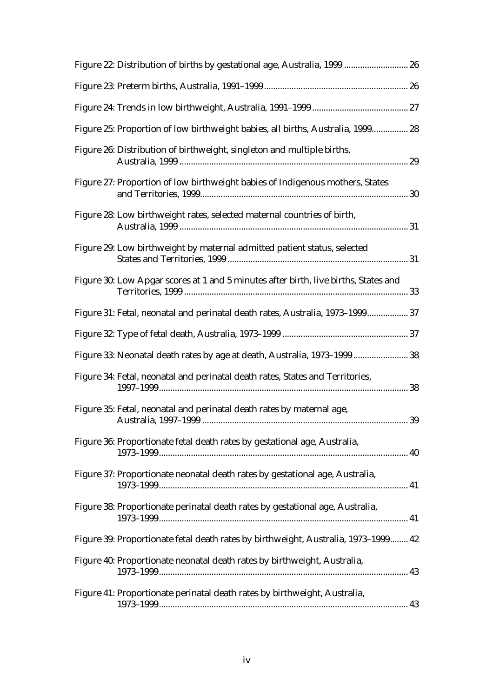| Figure 22: Distribution of births by gestational age, Australia, 1999  26           |  |
|-------------------------------------------------------------------------------------|--|
|                                                                                     |  |
|                                                                                     |  |
| Figure 25: Proportion of low birthweight babies, all births, Australia, 1999 28     |  |
| Figure 26: Distribution of birthweight, singleton and multiple births,              |  |
| Figure 27: Proportion of low birthweight babies of Indigenous mothers, States       |  |
| Figure 28: Low birthweight rates, selected maternal countries of birth,             |  |
| Figure 29: Low birthweight by maternal admitted patient status, selected            |  |
| Figure 30: Low Apgar scores at 1 and 5 minutes after birth, live births, States and |  |
| Figure 31: Fetal, neonatal and perinatal death rates, Australia, 1973-1999 37       |  |
|                                                                                     |  |
| Figure 33: Neonatal death rates by age at death, Australia, 1973-1999 38            |  |
| Figure 34: Fetal, neonatal and perinatal death rates, States and Territories,       |  |
| Figure 35: Fetal, neonatal and perinatal death rates by maternal age,               |  |
| Figure 36: Proportionate fetal death rates by gestational age, Australia,           |  |
| Figure 37: Proportionate neonatal death rates by gestational age, Australia,        |  |
| Figure 38: Proportionate perinatal death rates by gestational age, Australia,       |  |
| Figure 39: Proportionate fetal death rates by birthweight, Australia, 1973-1999 42  |  |
| Figure 40: Proportionate neonatal death rates by birthweight, Australia,            |  |
| Figure 41: Proportionate perinatal death rates by birthweight, Australia,           |  |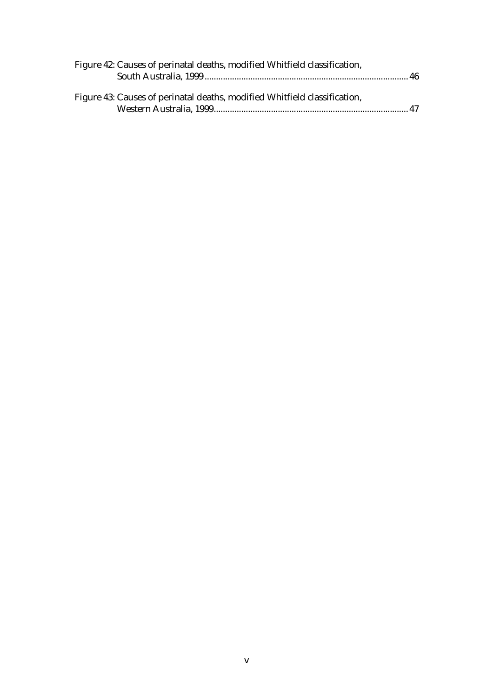| Figure 42: Causes of perinatal deaths, modified Whitfield classification, |  |
|---------------------------------------------------------------------------|--|
|                                                                           |  |
|                                                                           |  |
| Figure 43: Causes of perinatal deaths, modified Whitfield classification, |  |
|                                                                           |  |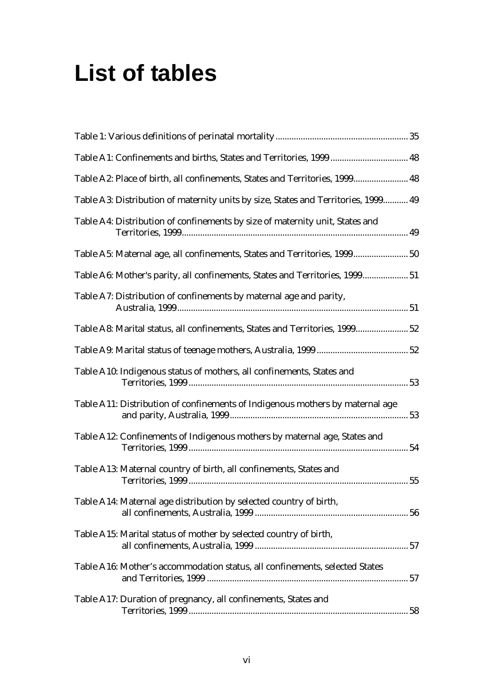## **List of tables**

| Table A2: Place of birth, all confinements, States and Territories, 1999 48        |  |
|------------------------------------------------------------------------------------|--|
| Table A3: Distribution of maternity units by size, States and Territories, 1999 49 |  |
| Table A4: Distribution of confinements by size of maternity unit, States and       |  |
| Table A5: Maternal age, all confinements, States and Territories, 1999 50          |  |
| Table A6: Mother's parity, all confinements, States and Territories, 1999 51       |  |
| Table A7: Distribution of confinements by maternal age and parity,                 |  |
| Table A8: Marital status, all confinements, States and Territories, 1999 52        |  |
|                                                                                    |  |
| Table A10: Indigenous status of mothers, all confinements, States and              |  |
| Table A11: Distribution of confinements of Indigenous mothers by maternal age      |  |
| Table A12: Confinements of Indigenous mothers by maternal age, States and          |  |
| Table A13: Maternal country of birth, all confinements, States and                 |  |
| Table A14: Maternal age distribution by selected country of birth,                 |  |
| Table A15: Marital status of mother by selected country of birth,                  |  |
| Table A16: Mother's accommodation status, all confinements, selected States        |  |
| Table A17: Duration of pregnancy, all confinements, States and                     |  |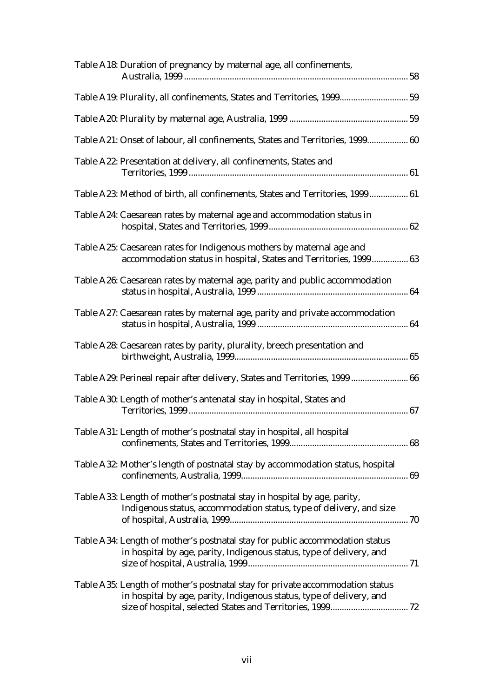| Table A18: Duration of pregnancy by maternal age, all confinements,                                                                                   |  |
|-------------------------------------------------------------------------------------------------------------------------------------------------------|--|
| Table A19: Plurality, all confinements, States and Territories, 1999 59                                                                               |  |
|                                                                                                                                                       |  |
| Table A21: Onset of labour, all confinements, States and Territories, 1999 60                                                                         |  |
| Table A22: Presentation at delivery, all confinements, States and                                                                                     |  |
| Table A23: Method of birth, all confinements, States and Territories, 1999 61                                                                         |  |
| Table A24: Caesarean rates by maternal age and accommodation status in                                                                                |  |
| Table A25: Caesarean rates for Indigenous mothers by maternal age and<br>accommodation status in hospital, States and Territories, 1999 63            |  |
| Table A26: Caesarean rates by maternal age, parity and public accommodation                                                                           |  |
| Table A27: Caesarean rates by maternal age, parity and private accommodation                                                                          |  |
| Table A28: Caesarean rates by parity, plurality, breech presentation and                                                                              |  |
| Table A29: Perineal repair after delivery, States and Territories, 1999  66                                                                           |  |
| Table A30: Length of mother's antenatal stay in hospital, States and                                                                                  |  |
| Table A31: Length of mother's postnatal stay in hospital, all hospital                                                                                |  |
| Table A32: Mother's length of postnatal stay by accommodation status, hospital                                                                        |  |
| Table A33: Length of mother's postnatal stay in hospital by age, parity,<br>Indigenous status, accommodation status, type of delivery, and size       |  |
| Table A34: Length of mother's postnatal stay for public accommodation status<br>in hospital by age, parity, Indigenous status, type of delivery, and  |  |
| Table A35: Length of mother's postnatal stay for private accommodation status<br>in hospital by age, parity, Indigenous status, type of delivery, and |  |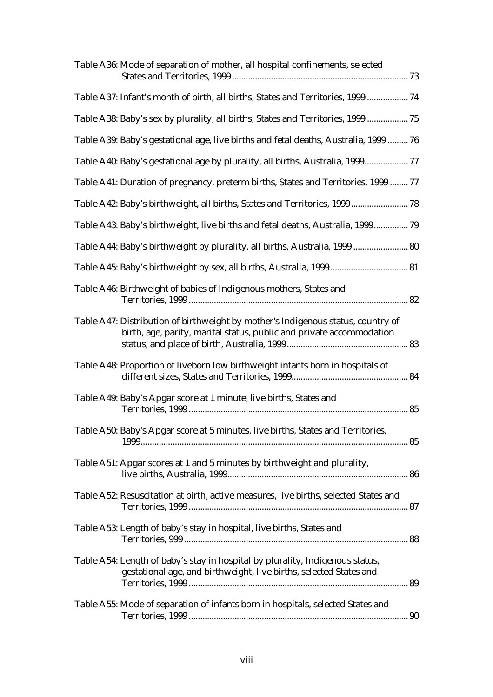| Table A36: Mode of separation of mother, all hospital confinements, selected                                                                             |
|----------------------------------------------------------------------------------------------------------------------------------------------------------|
| Table A37: Infant's month of birth, all births, States and Territories, 1999  74                                                                         |
| Table A38: Baby's sex by plurality, all births, States and Territories, 1999  75                                                                         |
| Table A39: Baby's gestational age, live births and fetal deaths, Australia, 1999  76                                                                     |
| Table A40: Baby's gestational age by plurality, all births, Australia, 199977                                                                            |
| Table A41: Duration of pregnancy, preterm births, States and Territories, 1999  77                                                                       |
| Table A42: Baby's birthweight, all births, States and Territories, 1999 78                                                                               |
| Table A43: Baby's birthweight, live births and fetal deaths, Australia, 1999 79                                                                          |
| Table A44: Baby's birthweight by plurality, all births, Australia, 1999  80                                                                              |
|                                                                                                                                                          |
| Table A46: Birthweight of babies of Indigenous mothers, States and                                                                                       |
| Table A47: Distribution of birthweight by mother's Indigenous status, country of<br>birth, age, parity, marital status, public and private accommodation |
| Table A48: Proportion of liveborn low birthweight infants born in hospitals of                                                                           |
| Table A49: Baby's Apgar score at 1 minute, live births, States and                                                                                       |
| Table A50: Baby's Apgar score at 5 minutes, live births, States and Territories,                                                                         |
| Table A51: Apgar scores at 1 and 5 minutes by birthweight and plurality,                                                                                 |
| Table A52: Resuscitation at birth, active measures, live births, selected States and                                                                     |
| Table A53: Length of baby's stay in hospital, live births, States and                                                                                    |
| Table A54: Length of baby's stay in hospital by plurality, Indigenous status,<br>gestational age, and birthweight, live births, selected States and      |
| Table A55: Mode of separation of infants born in hospitals, selected States and                                                                          |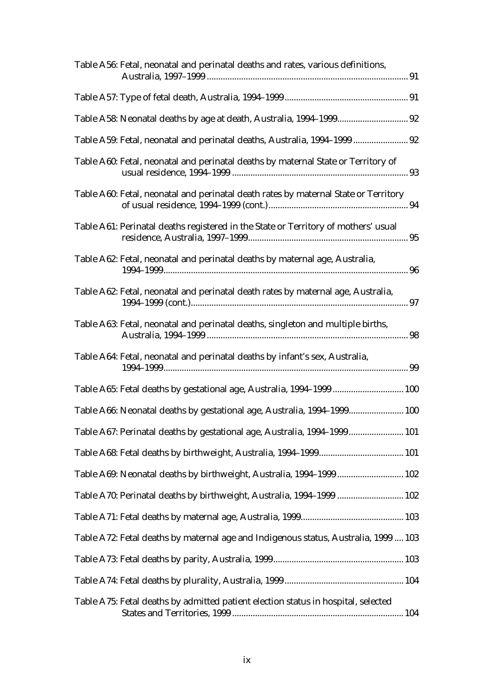| Table A56: Fetal, neonatal and perinatal deaths and rates, various definitions,     |  |
|-------------------------------------------------------------------------------------|--|
|                                                                                     |  |
|                                                                                     |  |
| Table A59: Fetal, neonatal and perinatal deaths, Australia, 1994-1999  92           |  |
| Table A60: Fetal, neonatal and perinatal deaths by maternal State or Territory of   |  |
| Table A60: Fetal, neonatal and perinatal death rates by maternal State or Territory |  |
| Table A61: Perinatal deaths registered in the State or Territory of mothers' usual  |  |
| Table A62: Fetal, neonatal and perinatal deaths by maternal age, Australia,         |  |
| Table A62: Fetal, neonatal and perinatal death rates by maternal age, Australia,    |  |
| Table A63: Fetal, neonatal and perinatal deaths, singleton and multiple births,     |  |
| Table A64: Fetal, neonatal and perinatal deaths by infant's sex, Australia,         |  |
|                                                                                     |  |
| Table A66: Neonatal deaths by gestational age, Australia, 1994-1999 100             |  |
| Table A67: Perinatal deaths by gestational age, Australia, 1994-1999 101            |  |
|                                                                                     |  |
| Table A69: Neonatal deaths by birthweight, Australia, 1994-1999 102                 |  |
| Table A70: Perinatal deaths by birthweight, Australia, 1994-1999  102               |  |
|                                                                                     |  |
| Table A72: Fetal deaths by maternal age and Indigenous status, Australia, 1999  103 |  |
|                                                                                     |  |
|                                                                                     |  |
| Table A75: Fetal deaths by admitted patient election status in hospital, selected   |  |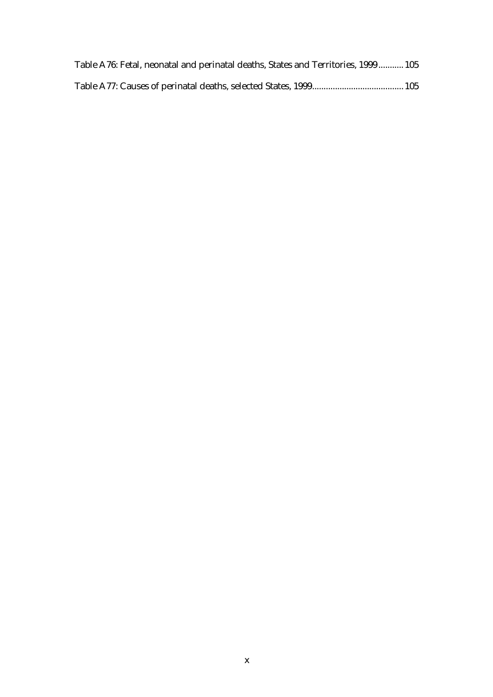| Table A76: Fetal, neonatal and perinatal deaths, States and Territories, 1999 105 |  |
|-----------------------------------------------------------------------------------|--|
|                                                                                   |  |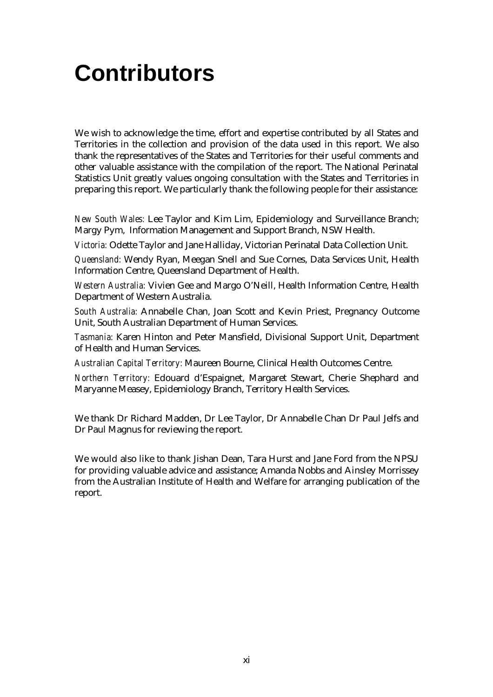## **Contributors**

We wish to acknowledge the time, effort and expertise contributed by all States and Territories in the collection and provision of the data used in this report. We also thank the representatives of the States and Territories for their useful comments and other valuable assistance with the compilation of the report. The National Perinatal Statistics Unit greatly values ongoing consultation with the States and Territories in preparing this report. We particularly thank the following people for their assistance:

*New South Wales:* Lee Taylor and Kim Lim, Epidemiology and Surveillance Branch; Margy Pym, Information Management and Support Branch, NSW Health.

*Victoria:* Odette Taylor and Jane Halliday, Victorian Perinatal Data Collection Unit.

*Queensland:* Wendy Ryan, Meegan Snell and Sue Cornes, Data Services Unit, Health Information Centre, Queensland Department of Health.

*Western Australia:* Vivien Gee and Margo O'Neill, Health Information Centre, Health Department of Western Australia.

*South Australia:* Annabelle Chan, Joan Scott and Kevin Priest, Pregnancy Outcome Unit, South Australian Department of Human Services.

*Tasmania:* Karen Hinton and Peter Mansfield, Divisional Support Unit, Department of Health and Human Services.

*Australian Capital Territory:* Maureen Bourne, Clinical Health Outcomes Centre.

*Northern Territory:* Edouard d'Espaignet, Margaret Stewart, Cherie Shephard and Maryanne Measey, Epidemiology Branch, Territory Health Services.

We thank Dr Richard Madden, Dr Lee Taylor, Dr Annabelle Chan Dr Paul Jelfs and Dr Paul Magnus for reviewing the report.

We would also like to thank Jishan Dean, Tara Hurst and Jane Ford from the NPSU for providing valuable advice and assistance; Amanda Nobbs and Ainsley Morrissey from the Australian Institute of Health and Welfare for arranging publication of the report.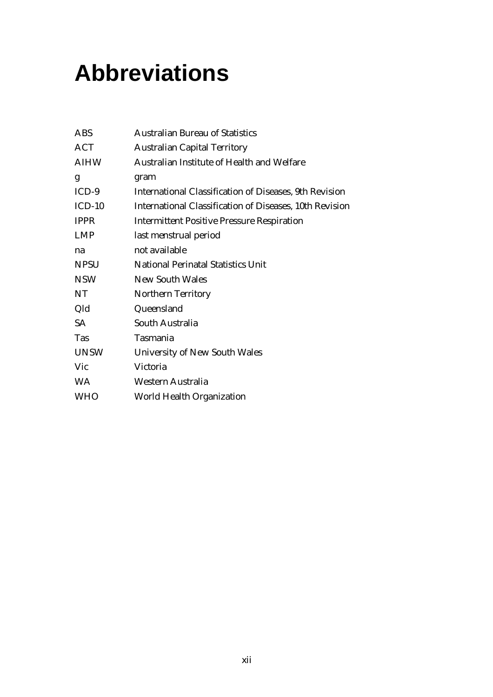## **Abbreviations**

| <b>ABS</b>  | <b>Australian Bureau of Statistics</b>                  |
|-------------|---------------------------------------------------------|
| ACT         | <b>Australian Capital Territory</b>                     |
| <b>AIHW</b> | Australian Institute of Health and Welfare              |
| g           | gram                                                    |
| $ICD-9$     | International Classification of Diseases, 9th Revision  |
| $ICD-10$    | International Classification of Diseases, 10th Revision |
| <b>IPPR</b> | <b>Intermittent Positive Pressure Respiration</b>       |
| <b>LMP</b>  | last menstrual period                                   |
| na          | not available                                           |
| <b>NPSU</b> | <b>National Perinatal Statistics Unit</b>               |
| <b>NSW</b>  | <b>New South Wales</b>                                  |
| NT          | <b>Northern Territory</b>                               |
| Qld         | Queensland                                              |
| <b>SA</b>   | South Australia                                         |
| Tas         | Tasmania                                                |
| <b>UNSW</b> | University of New South Wales                           |
| Vic         | Victoria                                                |
| <b>WA</b>   | Western Australia                                       |
| <b>WHO</b>  | World Health Organization                               |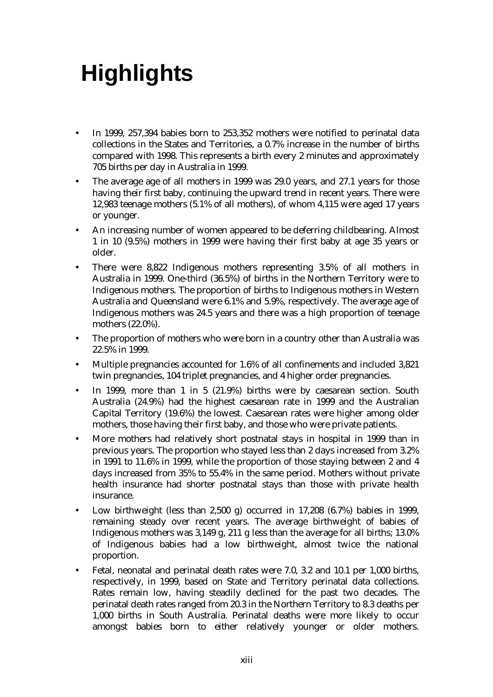# **Highlights**

- In 1999, 257,394 babies born to 253,352 mothers were notified to perinatal data collections in the States and Territories, a 0.7% increase in the number of births compared with 1998. This represents a birth every 2 minutes and approximately 705 births per day in Australia in 1999.
- The average age of all mothers in 1999 was 29.0 years, and 27.1 years for those having their first baby, continuing the upward trend in recent years. There were 12,983 teenage mothers (5.1% of all mothers), of whom 4,115 were aged 17 years or younger.
- An increasing number of women appeared to be deferring childbearing. Almost 1 in 10 (9.5%) mothers in 1999 were having their first baby at age 35 years or older.
- There were 8,822 Indigenous mothers representing 3.5% of all mothers in Australia in 1999. One-third (36.5%) of births in the Northern Territory were to Indigenous mothers. The proportion of births to Indigenous mothers in Western Australia and Queensland were 6.1% and 5.9%, respectively. The average age of Indigenous mothers was 24.5 years and there was a high proportion of teenage mothers (22.0%).
- The proportion of mothers who were born in a country other than Australia was 22.5% in 1999.
- Multiple pregnancies accounted for 1.6% of all confinements and included 3,821 twin pregnancies, 104 triplet pregnancies, and 4 higher order pregnancies.
- In 1999, more than 1 in 5 (21.9%) births were by caesarean section. South Australia (24.9%) had the highest caesarean rate in 1999 and the Australian Capital Territory (19.6%) the lowest. Caesarean rates were higher among older mothers, those having their first baby, and those who were private patients.
- More mothers had relatively short postnatal stays in hospital in 1999 than in previous years. The proportion who stayed less than 2 days increased from 3.2% in 1991 to 11.6% in 1999, while the proportion of those staying between 2 and 4 days increased from 35% to 55.4% in the same period. Mothers without private health insurance had shorter postnatal stays than those with private health insurance.
- Low birthweight (less than 2,500 g) occurred in 17,208 (6.7%) babies in 1999, remaining steady over recent years. The average birthweight of babies of Indigenous mothers was 3,149 g, 211 g less than the average for all births; 13.0% of Indigenous babies had a low birthweight, almost twice the national proportion.
- Fetal, neonatal and perinatal death rates were 7.0, 3.2 and 10.1 per 1,000 births, respectively, in 1999, based on State and Territory perinatal data collections. Rates remain low, having steadily declined for the past two decades. The perinatal death rates ranged from 20.3 in the Northern Territory to 8.3 deaths per 1,000 births in South Australia. Perinatal deaths were more likely to occur amongst babies born to either relatively younger or older mothers.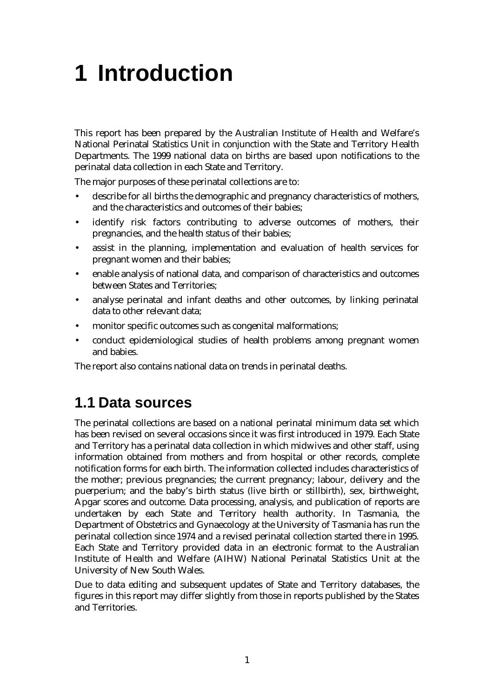## **1 Introduction**

This report has been prepared by the Australian Institute of Health and Welfare's National Perinatal Statistics Unit in conjunction with the State and Territory Health Departments. The 1999 national data on births are based upon notifications to the perinatal data collection in each State and Territory.

The major purposes of these perinatal collections are to:

- describe for all births the demographic and pregnancy characteristics of mothers, and the characteristics and outcomes of their babies;
- identify risk factors contributing to adverse outcomes of mothers, their pregnancies, and the health status of their babies;
- assist in the planning, implementation and evaluation of health services for pregnant women and their babies;
- enable analysis of national data, and comparison of characteristics and outcomes between States and Territories;
- analyse perinatal and infant deaths and other outcomes, by linking perinatal data to other relevant data;
- monitor specific outcomes such as congenital malformations;
- conduct epidemiological studies of health problems among pregnant women and babies.

The report also contains national data on trends in perinatal deaths.

#### **1.1 Data sources**

The perinatal collections are based on a national perinatal minimum data set which has been revised on several occasions since it was first introduced in 1979. Each State and Territory has a perinatal data collection in which midwives and other staff, using information obtained from mothers and from hospital or other records, complete notification forms for each birth. The information collected includes characteristics of the mother; previous pregnancies; the current pregnancy; labour, delivery and the puerperium; and the baby's birth status (live birth or stillbirth), sex, birthweight, Apgar scores and outcome. Data processing, analysis, and publication of reports are undertaken by each State and Territory health authority. In Tasmania, the Department of Obstetrics and Gynaecology at the University of Tasmania has run the perinatal collection since 1974 and a revised perinatal collection started there in 1995. Each State and Territory provided data in an electronic format to the Australian Institute of Health and Welfare (AIHW) National Perinatal Statistics Unit at the University of New South Wales.

Due to data editing and subsequent updates of State and Territory databases, the figures in this report may differ slightly from those in reports published by the States and Territories.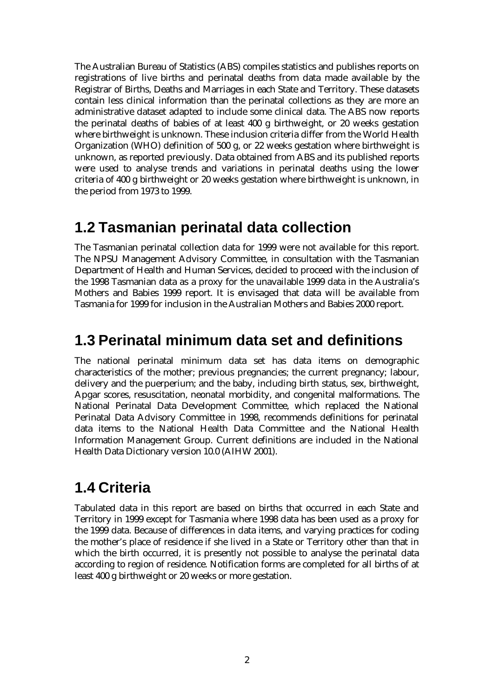The Australian Bureau of Statistics (ABS) compiles statistics and publishes reports on registrations of live births and perinatal deaths from data made available by the Registrar of Births, Deaths and Marriages in each State and Territory. These datasets contain less clinical information than the perinatal collections as they are more an administrative dataset adapted to include some clinical data. The ABS now reports the perinatal deaths of babies of at least 400 g birthweight, or 20 weeks gestation where birthweight is unknown. These inclusion criteria differ from the World Health Organization (WHO) definition of 500 g, or 22 weeks gestation where birthweight is unknown, as reported previously. Data obtained from ABS and its published reports were used to analyse trends and variations in perinatal deaths using the lower criteria of 400 g birthweight or 20 weeks gestation where birthweight is unknown, in the period from 1973 to 1999.

#### **1.2 Tasmanian perinatal data collection**

The Tasmanian perinatal collection data for 1999 were not available for this report. The NPSU Management Advisory Committee, in consultation with the Tasmanian Department of Health and Human Services, decided to proceed with the inclusion of the 1998 Tasmanian data as a proxy for the unavailable 1999 data in the Australia's Mothers and Babies 1999 report. It is envisaged that data will be available from Tasmania for 1999 for inclusion in the Australian Mothers and Babies 2000 report.

#### **1.3 Perinatal minimum data set and definitions**

The national perinatal minimum data set has data items on demographic characteristics of the mother; previous pregnancies; the current pregnancy; labour, delivery and the puerperium; and the baby, including birth status, sex, birthweight, Apgar scores, resuscitation, neonatal morbidity, and congenital malformations. The National Perinatal Data Development Committee, which replaced the National Perinatal Data Advisory Committee in 1998, recommends definitions for perinatal data items to the National Health Data Committee and the National Health Information Management Group. Current definitions are included in the National Health Data Dictionary version 10.0 (AIHW 2001).

#### **1.4 Criteria**

Tabulated data in this report are based on births that occurred in each State and Territory in 1999 except for Tasmania where 1998 data has been used as a proxy for the 1999 data. Because of differences in data items, and varying practices for coding the mother's place of residence if she lived in a State or Territory other than that in which the birth occurred, it is presently not possible to analyse the perinatal data according to region of residence. Notification forms are completed for all births of at least 400 g birthweight or 20 weeks or more gestation.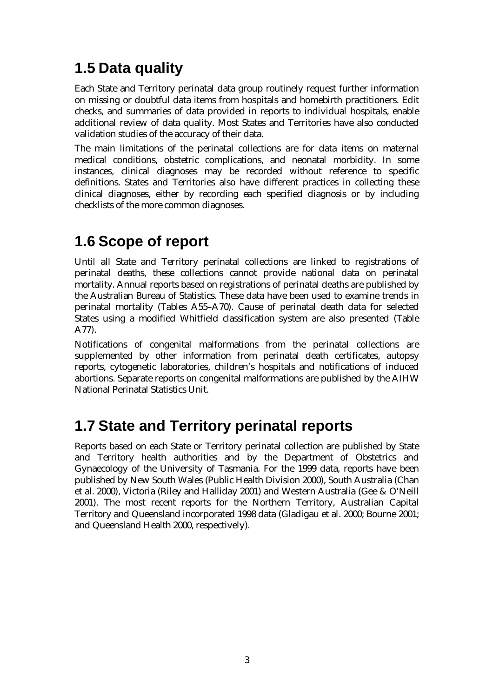## **1.5 Data quality**

Each State and Territory perinatal data group routinely request further information on missing or doubtful data items from hospitals and homebirth practitioners. Edit checks, and summaries of data provided in reports to individual hospitals, enable additional review of data quality. Most States and Territories have also conducted validation studies of the accuracy of their data.

The main limitations of the perinatal collections are for data items on maternal medical conditions, obstetric complications, and neonatal morbidity. In some instances, clinical diagnoses may be recorded without reference to specific definitions. States and Territories also have different practices in collecting these clinical diagnoses, either by recording each specified diagnosis or by including checklists of the more common diagnoses.

#### **1.6 Scope of report**

Until all State and Territory perinatal collections are linked to registrations of perinatal deaths, these collections cannot provide national data on perinatal mortality. Annual reports based on registrations of perinatal deaths are published by the Australian Bureau of Statistics. These data have been used to examine trends in perinatal mortality (Tables A55–A70). Cause of perinatal death data for selected States using a modified Whitfield classification system are also presented (Table A77).

Notifications of congenital malformations from the perinatal collections are supplemented by other information from perinatal death certificates, autopsy reports, cytogenetic laboratories, children's hospitals and notifications of induced abortions. Separate reports on congenital malformations are published by the AIHW National Perinatal Statistics Unit.

### **1.7 State and Territory perinatal reports**

Reports based on each State or Territory perinatal collection are published by State and Territory health authorities and by the Department of Obstetrics and Gynaecology of the University of Tasmania. For the 1999 data, reports have been published by New South Wales (Public Health Division 2000), South Australia (Chan et al. 2000), Victoria (Riley and Halliday 2001) and Western Australia (Gee & O'Neill 2001). The most recent reports for the Northern Territory, Australian Capital Territory and Queensland incorporated 1998 data (Gladigau et al. 2000; Bourne 2001; and Queensland Health 2000, respectively).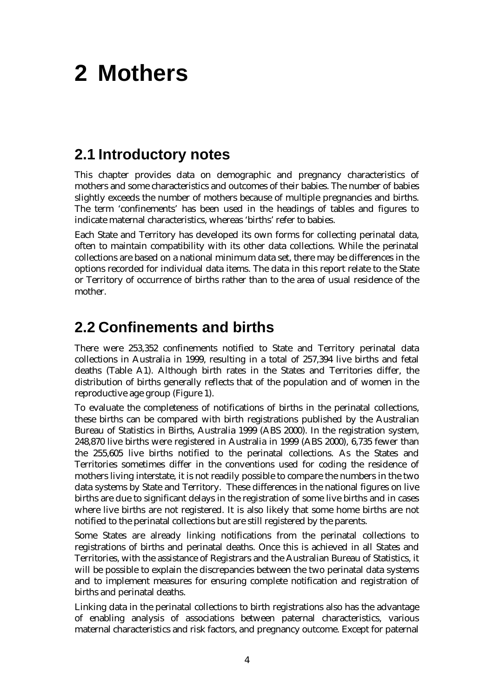## **2 Mothers**

#### **2.1 Introductory notes**

This chapter provides data on demographic and pregnancy characteristics of mothers and some characteristics and outcomes of their babies. The number of babies slightly exceeds the number of mothers because of multiple pregnancies and births. The term 'confinements' has been used in the headings of tables and figures to indicate maternal characteristics, whereas 'births' refer to babies.

Each State and Territory has developed its own forms for collecting perinatal data, often to maintain compatibility with its other data collections. While the perinatal collections are based on a national minimum data set, there may be differences in the options recorded for individual data items. The data in this report relate to the State or Territory of occurrence of births rather than to the area of usual residence of the mother.

#### **2.2 Confinements and births**

There were 253,352 confinements notified to State and Territory perinatal data collections in Australia in 1999, resulting in a total of 257,394 live births and fetal deaths (Table A1). Although birth rates in the States and Territories differ, the distribution of births generally reflects that of the population and of women in the reproductive age group (Figure 1).

To evaluate the completeness of notifications of births in the perinatal collections, these births can be compared with birth registrations published by the Australian Bureau of Statistics in Births, Australia 1999 (ABS 2000). In the registration system, 248,870 live births were registered in Australia in 1999 (ABS 2000), 6,735 fewer than the 255,605 live births notified to the perinatal collections. As the States and Territories sometimes differ in the conventions used for coding the residence of mothers living interstate, it is not readily possible to compare the numbers in the two data systems by State and Territory. These differences in the national figures on live births are due to significant delays in the registration of some live births and in cases where live births are not registered. It is also likely that some home births are not notified to the perinatal collections but are still registered by the parents.

Some States are already linking notifications from the perinatal collections to registrations of births and perinatal deaths. Once this is achieved in all States and Territories, with the assistance of Registrars and the Australian Bureau of Statistics, it will be possible to explain the discrepancies between the two perinatal data systems and to implement measures for ensuring complete notification and registration of births and perinatal deaths.

Linking data in the perinatal collections to birth registrations also has the advantage of enabling analysis of associations between paternal characteristics, various maternal characteristics and risk factors, and pregnancy outcome. Except for paternal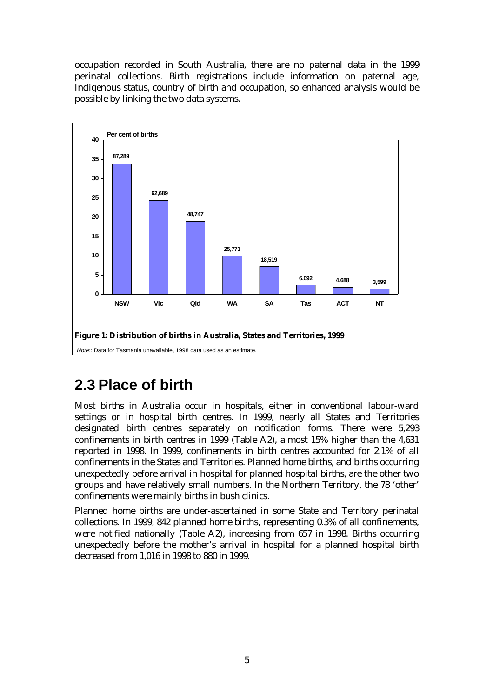occupation recorded in South Australia, there are no paternal data in the 1999 perinatal collections. Birth registrations include information on paternal age, Indigenous status, country of birth and occupation, so enhanced analysis would be possible by linking the two data systems.



### **2.3 Place of birth**

Most births in Australia occur in hospitals, either in conventional labour-ward settings or in hospital birth centres. In 1999, nearly all States and Territories designated birth centres separately on notification forms. There were 5,293 confinements in birth centres in 1999 (Table A2), almost 15% higher than the 4,631 reported in 1998. In 1999, confinements in birth centres accounted for 2.1% of all confinements in the States and Territories. Planned home births, and births occurring unexpectedly before arrival in hospital for planned hospital births, are the other two groups and have relatively small numbers. In the Northern Territory, the 78 'other' confinements were mainly births in bush clinics.

Planned home births are under-ascertained in some State and Territory perinatal collections. In 1999, 842 planned home births, representing 0.3% of all confinements, were notified nationally (Table A2), increasing from 657 in 1998. Births occurring unexpectedly before the mother's arrival in hospital for a planned hospital birth decreased from 1,016 in 1998 to 880 in 1999.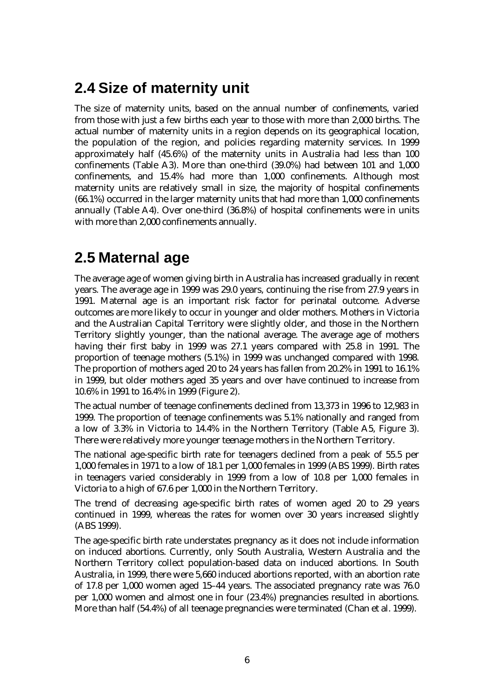### **2.4 Size of maternity unit**

The size of maternity units, based on the annual number of confinements, varied from those with just a few births each year to those with more than 2,000 births. The actual number of maternity units in a region depends on its geographical location, the population of the region, and policies regarding maternity services. In 1999 approximately half (45.6%) of the maternity units in Australia had less than 100 confinements (Table A3). More than one-third (39.0%) had between 101 and 1,000 confinements, and 15.4% had more than 1,000 confinements. Although most maternity units are relatively small in size, the majority of hospital confinements (66.1%) occurred in the larger maternity units that had more than 1,000 confinements annually (Table A4). Over one-third (36.8%) of hospital confinements were in units with more than 2,000 confinements annually.

### **2.5 Maternal age**

The average age of women giving birth in Australia has increased gradually in recent years. The average age in 1999 was 29.0 years, continuing the rise from 27.9 years in 1991. Maternal age is an important risk factor for perinatal outcome. Adverse outcomes are more likely to occur in younger and older mothers. Mothers in Victoria and the Australian Capital Territory were slightly older, and those in the Northern Territory slightly younger, than the national average. The average age of mothers having their first baby in 1999 was 27.1 years compared with 25.8 in 1991. The proportion of teenage mothers (5.1%) in 1999 was unchanged compared with 1998. The proportion of mothers aged 20 to 24 years has fallen from 20.2% in 1991 to 16.1% in 1999, but older mothers aged 35 years and over have continued to increase from 10.6% in 1991 to 16.4% in 1999 (Figure 2).

The actual number of teenage confinements declined from 13,373 in 1996 to 12,983 in 1999. The proportion of teenage confinements was 5.1% nationally and ranged from a low of 3.3% in Victoria to 14.4% in the Northern Territory (Table A5, Figure 3). There were relatively more younger teenage mothers in the Northern Territory.

The national age-specific birth rate for teenagers declined from a peak of 55.5 per 1,000 females in 1971 to a low of 18.1 per 1,000 females in 1999 (ABS 1999). Birth rates in teenagers varied considerably in 1999 from a low of 10.8 per 1,000 females in Victoria to a high of 67.6 per 1,000 in the Northern Territory.

The trend of decreasing age-specific birth rates of women aged 20 to 29 years continued in 1999, whereas the rates for women over 30 years increased slightly (ABS 1999).

The age-specific birth rate understates pregnancy as it does not include information on induced abortions. Currently, only South Australia, Western Australia and the Northern Territory collect population-based data on induced abortions. In South Australia, in 1999, there were 5,660 induced abortions reported, with an abortion rate of 17.8 per 1,000 women aged 15–44 years. The associated pregnancy rate was 76.0 per 1,000 women and almost one in four (23.4%) pregnancies resulted in abortions. More than half (54.4%) of all teenage pregnancies were terminated (Chan et al. 1999).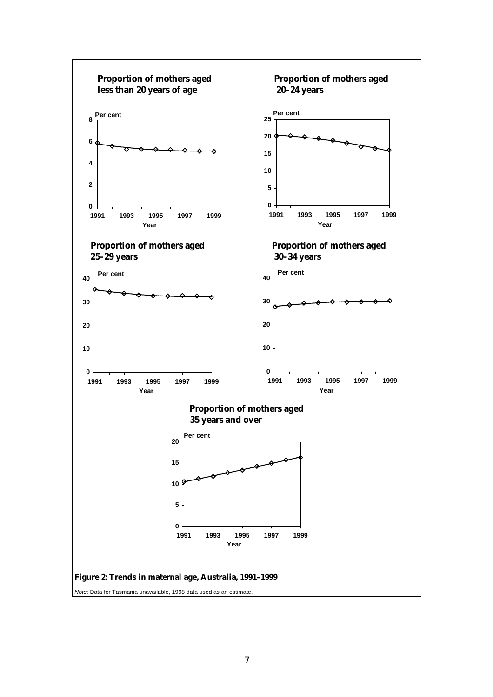

*Note*: Data for Tasmania unavailable, 1998 data used as an estimate.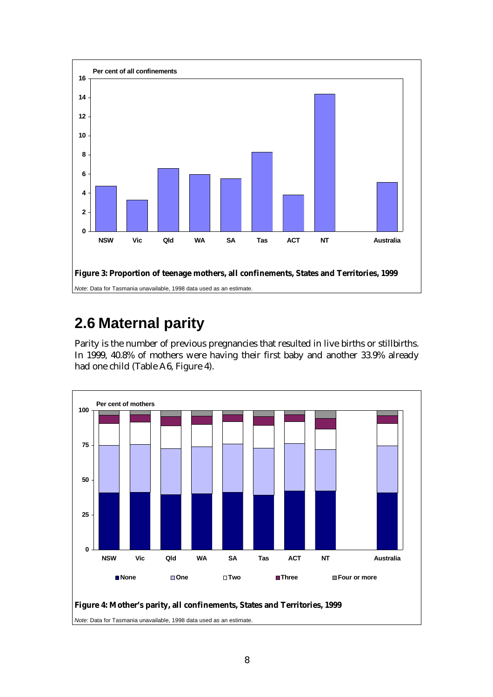

### **2.6 Maternal parity**

Parity is the number of previous pregnancies that resulted in live births or stillbirths. In 1999, 40.8% of mothers were having their first baby and another 33.9% already had one child (Table A6, Figure 4).



*Note*: Data for Tasmania unavailable, 1998 data used as an estimate.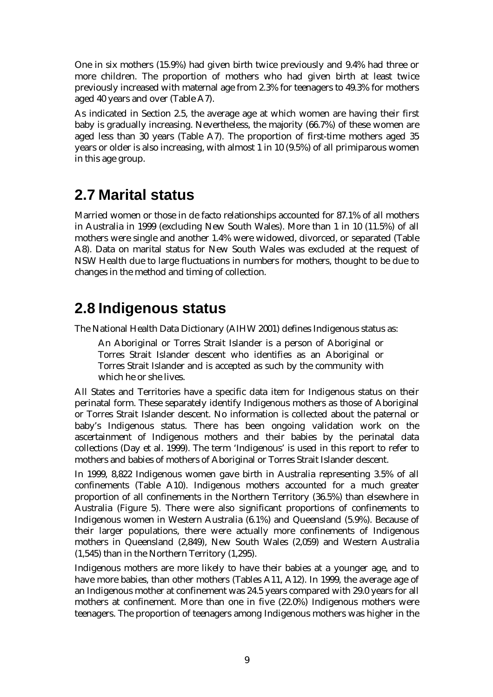One in six mothers (15.9%) had given birth twice previously and 9.4% had three or more children. The proportion of mothers who had given birth at least twice previously increased with maternal age from 2.3% for teenagers to 49.3% for mothers aged 40 years and over (Table A7).

As indicated in Section 2.5, the average age at which women are having their first baby is gradually increasing. Nevertheless, the majority (66.7%) of these women are aged less than 30 years (Table A7). The proportion of first-time mothers aged 35 years or older is also increasing, with almost 1 in 10 (9.5%) of all primiparous women in this age group.

#### **2.7 Marital status**

Married women or those in de facto relationships accounted for 87.1% of all mothers in Australia in 1999 (excluding New South Wales). More than 1 in 10 (11.5%) of all mothers were single and another 1.4% were widowed, divorced, or separated (Table A8). Data on marital status for New South Wales was excluded at the request of NSW Health due to large fluctuations in numbers for mothers, thought to be due to changes in the method and timing of collection.

### **2.8 Indigenous status**

The National Health Data Dictionary (AIHW 2001) defines Indigenous status as:

An Aboriginal or Torres Strait Islander is a person of Aboriginal or Torres Strait Islander descent who identifies as an Aboriginal or Torres Strait Islander and is accepted as such by the community with which he or she lives.

All States and Territories have a specific data item for Indigenous status on their perinatal form. These separately identify Indigenous mothers as those of Aboriginal or Torres Strait Islander descent. No information is collected about the paternal or baby's Indigenous status. There has been ongoing validation work on the ascertainment of Indigenous mothers and their babies by the perinatal data collections (Day et al. 1999). The term 'Indigenous' is used in this report to refer to mothers and babies of mothers of Aboriginal or Torres Strait Islander descent.

In 1999, 8,822 Indigenous women gave birth in Australia representing 3.5% of all confinements (Table A10). Indigenous mothers accounted for a much greater proportion of all confinements in the Northern Territory (36.5%) than elsewhere in Australia (Figure 5). There were also significant proportions of confinements to Indigenous women in Western Australia (6.1%) and Queensland (5.9%). Because of their larger populations, there were actually more confinements of Indigenous mothers in Queensland (2,849), New South Wales (2,059) and Western Australia (1,545) than in the Northern Territory (1,295).

Indigenous mothers are more likely to have their babies at a younger age, and to have more babies, than other mothers (Tables A11, A12). In 1999, the average age of an Indigenous mother at confinement was 24.5 years compared with 29.0 years for all mothers at confinement. More than one in five (22.0%) Indigenous mothers were teenagers. The proportion of teenagers among Indigenous mothers was higher in the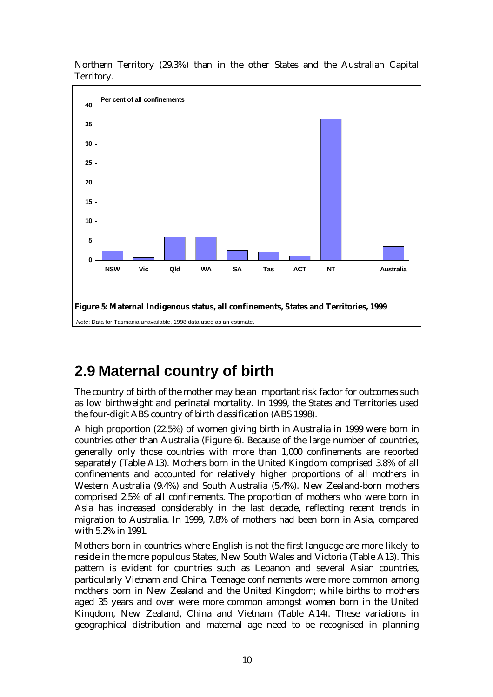

Northern Territory (29.3%) than in the other States and the Australian Capital Territory.

### **2.9 Maternal country of birth**

The country of birth of the mother may be an important risk factor for outcomes such as low birthweight and perinatal mortality. In 1999, the States and Territories used the four-digit ABS country of birth classification (ABS 1998).

A high proportion (22.5%) of women giving birth in Australia in 1999 were born in countries other than Australia (Figure 6). Because of the large number of countries, generally only those countries with more than 1,000 confinements are reported separately (Table A13). Mothers born in the United Kingdom comprised 3.8% of all confinements and accounted for relatively higher proportions of all mothers in Western Australia (9.4%) and South Australia (5.4%). New Zealand-born mothers comprised 2.5% of all confinements. The proportion of mothers who were born in Asia has increased considerably in the last decade, reflecting recent trends in migration to Australia. In 1999, 7.8% of mothers had been born in Asia, compared with 5.2% in 1991.

Mothers born in countries where English is not the first language are more likely to reside in the more populous States, New South Wales and Victoria (Table A13). This pattern is evident for countries such as Lebanon and several Asian countries, particularly Vietnam and China. Teenage confinements were more common among mothers born in New Zealand and the United Kingdom; while births to mothers aged 35 years and over were more common amongst women born in the United Kingdom, New Zealand, China and Vietnam (Table A14). These variations in geographical distribution and maternal age need to be recognised in planning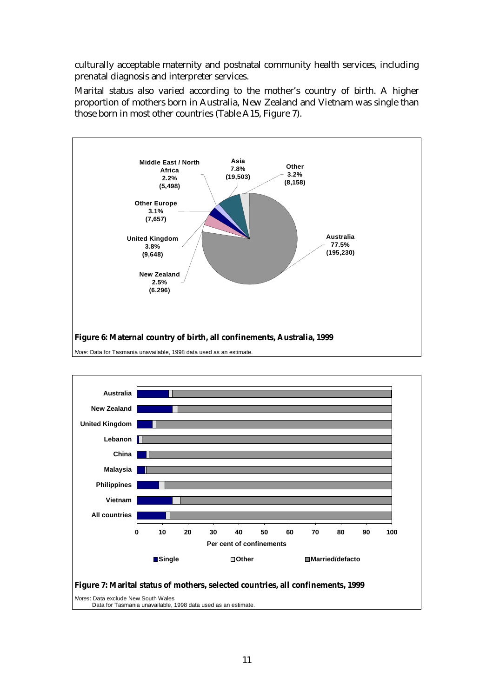culturally acceptable maternity and postnatal community health services, including prenatal diagnosis and interpreter services.

Marital status also varied according to the mother's country of birth. A higher proportion of mothers born in Australia, New Zealand and Vietnam was single than those born in most other countries (Table A15, Figure 7).





Data for Tasmania unavailable, 1998 data used as an estimate.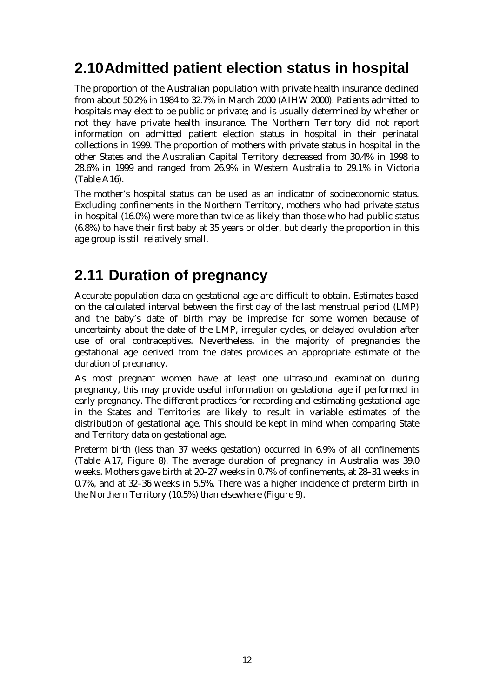### **2.10 Admitted patient election status in hospital**

The proportion of the Australian population with private health insurance declined from about 50.2% in 1984 to 32.7% in March 2000 (AIHW 2000). Patients admitted to hospitals may elect to be public or private; and is usually determined by whether or not they have private health insurance. The Northern Territory did not report information on admitted patient election status in hospital in their perinatal collections in 1999. The proportion of mothers with private status in hospital in the other States and the Australian Capital Territory decreased from 30.4% in 1998 to 28.6% in 1999 and ranged from 26.9% in Western Australia to 29.1% in Victoria (Table A16).

The mother's hospital status can be used as an indicator of socioeconomic status. Excluding confinements in the Northern Territory, mothers who had private status in hospital (16.0%) were more than twice as likely than those who had public status (6.8%) to have their first baby at 35 years or older, but clearly the proportion in this age group is still relatively small.

### **2.11 Duration of pregnancy**

Accurate population data on gestational age are difficult to obtain. Estimates based on the calculated interval between the first day of the last menstrual period (LMP) and the baby's date of birth may be imprecise for some women because of uncertainty about the date of the LMP, irregular cycles, or delayed ovulation after use of oral contraceptives. Nevertheless, in the majority of pregnancies the gestational age derived from the dates provides an appropriate estimate of the duration of pregnancy.

As most pregnant women have at least one ultrasound examination during pregnancy, this may provide useful information on gestational age if performed in early pregnancy. The different practices for recording and estimating gestational age in the States and Territories are likely to result in variable estimates of the distribution of gestational age. This should be kept in mind when comparing State and Territory data on gestational age.

Preterm birth (less than 37 weeks gestation) occurred in 6.9% of all confinements (Table A17, Figure 8). The average duration of pregnancy in Australia was 39.0 weeks. Mothers gave birth at 20–27 weeks in 0.7% of confinements, at 28–31 weeks in 0.7%, and at 32–36 weeks in 5.5%. There was a higher incidence of preterm birth in the Northern Territory (10.5%) than elsewhere (Figure 9).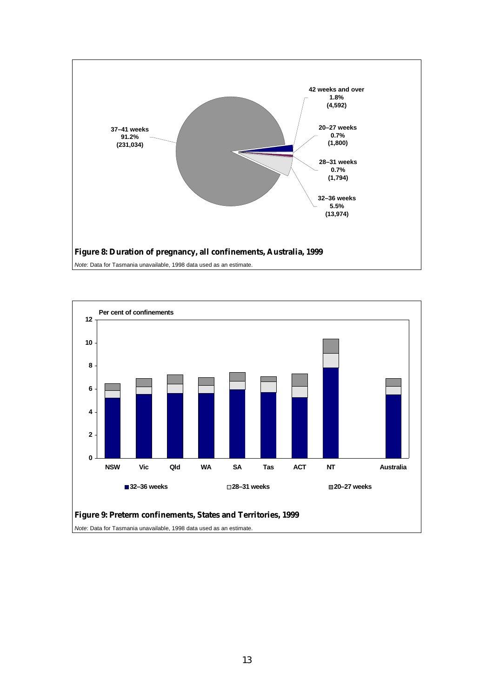



*Note*: Data for Tasmania unavailable, 1998 data used as an estimate.

*Note*: Data for Tasmania unavailable, 1998 data used as an estimate.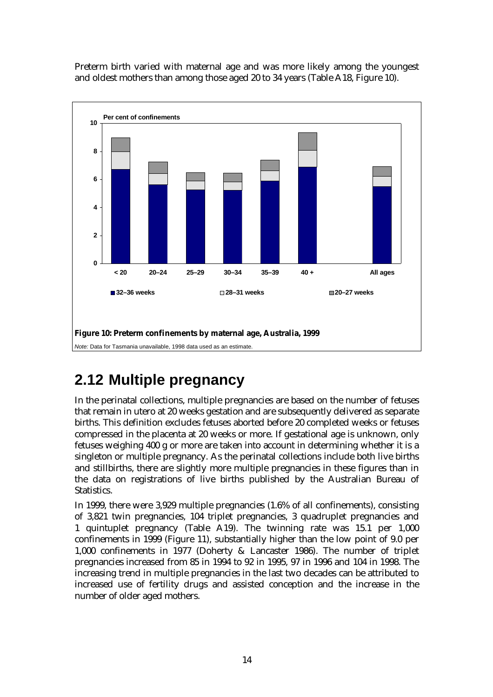Preterm birth varied with maternal age and was more likely among the youngest and oldest mothers than among those aged 20 to 34 years (Table A18, Figure 10).



### **2.12 Multiple pregnancy**

In the perinatal collections, multiple pregnancies are based on the number of fetuses that remain in utero at 20 weeks gestation and are subsequently delivered as separate births. This definition excludes fetuses aborted before 20 completed weeks or fetuses compressed in the placenta at 20 weeks or more. If gestational age is unknown, only fetuses weighing 400 g or more are taken into account in determining whether it is a singleton or multiple pregnancy. As the perinatal collections include both live births and stillbirths, there are slightly more multiple pregnancies in these figures than in the data on registrations of live births published by the Australian Bureau of Statistics.

In 1999, there were 3,929 multiple pregnancies (1.6% of all confinements), consisting of 3,821 twin pregnancies, 104 triplet pregnancies, 3 quadruplet pregnancies and 1 quintuplet pregnancy (Table A19). The twinning rate was 15.1 per 1,000 confinements in 1999 (Figure 11), substantially higher than the low point of 9.0 per 1,000 confinements in 1977 (Doherty & Lancaster 1986). The number of triplet pregnancies increased from 85 in 1994 to 92 in 1995, 97 in 1996 and 104 in 1998. The increasing trend in multiple pregnancies in the last two decades can be attributed to increased use of fertility drugs and assisted conception and the increase in the number of older aged mothers.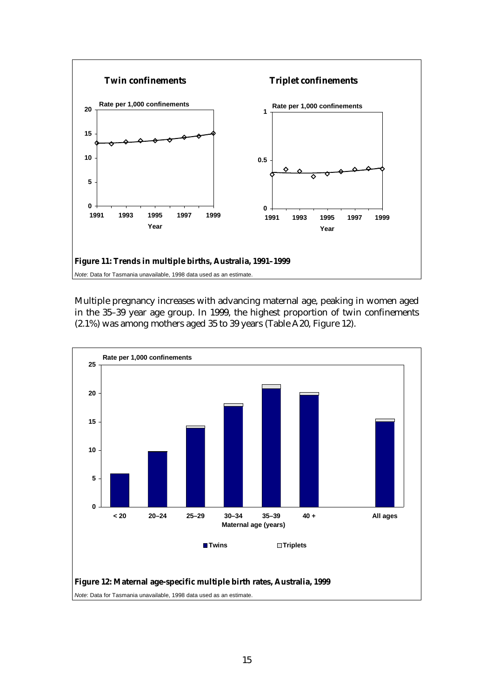

Multiple pregnancy increases with advancing maternal age, peaking in women aged in the 35–39 year age group. In 1999, the highest proportion of twin confinements (2.1%) was among mothers aged 35 to 39 years (Table A20, Figure 12).

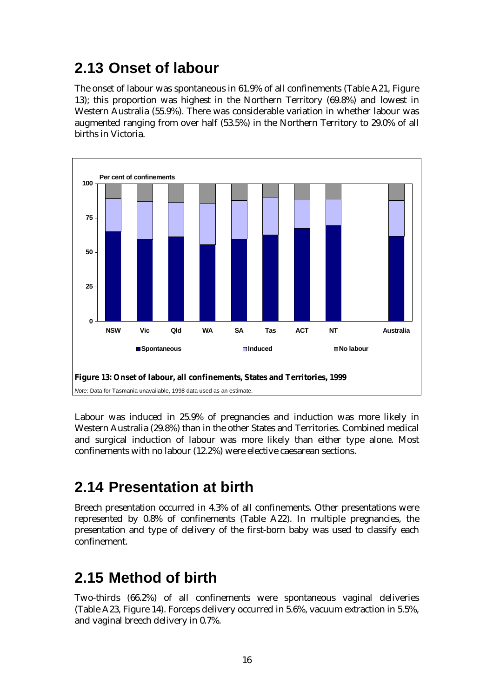### **2.13 Onset of labour**

The onset of labour was spontaneous in 61.9% of all confinements (Table A21, Figure 13); this proportion was highest in the Northern Territory (69.8%) and lowest in Western Australia (55.9%). There was considerable variation in whether labour was augmented ranging from over half (53.5%) in the Northern Territory to 29.0% of all births in Victoria.



Labour was induced in 25.9% of pregnancies and induction was more likely in Western Australia (29.8%) than in the other States and Territories. Combined medical and surgical induction of labour was more likely than either type alone. Most confinements with no labour (12.2%) were elective caesarean sections.

### **2.14 Presentation at birth**

Breech presentation occurred in 4.3% of all confinements. Other presentations were represented by 0.8% of confinements (Table A22). In multiple pregnancies, the presentation and type of delivery of the first-born baby was used to classify each confinement.

### **2.15 Method of birth**

Two-thirds (66.2%) of all confinements were spontaneous vaginal deliveries (Table A23, Figure 14). Forceps delivery occurred in 5.6%, vacuum extraction in 5.5%, and vaginal breech delivery in 0.7%.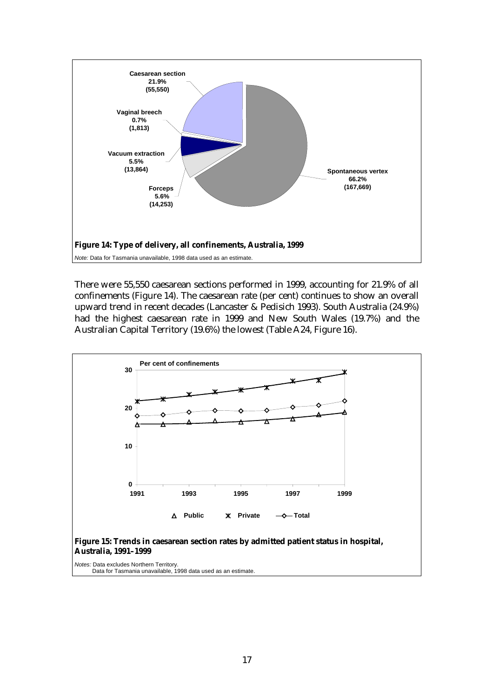

There were 55,550 caesarean sections performed in 1999, accounting for 21.9% of all confinements (Figure 14). The caesarean rate (per cent) continues to show an overall upward trend in recent decades (Lancaster & Pedisich 1993). South Australia (24.9%) had the highest caesarean rate in 1999 and New South Wales (19.7%) and the Australian Capital Territory (19.6%) the lowest (Table A24, Figure 16).



**Australia, 1991–1999**

*Notes:* Data excludes Northern Territory. Data for Tasmania unavailable, 1998 data used as an estimate.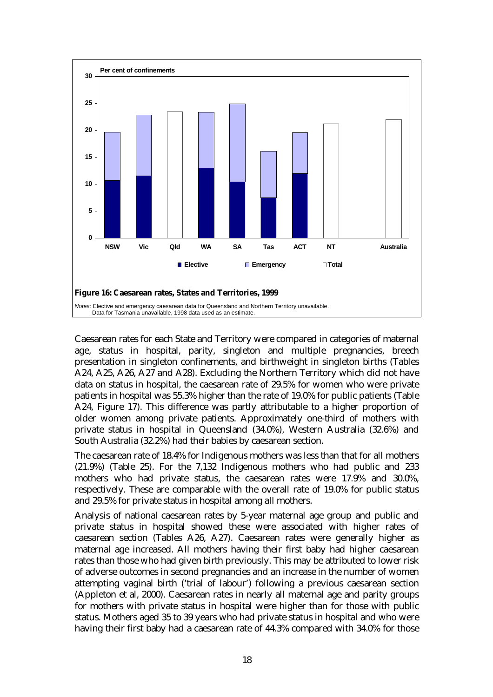

Caesarean rates for each State and Territory were compared in categories of maternal age, status in hospital, parity, singleton and multiple pregnancies, breech presentation in singleton confinements, and birthweight in singleton births (Tables A24, A25, A26, A27 and A28). Excluding the Northern Territory which did not have data on status in hospital, the caesarean rate of 29.5% for women who were private patients in hospital was 55.3% higher than the rate of 19.0% for public patients (Table A24, Figure 17). This difference was partly attributable to a higher proportion of older women among private patients. Approximately one-third of mothers with private status in hospital in Queensland (34.0%), Western Australia (32.6%) and South Australia (32.2%) had their babies by caesarean section.

The caesarean rate of 18.4% for Indigenous mothers was less than that for all mothers (21.9%) (Table 25). For the 7,132 Indigenous mothers who had public and 233 mothers who had private status, the caesarean rates were 17.9% and 30.0%, respectively. These are comparable with the overall rate of 19.0% for public status and 29.5% for private status in hospital among all mothers.

Analysis of national caesarean rates by 5-year maternal age group and public and private status in hospital showed these were associated with higher rates of caesarean section (Tables A26, A27). Caesarean rates were generally higher as maternal age increased. All mothers having their first baby had higher caesarean rates than those who had given birth previously. This may be attributed to lower risk of adverse outcomes in second pregnancies and an increase in the number of women attempting vaginal birth ('trial of labour') following a previous caesarean section (Appleton et al, 2000). Caesarean rates in nearly all maternal age and parity groups for mothers with private status in hospital were higher than for those with public status. Mothers aged 35 to 39 years who had private status in hospital and who were having their first baby had a caesarean rate of 44.3% compared with 34.0% for those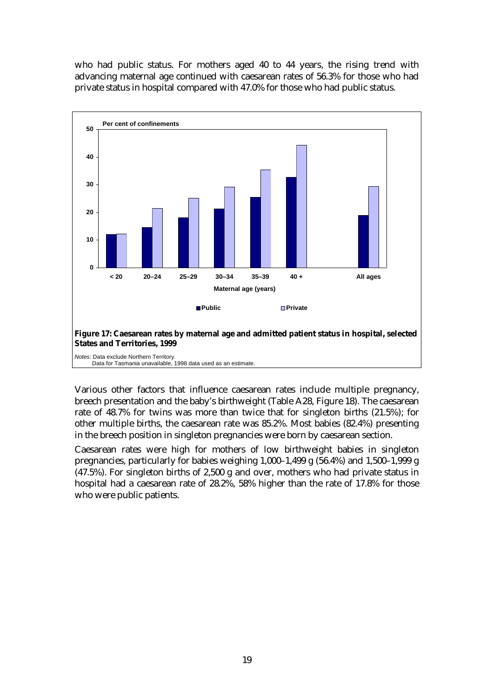who had public status. For mothers aged 40 to 44 years, the rising trend with advancing maternal age continued with caesarean rates of 56.3% for those who had private status in hospital compared with 47.0% for those who had public status.



**States and Territories, 1999**

*Notes:* Data exclude Northern Territory. Data for Tasmania unavailable, 1998 data used as an estimate.

Various other factors that influence caesarean rates include multiple pregnancy, breech presentation and the baby's birthweight (Table A28, Figure 18). The caesarean rate of 48.7% for twins was more than twice that for singleton births (21.5%); for other multiple births, the caesarean rate was 85.2%. Most babies (82.4%) presenting in the breech position in singleton pregnancies were born by caesarean section.

Caesarean rates were high for mothers of low birthweight babies in singleton pregnancies, particularly for babies weighing 1,000–1,499 g (56.4%) and 1,500–1,999 g (47.5%). For singleton births of 2,500 g and over, mothers who had private status in hospital had a caesarean rate of 28.2%, 58% higher than the rate of 17.8% for those who were public patients.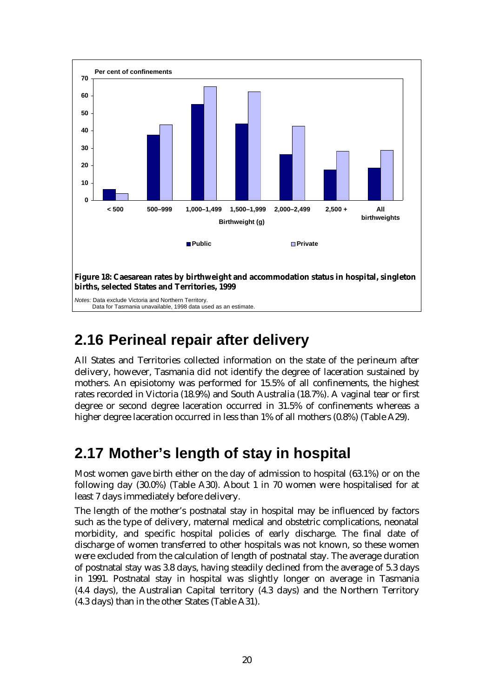

#### **2.16 Perineal repair after delivery**

All States and Territories collected information on the state of the perineum after delivery, however, Tasmania did not identify the degree of laceration sustained by mothers. An episiotomy was performed for 15.5% of all confinements, the highest rates recorded in Victoria (18.9%) and South Australia (18.7%). A vaginal tear or first degree or second degree laceration occurred in 31.5% of confinements whereas a higher degree laceration occurred in less than 1% of all mothers (0.8%) (Table A29).

### **2.17 Mother's length of stay in hospital**

Most women gave birth either on the day of admission to hospital (63.1%) or on the following day (30.0%) (Table A30). About 1 in 70 women were hospitalised for at least 7 days immediately before delivery.

The length of the mother's postnatal stay in hospital may be influenced by factors such as the type of delivery, maternal medical and obstetric complications, neonatal morbidity, and specific hospital policies of early discharge. The final date of discharge of women transferred to other hospitals was not known, so these women were excluded from the calculation of length of postnatal stay. The average duration of postnatal stay was 3.8 days, having steadily declined from the average of 5.3 days in 1991. Postnatal stay in hospital was slightly longer on average in Tasmania (4.4 days), the Australian Capital territory (4.3 days) and the Northern Territory (4.3 days) than in the other States (Table A31).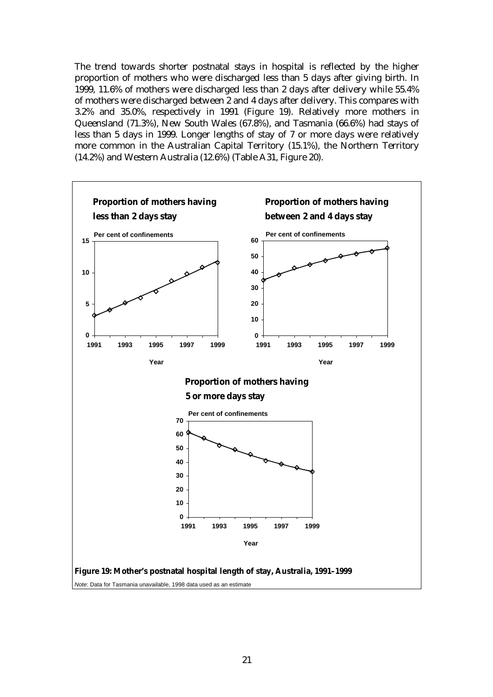The trend towards shorter postnatal stays in hospital is reflected by the higher proportion of mothers who were discharged less than 5 days after giving birth. In 1999, 11.6% of mothers were discharged less than 2 days after delivery while 55.4% of mothers were discharged between 2 and 4 days after delivery. This compares with 3.2% and 35.0%, respectively in 1991 (Figure 19). Relatively more mothers in Queensland (71.3%), New South Wales (67.8%), and Tasmania (66.6%) had stays of less than 5 days in 1999. Longer lengths of stay of 7 or more days were relatively more common in the Australian Capital Territory (15.1%), the Northern Territory (14.2%) and Western Australia (12.6%) (Table A31, Figure 20).

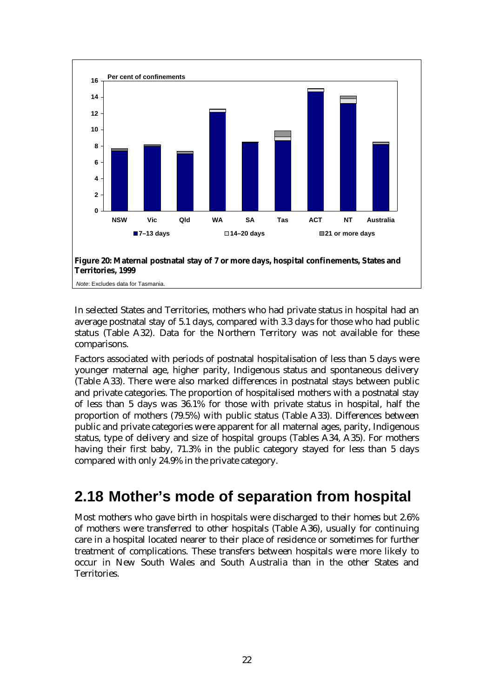

In selected States and Territories, mothers who had private status in hospital had an average postnatal stay of 5.1 days, compared with 3.3 days for those who had public status (Table A32). Data for the Northern Territory was not available for these comparisons.

Factors associated with periods of postnatal hospitalisation of less than 5 days were younger maternal age, higher parity, Indigenous status and spontaneous delivery (Table A33). There were also marked differences in postnatal stays between public and private categories. The proportion of hospitalised mothers with a postnatal stay of less than 5 days was 36.1% for those with private status in hospital, half the proportion of mothers (79.5%) with public status (Table A33). Differences between public and private categories were apparent for all maternal ages, parity, Indigenous status, type of delivery and size of hospital groups (Tables A34, A35). For mothers having their first baby, 71.3% in the public category stayed for less than 5 days compared with only 24.9% in the private category.

## **2.18 Mother's mode of separation from hospital**

Most mothers who gave birth in hospitals were discharged to their homes but 2.6% of mothers were transferred to other hospitals (Table A36), usually for continuing care in a hospital located nearer to their place of residence or sometimes for further treatment of complications. These transfers between hospitals were more likely to occur in New South Wales and South Australia than in the other States and Territories.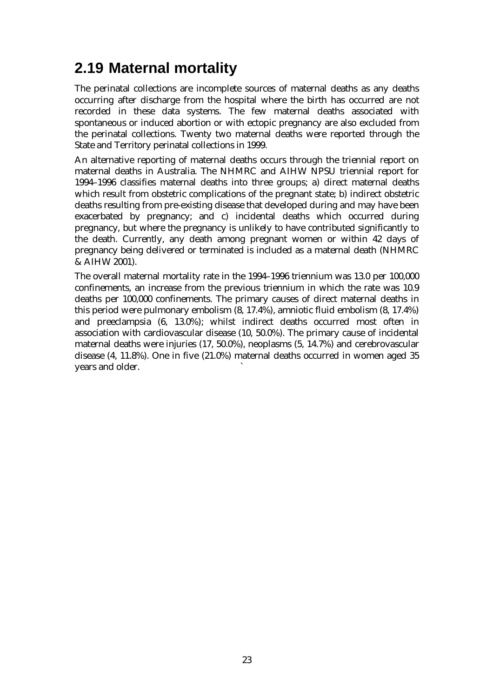# **2.19 Maternal mortality**

The perinatal collections are incomplete sources of maternal deaths as any deaths occurring after discharge from the hospital where the birth has occurred are not recorded in these data systems. The few maternal deaths associated with spontaneous or induced abortion or with ectopic pregnancy are also excluded from the perinatal collections. Twenty two maternal deaths were reported through the State and Territory perinatal collections in 1999.

An alternative reporting of maternal deaths occurs through the triennial report on maternal deaths in Australia. The NHMRC and AIHW NPSU triennial report for 1994–1996 classifies maternal deaths into three groups; a) direct maternal deaths which result from obstetric complications of the pregnant state; b) indirect obstetric deaths resulting from pre-existing disease that developed during and may have been exacerbated by pregnancy; and c) incidental deaths which occurred during pregnancy, but where the pregnancy is unlikely to have contributed significantly to the death. Currently, any death among pregnant women or within 42 days of pregnancy being delivered or terminated is included as a maternal death (NHMRC & AIHW 2001).

The overall maternal mortality rate in the 1994–1996 triennium was 13.0 per 100,000 confinements, an increase from the previous triennium in which the rate was 10.9 deaths per 100,000 confinements. The primary causes of direct maternal deaths in this period were pulmonary embolism (8, 17.4%), amniotic fluid embolism (8, 17.4%) and preeclampsia (6, 13.0%); whilst indirect deaths occurred most often in association with cardiovascular disease (10, 50.0%). The primary cause of incidental maternal deaths were injuries (17, 50.0%), neoplasms (5, 14.7%) and cerebrovascular disease (4, 11.8%). One in five (21.0%) maternal deaths occurred in women aged 35 years and older. `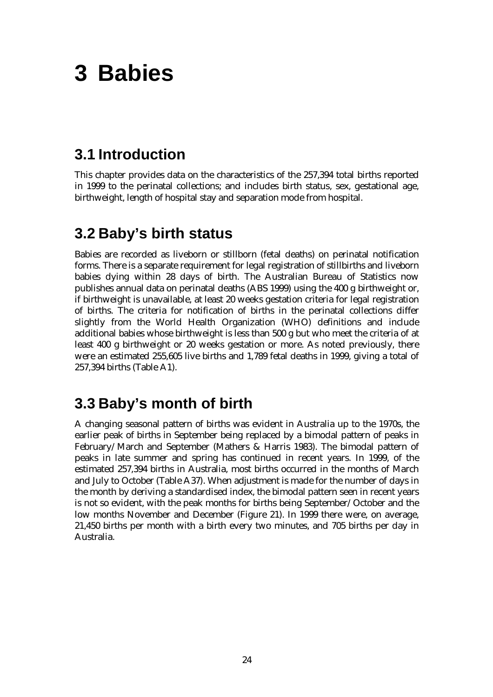# **3 Babies**

### **3.1 Introduction**

This chapter provides data on the characteristics of the 257,394 total births reported in 1999 to the perinatal collections; and includes birth status, sex, gestational age, birthweight, length of hospital stay and separation mode from hospital.

### **3.2 Baby's birth status**

Babies are recorded as liveborn or stillborn (fetal deaths) on perinatal notification forms. There is a separate requirement for legal registration of stillbirths and liveborn babies dying within 28 days of birth. The Australian Bureau of Statistics now publishes annual data on perinatal deaths (ABS 1999) using the 400 g birthweight or, if birthweight is unavailable, at least 20 weeks gestation criteria for legal registration of births. The criteria for notification of births in the perinatal collections differ slightly from the World Health Organization (WHO) definitions and include additional babies whose birthweight is less than 500 g but who meet the criteria of at least 400 g birthweight or 20 weeks gestation or more. As noted previously, there were an estimated 255,605 live births and 1,789 fetal deaths in 1999, giving a total of 257,394 births (Table A1).

## **3.3 Baby's month of birth**

A changing seasonal pattern of births was evident in Australia up to the 1970s, the earlier peak of births in September being replaced by a bimodal pattern of peaks in February/March and September (Mathers & Harris 1983). The bimodal pattern of peaks in late summer and spring has continued in recent years. In 1999, of the estimated 257,394 births in Australia, most births occurred in the months of March and July to October (Table A37). When adjustment is made for the number of days in the month by deriving a standardised index, the bimodal pattern seen in recent years is not so evident, with the peak months for births being September/October and the low months November and December (Figure 21). In 1999 there were, on average, 21,450 births per month with a birth every two minutes, and 705 births per day in Australia.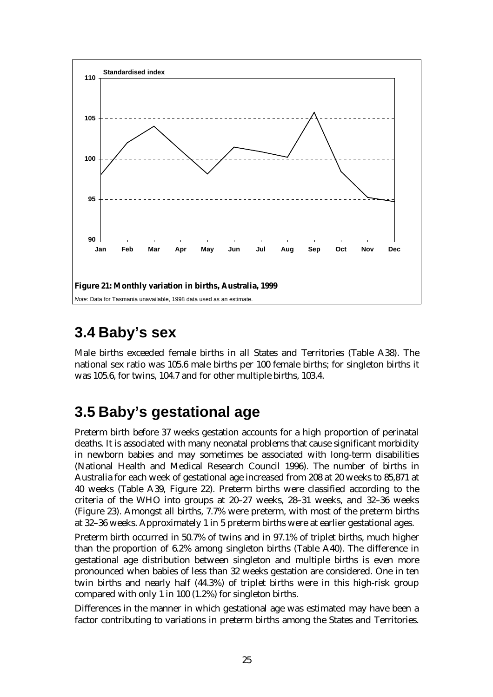

# **3.4 Baby's sex**

Male births exceeded female births in all States and Territories (Table A38). The national sex ratio was 105.6 male births per 100 female births; for singleton births it was 105.6, for twins, 104.7 and for other multiple births, 103.4.

# **3.5 Baby's gestational age**

Preterm birth before 37 weeks gestation accounts for a high proportion of perinatal deaths. It is associated with many neonatal problems that cause significant morbidity in newborn babies and may sometimes be associated with long-term disabilities (National Health and Medical Research Council 1996). The number of births in Australia for each week of gestational age increased from 208 at 20 weeks to 85,871 at 40 weeks (Table A39, Figure 22). Preterm births were classified according to the criteria of the WHO into groups at 20–27 weeks, 28–31 weeks, and 32–36 weeks (Figure 23). Amongst all births, 7.7% were preterm, with most of the preterm births at 32–36 weeks. Approximately 1 in 5 preterm births were at earlier gestational ages.

Preterm birth occurred in 50.7% of twins and in 97.1% of triplet births, much higher than the proportion of 6.2% among singleton births (Table A40). The difference in gestational age distribution between singleton and multiple births is even more pronounced when babies of less than 32 weeks gestation are considered. One in ten twin births and nearly half (44.3%) of triplet births were in this high-risk group compared with only 1 in 100 (1.2%) for singleton births.

Differences in the manner in which gestational age was estimated may have been a factor contributing to variations in preterm births among the States and Territories.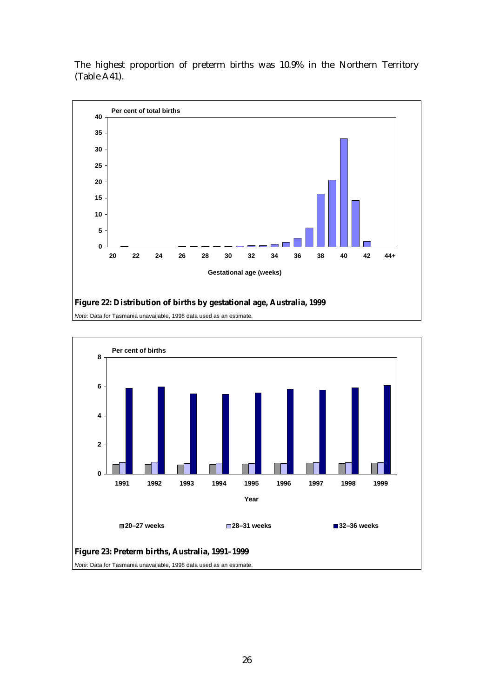The highest proportion of preterm births was 10.9% in the Northern Territory (Table A41).



**Figure 22: Distribution of births by gestational age, Australia, 1999**

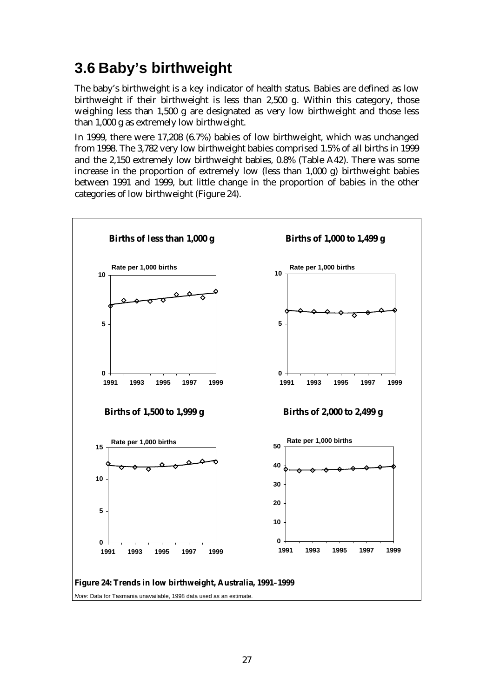# **3.6 Baby's birthweight**

The baby's birthweight is a key indicator of health status. Babies are defined as low birthweight if their birthweight is less than 2,500 g. Within this category, those weighing less than 1,500 g are designated as very low birthweight and those less than 1,000 g as extremely low birthweight.

In 1999, there were 17,208 (6.7%) babies of low birthweight, which was unchanged from 1998. The 3,782 very low birthweight babies comprised 1.5% of all births in 1999 and the 2,150 extremely low birthweight babies, 0.8% (Table A42). There was some increase in the proportion of extremely low (less than 1,000 g) birthweight babies between 1991 and 1999, but little change in the proportion of babies in the other categories of low birthweight (Figure 24).

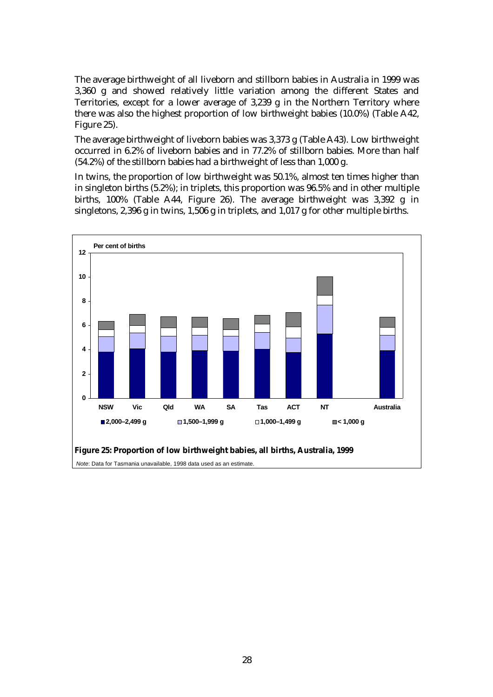The average birthweight of all liveborn and stillborn babies in Australia in 1999 was 3,360 g and showed relatively little variation among the different States and Territories, except for a lower average of 3,239 g in the Northern Territory where there was also the highest proportion of low birthweight babies (10.0%) (Table A42, Figure 25).

The average birthweight of liveborn babies was 3,373 g (Table A43). Low birthweight occurred in 6.2% of liveborn babies and in 77.2% of stillborn babies. More than half (54.2%) of the stillborn babies had a birthweight of less than 1,000 g.

In twins, the proportion of low birthweight was 50.1%, almost ten times higher than in singleton births (5.2%); in triplets, this proportion was 96.5% and in other multiple births, 100% (Table A44, Figure 26). The average birthweight was 3,392 g in singletons, 2,396 g in twins, 1,506 g in triplets, and 1,017 g for other multiple births.

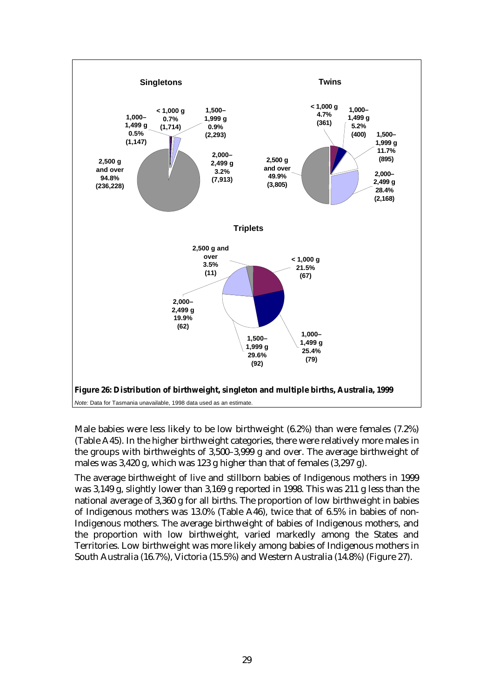

Male babies were less likely to be low birthweight (6.2%) than were females (7.2%) (Table A45). In the higher birthweight categories, there were relatively more males in the groups with birthweights of 3,500–3,999 g and over. The average birthweight of males was 3,420 g, which was 123 g higher than that of females (3,297 g).

The average birthweight of live and stillborn babies of Indigenous mothers in 1999 was 3,149 g, slightly lower than 3,169 g reported in 1998. This was 211 g less than the national average of 3,360 g for all births. The proportion of low birthweight in babies of Indigenous mothers was 13.0% (Table A46), twice that of 6.5% in babies of non-Indigenous mothers. The average birthweight of babies of Indigenous mothers, and the proportion with low birthweight, varied markedly among the States and Territories. Low birthweight was more likely among babies of Indigenous mothers in South Australia (16.7%), Victoria (15.5%) and Western Australia (14.8%) (Figure 27).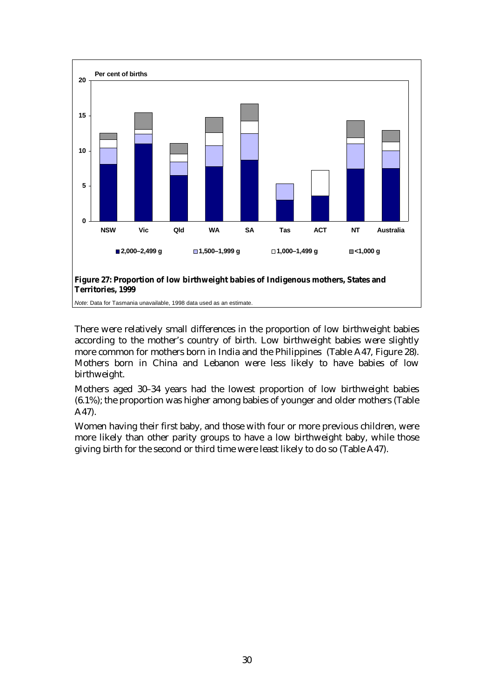

There were relatively small differences in the proportion of low birthweight babies according to the mother's country of birth. Low birthweight babies were slightly more common for mothers born in India and the Philippines (Table A47, Figure 28). Mothers born in China and Lebanon were less likely to have babies of low birthweight.

Mothers aged 30–34 years had the lowest proportion of low birthweight babies (6.1%); the proportion was higher among babies of younger and older mothers (Table A47).

Women having their first baby, and those with four or more previous children, were more likely than other parity groups to have a low birthweight baby, while those giving birth for the second or third time were least likely to do so (Table A47).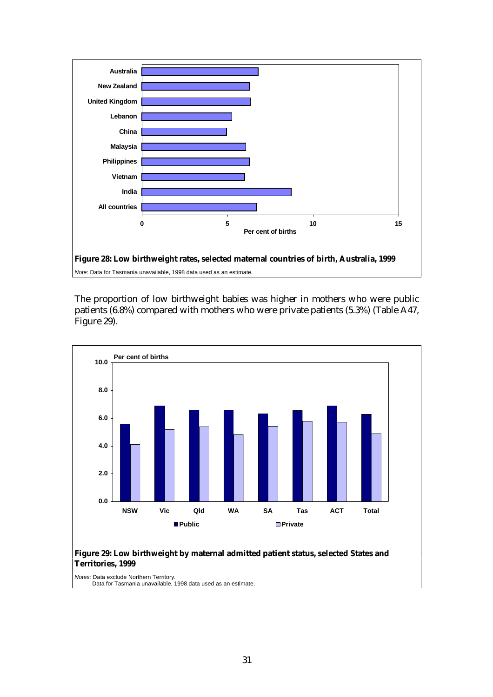

The proportion of low birthweight babies was higher in mothers who were public patients (6.8%) compared with mothers who were private patients (5.3%) (Table A47, Figure 29).



#### **Figure 29: Low birthweight by maternal admitted patient status, selected States and Territories, 1999**

*Notes:* Data exclude Northern Territory. Data for Tasmania unavailable, 1998 data used as an estimate.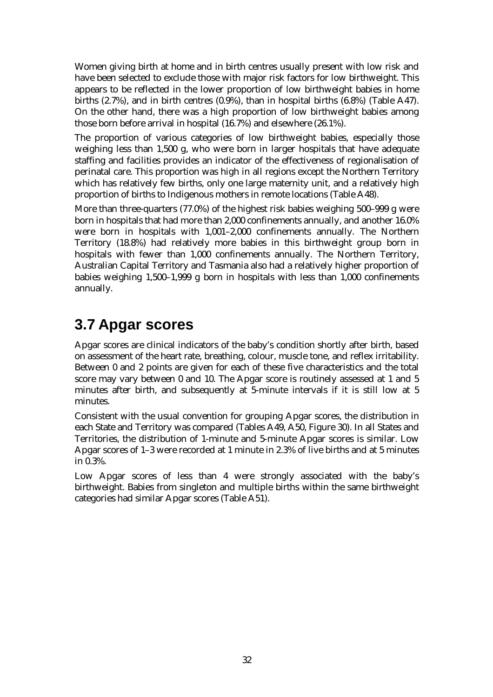Women giving birth at home and in birth centres usually present with low risk and have been selected to exclude those with major risk factors for low birthweight. This appears to be reflected in the lower proportion of low birthweight babies in home births (2.7%), and in birth centres (0.9%), than in hospital births (6.8%) (Table A47). On the other hand, there was a high proportion of low birthweight babies among those born before arrival in hospital (16.7%) and elsewhere (26.1%).

The proportion of various categories of low birthweight babies, especially those weighing less than 1,500 g, who were born in larger hospitals that have adequate staffing and facilities provides an indicator of the effectiveness of regionalisation of perinatal care. This proportion was high in all regions except the Northern Territory which has relatively few births, only one large maternity unit, and a relatively high proportion of births to Indigenous mothers in remote locations (Table A48).

More than three-quarters (77.0%) of the highest risk babies weighing 500–999 g were born in hospitals that had more than 2,000 confinements annually, and another 16.0% were born in hospitals with 1,001–2,000 confinements annually. The Northern Territory (18.8%) had relatively more babies in this birthweight group born in hospitals with fewer than 1,000 confinements annually. The Northern Territory, Australian Capital Territory and Tasmania also had a relatively higher proportion of babies weighing 1,500–1,999 g born in hospitals with less than 1,000 confinements annually.

# **3.7 Apgar scores**

Apgar scores are clinical indicators of the baby's condition shortly after birth, based on assessment of the heart rate, breathing, colour, muscle tone, and reflex irritability. Between 0 and 2 points are given for each of these five characteristics and the total score may vary between 0 and 10. The Apgar score is routinely assessed at 1 and 5 minutes after birth, and subsequently at 5-minute intervals if it is still low at 5 minutes.

Consistent with the usual convention for grouping Apgar scores, the distribution in each State and Territory was compared (Tables A49, A50, Figure 30). In all States and Territories, the distribution of 1-minute and 5-minute Apgar scores is similar. Low Apgar scores of 1–3 were recorded at 1 minute in 2.3% of live births and at 5 minutes in 0.3%.

Low Apgar scores of less than 4 were strongly associated with the baby's birthweight. Babies from singleton and multiple births within the same birthweight categories had similar Apgar scores (Table A51).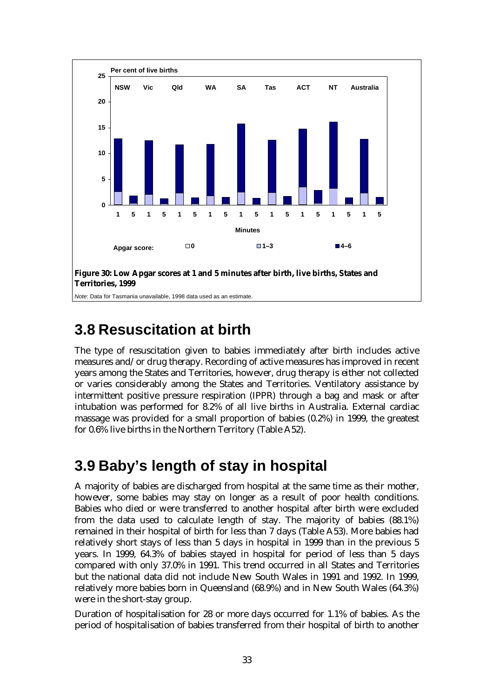

# **3.8 Resuscitation at birth**

The type of resuscitation given to babies immediately after birth includes active measures and/or drug therapy. Recording of active measures has improved in recent years among the States and Territories, however, drug therapy is either not collected or varies considerably among the States and Territories. Ventilatory assistance by intermittent positive pressure respiration (IPPR) through a bag and mask or after intubation was performed for 8.2% of all live births in Australia. External cardiac massage was provided for a small proportion of babies (0.2%) in 1999, the greatest for 0.6% live births in the Northern Territory (Table A52).

# **3.9 Baby's length of stay in hospital**

A majority of babies are discharged from hospital at the same time as their mother, however, some babies may stay on longer as a result of poor health conditions. Babies who died or were transferred to another hospital after birth were excluded from the data used to calculate length of stay. The majority of babies (88.1%) remained in their hospital of birth for less than 7 days (Table A53). More babies had relatively short stays of less than 5 days in hospital in 1999 than in the previous 5 years. In 1999, 64.3% of babies stayed in hospital for period of less than 5 days compared with only 37.0% in 1991. This trend occurred in all States and Territories but the national data did not include New South Wales in 1991 and 1992. In 1999, relatively more babies born in Queensland (68.9%) and in New South Wales (64.3%) were in the short-stay group.

Duration of hospitalisation for 28 or more days occurred for 1.1% of babies. As the period of hospitalisation of babies transferred from their hospital of birth to another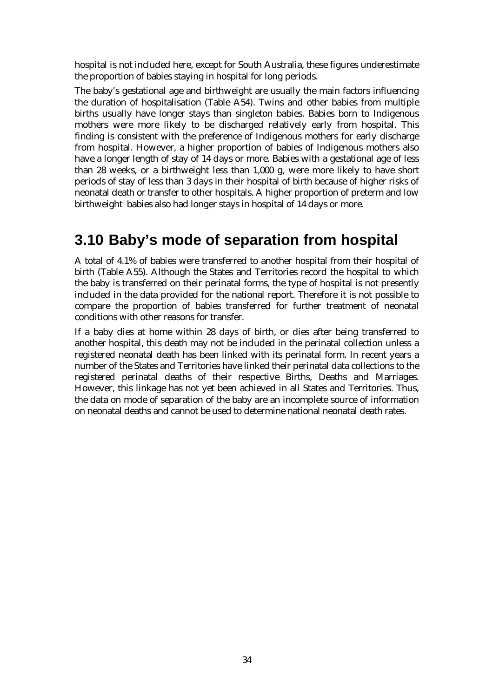hospital is not included here, except for South Australia, these figures underestimate the proportion of babies staying in hospital for long periods.

The baby's gestational age and birthweight are usually the main factors influencing the duration of hospitalisation (Table A54). Twins and other babies from multiple births usually have longer stays than singleton babies. Babies born to Indigenous mothers were more likely to be discharged relatively early from hospital. This finding is consistent with the preference of Indigenous mothers for early discharge from hospital. However, a higher proportion of babies of Indigenous mothers also have a longer length of stay of 14 days or more. Babies with a gestational age of less than 28 weeks, or a birthweight less than 1,000 g, were more likely to have short periods of stay of less than 3 days in their hospital of birth because of higher risks of neonatal death or transfer to other hospitals. A higher proportion of preterm and low birthweight babies also had longer stays in hospital of 14 days or more.

## **3.10 Baby's mode of separation from hospital**

A total of 4.1% of babies were transferred to another hospital from their hospital of birth (Table A55). Although the States and Territories record the hospital to which the baby is transferred on their perinatal forms, the type of hospital is not presently included in the data provided for the national report. Therefore it is not possible to compare the proportion of babies transferred for further treatment of neonatal conditions with other reasons for transfer.

If a baby dies at home within 28 days of birth, or dies after being transferred to another hospital, this death may not be included in the perinatal collection unless a registered neonatal death has been linked with its perinatal form. In recent years a number of the States and Territories have linked their perinatal data collections to the registered perinatal deaths of their respective Births, Deaths and Marriages. However, this linkage has not yet been achieved in all States and Territories. Thus, the data on mode of separation of the baby are an incomplete source of information on neonatal deaths and cannot be used to determine national neonatal death rates.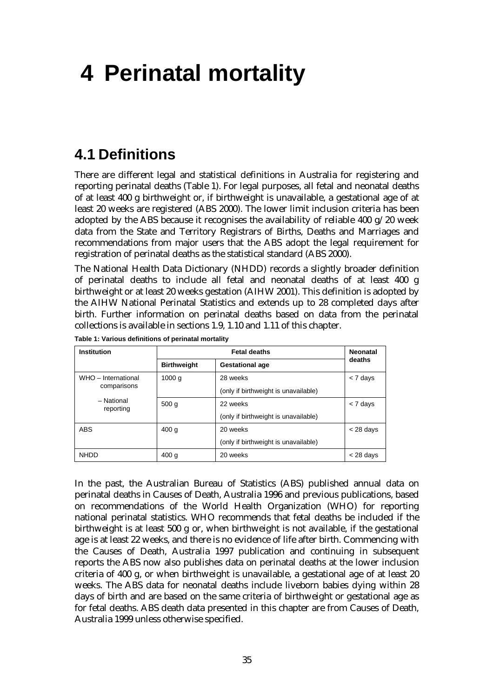# **4 Perinatal mortality**

### **4.1 Definitions**

There are different legal and statistical definitions in Australia for registering and reporting perinatal deaths (Table 1). For legal purposes, all fetal and neonatal deaths of at least 400 g birthweight or, if birthweight is unavailable, a gestational age of at least 20 weeks are registered (ABS 2000). The lower limit inclusion criteria has been adopted by the ABS because it recognises the availability of reliable 400  $g/20$  week data from the State and Territory Registrars of Births, Deaths and Marriages and recommendations from major users that the ABS adopt the legal requirement for registration of perinatal deaths as the statistical standard (ABS 2000).

The National Health Data Dictionary (NHDD) records a slightly broader definition of perinatal deaths to include all fetal and neonatal deaths of at least 400 g birthweight or at least 20 weeks gestation (AIHW 2001). This definition is adopted by the AIHW National Perinatal Statistics and extends up to 28 completed days after birth. Further information on perinatal deaths based on data from the perinatal collections is available in sections 1.9, 1.10 and 1.11 of this chapter.

| <b>Institution</b>                          |                    | <b>Fetal deaths</b>                  | <b>Neonatal</b> |
|---------------------------------------------|--------------------|--------------------------------------|-----------------|
|                                             | <b>Birthweight</b> | <b>Gestational age</b>               | deaths          |
| WHO - International                         | 1000 <sub>q</sub>  | 28 weeks                             | < 7 days        |
| comparisons                                 |                    | (only if birthweight is unavailable) |                 |
| - National<br>500 <sub>g</sub><br>reporting |                    | 22 weeks                             | < 7 days        |
|                                             |                    | (only if birthweight is unavailable) |                 |
| ABS                                         | 400q               | 20 weeks                             | $<$ 28 days     |
|                                             |                    | (only if birthweight is unavailable) |                 |
| <b>NHDD</b>                                 | 400 <sub>g</sub>   | 20 weeks                             | $<$ 28 days     |

**Table 1: Various definitions of perinatal mortality**

In the past, the Australian Bureau of Statistics (ABS) published annual data on perinatal deaths in Causes of Death, Australia 1996 and previous publications, based on recommendations of the World Health Organization (WHO) for reporting national perinatal statistics. WHO recommends that fetal deaths be included if the birthweight is at least 500 g or, when birthweight is not available, if the gestational age is at least 22 weeks, and there is no evidence of life after birth. Commencing with the Causes of Death, Australia 1997 publication and continuing in subsequent reports the ABS now also publishes data on perinatal deaths at the lower inclusion criteria of 400 g, or when birthweight is unavailable, a gestational age of at least 20 weeks. The ABS data for neonatal deaths include liveborn babies dying within 28 days of birth and are based on the same criteria of birthweight or gestational age as for fetal deaths. ABS death data presented in this chapter are from Causes of Death, Australia 1999 unless otherwise specified.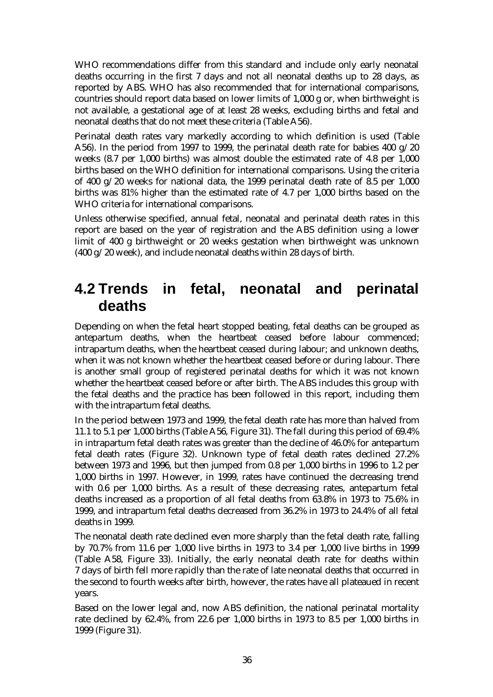WHO recommendations differ from this standard and include only early neonatal deaths occurring in the first 7 days and not all neonatal deaths up to 28 days, as reported by ABS. WHO has also recommended that for international comparisons, countries should report data based on lower limits of 1,000 g or, when birthweight is not available, a gestational age of at least 28 weeks, excluding births and fetal and neonatal deaths that do not meet these criteria (Table A56).

Perinatal death rates vary markedly according to which definition is used (Table A56). In the period from 1997 to 1999, the perinatal death rate for babies 400 g/20 weeks (8.7 per 1,000 births) was almost double the estimated rate of 4.8 per 1,000 births based on the WHO definition for international comparisons. Using the criteria of 400 g/20 weeks for national data, the 1999 perinatal death rate of 8.5 per 1,000 births was 81% higher than the estimated rate of 4.7 per 1,000 births based on the WHO criteria for international comparisons.

Unless otherwise specified, annual fetal, neonatal and perinatal death rates in this report are based on the year of registration and the ABS definition using a lower limit of 400 g birthweight or 20 weeks gestation when birthweight was unknown (400 g/20 week), and include neonatal deaths within 28 days of birth.

### **4.2 Trends in fetal, neonatal and perinatal deaths**

Depending on when the fetal heart stopped beating, fetal deaths can be grouped as antepartum deaths, when the heartbeat ceased before labour commenced; intrapartum deaths, when the heartbeat ceased during labour; and unknown deaths, when it was not known whether the heartbeat ceased before or during labour. There is another small group of registered perinatal deaths for which it was not known whether the heartbeat ceased before or after birth. The ABS includes this group with the fetal deaths and the practice has been followed in this report, including them with the intrapartum fetal deaths.

In the period between 1973 and 1999, the fetal death rate has more than halved from 11.1 to 5.1 per 1,000 births (Table A56, Figure 31). The fall during this period of 69.4% in intrapartum fetal death rates was greater than the decline of 46.0% for antepartum fetal death rates (Figure 32). Unknown type of fetal death rates declined 27.2% between 1973 and 1996, but then jumped from 0.8 per 1,000 births in 1996 to 1.2 per 1,000 births in 1997. However, in 1999, rates have continued the decreasing trend with 0.6 per 1,000 births. As a result of these decreasing rates, antepartum fetal deaths increased as a proportion of all fetal deaths from 63.8% in 1973 to 75.6% in 1999, and intrapartum fetal deaths decreased from 36.2% in 1973 to 24.4% of all fetal deaths in 1999.

The neonatal death rate declined even more sharply than the fetal death rate, falling by 70.7% from 11.6 per 1,000 live births in 1973 to 3.4 per 1,000 live births in 1999 (Table A58, Figure 33). Initially, the early neonatal death rate for deaths within 7 days of birth fell more rapidly than the rate of late neonatal deaths that occurred in the second to fourth weeks after birth, however, the rates have all plateaued in recent years.

Based on the lower legal and, now ABS definition, the national perinatal mortality rate declined by 62.4%, from 22.6 per 1,000 births in 1973 to 8.5 per 1,000 births in 1999 (Figure 31).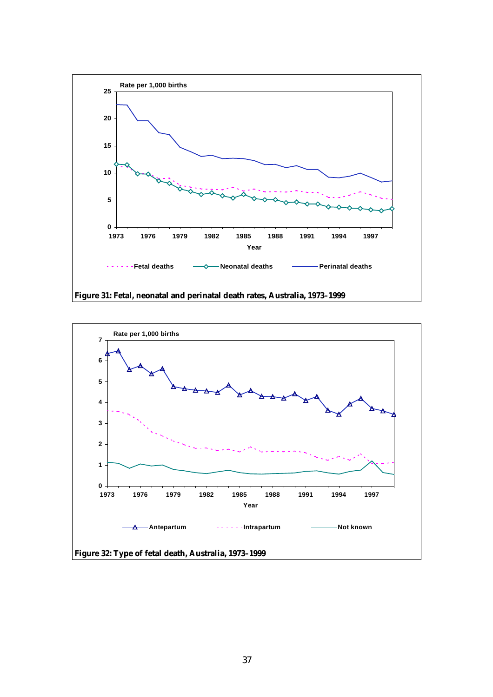

**Figure 31: Fetal, neonatal and perinatal death rates, Australia, 1973–1999**

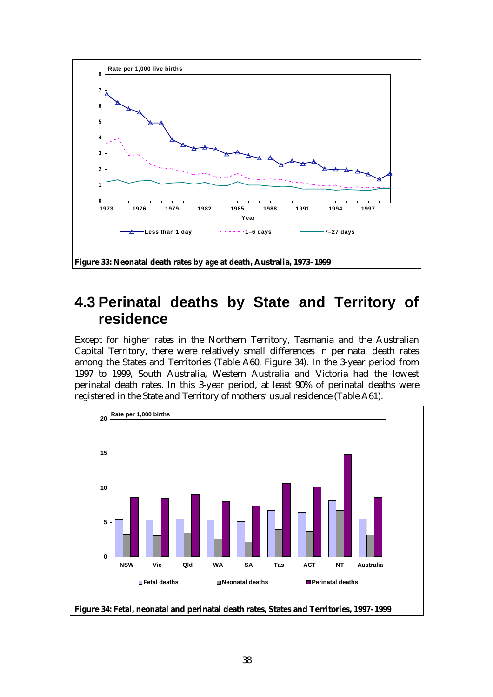

## **4.3 Perinatal deaths by State and Territory of residence**

Except for higher rates in the Northern Territory, Tasmania and the Australian Capital Territory, there were relatively small differences in perinatal death rates among the States and Territories (Table A60, Figure 34). In the 3-year period from 1997 to 1999, South Australia, Western Australia and Victoria had the lowest perinatal death rates. In this 3-year period, at least 90% of perinatal deaths were registered in the State and Territory of mothers' usual residence (Table A61).



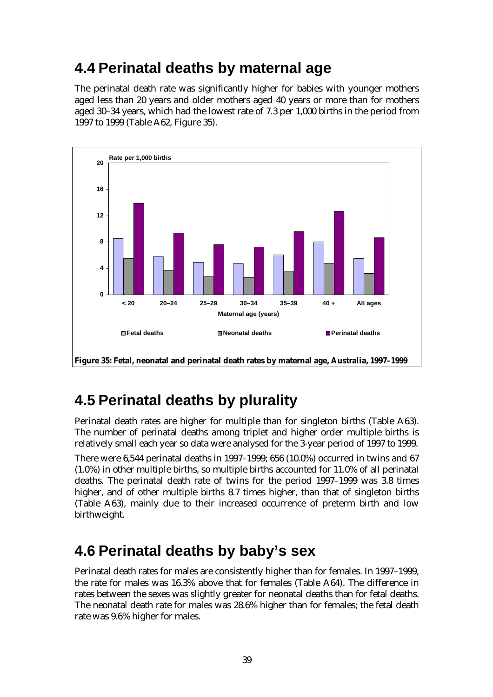# **4.4 Perinatal deaths by maternal age**

The perinatal death rate was significantly higher for babies with younger mothers aged less than 20 years and older mothers aged 40 years or more than for mothers aged 30–34 years, which had the lowest rate of 7.3 per 1,000 births in the period from 1997 to 1999 (Table A62, Figure 35).



# **4.5 Perinatal deaths by plurality**

Perinatal death rates are higher for multiple than for singleton births (Table A63). The number of perinatal deaths among triplet and higher order multiple births is relatively small each year so data were analysed for the 3-year period of 1997 to 1999.

There were 6,544 perinatal deaths in 1997–1999; 656 (10.0%) occurred in twins and 67 (1.0%) in other multiple births, so multiple births accounted for 11.0% of all perinatal deaths. The perinatal death rate of twins for the period 1997–1999 was 3.8 times higher, and of other multiple births 8.7 times higher, than that of singleton births (Table A63), mainly due to their increased occurrence of preterm birth and low birthweight.

# **4.6 Perinatal deaths by baby's sex**

Perinatal death rates for males are consistently higher than for females. In 1997–1999, the rate for males was 16.3% above that for females (Table A64). The difference in rates between the sexes was slightly greater for neonatal deaths than for fetal deaths. The neonatal death rate for males was 28.6% higher than for females; the fetal death rate was 9.6% higher for males.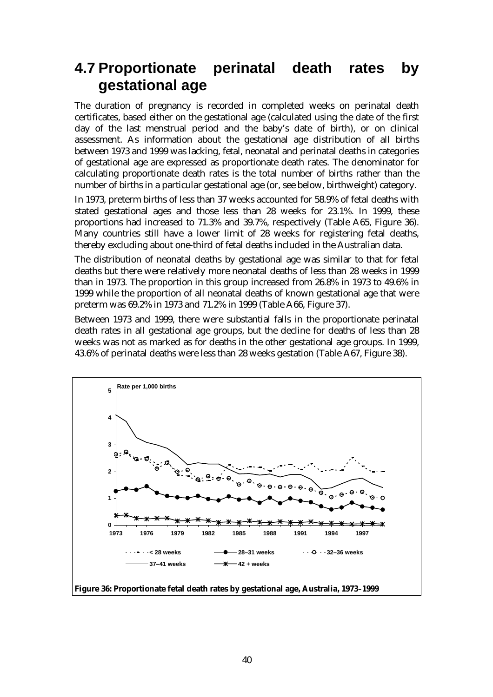## **4.7 Proportionate perinatal death rates by gestational age**

The duration of pregnancy is recorded in completed weeks on perinatal death certificates, based either on the gestational age (calculated using the date of the first day of the last menstrual period and the baby's date of birth), or on clinical assessment. As information about the gestational age distribution of all births between 1973 and 1999 was lacking, fetal, neonatal and perinatal deaths in categories of gestational age are expressed as proportionate death rates. The denominator for calculating proportionate death rates is the total number of births rather than the number of births in a particular gestational age (or, see below, birthweight) category.

In 1973, preterm births of less than 37 weeks accounted for 58.9% of fetal deaths with stated gestational ages and those less than 28 weeks for 23.1%. In 1999, these proportions had increased to 71.3% and 39.7%, respectively (Table A65, Figure 36). Many countries still have a lower limit of 28 weeks for registering fetal deaths, thereby excluding about one-third of fetal deaths included in the Australian data.

The distribution of neonatal deaths by gestational age was similar to that for fetal deaths but there were relatively more neonatal deaths of less than 28 weeks in 1999 than in 1973. The proportion in this group increased from 26.8% in 1973 to 49.6% in 1999 while the proportion of all neonatal deaths of known gestational age that were preterm was 69.2% in 1973 and 71.2% in 1999 (Table A66, Figure 37).

Between 1973 and 1999, there were substantial falls in the proportionate perinatal death rates in all gestational age groups, but the decline for deaths of less than 28 weeks was not as marked as for deaths in the other gestational age groups. In 1999, 43.6% of perinatal deaths were less than 28 weeks gestation (Table A67, Figure 38).



**Figure 36: Proportionate fetal death rates by gestational age, Australia, 1973–1999**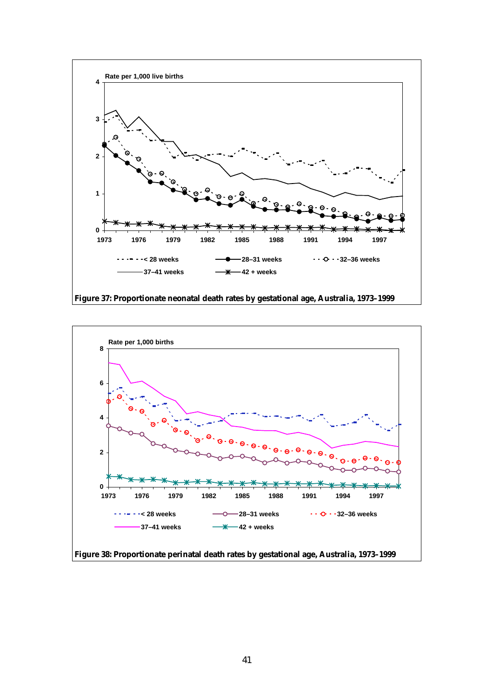

**Figure 37: Proportionate neonatal death rates by gestational age, Australia, 1973–1999**

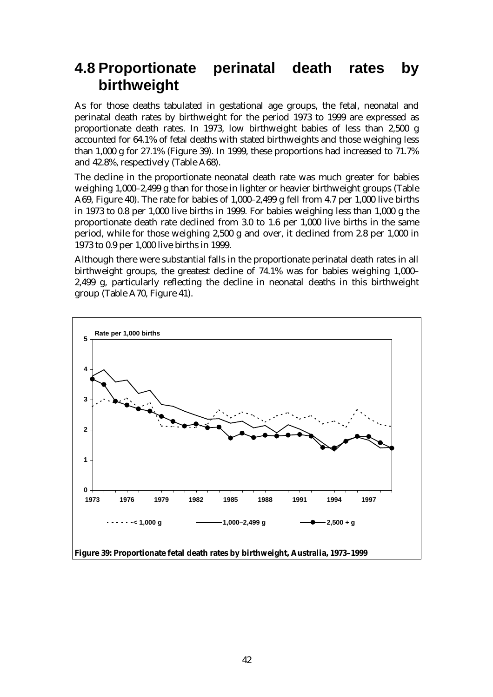## **4.8 Proportionate perinatal death rates by birthweight**

As for those deaths tabulated in gestational age groups, the fetal, neonatal and perinatal death rates by birthweight for the period 1973 to 1999 are expressed as proportionate death rates. In 1973, low birthweight babies of less than 2,500 g accounted for 64.1% of fetal deaths with stated birthweights and those weighing less than 1,000 g for 27.1% (Figure 39). In 1999, these proportions had increased to 71.7% and 42.8%, respectively (Table A68).

The decline in the proportionate neonatal death rate was much greater for babies weighing 1,000–2,499 g than for those in lighter or heavier birthweight groups (Table A69, Figure 40). The rate for babies of 1,000–2,499 g fell from 4.7 per 1,000 live births in 1973 to 0.8 per 1,000 live births in 1999. For babies weighing less than 1,000 g the proportionate death rate declined from 3.0 to 1.6 per 1,000 live births in the same period, while for those weighing 2,500 g and over, it declined from 2.8 per 1,000 in 1973 to 0.9 per 1,000 live births in 1999.

Although there were substantial falls in the proportionate perinatal death rates in all birthweight groups, the greatest decline of 74.1% was for babies weighing 1,000– 2,499 g, particularly reflecting the decline in neonatal deaths in this birthweight group (Table A70, Figure 41).

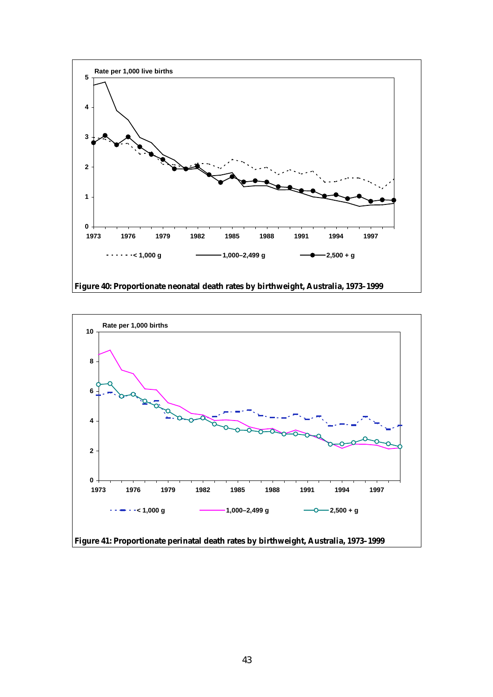

**Figure 40: Proportionate neonatal death rates by birthweight, Australia, 1973–1999**

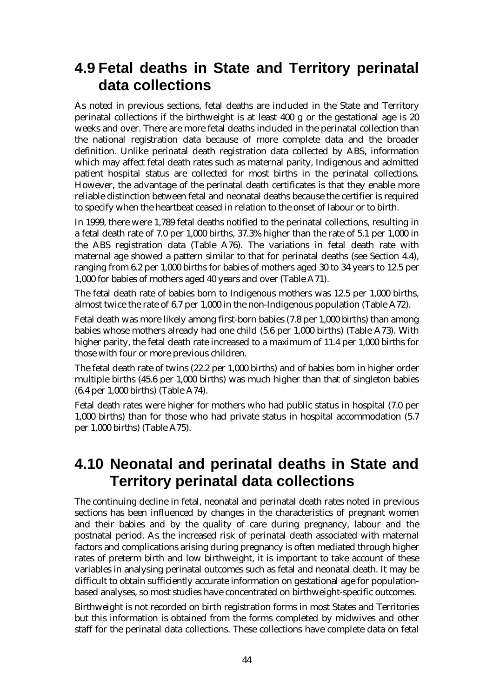### **4.9 Fetal deaths in State and Territory perinatal data collections**

As noted in previous sections, fetal deaths are included in the State and Territory perinatal collections if the birthweight is at least 400 g or the gestational age is 20 weeks and over. There are more fetal deaths included in the perinatal collection than the national registration data because of more complete data and the broader definition. Unlike perinatal death registration data collected by ABS, information which may affect fetal death rates such as maternal parity, Indigenous and admitted patient hospital status are collected for most births in the perinatal collections. However, the advantage of the perinatal death certificates is that they enable more reliable distinction between fetal and neonatal deaths because the certifier is required to specify when the heartbeat ceased in relation to the onset of labour or to birth.

In 1999, there were 1,789 fetal deaths notified to the perinatal collections, resulting in a fetal death rate of 7.0 per 1,000 births, 37.3% higher than the rate of 5.1 per 1,000 in the ABS registration data (Table A76). The variations in fetal death rate with maternal age showed a pattern similar to that for perinatal deaths (see Section 4.4), ranging from 6.2 per 1,000 births for babies of mothers aged 30 to 34 years to 12.5 per 1,000 for babies of mothers aged 40 years and over (Table A71).

The fetal death rate of babies born to Indigenous mothers was 12.5 per 1,000 births, almost twice the rate of 6.7 per 1,000 in the non-Indigenous population (Table A72).

Fetal death was more likely among first-born babies (7.8 per 1,000 births) than among babies whose mothers already had one child (5.6 per 1,000 births) (Table A73). With higher parity, the fetal death rate increased to a maximum of 11.4 per 1,000 births for those with four or more previous children.

The fetal death rate of twins (22.2 per 1,000 births) and of babies born in higher order multiple births (45.6 per 1,000 births) was much higher than that of singleton babies (6.4 per 1,000 births) (Table A74).

Fetal death rates were higher for mothers who had public status in hospital (7.0 per 1,000 births) than for those who had private status in hospital accommodation (5.7 per 1,000 births) (Table A75).

### **4.10 Neonatal and perinatal deaths in State and Territory perinatal data collections**

The continuing decline in fetal, neonatal and perinatal death rates noted in previous sections has been influenced by changes in the characteristics of pregnant women and their babies and by the quality of care during pregnancy, labour and the postnatal period. As the increased risk of perinatal death associated with maternal factors and complications arising during pregnancy is often mediated through higher rates of preterm birth and low birthweight, it is important to take account of these variables in analysing perinatal outcomes such as fetal and neonatal death. It may be difficult to obtain sufficiently accurate information on gestational age for populationbased analyses, so most studies have concentrated on birthweight-specific outcomes.

Birthweight is not recorded on birth registration forms in most States and Territories but this information is obtained from the forms completed by midwives and other staff for the perinatal data collections. These collections have complete data on fetal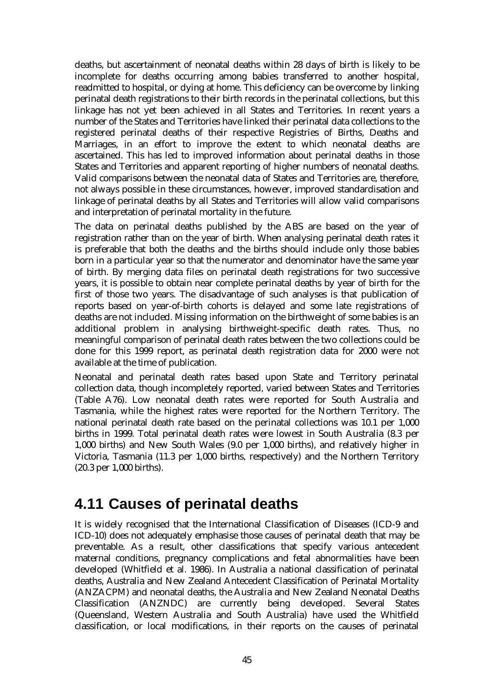deaths, but ascertainment of neonatal deaths within 28 days of birth is likely to be incomplete for deaths occurring among babies transferred to another hospital, readmitted to hospital, or dying at home. This deficiency can be overcome by linking perinatal death registrations to their birth records in the perinatal collections, but this linkage has not yet been achieved in all States and Territories. In recent years a number of the States and Territories have linked their perinatal data collections to the registered perinatal deaths of their respective Registries of Births, Deaths and Marriages, in an effort to improve the extent to which neonatal deaths are ascertained. This has led to improved information about perinatal deaths in those States and Territories and apparent reporting of higher numbers of neonatal deaths. Valid comparisons between the neonatal data of States and Territories are, therefore, not always possible in these circumstances, however, improved standardisation and linkage of perinatal deaths by all States and Territories will allow valid comparisons and interpretation of perinatal mortality in the future.

The data on perinatal deaths published by the ABS are based on the year of registration rather than on the year of birth. When analysing perinatal death rates it is preferable that both the deaths and the births should include only those babies born in a particular year so that the numerator and denominator have the same year of birth. By merging data files on perinatal death registrations for two successive years, it is possible to obtain near complete perinatal deaths by year of birth for the first of those two years. The disadvantage of such analyses is that publication of reports based on year-of-birth cohorts is delayed and some late registrations of deaths are not included. Missing information on the birthweight of some babies is an additional problem in analysing birthweight-specific death rates. Thus, no meaningful comparison of perinatal death rates between the two collections could be done for this 1999 report, as perinatal death registration data for 2000 were not available at the time of publication.

Neonatal and perinatal death rates based upon State and Territory perinatal collection data, though incompletely reported, varied between States and Territories (Table A76). Low neonatal death rates were reported for South Australia and Tasmania, while the highest rates were reported for the Northern Territory. The national perinatal death rate based on the perinatal collections was 10.1 per 1,000 births in 1999. Total perinatal death rates were lowest in South Australia (8.3 per 1,000 births) and New South Wales (9.0 per 1,000 births), and relatively higher in Victoria, Tasmania (11.3 per 1,000 births, respectively) and the Northern Territory (20.3 per 1,000 births).

## **4.11 Causes of perinatal deaths**

It is widely recognised that the International Classification of Diseases (ICD-9 and ICD-10) does not adequately emphasise those causes of perinatal death that may be preventable. As a result, other classifications that specify various antecedent maternal conditions, pregnancy complications and fetal abnormalities have been developed (Whitfield et al. 1986). In Australia a national classification of perinatal deaths, Australia and New Zealand Antecedent Classification of Perinatal Mortality (ANZACPM) and neonatal deaths, the Australia and New Zealand Neonatal Deaths Classification (ANZNDC) are currently being developed. Several States (Queensland, Western Australia and South Australia) have used the Whitfield classification, or local modifications, in their reports on the causes of perinatal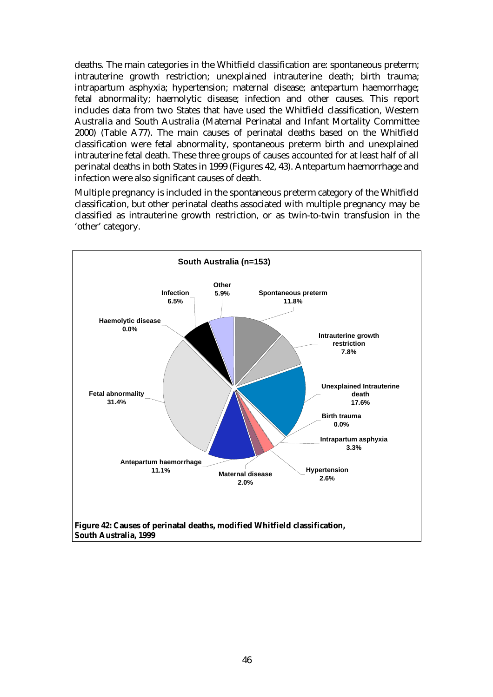deaths. The main categories in the Whitfield classification are: spontaneous preterm; intrauterine growth restriction; unexplained intrauterine death; birth trauma; intrapartum asphyxia; hypertension; maternal disease; antepartum haemorrhage; fetal abnormality; haemolytic disease; infection and other causes. This report includes data from two States that have used the Whitfield classification, Western Australia and South Australia (Maternal Perinatal and Infant Mortality Committee 2000) (Table A77). The main causes of perinatal deaths based on the Whitfield classification were fetal abnormality, spontaneous preterm birth and unexplained intrauterine fetal death. These three groups of causes accounted for at least half of all perinatal deaths in both States in 1999 (Figures 42, 43). Antepartum haemorrhage and infection were also significant causes of death.

Multiple pregnancy is included in the spontaneous preterm category of the Whitfield classification, but other perinatal deaths associated with multiple pregnancy may be classified as intrauterine growth restriction, or as twin-to-twin transfusion in the 'other' category.

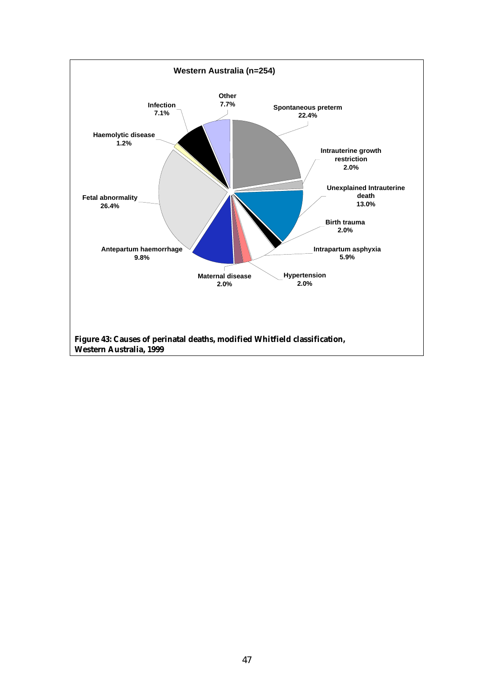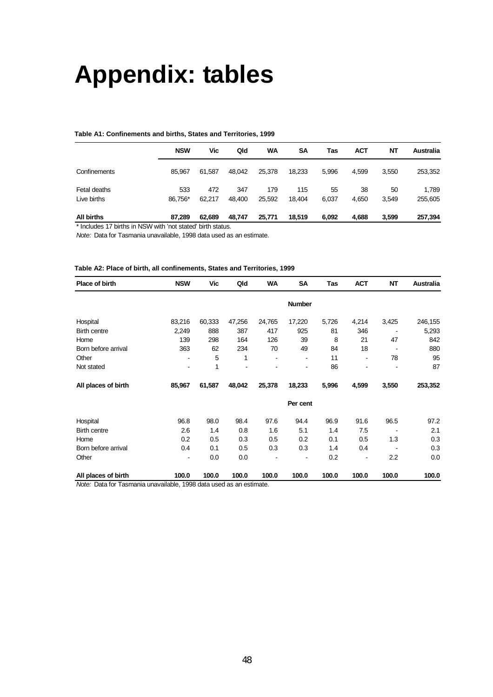# **Appendix: tables**

#### **Table A1: Confinements and births, States and Territories, 1999**

|                   | <b>NSW</b> | Vic    | Qld    | WA     | <b>SA</b> | Tas   | АСТ   | NT    | <b>Australia</b> |
|-------------------|------------|--------|--------|--------|-----------|-------|-------|-------|------------------|
|                   |            |        |        |        |           |       |       |       |                  |
| Confinements      | 85.967     | 61.587 | 48.042 | 25,378 | 18,233    | 5,996 | 4,599 | 3,550 | 253,352          |
| Fetal deaths      | 533        | 472    | 347    | 179    | 115       | 55    | 38    | 50    | 1,789            |
| Live births       | 86.756*    | 62,217 | 48.400 | 25,592 | 18.404    | 6,037 | 4,650 | 3,549 | 255,605          |
| <b>All births</b> | 87,289     | 62,689 | 48,747 | 25,771 | 18,519    | 6,092 | 4,688 | 3,599 | 257,394          |

\* Includes 17 births in NSW with 'not stated' birth status.

*Note:* Data for Tasmania unavailable, 1998 data used as an estimate.

#### **Table A2: Place of birth, all confinements, States and Territories, 1999**

| Place of birth      | <b>NSW</b> | Vic    | Qld    | WA     | SA            | Tas   | <b>ACT</b> | NT                       | Australia |
|---------------------|------------|--------|--------|--------|---------------|-------|------------|--------------------------|-----------|
|                     |            |        |        |        | <b>Number</b> |       |            |                          |           |
| Hospital            | 83,216     | 60,333 | 47,256 | 24,765 | 17,220        | 5,726 | 4,214      | 3,425                    | 246,155   |
| <b>Birth centre</b> | 2,249      | 888    | 387    | 417    | 925           | 81    | 346        |                          | 5,293     |
| Home                | 139        | 298    | 164    | 126    | 39            | 8     | 21         | 47                       | 842       |
| Born before arrival | 363        | 62     | 234    | 70     | 49            | 84    | 18         | $\overline{\phantom{a}}$ | 880       |
| Other               |            | 5      | 1      |        |               | 11    |            | 78                       | 95        |
| Not stated          |            | 1      |        |        |               | 86    |            |                          | 87        |
| All places of birth | 85,967     | 61,587 | 48,042 | 25,378 | 18,233        | 5,996 | 4,599      | 3,550                    | 253,352   |
|                     |            |        |        |        | Per cent      |       |            |                          |           |
| Hospital            | 96.8       | 98.0   | 98.4   | 97.6   | 94.4          | 96.9  | 91.6       | 96.5                     | 97.2      |
| <b>Birth centre</b> | 2.6        | 1.4    | 0.8    | 1.6    | 5.1           | 1.4   | 7.5        |                          | 2.1       |
| Home                | 0.2        | 0.5    | 0.3    | 0.5    | 0.2           | 0.1   | 0.5        | 1.3                      | 0.3       |
| Born before arrival | 0.4        | 0.1    | 0.5    | 0.3    | 0.3           | 1.4   | 0.4        |                          | 0.3       |
| Other               |            | 0.0    | 0.0    |        |               | 0.2   |            | 2.2                      | 0.0       |
| All places of birth | 100.0      | 100.0  | 100.0  | 100.0  | 100.0         | 100.0 | 100.0      | 100.0                    | 100.0     |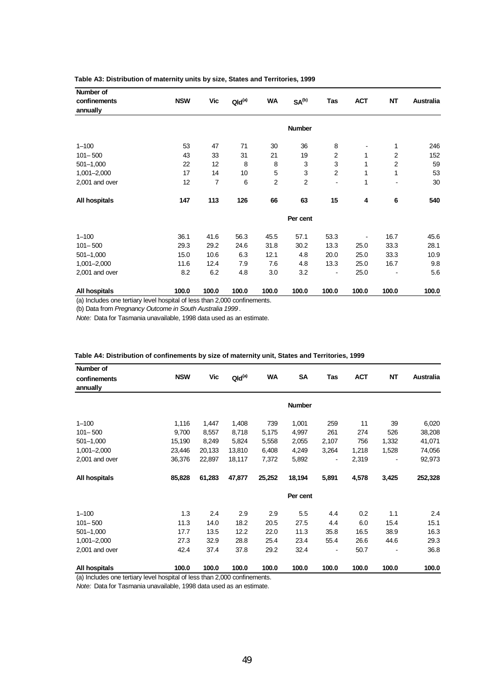| Number of<br>confinements<br>annually | <b>NSW</b> | Vic   | $Qld^{(a)}$ | <b>WA</b> | SA <sup>(b)</sup> | Tas            | <b>ACT</b> | NT             | <b>Australia</b> |
|---------------------------------------|------------|-------|-------------|-----------|-------------------|----------------|------------|----------------|------------------|
|                                       |            |       |             |           | <b>Number</b>     |                |            |                |                  |
| $1 - 100$                             | 53         | 47    | 71          | 30        | 36                | 8              |            | 1              | 246              |
| $101 - 500$                           | 43         | 33    | 31          | 21        | 19                | 2              | 1          | $\overline{2}$ | 152              |
| $501 - 1,000$                         | 22         | 12    | 8           | 8         | 3                 | 3              | 1          | $\overline{2}$ | 59               |
| $1,001 - 2,000$                       | 17         | 14    | 10          | 5         | 3                 | $\overline{2}$ | 1          | 1              | 53               |
| 2,001 and over                        | 12         | 7     | 6           | 2         | $\overline{2}$    |                | 1          |                | 30               |
| All hospitals                         | 147        | 113   | 126         | 66        | 63                | 15             | 4          | 6              | 540              |
|                                       |            |       |             |           | Per cent          |                |            |                |                  |
| $1 - 100$                             | 36.1       | 41.6  | 56.3        | 45.5      | 57.1              | 53.3           |            | 16.7           | 45.6             |
| $101 - 500$                           | 29.3       | 29.2  | 24.6        | 31.8      | 30.2              | 13.3           | 25.0       | 33.3           | 28.1             |
| $501 - 1,000$                         | 15.0       | 10.6  | 6.3         | 12.1      | 4.8               | 20.0           | 25.0       | 33.3           | 10.9             |
| $1,001 - 2,000$                       | 11.6       | 12.4  | 7.9         | 7.6       | 4.8               | 13.3           | 25.0       | 16.7           | 9.8              |
| 2,001 and over                        | 8.2        | 6.2   | 4.8         | 3.0       | 3.2               | ٠              | 25.0       |                | 5.6              |
| All hospitals                         | 100.0      | 100.0 | 100.0       | 100.0     | 100.0             | 100.0          | 100.0      | 100.0          | 100.0            |

#### **Table A3: Distribution of maternity units by size, States and Territories, 1999**

(a) Includes one tertiary level hospital of less than 2,000 confinements.

(b) Data from *Pregnancy Outcome in South Australia 1999*.

*Note:* Data for Tasmania unavailable, 1998 data used as an estimate.

| Number of                                                                 |            |        |             |           |               |       |            |           |                  |
|---------------------------------------------------------------------------|------------|--------|-------------|-----------|---------------|-------|------------|-----------|------------------|
| confinements                                                              | <b>NSW</b> | Vic    | $Qld^{(a)}$ | <b>WA</b> | <b>SA</b>     | Tas   | <b>ACT</b> | <b>NT</b> | <b>Australia</b> |
| annually                                                                  |            |        |             |           |               |       |            |           |                  |
|                                                                           |            |        |             |           | <b>Number</b> |       |            |           |                  |
|                                                                           |            |        |             |           |               |       |            |           |                  |
| $1 - 100$                                                                 | 1,116      | 1,447  | 1,408       | 739       | 1,001         | 259   | 11         | 39        | 6,020            |
| $101 - 500$                                                               | 9,700      | 8,557  | 8,718       | 5,175     | 4,997         | 261   | 274        | 526       | 38,208           |
| $501 - 1,000$                                                             | 15,190     | 8,249  | 5,824       | 5,558     | 2,055         | 2,107 | 756        | 1,332     | 41,071           |
| 1,001-2,000                                                               | 23,446     | 20,133 | 13,810      | 6,408     | 4,249         | 3,264 | 1,218      | 1,528     | 74,056           |
| 2,001 and over                                                            | 36,376     | 22,897 | 18,117      | 7,372     | 5,892         |       | 2,319      |           | 92,973           |
| All hospitals                                                             | 85,828     | 61,283 | 47,877      | 25,252    | 18,194        | 5,891 | 4,578      | 3,425     | 252,328          |
|                                                                           |            |        |             |           | Per cent      |       |            |           |                  |
| $1 - 100$                                                                 | 1.3        | 2.4    | 2.9         | 2.9       | 5.5           | 4.4   | 0.2        | 1.1       | 2.4              |
| $101 - 500$                                                               | 11.3       | 14.0   | 18.2        | 20.5      | 27.5          | 4.4   | 6.0        | 15.4      | 15.1             |
| $501 - 1,000$                                                             | 17.7       | 13.5   | 12.2        | 22.0      | 11.3          | 35.8  | 16.5       | 38.9      | 16.3             |
| 1,001-2,000                                                               | 27.3       | 32.9   | 28.8        | 25.4      | 23.4          | 55.4  | 26.6       | 44.6      | 29.3             |
| 2,001 and over                                                            | 42.4       | 37.4   | 37.8        | 29.2      | 32.4          |       | 50.7       |           | 36.8             |
| All hospitals                                                             | 100.0      | 100.0  | 100.0       | 100.0     | 100.0         | 100.0 | 100.0      | 100.0     | 100.0            |
| (a) Includes one tertiary level hospital of less than 2,000 confinements. |            |        |             |           |               |       |            |           |                  |

**Table A4: Distribution of confinements by size of maternity unit, States and Territories, 1999**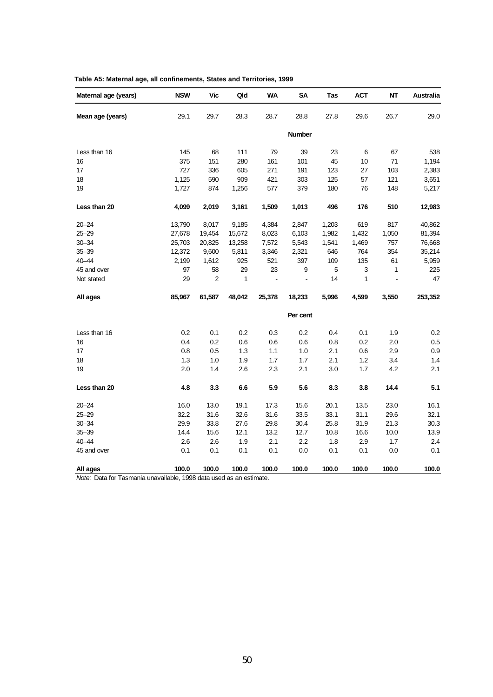| Maternal age (years) | <b>NSW</b> | <b>Vic</b>     | Qld    | <b>WA</b> | SΑ             | Tas   | <b>ACT</b> | NΤ    | Australia |
|----------------------|------------|----------------|--------|-----------|----------------|-------|------------|-------|-----------|
| Mean age (years)     | 29.1       | 29.7           | 28.3   | 28.7      | 28.8           | 27.8  | 29.6       | 26.7  | 29.0      |
|                      |            |                |        |           | <b>Number</b>  |       |            |       |           |
| Less than 16         | 145        | 68             | 111    | 79        | 39             | 23    | $\,6$      | 67    | 538       |
| 16                   | 375        | 151            | 280    | 161       | 101            | 45    | 10         | 71    | 1,194     |
| 17                   | 727        | 336            | 605    | 271       | 191            | 123   | 27         | 103   | 2,383     |
| 18                   | 1,125      | 590            | 909    | 421       | 303            | 125   | 57         | 121   | 3,651     |
| 19                   | 1,727      | 874            | 1,256  | 577       | 379            | 180   | 76         | 148   | 5,217     |
| Less than 20         | 4,099      | 2,019          | 3,161  | 1,509     | 1,013          | 496   | 176        | 510   | 12,983    |
| $20 - 24$            | 13,790     | 8,017          | 9,185  | 4,384     | 2,847          | 1,203 | 619        | 817   | 40,862    |
| $25 - 29$            | 27,678     | 19,454         | 15,672 | 8,023     | 6,103          | 1,982 | 1,432      | 1,050 | 81,394    |
| $30 - 34$            | 25,703     | 20,825         | 13,258 | 7,572     | 5,543          | 1,541 | 1,469      | 757   | 76,668    |
| $35 - 39$            | 12,372     | 9,600          | 5,811  | 3,346     | 2,321          | 646   | 764        | 354   | 35,214    |
| $40 - 44$            | 2,199      | 1,612          | 925    | 521       | 397            | 109   | 135        | 61    | 5,959     |
| 45 and over          | 97         | 58             | 29     | 23        | 9              | 5     | 3          | 1     | 225       |
| Not stated           | 29         | $\overline{2}$ | 1      | ä,        | $\blacksquare$ | 14    | 1          |       | 47        |
| All ages             | 85,967     | 61,587         | 48,042 | 25,378    | 18,233         | 5,996 | 4,599      | 3,550 | 253,352   |
|                      |            |                |        |           | Per cent       |       |            |       |           |
| Less than 16         | 0.2        | 0.1            | 0.2    | 0.3       | 0.2            | 0.4   | 0.1        | 1.9   | 0.2       |
| 16                   | 0.4        | 0.2            | 0.6    | 0.6       | 0.6            | 0.8   | 0.2        | 2.0   | 0.5       |
| 17                   | 0.8        | 0.5            | 1.3    | 1.1       | 1.0            | 2.1   | 0.6        | 2.9   | 0.9       |
| 18                   | 1.3        | 1.0            | 1.9    | 1.7       | 1.7            | 2.1   | 1.2        | 3.4   | 1.4       |
| 19                   | 2.0        | 1.4            | 2.6    | 2.3       | 2.1            | 3.0   | 1.7        | 4.2   | 2.1       |
| Less than 20         | 4.8        | 3.3            | 6.6    | 5.9       | 5.6            | 8.3   | 3.8        | 14.4  | 5.1       |
| $20 - 24$            | 16.0       | 13.0           | 19.1   | 17.3      | 15.6           | 20.1  | 13.5       | 23.0  | 16.1      |
| $25 - 29$            | 32.2       | 31.6           | 32.6   | 31.6      | 33.5           | 33.1  | 31.1       | 29.6  | 32.1      |
| $30 - 34$            | 29.9       | 33.8           | 27.6   | 29.8      | 30.4           | 25.8  | 31.9       | 21.3  | 30.3      |
| $35 - 39$            | 14.4       | 15.6           | 12.1   | 13.2      | 12.7           | 10.8  | 16.6       | 10.0  | 13.9      |
| $40 - 44$            | 2.6        | 2.6            | 1.9    | 2.1       | 2.2            | 1.8   | 2.9        | 1.7   | 2.4       |
| 45 and over          | 0.1        | 0.1            | 0.1    | 0.1       | 0.0            | 0.1   | 0.1        | 0.0   | 0.1       |
| All ages             | 100.0      | 100.0          | 100.0  | 100.0     | 100.0          | 100.0 | 100.0      | 100.0 | 100.0     |

| Table A5: Maternal age, all confinements, States and Territories, 1999 |  |  |  |  |  |  |
|------------------------------------------------------------------------|--|--|--|--|--|--|
|------------------------------------------------------------------------|--|--|--|--|--|--|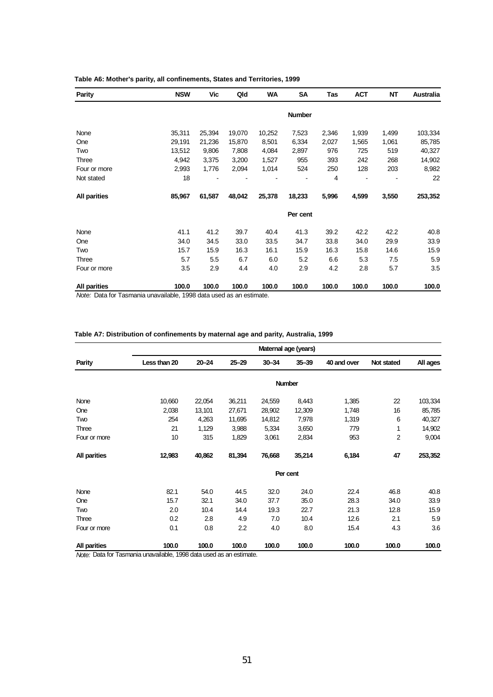| <b>Parity</b>                                          | <b>NSW</b>                      | Vic    | Qld    | WA     | <b>SA</b>     | Tas   | <b>ACT</b> | NT    | Australia |
|--------------------------------------------------------|---------------------------------|--------|--------|--------|---------------|-------|------------|-------|-----------|
|                                                        |                                 |        |        |        | <b>Number</b> |       |            |       |           |
| None                                                   | 35,311                          | 25,394 | 19,070 | 10,252 | 7,523         | 2,346 | 1,939      | 1,499 | 103,334   |
| One                                                    | 29,191                          | 21,236 | 15,870 | 8,501  | 6,334         | 2,027 | 1,565      | 1,061 | 85,785    |
| Two                                                    | 13,512                          | 9,806  | 7,808  | 4,084  | 2,897         | 976   | 725        | 519   | 40,327    |
| Three                                                  | 4,942                           | 3,375  | 3,200  | 1,527  | 955           | 393   | 242        | 268   | 14,902    |
| Four or more                                           | 2,993                           | 1,776  | 2,094  | 1,014  | 524           | 250   | 128        | 203   | 8,982     |
| Not stated                                             | 18                              |        |        |        |               | 4     |            |       | 22        |
| <b>All parities</b>                                    | 85,967                          | 61,587 | 48,042 | 25,378 | 18,233        | 5,996 | 4,599      | 3,550 | 253,352   |
|                                                        |                                 |        |        |        | Per cent      |       |            |       |           |
| None                                                   | 41.1                            | 41.2   | 39.7   | 40.4   | 41.3          | 39.2  | 42.2       | 42.2  | 40.8      |
| One                                                    | 34.0                            | 34.5   | 33.0   | 33.5   | 34.7          | 33.8  | 34.0       | 29.9  | 33.9      |
| Two                                                    | 15.7                            | 15.9   | 16.3   | 16.1   | 15.9          | 16.3  | 15.8       | 14.6  | 15.9      |
| Three                                                  | 5.7                             | 5.5    | 6.7    | 6.0    | 5.2           | 6.6   | 5.3        | 7.5   | 5.9       |
| Four or more                                           | 3.5                             | 2.9    | 4.4    | 4.0    | 2.9           | 4.2   | 2.8        | 5.7   | 3.5       |
| <b>All parities</b><br>$\mathbf{f}$ and $\mathbf{T}$ . | 100.0<br>$1 - 1 - 4000 - 1 - 1$ | 100.0  | 100.0  | 100.0  | 100.0         | 100.0 | 100.0      | 100.0 | 100.0     |

#### **Table A6: Mother's parity, all confinements, States and Territories, 1999**

*Note:* Data for Tasmania unavailable, 1998 data used as an estimate.

#### **Table A7: Distribution of confinements by maternal age and parity, Australia, 1999**

|              | Maternal age (years) |           |           |           |               |             |            |          |  |  |
|--------------|----------------------|-----------|-----------|-----------|---------------|-------------|------------|----------|--|--|
| Parity       | Less than 20         | $20 - 24$ | $25 - 29$ | $30 - 34$ | $35 - 39$     | 40 and over | Not stated | All ages |  |  |
|              |                      |           |           |           | <b>Number</b> |             |            |          |  |  |
| None         | 10,660               | 22,054    | 36,211    | 24,559    | 8,443         | 1,385       | 22         | 103,334  |  |  |
| One          | 2,038                | 13,101    | 27,671    | 28,902    | 12,309        | 1,748       | 16         | 85,785   |  |  |
| Two          | 254                  | 4,263     | 11,695    | 14,812    | 7,978         | 1,319       | 6          | 40,327   |  |  |
| Three        | 21                   | 1,129     | 3,988     | 5,334     | 3,650         | 779         | 1          | 14,902   |  |  |
| Four or more | 10                   | 315       | 1,829     | 3,061     | 2,834         | 953         | 2          | 9,004    |  |  |
| All parities | 12,983               | 40,862    | 81,394    | 76,668    | 35,214        | 6,184       | 47         | 253,352  |  |  |
|              |                      |           |           |           | Per cent      |             |            |          |  |  |
| None         | 82.1                 | 54.0      | 44.5      | 32.0      | 24.0          | 22.4        | 46.8       | 40.8     |  |  |
| One          | 15.7                 | 32.1      | 34.0      | 37.7      | 35.0          | 28.3        | 34.0       | 33.9     |  |  |
| Two          | 2.0                  | 10.4      | 14.4      | 19.3      | 22.7          | 21.3        | 12.8       | 15.9     |  |  |
| Three        | 0.2                  | 2.8       | 4.9       | 7.0       | 10.4          | 12.6        | 2.1        | 5.9      |  |  |
| Four or more | 0.1                  | 0.8       | 2.2       | 4.0       | 8.0           | 15.4        | 4.3        | 3.6      |  |  |
| All parities | 100.0                | 100.0     | 100.0     | 100.0     | 100.0         | 100.0       | 100.0      | 100.0    |  |  |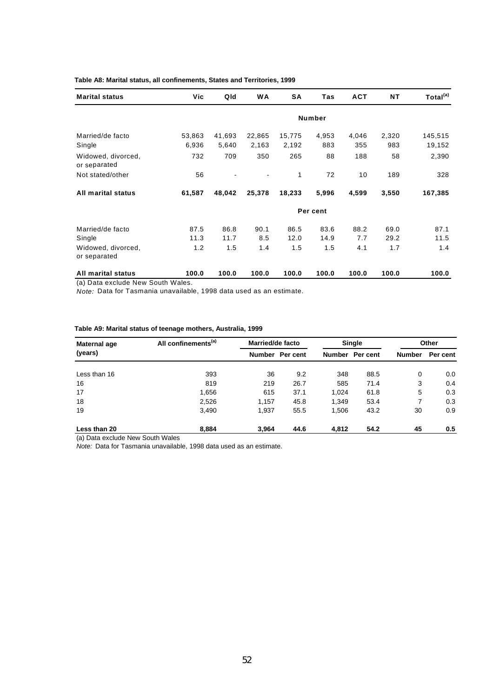| <b>Marital status</b>                                   | Vic             | Qld             | <b>WA</b>       | SΑ              | Tas          | <b>ACT</b>   | <b>NT</b>    | Total <sup>(a)</sup> |
|---------------------------------------------------------|-----------------|-----------------|-----------------|-----------------|--------------|--------------|--------------|----------------------|
|                                                         |                 |                 |                 |                 | Number       |              |              |                      |
| Married/de facto<br>Single                              | 53,863<br>6,936 | 41,693<br>5,640 | 22,865<br>2,163 | 15,775<br>2,192 | 4,953<br>883 | 4,046<br>355 | 2,320<br>983 | 145,515<br>19,152    |
| Widowed, divorced,<br>or separated                      | 732             | 709             | 350             | 265             | 88           | 188          | 58           | 2,390                |
| Not stated/other                                        | 56              |                 |                 | 1               | 72           | 10           | 189          | 328                  |
| All marital status                                      | 61,587          | 48,042          | 25,378          | 18,233          | 5,996        | 4,599        | 3,550        | 167,385              |
|                                                         |                 |                 |                 |                 | Per cent     |              |              |                      |
| Married/de facto<br>Single                              | 87.5<br>11.3    | 86.8<br>11.7    | 90.1<br>8.5     | 86.5<br>12.0    | 83.6<br>14.9 | 88.2<br>7.7  | 69.0<br>29.2 | 87.1<br>11.5         |
| Widowed, divorced,<br>or separated                      | 1.2             | 1.5             | 1.4             | 1.5             | 1.5          | 4.1          | 1.7          | 1.4                  |
| All marital status<br>(a) Data exclude New South Wales. | 100.0           | 100.0           | 100.0           | 100.0           | 100.0        | 100.0        | 100.0        | 100.0                |

#### **Table A8: Marital status, all confinements, States and Territories, 1999**

*Note:* Data for Tasmania unavailable, 1998 data used as an estimate.

#### **Table A9: Marital status of teenage mothers, Australia, 1999**

| Maternal age | All confinements <sup>(a)</sup> | Married/de facto |          |               | <b>Single</b> | Other         |          |
|--------------|---------------------------------|------------------|----------|---------------|---------------|---------------|----------|
| (years)      |                                 | Number           | Per cent | <b>Number</b> | Per cent      | <b>Number</b> | Per cent |
| Less than 16 | 393                             | 36               | 9.2      | 348           | 88.5          | 0             | 0.0      |
| 16           | 819                             | 219              | 26.7     | 585           | 71.4          | 3             | 0.4      |
| 17           | 1,656                           | 615              | 37.1     | 1,024         | 61.8          | 5             | 0.3      |
| 18           | 2,526                           | 1,157            | 45.8     | 1,349         | 53.4          | 7             | 0.3      |
| 19           | 3,490                           | 1,937            | 55.5     | 1,506         | 43.2          | 30            | 0.9      |
| Less than 20 | 8.884                           | 3.964            | 44.6     | 4.812         | 54.2          | 45            | 0.5      |

(a) Data exclude New South Wales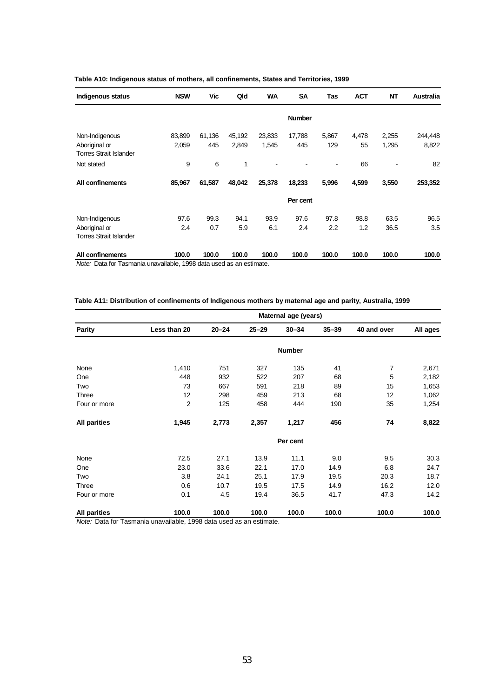| Indigenous status             | <b>NSW</b> | Vic    | Qld    | <b>WA</b> | <b>SA</b>     | Tas   | <b>ACT</b> | <b>NT</b> | <b>Australia</b> |
|-------------------------------|------------|--------|--------|-----------|---------------|-------|------------|-----------|------------------|
|                               |            |        |        |           | <b>Number</b> |       |            |           |                  |
| Non-Indigenous                | 83,899     | 61,136 | 45,192 | 23,833    | 17,788        | 5,867 | 4,478      | 2,255     | 244,448          |
| Aboriginal or                 | 2,059      | 445    | 2,849  | 1,545     | 445           | 129   | 55         | 1,295     | 8,822            |
| <b>Torres Strait Islander</b> |            |        |        |           |               |       |            |           |                  |
| Not stated                    | 9          | 6      | 1      |           |               |       | 66         |           | 82               |
| All confinements              | 85,967     | 61,587 | 48,042 | 25,378    | 18,233        | 5,996 | 4,599      | 3,550     | 253,352          |
|                               |            |        |        |           | Per cent      |       |            |           |                  |
| Non-Indigenous                | 97.6       | 99.3   | 94.1   | 93.9      | 97.6          | 97.8  | 98.8       | 63.5      | 96.5             |
| Aboriginal or                 | 2.4        | 0.7    | 5.9    | 6.1       | 2.4           | 2.2   | 1.2        | 36.5      | 3.5              |
| <b>Torres Strait Islander</b> |            |        |        |           |               |       |            |           |                  |
| All confinements              | 100.0      | 100.0  | 100.0  | 100.0     | 100.0         | 100.0 | 100.0      | 100.0     | 100.0            |

#### **Table A10: Indigenous status of mothers, all confinements, States and Territories, 1999**

*Note:* Data for Tasmania unavailable, 1998 data used as an estimate.

| Table A11: Distribution of confinements of Indigenous mothers by maternal age and parity, Australia, 1999 |  |  |  |  |  |  |  |
|-----------------------------------------------------------------------------------------------------------|--|--|--|--|--|--|--|
|-----------------------------------------------------------------------------------------------------------|--|--|--|--|--|--|--|

|                     |              |           |           | Maternal age (years) |           |             |          |
|---------------------|--------------|-----------|-----------|----------------------|-----------|-------------|----------|
| <b>Parity</b>       | Less than 20 | $20 - 24$ | $25 - 29$ | $30 - 34$            | $35 - 39$ | 40 and over | All ages |
|                     |              |           |           | <b>Number</b>        |           |             |          |
| None                | 1,410        | 751       | 327       | 135                  | 41        | 7           | 2,671    |
| One                 | 448          | 932       | 522       | 207                  | 68        | 5           | 2,182    |
| Two                 | 73           | 667       | 591       | 218                  | 89        | 15          | 1,653    |
| Three               | 12           | 298       | 459       | 213                  | 68        | 12          | 1,062    |
| Four or more        | 2            | 125       | 458       | 444                  | 190       | 35          | 1,254    |
| <b>All parities</b> | 1,945        | 2,773     | 2,357     | 1,217                | 456       | 74          | 8,822    |
|                     |              |           |           | Per cent             |           |             |          |
| None                | 72.5         | 27.1      | 13.9      | 11.1                 | 9.0       | 9.5         | 30.3     |
| One                 | 23.0         | 33.6      | 22.1      | 17.0                 | 14.9      | 6.8         | 24.7     |
| Two                 | 3.8          | 24.1      | 25.1      | 17.9                 | 19.5      | 20.3        | 18.7     |
| Three               | 0.6          | 10.7      | 19.5      | 17.5                 | 14.9      | 16.2        | 12.0     |
| Four or more        | 0.1          | 4.5       | 19.4      | 36.5                 | 41.7      | 47.3        | 14.2     |
| <b>All parities</b> | 100.0        | 100.0     | 100.0     | 100.0                | 100.0     | 100.0       | 100.0    |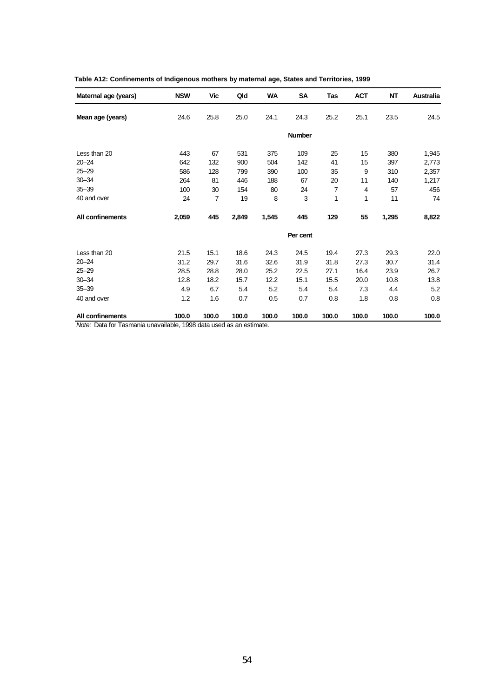| Maternal age (years) | <b>NSW</b> | Vic            | Qld   | <b>WA</b> | SA            | Tas   | <b>ACT</b> | NT    | Australia |
|----------------------|------------|----------------|-------|-----------|---------------|-------|------------|-------|-----------|
| Mean age (years)     | 24.6       | 25.8           | 25.0  | 24.1      | 24.3          | 25.2  | 25.1       | 23.5  | 24.5      |
|                      |            |                |       |           | <b>Number</b> |       |            |       |           |
| Less than 20         | 443        | 67             | 531   | 375       | 109           | 25    | 15         | 380   | 1,945     |
| $20 - 24$            | 642        | 132            | 900   | 504       | 142           | 41    | 15         | 397   | 2,773     |
| $25 - 29$            | 586        | 128            | 799   | 390       | 100           | 35    | 9          | 310   | 2,357     |
| $30 - 34$            | 264        | 81             | 446   | 188       | 67            | 20    | 11         | 140   | 1,217     |
| $35 - 39$            | 100        | 30             | 154   | 80        | 24            | 7     | 4          | 57    | 456       |
| 40 and over          | 24         | $\overline{7}$ | 19    | 8         | 3             | 1     | 1          | 11    | 74        |
| All confinements     | 2,059      | 445            | 2,849 | 1,545     | 445           | 129   | 55         | 1,295 | 8,822     |
|                      |            |                |       |           | Per cent      |       |            |       |           |
| Less than 20         | 21.5       | 15.1           | 18.6  | 24.3      | 24.5          | 19.4  | 27.3       | 29.3  | 22.0      |
| $20 - 24$            | 31.2       | 29.7           | 31.6  | 32.6      | 31.9          | 31.8  | 27.3       | 30.7  | 31.4      |
| $25 - 29$            | 28.5       | 28.8           | 28.0  | 25.2      | 22.5          | 27.1  | 16.4       | 23.9  | 26.7      |
| $30 - 34$            | 12.8       | 18.2           | 15.7  | 12.2      | 15.1          | 15.5  | 20.0       | 10.8  | 13.8      |
| $35 - 39$            | 4.9        | 6.7            | 5.4   | 5.2       | 5.4           | 5.4   | 7.3        | 4.4   | 5.2       |
| 40 and over          | 1.2        | 1.6            | 0.7   | 0.5       | 0.7           | 0.8   | 1.8        | 0.8   | 0.8       |
| All confinements     | 100.0      | 100.0          | 100.0 | 100.0     | 100.0         | 100.0 | 100.0      | 100.0 | 100.0     |

| Table A12: Confinements of Indigenous mothers by maternal age, States and Territories, 1999 |  |  |  |  |
|---------------------------------------------------------------------------------------------|--|--|--|--|
|---------------------------------------------------------------------------------------------|--|--|--|--|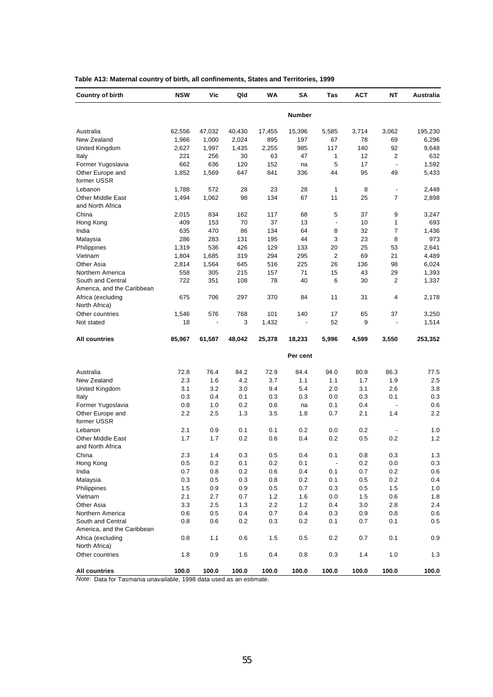| <b>Country of birth</b>                      | <b>NSW</b> | Vic     | Qld    | WA      | SΑ       | Tas                      | <b>ACT</b> | NΤ                              | Australia |
|----------------------------------------------|------------|---------|--------|---------|----------|--------------------------|------------|---------------------------------|-----------|
|                                              |            |         |        |         | Number   |                          |            |                                 |           |
| Australia                                    | 62,556     | 47,032  | 40,430 | 17,455  | 15,396   | 5,585                    | 3,714      | 3.062                           | 195,230   |
| New Zealand                                  | 1,966      | 1,000   | 2,024  | 895     | 197      | 67                       | 78         | 69                              | 6,296     |
| United Kingdom                               | 2,627      | 1,997   | 1,435  | 2,255   | 985      | 117                      | 140        | 92                              | 9,648     |
| Italy                                        | 221        | 256     | 30     | 63      | 47       | 1                        | 12         | 2                               | 632       |
| Former Yugoslavia                            | 662        | 636     | 120    | 152     | na       | 5                        | 17         | $\overline{\phantom{a}}$        | 1,592     |
| Other Europe and<br>former USSR              | 1,852      | 1,569   | 647    | 841     | 336      | 44                       | 95         | 49                              | 5,433     |
| Lebanon                                      | 1,788      | 572     | 28     | 23      | 28       | 1                        | 8          | $\overline{\phantom{a}}$        | 2,448     |
| <b>Other Middle East</b><br>and North Africa | 1,494      | 1,062   | 98     | 134     | 67       | 11                       | 25         | $\overline{7}$                  | 2,898     |
| China                                        | 2,015      | 834     | 162    | 117     | 68       | 5                        | 37         | 9                               | 3,247     |
| Hong Kong                                    | 409        | 153     | 70     | 37      | 13       | ÷,                       | 10         | 1                               | 693       |
| India                                        | 635        | 470     | 86     | 134     | 64       | 8                        | 32         | 7                               | 1,436     |
| Malaysia                                     | 286        | 283     | 131    | 195     | 44       | 3                        | 23         | 8                               | 973       |
| Philippines                                  | 1,319      | 536     | 426    | 129     | 133      | 20                       | 25         | 53                              | 2,641     |
| Vietnam                                      | 1,804      | 1,685   | 319    | 294     | 295      | 2                        | 69         | 21                              | 4,489     |
| Other Asia                                   | 2,814      | 1,564   | 645    | 516     | 225      | 26                       | 136        | 98                              | 6,024     |
| Northern America                             | 558        | 305     | 215    | 157     | 71       | 15                       | 43         | 29                              | 1,393     |
| South and Central                            | 722        | 351     | 108    | 78      | 40       | 6                        | 30         | 2                               | 1,337     |
| America, and the Caribbean                   |            |         |        |         |          |                          |            |                                 |           |
| Africa (excluding                            | 675        | 706     | 297    | 370     | 84       | 11                       | 31         | 4                               | 2,178     |
| North Africa)                                |            |         |        |         |          |                          |            |                                 |           |
| Other countries                              | 1,546      | 576     | 768    | 101     | 140      | 17                       | 65         | 37                              | 3,250     |
| Not stated                                   | 18         |         | 3      | 1,432   | ÷,       | 52                       | 9          | $\centering \label{eq:reduced}$ | 1,514     |
| <b>All countries</b>                         | 85,967     | 61,587  | 48,042 | 25,378  | 18,233   | 5,996                    | 4,599      | 3,550                           | 253,352   |
|                                              |            |         |        |         |          |                          |            |                                 |           |
|                                              |            |         |        |         | Per cent |                          |            |                                 |           |
| Australia                                    | 72.8       | 76.4    | 84.2   | 72.9    | 84.4     | 94.0                     | 80.9       | 86.3                            | 77.5      |
| New Zealand                                  | 2.3        | 1.6     | 4.2    | 3.7     | 1.1      | 1.1                      | 1.7        | 1.9                             | 2.5       |
| United Kingdom                               | 3.1        | 3.2     | 3.0    | 9.4     | 5.4      | 2.0                      | 3.1        | 2.6                             | 3.8       |
| Italy                                        | 0.3        | 0.4     | 0.1    | 0.3     | 0.3      | 0.0                      | 0.3        | 0.1                             | 0.3       |
| Former Yugoslavia                            | 0.8        | 1.0     | 0.2    | 0.6     | na       | 0.1                      | 0.4        | $\overline{\phantom{a}}$        | 0.6       |
| Other Europe and<br>former USSR              | 2.2        | 2.5     | 1.3    | 3.5     | 1.8      | 0.7                      | 2.1        | 1.4                             | 2.2       |
| Lebanon                                      | 2.1        | 0.9     | 0.1    | 0.1     | 0.2      | 0.0                      | 0.2        |                                 | 1.0       |
| <b>Other Middle East</b>                     | 1.7        | 1.7     | 0.2    | 0.6     | 0.4      | 0.2                      | 0.5        | 0.2                             | 1.2       |
| and North Africa                             |            |         |        |         |          |                          |            |                                 |           |
| China                                        | 2.3        | 1.4     | 0.3    | 0.5     | 0.4      | 0.1                      | 0.8        | 0.3                             | 1.3       |
| Hong Kong                                    | 0.5        | $0.2\,$ | 0.1    | $0.2\,$ | 0.1      | $\overline{\phantom{a}}$ | 0.2        | 0.0                             | 0.3       |
| India                                        | 0.7        | 0.8     | 0.2    | 0.6     | 0.4      | 0.1                      | 0.7        | 0.2                             | 0.6       |
| Malaysia                                     | 0.3        | 0.5     | 0.3    | 0.8     | 0.2      | 0.1                      | 0.5        | $0.2\,$                         | 0.4       |
| Philippines                                  | 1.5        | 0.9     | 0.9    | 0.5     | 0.7      | 0.3                      | 0.5        | 1.5                             | 1.0       |
| Vietnam                                      | 2.1        | 2.7     | 0.7    | 1.2     | 1.6      | 0.0                      | 1.5        | 0.6                             | 1.8       |
| Other Asia                                   | 3.3        | 2.5     | 1.3    | 2.2     | 1.2      | 0.4                      | 3.0        | 2.8                             | 2.4       |
| Northern America                             | 0.6        | 0.5     | 0.4    | 0.7     | 0.4      | 0.3                      | 0.9        | 0.8                             | 0.6       |
| South and Central                            | 0.8        | 0.6     | 0.2    | 0.3     | 0.2      | 0.1                      | 0.7        | 0.1                             | 0.5       |
| America, and the Caribbean                   |            |         |        |         |          |                          |            |                                 |           |
| Africa (excluding<br>North Africa)           | 0.8        | 1.1     | 0.6    | 1.5     | 0.5      | 0.2                      | 0.7        | 0.1                             | 0.9       |
| Other countries                              | 1.8        | 0.9     | 1.6    | 0.4     | 0.8      | 0.3                      | 1.4        | 1.0                             | 1.3       |
| <b>All countries</b>                         | 100.0      | 100.0   | 100.0  | 100.0   | 100.0    | 100.0                    | 100.0      | 100.0                           | 100.0     |

**Table A13: Maternal country of birth, all confinements, States and Territories, 1999**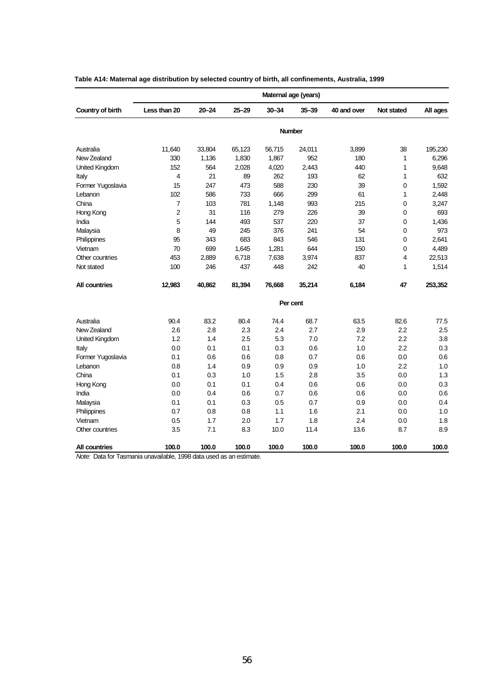|                   | Maternal age (years) |           |           |           |               |             |            |          |  |
|-------------------|----------------------|-----------|-----------|-----------|---------------|-------------|------------|----------|--|
| Country of birth  | Less than 20         | $20 - 24$ | $25 - 29$ | $30 - 34$ | $35 - 39$     | 40 and over | Not stated | All ages |  |
|                   |                      |           |           |           | <b>Number</b> |             |            |          |  |
| Australia         | 11,640               | 33,804    | 65,123    | 56,715    | 24,011        | 3,899       | 38         | 195,230  |  |
| New Zealand       | 330                  | 1,136     | 1,830     | 1,867     | 952           | 180         | 1          | 6,296    |  |
| United Kingdom    | 152                  | 564       | 2,028     | 4,020     | 2,443         | 440         | 1          | 9,648    |  |
| Italy             | 4                    | 21        | 89        | 262       | 193           | 62          | 1          | 632      |  |
| Former Yugoslavia | 15                   | 247       | 473       | 588       | 230           | 39          | 0          | 1,592    |  |
| Lebanon           | 102                  | 586       | 733       | 666       | 299           | 61          | 1          | 2,448    |  |
| China             | 7                    | 103       | 781       | 1,148     | 993           | 215         | 0          | 3,247    |  |
| Hong Kong         | $\overline{2}$       | 31        | 116       | 279       | 226           | 39          | 0          | 693      |  |
| India             | 5                    | 144       | 493       | 537       | 220           | 37          | 0          | 1,436    |  |
| Malaysia          | 8                    | 49        | 245       | 376       | 241           | 54          | 0          | 973      |  |
| Philippines       | 95                   | 343       | 683       | 843       | 546           | 131         | 0          | 2,641    |  |
| Vietnam           | 70                   | 699       | 1,645     | 1,281     | 644           | 150         | 0          | 4,489    |  |
| Other countries   | 453                  | 2,889     | 6,718     | 7,638     | 3,974         | 837         | 4          | 22,513   |  |
| Not stated        | 100                  | 246       | 437       | 448       | 242           | 40          | 1          | 1,514    |  |
| All countries     | 12,983               | 40,862    | 81,394    | 76,668    | 35,214        | 6,184       | 47         | 253,352  |  |
|                   |                      |           |           |           | Per cent      |             |            |          |  |
| Australia         | 90.4                 | 83.2      | 80.4      | 74.4      | 68.7          | 63.5        | 82.6       | 77.5     |  |
| New Zealand       | 2.6                  | 2.8       | 2.3       | 2.4       | 2.7           | 2.9         | 2.2        | 2.5      |  |
| United Kingdom    | 1.2                  | 1.4       | 2.5       | 5.3       | 7.0           | 7.2         | 2.2        | 3.8      |  |
| Italy             | 0.0                  | 0.1       | 0.1       | 0.3       | 0.6           | 1.0         | 2.2        | 0.3      |  |
| Former Yugoslavia | 0.1                  | 0.6       | 0.6       | 0.8       | 0.7           | 0.6         | 0.0        | 0.6      |  |
| Lebanon           | 0.8                  | 1.4       | 0.9       | 0.9       | 0.9           | 1.0         | 2.2        | 1.0      |  |
| China             | 0.1                  | 0.3       | 1.0       | 1.5       | 2.8           | 3.5         | 0.0        | 1.3      |  |
| Hong Kong         | 0.0                  | 0.1       | 0.1       | 0.4       | 0.6           | 0.6         | 0.0        | 0.3      |  |
| India             | 0.0                  | 0.4       | 0.6       | 0.7       | 0.6           | 0.6         | 0.0        | 0.6      |  |
| Malaysia          | 0.1                  | 0.1       | 0.3       | 0.5       | 0.7           | 0.9         | 0.0        | 0.4      |  |
| Philippines       | 0.7                  | 0.8       | 0.8       | 1.1       | 1.6           | 2.1         | 0.0        | 1.0      |  |
| Vietnam           | 0.5                  | 1.7       | 2.0       | 1.7       | 1.8           | 2.4         | 0.0        | 1.8      |  |
| Other countries   | 3.5                  | 7.1       | 8.3       | 10.0      | 11.4          | 13.6        | 8.7        | 8.9      |  |
| All countries     | 100.0                | 100.0     | 100.0     | 100.0     | 100.0         | 100.0       | 100.0      | 100.0    |  |

| Table A14: Maternal age distribution by selected country of birth, all confinements, Australia, 1999 |
|------------------------------------------------------------------------------------------------------|
|                                                                                                      |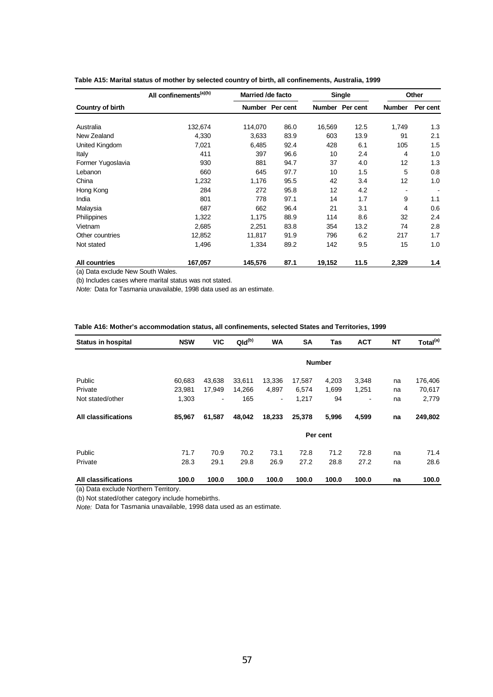|                      | All confinements <sup>(a)(b)</sup> | Married /de facto |          |               | <b>Single</b> | Other         |          |
|----------------------|------------------------------------|-------------------|----------|---------------|---------------|---------------|----------|
| Country of birth     |                                    | <b>Number</b>     | Per cent | <b>Number</b> | Per cent      | <b>Number</b> | Per cent |
| Australia            | 132,674                            | 114,070           | 86.0     | 16,569        | 12.5          | 1,749         | 1.3      |
| New Zealand          | 4,330                              | 3,633             | 83.9     | 603           | 13.9          | 91            | 2.1      |
| United Kingdom       | 7,021                              | 6,485             | 92.4     | 428           | 6.1           | 105           | 1.5      |
| Italy                | 411                                | 397               | 96.6     | 10            | 2.4           | 4             | 1.0      |
| Former Yugoslavia    | 930                                | 881               | 94.7     | 37            | 4.0           | 12            | 1.3      |
| Lebanon              | 660                                | 645               | 97.7     | 10            | 1.5           | 5             | 0.8      |
| China                | 1,232                              | 1,176             | 95.5     | 42            | 3.4           | 12            | 1.0      |
| Hong Kong            | 284                                | 272               | 95.8     | 12            | 4.2           |               | ٠        |
| India                | 801                                | 778               | 97.1     | 14            | 1.7           | 9             | 1.1      |
| Malaysia             | 687                                | 662               | 96.4     | 21            | 3.1           | 4             | 0.6      |
| Philippines          | 1,322                              | 1,175             | 88.9     | 114           | 8.6           | 32            | 2.4      |
| Vietnam              | 2,685                              | 2,251             | 83.8     | 354           | 13.2          | 74            | 2.8      |
| Other countries      | 12,852                             | 11,817            | 91.9     | 796           | 6.2           | 217           | 1.7      |
| Not stated           | 1,496                              | 1,334             | 89.2     | 142           | 9.5           | 15            | 1.0      |
| <b>All countries</b> | 167,057                            | 145,576           | 87.1     | 19,152        | 11.5          | 2,329         | 1.4      |

| Table A15: Marital status of mother by selected country of birth, all confinements, Australia, 1999 |  |  |
|-----------------------------------------------------------------------------------------------------|--|--|
|-----------------------------------------------------------------------------------------------------|--|--|

(a) Data exclude New South Wales.

(b) Includes cases where marital status was not stated.

*Note:* Data for Tasmania unavailable, 1998 data used as an estimate.

| Table A16: Mother's accommodation status, all confinements, selected States and Territories, 1999 |  |
|---------------------------------------------------------------------------------------------------|--|
|---------------------------------------------------------------------------------------------------|--|

| <b>Status in hospital</b>  | <b>NSW</b> | <b>VIC</b>               | $Qld^{(b)}$ | <b>WA</b>                    | SA     | Tas           | <b>ACT</b> | <b>NT</b> | Total <sup>(a)</sup> |
|----------------------------|------------|--------------------------|-------------|------------------------------|--------|---------------|------------|-----------|----------------------|
|                            |            |                          |             |                              |        | <b>Number</b> |            |           |                      |
| Public                     | 60,683     | 43,638                   | 33,611      | 13,336                       | 17,587 | 4,203         | 3,348      | na        | 176,406              |
| Private                    | 23,981     | 17,949                   | 14,266      | 4,897                        | 6,574  | 1,699         | 1,251      | na        | 70,617               |
| Not stated/other           | 1,303      | $\overline{\phantom{a}}$ | 165         | $\qquad \qquad \blacksquare$ | 1,217  | 94            | ٠          | na        | 2,779                |
| All classifications        | 85,967     | 61,587                   | 48,042      | 18,233                       | 25,378 | 5,996         | 4,599      | na        | 249,802              |
|                            |            |                          |             |                              |        | Per cent      |            |           |                      |
| Public                     | 71.7       | 70.9                     | 70.2        | 73.1                         | 72.8   | 71.2          | 72.8       | na        | 71.4                 |
| Private                    | 28.3       | 29.1                     | 29.8        | 26.9                         | 27.2   | 28.8          | 27.2       | na        | 28.6                 |
| <b>All classifications</b> | 100.0      | 100.0                    | 100.0       | 100.0                        | 100.0  | 100.0         | 100.0      | na        | 100.0                |

(a) Data exclude Northern Territory.

(b) Not stated/other category include homebirths.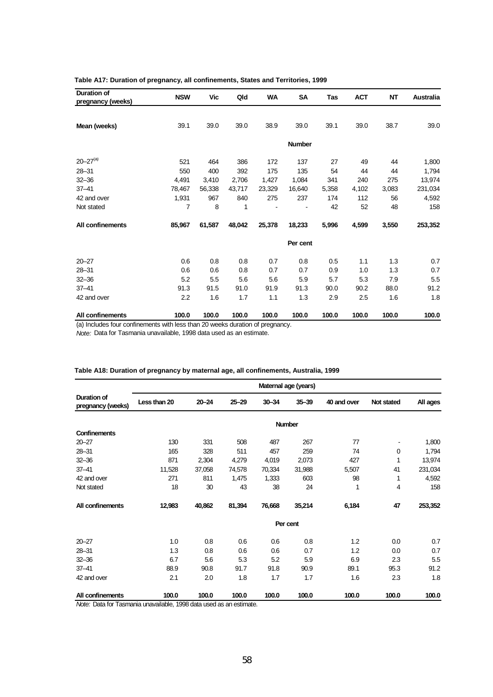| Duration of<br>pregnancy (weeks) | <b>NSW</b> | Vic    | Qld    | WA     | SA            | Tas   | <b>ACT</b> | <b>NT</b> | Australia |
|----------------------------------|------------|--------|--------|--------|---------------|-------|------------|-----------|-----------|
|                                  |            |        |        |        |               |       |            |           |           |
| Mean (weeks)                     | 39.1       | 39.0   | 39.0   | 38.9   | 39.0          | 39.1  | 39.0       | 38.7      | 39.0      |
|                                  |            |        |        |        | <b>Number</b> |       |            |           |           |
| $20 - 27^{(a)}$                  | 521        | 464    | 386    | 172    | 137           | 27    | 49         | 44        | 1,800     |
| $28 - 31$                        | 550        | 400    | 392    | 175    | 135           | 54    | 44         | 44        | 1,794     |
| $32 - 36$                        | 4,491      | 3,410  | 2,706  | 1,427  | 1,084         | 341   | 240        | 275       | 13,974    |
| $37 - 41$                        | 78,467     | 56,338 | 43,717 | 23,329 | 16,640        | 5,358 | 4,102      | 3,083     | 231,034   |
| 42 and over                      | 1,931      | 967    | 840    | 275    | 237           | 174   | 112        | 56        | 4,592     |
| Not stated                       | 7          | 8      | 1      |        |               | 42    | 52         | 48        | 158       |
| All confinements                 | 85,967     | 61,587 | 48,042 | 25,378 | 18,233        | 5,996 | 4,599      | 3,550     | 253,352   |
|                                  |            |        |        |        | Per cent      |       |            |           |           |
| $20 - 27$                        | 0.6        | 0.8    | 0.8    | 0.7    | 0.8           | 0.5   | 1.1        | 1.3       | 0.7       |
| $28 - 31$                        | 0.6        | 0.6    | 0.8    | 0.7    | 0.7           | 0.9   | 1.0        | 1.3       | 0.7       |
| $32 - 36$                        | 5.2        | 5.5    | 5.6    | 5.6    | 5.9           | 5.7   | 5.3        | 7.9       | 5.5       |
| $37 - 41$                        | 91.3       | 91.5   | 91.0   | 91.9   | 91.3          | 90.0  | 90.2       | 88.0      | 91.2      |
| 42 and over                      | 2.2        | 1.6    | 1.7    | 1.1    | 1.3           | 2.9   | 2.5        | 1.6       | 1.8       |
| All confinements                 | 100.0      | 100.0  | 100.0  | 100.0  | 100.0         | 100.0 | 100.0      | 100.0     | 100.0     |

### **Table A17: Duration of pregnancy, all confinements, States and Territories, 1999**

(a) Includes four confinements with less than 20 weeks duration of pregnancy.

*Note:* Data for Tasmania unavailable, 1998 data used as an estimate.

|                                         |              | Maternal age (years) |           |           |               |             |            |          |  |  |  |  |  |
|-----------------------------------------|--------------|----------------------|-----------|-----------|---------------|-------------|------------|----------|--|--|--|--|--|
| <b>Duration of</b><br>pregnancy (weeks) | Less than 20 | $20 - 24$            | $25 - 29$ | $30 - 34$ | $35 - 39$     | 40 and over | Not stated | All ages |  |  |  |  |  |
|                                         |              |                      |           |           | <b>Number</b> |             |            |          |  |  |  |  |  |
| <b>Confinements</b>                     |              |                      |           |           |               |             |            |          |  |  |  |  |  |
| $20 - 27$                               | 130          | 331                  | 508       | 487       | 267           | 77          |            | 1,800    |  |  |  |  |  |
| $28 - 31$                               | 165          | 328                  | 511       | 457       | 259           | 74          | 0          | 1,794    |  |  |  |  |  |
| $32 - 36$                               | 871          | 2,304                | 4,279     | 4,019     | 2,073         | 427         | 1          | 13,974   |  |  |  |  |  |
| $37 - 41$                               | 11,528       | 37,058               | 74,578    | 70,334    | 31,988        | 5,507       | 41         | 231,034  |  |  |  |  |  |
| 42 and over                             | 271          | 811                  | 1,475     | 1,333     | 603           | 98          | 1          | 4,592    |  |  |  |  |  |
| Not stated                              | 18           | 30                   | 43        | 38        | 24            | 1           | 4          | 158      |  |  |  |  |  |
| All confinements                        | 12,983       | 40,862               | 81,394    | 76,668    | 35,214        | 6,184       | 47         | 253,352  |  |  |  |  |  |
|                                         |              |                      |           |           | Per cent      |             |            |          |  |  |  |  |  |
| $20 - 27$                               | 1.0          | 0.8                  | 0.6       | 0.6       | 0.8           | 1.2         | 0.0        | 0.7      |  |  |  |  |  |
| $28 - 31$                               | 1.3          | 0.8                  | 0.6       | 0.6       | 0.7           | 1.2         | 0.0        | 0.7      |  |  |  |  |  |
| $32 - 36$                               | 6.7          | 5.6                  | 5.3       | 5.2       | 5.9           | 6.9         | 2.3        | 5.5      |  |  |  |  |  |
| $37 - 41$                               | 88.9         | 90.8                 | 91.7      | 91.8      | 90.9          | 89.1        | 95.3       | 91.2     |  |  |  |  |  |
| 42 and over                             | 2.1          | 2.0                  | 1.8       | 1.7       | 1.7           | 1.6         | 2.3        | 1.8      |  |  |  |  |  |
| All confinements                        | 100.0        | 100.0                | 100.0     | 100.0     | 100.0         | 100.0       | 100.0      | 100.0    |  |  |  |  |  |

### **Table A18: Duration of pregnancy by maternal age, all confinements, Australia, 1999**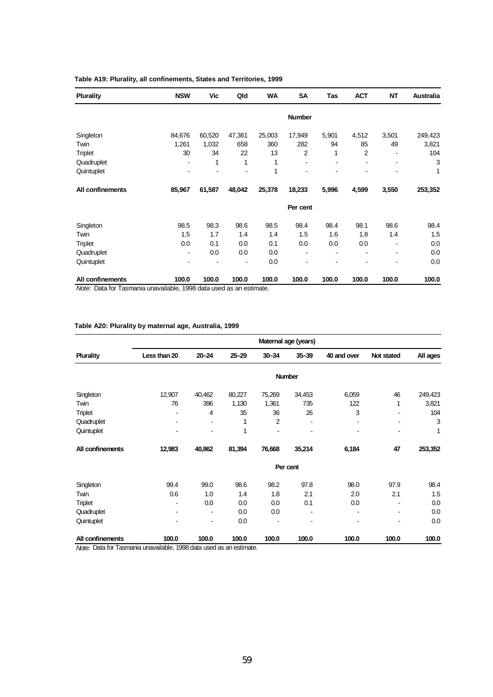| <b>Plurality</b>                                                                       | <b>NSW</b>                   | <b>Vic</b> | Qld    | WA     | <b>SA</b>      | Tas   | <b>ACT</b> | <b>NT</b> | Australia |
|----------------------------------------------------------------------------------------|------------------------------|------------|--------|--------|----------------|-------|------------|-----------|-----------|
|                                                                                        |                              |            |        |        | <b>Number</b>  |       |            |           |           |
| Singleton                                                                              | 84,676                       | 60,520     | 47,361 | 25,003 | 17,949         | 5,901 | 4,512      | 3,501     | 249,423   |
| Twin                                                                                   | 1,261                        | 1,032      | 658    | 360    | 282            | 94    | 85         | 49        | 3,821     |
| <b>Triplet</b>                                                                         | 30                           | 34         | 22     | 13     | $\overline{2}$ | 1     | 2          |           | 104       |
| Quadruplet                                                                             | $\qquad \qquad \blacksquare$ | 1          | 1      | 1      | ۰              | ۰     | ۰          |           | 3         |
| Quintuplet                                                                             |                              |            |        | 1      |                |       |            |           | 1         |
| All confinements                                                                       | 85,967                       | 61,587     | 48,042 | 25,378 | 18,233         | 5,996 | 4,599      | 3,550     | 253,352   |
|                                                                                        |                              |            |        |        | Per cent       |       |            |           |           |
| Singleton                                                                              | 98.5                         | 98.3       | 98.6   | 98.5   | 98.4           | 98.4  | 98.1       | 98.6      | 98.4      |
| Twin                                                                                   | 1.5                          | 1.7        | 1.4    | 1.4    | 1.5            | 1.6   | 1.8        | 1.4       | 1.5       |
| Triplet                                                                                | 0.0                          | 0.1        | 0.0    | 0.1    | 0.0            | 0.0   | 0.0        |           | 0.0       |
| Quadruplet                                                                             |                              | 0.0        | 0.0    | 0.0    |                |       |            |           | 0.0       |
| Quintuplet                                                                             |                              |            |        | 0.0    |                |       |            |           | 0.0       |
| All confinements<br>Alata: Dete fer Teemenia unovailable 1000 dete veed ee en estimate | 100.0                        | 100.0      | 100.0  | 100.0  | 100.0          | 100.0 | 100.0      | 100.0     | 100.0     |

## **Table A19: Plurality, all confinements, States and Territories, 1999**

*Note:* Data for Tasmania unavailable, 1998 data used as an estimate.

# **Table A20: Plurality by maternal age, Australia, 1999**

|                  | Maternal age (years)     |                          |           |                |           |             |            |          |  |  |  |  |  |
|------------------|--------------------------|--------------------------|-----------|----------------|-----------|-------------|------------|----------|--|--|--|--|--|
| <b>Plurality</b> | Less than 20             | $20 - 24$                | $25 - 29$ | $30 - 34$      | $35 - 39$ | 40 and over | Not stated | All ages |  |  |  |  |  |
|                  |                          |                          |           |                | Number    |             |            |          |  |  |  |  |  |
| Singleton        | 12,907                   | 40,462                   | 80,227    | 75,269         | 34,453    | 6,059       | 46         | 249,423  |  |  |  |  |  |
| Twin             | 76                       | 396                      | 1,130     | 1,361          | 735       | 122         | 1          | 3,821    |  |  |  |  |  |
| <b>Triplet</b>   |                          | 4                        | 35        | 36             | 26        | 3           |            | 104      |  |  |  |  |  |
| Quadruplet       | $\overline{\phantom{a}}$ | ۰                        | 1         | $\overline{2}$ |           |             |            | 3        |  |  |  |  |  |
| Quintuplet       |                          |                          | 1         |                |           |             |            | 1        |  |  |  |  |  |
| All confinements | 12,983                   | 40,862                   | 81,394    | 76,668         | 35,214    | 6,184       | 47         | 253,352  |  |  |  |  |  |
|                  |                          |                          |           |                | Per cent  |             |            |          |  |  |  |  |  |
| Singleton        | 99.4                     | 99.0                     | 98.6      | 98.2           | 97.8      | 98.0        | 97.9       | 98.4     |  |  |  |  |  |
| Twin             | 0.6                      | 1.0                      | 1.4       | 1.8            | 2.1       | 2.0         | 2.1        | 1.5      |  |  |  |  |  |
| Triplet          | -                        | 0.0                      | 0.0       | 0.0            | 0.1       | 0.0         |            | 0.0      |  |  |  |  |  |
| Quadruplet       |                          | $\overline{\phantom{a}}$ | 0.0       | 0.0            |           | ۰           |            | 0.0      |  |  |  |  |  |
| Quintuplet       | $\overline{\phantom{a}}$ | ۰                        | 0.0       |                |           |             |            | 0.0      |  |  |  |  |  |
| All confinements | 100.0                    | 100.0                    | 100.0     | 100.0          | 100.0     | 100.0       | 100.0      | 100.0    |  |  |  |  |  |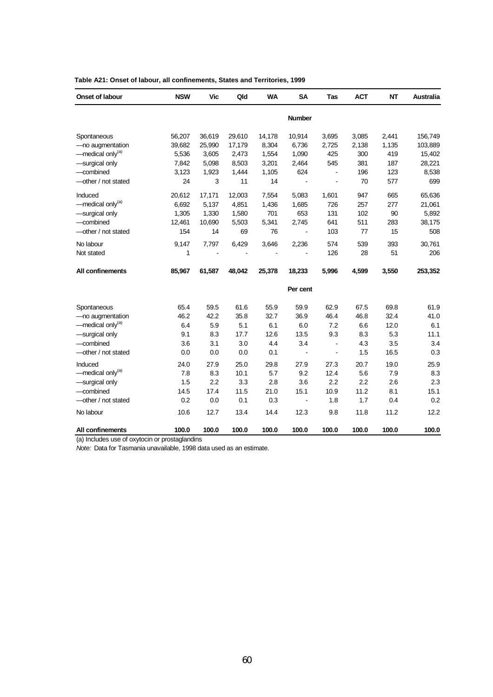| Onset of labour              | <b>NSW</b> | Vic    | Qld    | <b>WA</b> | <b>SA</b>            | Tas                   | <b>ACT</b> | <b>NT</b> | Australia |
|------------------------------|------------|--------|--------|-----------|----------------------|-----------------------|------------|-----------|-----------|
|                              |            |        |        |           | <b>Number</b>        |                       |            |           |           |
| Spontaneous                  | 56,207     | 36,619 | 29,610 | 14,178    | 10,914               | 3,695                 | 3,085      | 2,441     | 156,749   |
| -no augmentation             | 39,682     | 25,990 | 17,179 | 8,304     | 6,736                | 2,725                 | 2,138      | 1,135     | 103,889   |
| -medical only <sup>(a)</sup> | 5,536      | 3,605  | 2,473  | 1,554     | 1,090                | 425                   | 300        | 419       | 15,402    |
| -surgical only               | 7,842      | 5,098  | 8,503  | 3,201     | 2,464                | 545                   | 381        | 187       | 28,221    |
| -combined                    | 3,123      | 1,923  | 1,444  | 1,105     | 624                  | $\blacksquare$        | 196        | 123       | 8,538     |
| -other / not stated          | 24         | 3      | 11     | 14        | $\blacksquare$       | $\overline{a}$        | 70         | 577       | 699       |
| Induced                      | 20,612     | 17,171 | 12,003 | 7,554     | 5,083                | 1,601                 | 947        | 665       | 65,636    |
| -medical only <sup>(a)</sup> | 6,692      | 5,137  | 4,851  | 1,436     | 1,685                | 726                   | 257        | 277       | 21,061    |
| -surgical only               | 1,305      | 1,330  | 1,580  | 701       | 653                  | 131                   | 102        | 90        | 5,892     |
| -combined                    | 12,461     | 10,690 | 5,503  | 5,341     | 2,745                | 641                   | 511        | 283       | 38,175    |
| -other / not stated          | 154        | 14     | 69     | 76        |                      | 103                   | 77         | 15        | 508       |
| No labour                    | 9,147      | 7,797  | 6,429  | 3,646     | 2,236                | 574                   | 539        | 393       | 30,761    |
| Not stated                   | 1          |        |        |           |                      | 126                   | 28         | 51        | 206       |
| All confinements             | 85,967     | 61,587 | 48,042 | 25,378    | 18,233               | 5,996                 | 4,599      | 3,550     | 253,352   |
|                              |            |        |        |           | Per cent             |                       |            |           |           |
| Spontaneous                  | 65.4       | 59.5   | 61.6   | 55.9      | 59.9                 | 62.9                  | 67.5       | 69.8      | 61.9      |
| -no augmentation             | 46.2       | 42.2   | 35.8   | 32.7      | 36.9                 | 46.4                  | 46.8       | 32.4      | 41.0      |
| -medical only <sup>(a)</sup> | 6.4        | 5.9    | 5.1    | 6.1       | 6.0                  | 7.2                   | 6.6        | 12.0      | 6.1       |
| -surgical only               | 9.1        | 8.3    | 17.7   | 12.6      | 13.5                 | 9.3                   | 8.3        | 5.3       | 11.1      |
| -combined                    | 3.6        | 3.1    | 3.0    | 4.4       | 3.4                  | $\ddot{\phantom{a}}$  | 4.3        | 3.5       | 3.4       |
| -other / not stated          | 0.0        | 0.0    | 0.0    | 0.1       | $\ddot{\phantom{a}}$ | $\tilde{\phantom{a}}$ | 1.5        | 16.5      | 0.3       |
| Induced                      | 24.0       | 27.9   | 25.0   | 29.8      | 27.9                 | 27.3                  | 20.7       | 19.0      | 25.9      |
| -medical only <sup>(a)</sup> | 7.8        | 8.3    | 10.1   | 5.7       | 9.2                  | 12.4                  | 5.6        | 7.9       | 8.3       |
| -surgical only               | 1.5        | 2.2    | 3.3    | 2.8       | 3.6                  | 2.2                   | 2.2        | 2.6       | 2.3       |
| -combined                    | 14.5       | 17.4   | 11.5   | 21.0      | 15.1                 | 10.9                  | 11.2       | 8.1       | 15.1      |
| - other / not stated         | 0.2        | 0.0    | 0.1    | 0.3       | $\blacksquare$       | 1.8                   | 1.7        | 0.4       | 0.2       |
| No labour                    | 10.6       | 12.7   | 13.4   | 14.4      | 12.3                 | 9.8                   | 11.8       | 11.2      | 12.2      |
| All confinements             | 100.0      | 100.0  | 100.0  | 100.0     | 100.0                | 100.0                 | 100.0      | 100.0     | 100.0     |

## **Table A21: Onset of labour, all confinements, States and Territories, 1999**

(a) Includes use of oxytocin or prostaglandins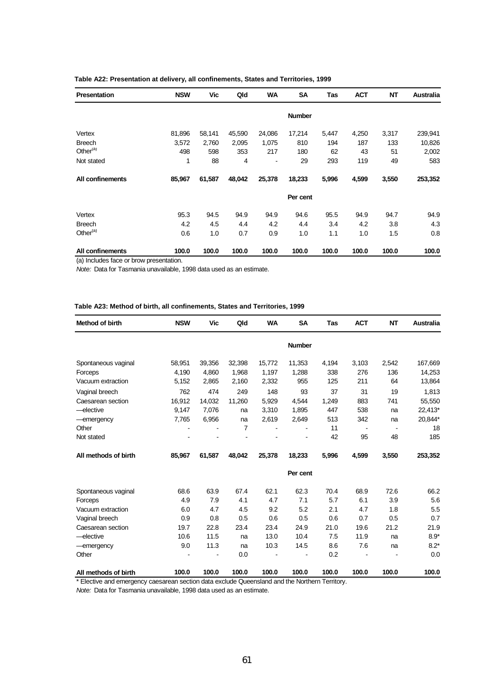| <b>Presentation</b>  | <b>NSW</b> | Vic    | Qld    | <b>WA</b> | <b>SA</b>     | Tas   | <b>ACT</b> | <b>NT</b> | <b>Australia</b> |
|----------------------|------------|--------|--------|-----------|---------------|-------|------------|-----------|------------------|
|                      |            |        |        |           | <b>Number</b> |       |            |           |                  |
| Vertex               | 81,896     | 58,141 | 45,590 | 24,086    | 17,214        | 5,447 | 4,250      | 3,317     | 239,941          |
| <b>Breech</b>        | 3,572      | 2,760  | 2,095  | 1,075     | 810           | 194   | 187        | 133       | 10,826           |
| Other <sup>(a)</sup> | 498        | 598    | 353    | 217       | 180           | 62    | 43         | 51        | 2,002            |
| Not stated           | 1          | 88     | 4      |           | 29            | 293   | 119        | 49        | 583              |
| All confinements     | 85,967     | 61,587 | 48,042 | 25,378    | 18,233        | 5,996 | 4,599      | 3,550     | 253,352          |
|                      |            |        |        |           | Per cent      |       |            |           |                  |
| Vertex               | 95.3       | 94.5   | 94.9   | 94.9      | 94.6          | 95.5  | 94.9       | 94.7      | 94.9             |
| <b>Breech</b>        | 4.2        | 4.5    | 4.4    | 4.2       | 4.4           | 3.4   | 4.2        | 3.8       | 4.3              |
| Other <sup>(a)</sup> | 0.6        | 1.0    | 0.7    | 0.9       | 1.0           | 1.1   | 1.0        | 1.5       | 0.8              |
| All confinements     | 100.0      | 100.0  | 100.0  | 100.0     | 100.0         | 100.0 | 100.0      | 100.0     | 100.0            |

### **Table A22: Presentation at delivery, all confinements, States and Territories, 1999**

(a) Includes face or brow presentation.

*Note:* Data for Tasmania unavailable, 1998 data used as an estimate.

#### **Table A23: Method of birth, all confinements, States and Territories, 1999**

| Method of birth      | <b>NSW</b> | Vic    | Qld            | <b>WA</b> | <b>SA</b>     | Tas   | <b>ACT</b>     | <b>NT</b> | <b>Australia</b> |
|----------------------|------------|--------|----------------|-----------|---------------|-------|----------------|-----------|------------------|
|                      |            |        |                |           | <b>Number</b> |       |                |           |                  |
| Spontaneous vaginal  | 58,951     | 39,356 | 32,398         | 15,772    | 11,353        | 4,194 | 3,103          | 2,542     | 167,669          |
| Forceps              | 4,190      | 4,860  | 1,968          | 1,197     | 1,288         | 338   | 276            | 136       | 14,253           |
| Vacuum extraction    | 5,152      | 2.865  | 2,160          | 2,332     | 955           | 125   | 211            | 64        | 13,864           |
| Vaginal breech       | 762        | 474    | 249            | 148       | 93            | 37    | 31             | 19        | 1,813            |
| Caesarean section    | 16,912     | 14,032 | 11,260         | 5,929     | 4.544         | 1,249 | 883            | 741       | 55,550           |
| -elective            | 9,147      | 7,076  | na             | 3,310     | 1,895         | 447   | 538            | na        | 22,413*          |
| -emergency           | 7,765      | 6,956  | na             | 2,619     | 2,649         | 513   | 342            | na        | 20,844*          |
| Other                |            |        | $\overline{7}$ |           |               | 11    | $\blacksquare$ |           | 18               |
| Not stated           |            |        |                |           |               | 42    | 95             | 48        | 185              |
| All methods of birth | 85,967     | 61,587 | 48,042         | 25,378    | 18,233        | 5,996 | 4,599          | 3,550     | 253,352          |
|                      |            |        |                |           | Per cent      |       |                |           |                  |
| Spontaneous vaginal  | 68.6       | 63.9   | 67.4           | 62.1      | 62.3          | 70.4  | 68.9           | 72.6      | 66.2             |
| Forceps              | 4.9        | 7.9    | 4.1            | 4.7       | 7.1           | 5.7   | 6.1            | 3.9       | 5.6              |
| Vacuum extraction    | 6.0        | 4.7    | 4.5            | 9.2       | 5.2           | 2.1   | 4.7            | 1.8       | 5.5              |
| Vaginal breech       | 0.9        | 0.8    | 0.5            | 0.6       | 0.5           | 0.6   | 0.7            | 0.5       | 0.7              |
| Caesarean section    | 19.7       | 22.8   | 23.4           | 23.4      | 24.9          | 21.0  | 19.6           | 21.2      | 21.9             |
| -elective            | 10.6       | 11.5   | na             | 13.0      | 10.4          | 7.5   | 11.9           | na        | $8.9*$           |
| -emergency           | 9.0        | 11.3   | na             | 10.3      | 14.5          | 8.6   | 7.6            | na        | $8.2*$           |
| Other                |            |        | 0.0            |           |               | 0.2   |                |           | 0.0              |
| All methods of birth | 100.0      | 100.0  | 100.0          | 100.0     | 100.0         | 100.0 | 100.0          | 100.0     | 100.0            |

\* Elective and emergency caesarean section data exclude Queensland and the Northern Territory.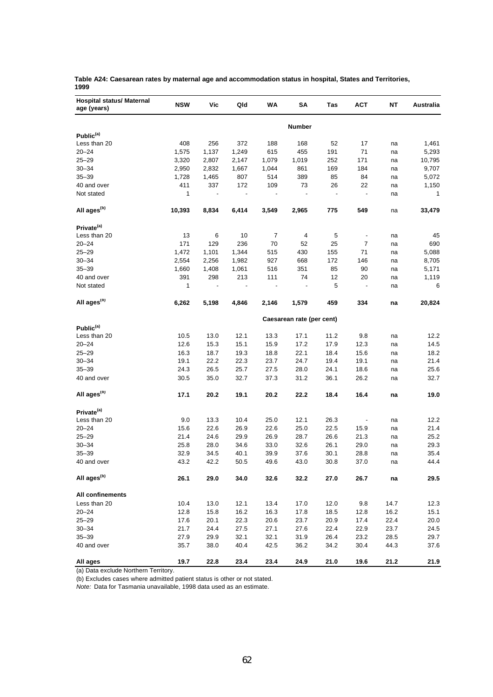| <b>Hospital status/ Maternal</b><br>age (years) | <b>NSW</b> | Vic   | Qld                      | WA    | SΑ                        | Tas                      | <b>ACT</b>                   | NΤ   | <b>Australia</b> |
|-------------------------------------------------|------------|-------|--------------------------|-------|---------------------------|--------------------------|------------------------------|------|------------------|
|                                                 |            |       |                          |       | <b>Number</b>             |                          |                              |      |                  |
| Public <sup>(a)</sup>                           |            |       |                          |       |                           |                          |                              |      |                  |
| Less than 20                                    | 408        | 256   | 372                      | 188   | 168                       | 52                       | 17                           | na   | 1,461            |
| $20 - 24$                                       | 1,575      | 1,137 | 1,249                    | 615   | 455                       | 191                      | 71                           | na   | 5,293            |
| $25 - 29$                                       | 3,320      | 2,807 | 2,147                    | 1,079 | 1,019                     | 252                      | 171                          | na   | 10,795           |
| $30 - 34$                                       | 2,950      | 2,832 | 1,667                    | 1,044 | 861                       | 169                      | 184                          | na   | 9,707            |
| $35 - 39$                                       | 1,728      | 1,465 | 807                      | 514   | 389                       | 85                       | 84                           | na   | 5,072            |
| 40 and over                                     | 411        | 337   | 172                      | 109   | 73                        | 26                       | 22                           | na   | 1,150            |
| Not stated                                      | 1          |       | $\overline{\phantom{a}}$ |       | $\overline{a}$            | $\overline{\phantom{a}}$ | $\qquad \qquad \blacksquare$ | na   | $\mathbf{1}$     |
| All ages <sup>(b)</sup>                         | 10,393     | 8,834 | 6,414                    | 3,549 | 2,965                     | 775                      | 549                          | na   | 33,479           |
| Private <sup>(a)</sup>                          |            |       |                          |       |                           |                          |                              |      |                  |
| Less than 20                                    | 13         | 6     | 10                       | 7     | 4                         | 5                        | $\overline{\phantom{m}}$     | na   | 45               |
| $20 - 24$                                       | 171        | 129   | 236                      | 70    | 52                        | 25                       | 7                            | na   | 690              |
| $25 - 29$                                       | 1,472      | 1,101 | 1,344                    | 515   | 430                       | 155                      | 71                           | na   | 5,088            |
| $30 - 34$                                       | 2,554      | 2,256 | 1,982                    | 927   | 668                       | 172                      | 146                          | na   | 8,705            |
| $35 - 39$                                       | 1,660      | 1,408 | 1,061                    | 516   | 351                       | 85                       | 90                           | na   | 5,171            |
| 40 and over                                     | 391        | 298   | 213                      | 111   | 74                        | 12                       | 20                           | na   | 1,119            |
| Not stated                                      | 1          |       |                          |       |                           | 5                        | $\overline{\phantom{a}}$     | na   | 6                |
| All ages <sup>(b)</sup>                         | 6,262      | 5,198 | 4,846                    | 2,146 | 1,579                     | 459                      | 334                          | na   | 20,824           |
|                                                 |            |       |                          |       | Caesarean rate (per cent) |                          |                              |      |                  |
| Public <sup>(a)</sup>                           |            |       |                          |       |                           |                          |                              |      |                  |
| Less than 20                                    | 10.5       | 13.0  | 12.1                     | 13.3  | 17.1                      | 11.2                     | 9.8                          | na   | 12.2             |
| $20 - 24$                                       | 12.6       | 15.3  | 15.1                     | 15.9  | 17.2                      | 17.9                     | 12.3                         | na   | 14.5             |
| $25 - 29$                                       | 16.3       | 18.7  | 19.3                     | 18.8  | 22.1                      | 18.4                     | 15.6                         | na   | 18.2             |
| $30 - 34$                                       | 19.1       | 22.2  | 22.3                     | 23.7  | 24.7                      | 19.4                     | 19.1                         | na   | 21.4             |
| $35 - 39$                                       | 24.3       | 26.5  | 25.7                     | 27.5  | 28.0                      | 24.1                     | 18.6                         | na   | 25.6             |
| 40 and over                                     | 30.5       | 35.0  | 32.7                     | 37.3  | 31.2                      | 36.1                     | 26.2                         | na   | 32.7             |
| All ages <sup>(b)</sup>                         | 17.1       | 20.2  | 19.1                     | 20.2  | 22.2                      | 18.4                     | 16.4                         | na   | 19.0             |
| Private <sup>(a)</sup>                          |            |       |                          |       |                           |                          |                              |      |                  |
| Less than 20                                    | 9.0        | 13.3  | 10.4                     | 25.0  | 12.1                      | 26.3                     |                              | na   | 12.2             |
| $20 - 24$                                       | 15.6       | 22.6  | 26.9                     | 22.6  | 25.0                      | 22.5                     | 15.9                         | na   | 21.4             |
| $25 - 29$                                       | 21.4       | 24.6  | 29.9                     | 26.9  | 28.7                      | 26.6                     | 21.3                         | na   | 25.2             |
| $30 - 34$                                       | 25.8       | 28.0  | 34.6                     | 33.0  | 32.6                      | 26.1                     | 29.0                         | na   | 29.3             |
| $35 - 39$                                       | 32.9       | 34.5  | 40.1                     | 39.9  | 37.6                      | 30.1                     | 28.8                         | na   | 35.4             |
| 40 and over                                     | 43.2       | 42.2  | 50.5                     | 49.6  | 43.0                      | 30.8                     | 37.0                         | na   | 44.4             |
| All ages <sup>(b)</sup>                         | 26.1       | 29.0  | 34.0                     | 32.6  | 32.2                      | 27.0                     | 26.7                         | na   | 29.5             |
| <b>All confinements</b>                         |            |       |                          |       |                           |                          |                              |      |                  |
| Less than 20                                    | 10.4       | 13.0  | 12.1                     | 13.4  | 17.0                      | 12.0                     | 9.8                          | 14.7 | 12.3             |
| $20 - 24$                                       | 12.8       | 15.8  | 16.2                     | 16.3  | 17.8                      | 18.5                     | 12.8                         | 16.2 | 15.1             |
| $25 - 29$                                       | 17.6       | 20.1  | 22.3                     | 20.6  | 23.7                      | 20.9                     | 17.4                         | 22.4 | 20.0             |
| $30 - 34$                                       | 21.7       | 24.4  | 27.5                     | 27.1  | 27.6                      | 22.4                     | 22.9                         | 23.7 | 24.5             |
| $35 - 39$                                       | 27.9       | 29.9  | 32.1                     | 32.1  | 31.9                      | 26.4                     | 23.2                         | 28.5 | 29.7             |
| 40 and over                                     | 35.7       | 38.0  | 40.4                     | 42.5  | 36.2                      | 34.2                     | 30.4                         | 44.3 | 37.6             |
| All ages                                        | 19.7       | 22.8  | 23.4                     | 23.4  | 24.9                      | 21.0                     | 19.6                         | 21.2 | 21.9             |

**Table A24: Caesarean rates by maternal age and accommodation status in hospital, States and Territories, 1999**

(a) Data exclude Northern Territory.

(b) Excludes cases where admitted patient status is other or not stated.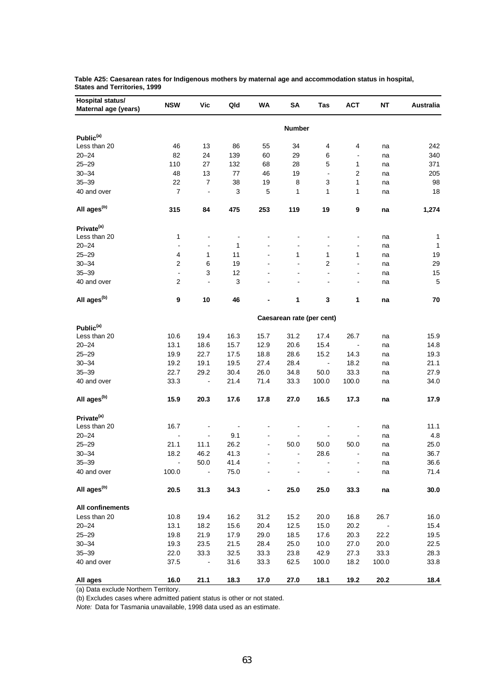| <b>Hospital status/</b><br>Maternal age (years) | <b>NSW</b>     | Vic                      | Qld                      | WA             | SΑ             | Tas                       | <b>ACT</b>     | NΤ    | Australia    |
|-------------------------------------------------|----------------|--------------------------|--------------------------|----------------|----------------|---------------------------|----------------|-------|--------------|
|                                                 |                |                          |                          |                | <b>Number</b>  |                           |                |       |              |
| Public <sup>(a)</sup>                           |                |                          |                          |                |                |                           |                |       |              |
| Less than 20                                    | 46             | 13                       | 86                       | 55             | 34             | 4                         | 4              | na    | 242          |
| $20 - 24$                                       | 82             | 24                       | 139                      | 60             | 29             | 6                         | $\blacksquare$ | na    | 340          |
| $25 - 29$                                       | 110            | 27                       | 132                      | 68             | 28             | 5                         | 1              | na    | 371          |
| $30 - 34$                                       | 48             | 13                       | 77                       | 46             | 19             | $\blacksquare$            | 2              | na    | 205          |
| $35 - 39$                                       | 22             | 7                        | 38                       | 19             | 8              | 3                         | 1              | na    | 98           |
| 40 and over                                     | $\overline{7}$ | $\blacksquare$           | 3                        | 5              | 1              | 1                         | 1              | na    | 18           |
| All ages <sup>(b)</sup>                         | 315            | 84                       | 475                      | 253            | 119            | 19                        | 9              | na    | 1,274        |
| Private <sup>(a)</sup>                          |                |                          |                          |                |                |                           |                |       |              |
| Less than 20                                    | 1              | $\blacksquare$           | $\overline{\phantom{0}}$ |                |                |                           |                | na    | 1            |
| $20 - 24$                                       | $\blacksquare$ | $\blacksquare$           | 1                        |                | $\overline{a}$ | $\blacksquare$            |                | na    | $\mathbf{1}$ |
| $25 - 29$                                       | 4              | 1                        | 11                       |                | 1              | 1                         | 1              | na    | 19           |
| $30 - 34$                                       | 2              | 6                        | 19                       |                | ä,             | $\overline{2}$            | L.             | na    | 29           |
| $35 - 39$                                       | $\blacksquare$ | 3                        | 12                       |                | $\blacksquare$ | $\blacksquare$            | $\blacksquare$ | na    | 15           |
| 40 and over                                     | 2              | $\blacksquare$           | 3                        |                |                |                           |                | na    | 5            |
| All ages <sup>(b)</sup>                         | 9              | 10                       | 46                       |                | 1              | 3                         | 1              | na    | 70           |
|                                                 |                |                          |                          |                |                | Caesarean rate (per cent) |                |       |              |
| Public <sup>(a)</sup>                           |                |                          |                          |                |                |                           |                |       |              |
| Less than 20                                    | 10.6           | 19.4                     | 16.3                     | 15.7           | 31.2           | 17.4                      | 26.7           | na    | 15.9         |
| $20 - 24$                                       | 13.1           | 18.6                     | 15.7                     | 12.9           | 20.6           | 15.4                      | $\blacksquare$ | na    | 14.8         |
| $25 - 29$                                       | 19.9           | 22.7                     | 17.5                     | 18.8           | 28.6           | 15.2                      | 14.3           | na    | 19.3         |
| $30 - 34$                                       | 19.2           | 19.1                     | 19.5                     | 27.4           | 28.4           | $\overline{\phantom{a}}$  | 18.2           | na    | 21.1         |
| $35 - 39$                                       | 22.7           | 29.2                     | 30.4                     | 26.0           | 34.8           | 50.0                      | 33.3           | na    | 27.9         |
| 40 and over                                     | 33.3           | $\blacksquare$           | 21.4                     | 71.4           | 33.3           | 100.0                     | 100.0          | na    | 34.0         |
| All ages <sup>(b)</sup>                         | 15.9           | 20.3                     | 17.6                     | 17.8           | 27.0           | 16.5                      | 17.3           | na    | 17.9         |
| Private <sup>(a)</sup>                          |                |                          |                          |                |                |                           |                |       |              |
| Less than 20                                    | 16.7           | $\overline{\phantom{a}}$ |                          |                |                |                           |                | na    | 11.1         |
| $20 - 24$                                       | $\blacksquare$ | $\blacksquare$           | 9.1                      |                |                |                           |                | na    | 4.8          |
| $25 - 29$                                       | 21.1           | 11.1                     | 26.2                     | $\overline{a}$ | 50.0           | 50.0                      | 50.0           | na    | 25.0         |
| $30 - 34$                                       | 18.2           | 46.2                     | 41.3                     |                | $\overline{a}$ | 28.6                      |                | na    | 36.7         |
| $35 - 39$                                       | $\blacksquare$ | 50.0                     | 41.4                     | ä,             | $\overline{a}$ | $\blacksquare$            | $\blacksquare$ | na    | 36.6         |
| 40 and over                                     | 100.0          | $\blacksquare$           | 75.0                     | ÷,             |                |                           |                | na    | 71.4         |
| All ages <sup>(b)</sup>                         | 20.5           | 31.3                     | 34.3                     | -              | 25.0           | 25.0                      | 33.3           | na    | 30.0         |
| All confinements                                |                |                          |                          |                |                |                           |                |       |              |
| Less than 20                                    | 10.8           | 19.4                     | 16.2                     | 31.2           | 15.2           | 20.0                      | 16.8           | 26.7  | 16.0         |
| $20 - 24$                                       | 13.1           | 18.2                     | 15.6                     | 20.4           | 12.5           | 15.0                      | 20.2           |       | 15.4         |
| $25 - 29$                                       | 19.8           | 21.9                     | 17.9                     | 29.0           | 18.5           | 17.6                      | 20.3           | 22.2  | 19.5         |
| $30 - 34$                                       | 19.3           | 23.5                     | 21.5                     | 28.4           | 25.0           | 10.0                      | 27.0           | 20.0  | 22.5         |
| $35 - 39$                                       | 22.0           | 33.3                     | 32.5                     | 33.3           | 23.8           | 42.9                      | 27.3           | 33.3  | 28.3         |
| 40 and over                                     | 37.5           | $\blacksquare$           | 31.6                     | 33.3           | 62.5           | 100.0                     | 18.2           | 100.0 | 33.8         |
| All ages                                        | 16.0           | 21.1                     | 18.3                     | 17.0           | 27.0           | 18.1                      | 19.2           | 20.2  | 18.4         |

**Table A25: Caesarean rates for Indigenous mothers by maternal age and accommodation status in hospital, States and Territories, 1999**

(a) Data exclude Northern Territory.

(b) Excludes cases where admitted patient status is other or not stated.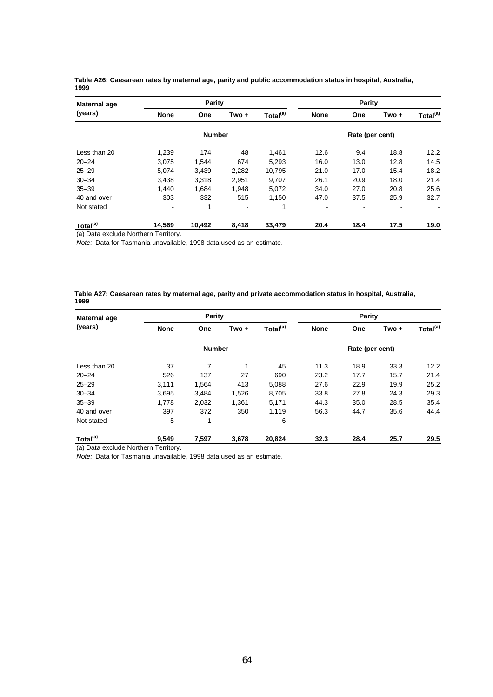| Maternal age         |             | Parity        |       |                      |                | Parity          |       |                      |
|----------------------|-------------|---------------|-------|----------------------|----------------|-----------------|-------|----------------------|
| (years)              | <b>None</b> | One           | Two + | Total <sup>(a)</sup> | <b>None</b>    | One             | Two + | Total <sup>(a)</sup> |
|                      |             | <b>Number</b> |       |                      |                | Rate (per cent) |       |                      |
| Less than 20         | 1.239       | 174           | 48    | 1.461                | 12.6           | 9.4             | 18.8  | 12.2                 |
| $20 - 24$            | 3.075       | 1.544         | 674   | 5,293                | 16.0           | 13.0            | 12.8  | 14.5                 |
| $25 - 29$            | 5,074       | 3.439         | 2,282 | 10.795               | 21.0           | 17.0            | 15.4  | 18.2                 |
| $30 - 34$            | 3,438       | 3,318         | 2,951 | 9,707                | 26.1           | 20.9            | 18.0  | 21.4                 |
| $35 - 39$            | 1.440       | 1.684         | 1.948 | 5,072                | 34.0           | 27.0            | 20.8  | 25.6                 |
| 40 and over          | 303         | 332           | 515   | 1.150                | 47.0           | 37.5            | 25.9  | 32.7                 |
| Not stated           |             | 1             | ۰     | 1                    | $\blacksquare$ | ٠               |       | $\blacksquare$       |
| Total <sup>(a)</sup> | 14.569      | 10,492        | 8.418 | 33,479               | 20.4           | 18.4            | 17.5  | 19.0                 |

**Table A26: Caesarean rates by maternal age, parity and public accommodation status in hospital, Australia, 1999**

(a) Data exclude Northern Territory.

*Note:* Data for Tasmania unavailable, 1998 data used as an estimate.

#### **Table A27: Caesarean rates by maternal age, parity and private accommodation status in hospital, Australia, 1999**

| Maternal age         |                                                     | Parity        |                |        |                | Parity          |                |                      |
|----------------------|-----------------------------------------------------|---------------|----------------|--------|----------------|-----------------|----------------|----------------------|
| (years)              | Total <sup>(a)</sup><br><b>None</b><br>Two +<br>One |               |                |        |                | One             | $Two +$        | Total <sup>(a)</sup> |
|                      |                                                     | <b>Number</b> |                |        |                | Rate (per cent) |                |                      |
| Less than 20         | 37                                                  | 7             | $\mathbf{1}$   | 45     | 11.3           | 18.9            | 33.3           | 12.2                 |
| $20 - 24$            | 526                                                 | 137           | 27             | 690    | 23.2           | 17.7            | 15.7           | 21.4                 |
| $25 - 29$            | 3.111                                               | 1.564         | 413            | 5.088  | 27.6           | 22.9            | 19.9           | 25.2                 |
| $30 - 34$            | 3,695                                               | 3.484         | 1,526          | 8,705  | 33.8           | 27.8            | 24.3           | 29.3                 |
| $35 - 39$            | 1,778                                               | 2,032         | 1,361          | 5,171  | 44.3           | 35.0            | 28.5           | 35.4                 |
| 40 and over          | 397                                                 | 372           | 350            | 1,119  | 56.3           | 44.7            | 35.6           | 44.4                 |
| Not stated           | 5                                                   | 1             | $\blacksquare$ | 6      | $\blacksquare$ | ۰               | $\blacksquare$ |                      |
| Total <sup>(a)</sup> | 9,549                                               | 7,597         | 3,678          | 20,824 | 32.3           | 28.4            | 25.7           | 29.5                 |

(a) Data exclude Northern Territory.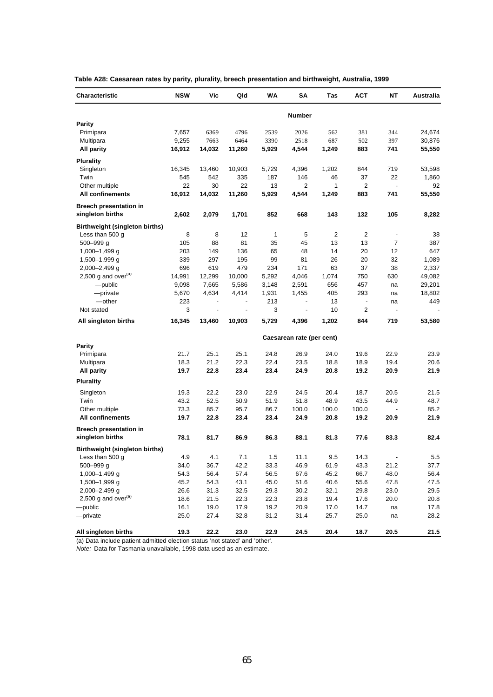| Characteristic                 | <b>NSW</b> | Vic                      | Qld                      | WA    | SΑ                        | Tas   | <b>ACT</b>               | NΤ                       | Australia |
|--------------------------------|------------|--------------------------|--------------------------|-------|---------------------------|-------|--------------------------|--------------------------|-----------|
|                                |            |                          |                          |       | Number                    |       |                          |                          |           |
| <b>Parity</b>                  |            |                          |                          |       |                           |       |                          |                          |           |
| Primipara                      | 7,657      | 6369                     | 4796                     | 2539  | 2026                      | 562   | 381                      | 344                      | 24,674    |
| Multipara                      | 9,255      | 7663                     | 6464                     | 3390  | 2518                      | 687   | 502                      | 397                      | 30,876    |
| <b>All parity</b>              | 16,912     | 14,032                   | 11,260                   | 5,929 | 4,544                     | 1,249 | 883                      | 741                      | 55,550    |
| <b>Plurality</b>               |            |                          |                          |       |                           |       |                          |                          |           |
| Singleton                      | 16,345     | 13,460                   | 10,903                   | 5,729 | 4,396                     | 1,202 | 844                      | 719                      | 53,598    |
| Twin                           | 545        | 542                      | 335                      | 187   | 146                       | 46    | 37                       | 22                       | 1,860     |
| Other multiple                 | 22         | 30                       | 22                       | 13    | 2                         | 1     | 2                        | $\overline{\phantom{a}}$ | 92        |
| <b>All confinements</b>        | 16,912     | 14,032                   | 11,260                   | 5,929 | 4,544                     | 1,249 | 883                      | 741                      | 55,550    |
| <b>Breech presentation in</b>  |            |                          |                          |       |                           |       |                          |                          |           |
| singleton births               | 2,602      | 2,079                    | 1,701                    | 852   | 668                       | 143   | 132                      | 105                      | 8,282     |
| Birthweight (singleton births) |            |                          |                          |       |                           |       |                          |                          |           |
| Less than 500 g                | 8          | 8                        | 12                       | 1     | 5                         | 2     | 2                        | $\overline{\phantom{a}}$ | 38        |
| $500 - 999$ g                  | 105        | 88                       | 81                       | 35    | 45                        | 13    | 13                       | 7                        | 387       |
| 1,000-1,499 g                  | 203        | 149                      | 136                      | 65    | 48                        | 14    | 20                       | 12                       | 647       |
| 1,500-1,999 g                  | 339        | 297                      | 195                      | 99    | 81                        | 26    | 20                       | 32                       | 1,089     |
| 2,000-2,499 g                  | 696        | 619                      | 479                      | 234   | 171                       | 63    | 37                       | 38                       | 2,337     |
| 2,500 g and over $(a)$         | 14,991     | 12,299                   | 10,000                   | 5,292 | 4,046                     | 1,074 | 750                      | 630                      | 49,082    |
| -public                        | 9,098      | 7,665                    | 5,586                    | 3,148 | 2,591                     | 656   | 457                      | na                       | 29,201    |
| -private                       | 5,670      | 4,634                    | 4,414                    | 1,931 | 1,455                     | 405   | 293                      | na                       | 18,802    |
| -other                         | 223        | $\overline{\phantom{a}}$ | $\overline{\phantom{a}}$ | 213   | $\overline{\phantom{a}}$  | 13    | $\overline{\phantom{a}}$ | na                       | 449       |
| Not stated                     | 3          | $\blacksquare$           | $\overline{\phantom{a}}$ | 3     | $\blacksquare$            | 10    | 2                        | $\overline{\phantom{a}}$ |           |
| All singleton births           | 16,345     | 13,460                   | 10,903                   | 5,729 | 4,396                     | 1,202 | 844                      | 719                      | 53,580    |
|                                |            |                          |                          |       | Caesarean rate (per cent) |       |                          |                          |           |
| <b>Parity</b>                  |            |                          |                          |       |                           |       |                          |                          |           |
| Primipara                      | 21.7       | 25.1                     | 25.1                     | 24.8  | 26.9                      | 24.0  | 19.6                     | 22.9                     | 23.9      |
| Multipara                      | 18.3       | 21.2                     | 22.3                     | 22.4  | 23.5                      | 18.8  | 18.9                     | 19.4                     | 20.6      |
| All parity                     | 19.7       | 22.8                     | 23.4                     | 23.4  | 24.9                      | 20.8  | 19.2                     | 20.9                     | 21.9      |
| <b>Plurality</b>               |            |                          |                          |       |                           |       |                          |                          |           |
| Singleton                      | 19.3       | 22.2                     | 23.0                     | 22.9  | 24.5                      | 20.4  | 18.7                     | 20.5                     | 21.5      |
| Twin                           | 43.2       | 52.5                     | 50.9                     | 51.9  | 51.8                      | 48.9  | 43.5                     | 44.9                     | 48.7      |
| Other multiple                 | 73.3       | 85.7                     | 95.7                     | 86.7  | 100.0                     | 100.0 | 100.0                    |                          | 85.2      |
| All confinements               | 19.7       | 22.8                     | 23.4                     | 23.4  | 24.9                      | 20.8  | 19.2                     | 20.9                     | 21.9      |
| <b>Breech presentation in</b>  |            |                          |                          |       |                           |       |                          |                          |           |
| singleton births               | 78.1       | 81.7                     | 86.9                     | 86.3  | 88.1                      | 81.3  | 77.6                     | 83.3                     | 82.4      |
| Birthweight (singleton births) |            |                          |                          |       |                           |       |                          |                          |           |
| Less than 500 g                | 4.9        | 4.1                      | 7.1                      | 1.5   | 11.1                      | 9.5   | 14.3                     |                          | 5.5       |
| 500-999 q                      | 34.0       | 36.7                     | 42.2                     | 33.3  | 46.9                      | 61.9  | 43.3                     | 21.2                     | 37.7      |
| 1,000-1,499 g                  | 54.3       | 56.4                     | 57.4                     | 56.5  | 67.6                      | 45.2  | 66.7                     | 48.0                     | 56.4      |
| 1,500-1,999 g                  | 45.2       | 54.3                     | 43.1                     | 45.0  | 51.6                      | 40.6  | 55.6                     | 47.8                     | 47.5      |
| 2,000-2,499 g                  | 26.6       | 31.3                     | 32.5                     | 29.3  | 30.2                      | 32.1  | 29.8                     | 23.0                     | 29.5      |
| 2,500 g and over $(a)$         | 18.6       | 21.5                     | 22.3                     | 22.3  | 23.8                      | 19.4  | 17.6                     | 20.0                     | 20.8      |
| $-\rho$ ublic                  | 16.1       | 19.0                     | 17.9                     | 19.2  | 20.9                      | 17.0  | 14.7                     | na                       | 17.8      |
| -private                       | 25.0       | 27.4                     | 32.8                     | 31.2  | 31.4                      | 25.7  | 25.0                     | na                       | 28.2      |
| All singleton births           | 19.3       | 22.2                     | 23.0                     | 22.9  | 24.5                      | 20.4  | 18.7                     | 20.5                     | 21.5      |

**Table A28: Caesarean rates by parity, plurality, breech presentation and birthweight, Australia, 1999**

(a) Data include patient admitted election status 'not stated' and 'other'.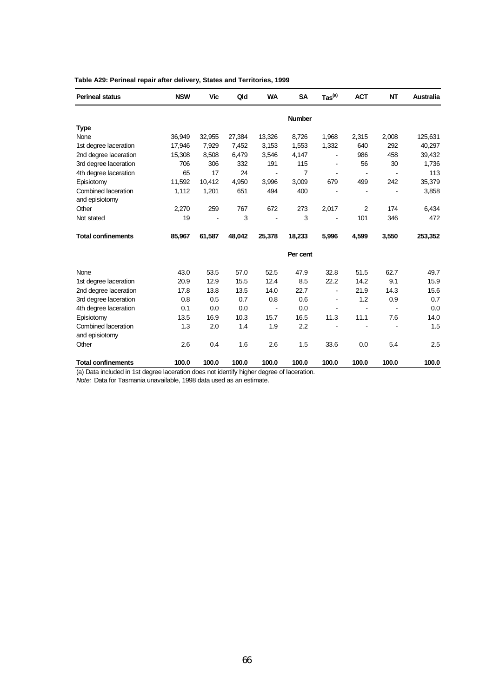| <b>Perineal status</b>    | <b>NSW</b> | Vic    | Qld    | <b>WA</b>      | <b>SA</b>      | $\text{Tas}^{(a)}$ | <b>ACT</b>     | NT    | Australia |
|---------------------------|------------|--------|--------|----------------|----------------|--------------------|----------------|-------|-----------|
|                           |            |        |        |                | Number         |                    |                |       |           |
| <b>Type</b>               |            |        |        |                |                |                    |                |       |           |
| None                      | 36,949     | 32,955 | 27,384 | 13,326         | 8,726          | 1,968              | 2,315          | 2,008 | 125,631   |
| 1st degree laceration     | 17,946     | 7,929  | 7,452  | 3,153          | 1,553          | 1,332              | 640            | 292   | 40,297    |
| 2nd degree laceration     | 15,308     | 8,508  | 6,479  | 3,546          | 4,147          |                    | 986            | 458   | 39,432    |
| 3rd degree laceration     | 706        | 306    | 332    | 191            | 115            |                    | 56             | 30    | 1,736     |
| 4th degree laceration     | 65         | 17     | 24     |                | $\overline{7}$ |                    |                |       | 113       |
| Episiotomy                | 11,592     | 10,412 | 4,950  | 3,996          | 3,009          | 679                | 499            | 242   | 35,379    |
| Combined laceration       | 1,112      | 1,201  | 651    | 494            | 400            |                    |                |       | 3,858     |
| and episiotomy            |            |        |        |                |                |                    |                |       |           |
| Other                     | 2,270      | 259    | 767    | 672            | 273            | 2,017              | $\overline{2}$ | 174   | 6,434     |
| Not stated                | 19         |        | 3      |                | 3              | ÷                  | 101            | 346   | 472       |
| <b>Total confinements</b> | 85,967     | 61,587 | 48,042 | 25,378         | 18,233         | 5,996              | 4,599          | 3,550 | 253,352   |
|                           |            |        |        |                | Per cent       |                    |                |       |           |
| None                      | 43.0       | 53.5   | 57.0   | 52.5           | 47.9           | 32.8               | 51.5           | 62.7  | 49.7      |
| 1st degree laceration     | 20.9       | 12.9   | 15.5   | 12.4           | 8.5            | 22.2               | 14.2           | 9.1   | 15.9      |
| 2nd degree laceration     | 17.8       | 13.8   | 13.5   | 14.0           | 22.7           | ÷,                 | 21.9           | 14.3  | 15.6      |
| 3rd degree laceration     | 0.8        | 0.5    | 0.7    | 0.8            | 0.6            |                    | 1.2            | 0.9   | 0.7       |
| 4th degree laceration     | 0.1        | 0.0    | 0.0    | $\blacksquare$ | 0.0            |                    |                |       | 0.0       |
| Episiotomy                | 13.5       | 16.9   | 10.3   | 15.7           | 16.5           | 11.3               | 11.1           | 7.6   | 14.0      |
| Combined laceration       | 1.3        | 2.0    | 1.4    | 1.9            | 2.2            |                    |                |       | 1.5       |
| and episiotomy            |            |        |        |                |                |                    |                |       |           |
| Other                     | 2.6        | 0.4    | 1.6    | 2.6            | 1.5            | 33.6               | 0.0            | 5.4   | 2.5       |
| <b>Total confinements</b> | 100.0      | 100.0  | 100.0  | 100.0          | 100.0          | 100.0              | 100.0          | 100.0 | 100.0     |

## **Table A29: Perineal repair after delivery, States and Territories, 1999**

(a) Data included in 1st degree laceration does not identify higher degree of laceration.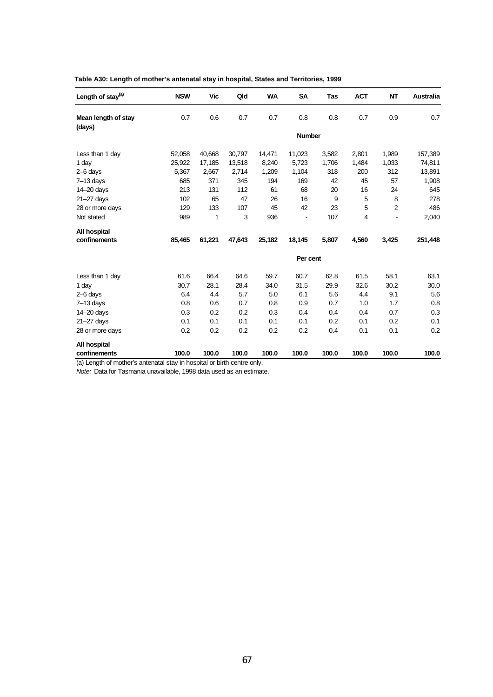| Length of stay <sup>(a)</sup> | <b>NSW</b> | <b>Vic</b> | Qld    | <b>WA</b> | <b>SA</b>     | Tas   | <b>ACT</b> | <b>NT</b> | <b>Australia</b> |
|-------------------------------|------------|------------|--------|-----------|---------------|-------|------------|-----------|------------------|
| Mean length of stay<br>(days) | 0.7        | 0.6        | 0.7    | 0.7       | 0.8           | 0.8   | 0.7        | 0.9       | 0.7              |
|                               |            |            |        |           | <b>Number</b> |       |            |           |                  |
| Less than 1 day               | 52,058     | 40,668     | 30,797 | 14,471    | 11,023        | 3,582 | 2,801      | 1,989     | 157,389          |
| 1 day                         | 25,922     | 17,185     | 13,518 | 8,240     | 5,723         | 1,706 | 1,484      | 1,033     | 74,811           |
| $2-6$ days                    | 5,367      | 2,667      | 2,714  | 1,209     | 1,104         | 318   | 200        | 312       | 13,891           |
| $7-13$ days                   | 685        | 371        | 345    | 194       | 169           | 42    | 45         | 57        | 1,908            |
| 14-20 days                    | 213        | 131        | 112    | 61        | 68            | 20    | 16         | 24        | 645              |
| 21-27 days                    | 102        | 65         | 47     | 26        | 16            | 9     | 5          | 8         | 278              |
| 28 or more days               | 129        | 133        | 107    | 45        | 42            | 23    | 5          | 2         | 486              |
| Not stated                    | 989        | 1          | 3      | 936       |               | 107   | 4          |           | 2,040            |
| All hospital                  |            |            |        |           |               |       |            |           |                  |
| confinements                  | 85,465     | 61,221     | 47,643 | 25,182    | 18,145        | 5,807 | 4,560      | 3,425     | 251,448          |
|                               |            |            |        |           | Per cent      |       |            |           |                  |
| Less than 1 day               | 61.6       | 66.4       | 64.6   | 59.7      | 60.7          | 62.8  | 61.5       | 58.1      | 63.1             |
| 1 day                         | 30.7       | 28.1       | 28.4   | 34.0      | 31.5          | 29.9  | 32.6       | 30.2      | 30.0             |
| 2-6 days                      | 6.4        | 4.4        | 5.7    | 5.0       | 6.1           | 5.6   | 4.4        | 9.1       | 5.6              |
| $7-13$ days                   | 0.8        | 0.6        | 0.7    | 0.8       | 0.9           | 0.7   | 1.0        | 1.7       | 0.8              |
| 14-20 days                    | 0.3        | 0.2        | 0.2    | 0.3       | 0.4           | 0.4   | 0.4        | 0.7       | 0.3              |
| $21 - 27$ days                | 0.1        | 0.1        | 0.1    | 0.1       | 0.1           | 0.2   | 0.1        | 0.2       | 0.1              |
| 28 or more days               | 0.2        | 0.2        | 0.2    | 0.2       | 0.2           | 0.4   | 0.1        | 0.1       | 0.2              |
| All hospital                  |            |            |        |           |               |       |            |           |                  |
| confinements                  | 100.0      | 100.0      | 100.0  | 100.0     | 100.0         | 100.0 | 100.0      | 100.0     | 100.0            |

(a) Length of mother's antenatal stay in hospital or birth centre only.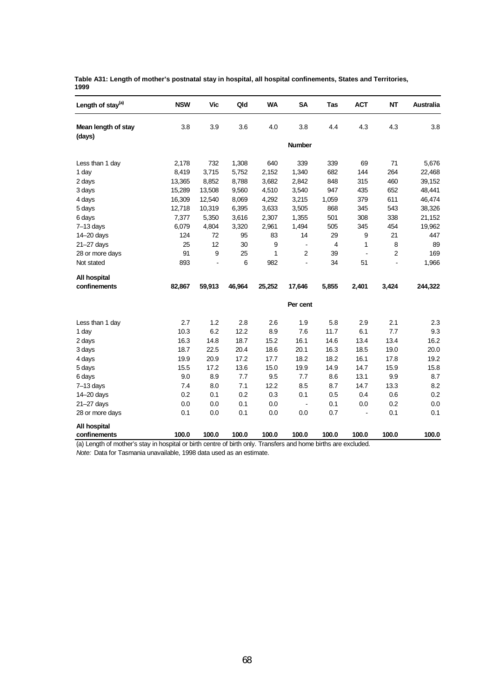| Table A31: Length of mother's postnatal stay in hospital, all hospital confinements, States and Territories, |  |  |
|--------------------------------------------------------------------------------------------------------------|--|--|
| 1999                                                                                                         |  |  |

| Length of stay <sup>(a)</sup> | <b>NSW</b> | <b>Vic</b> | Qld    | <b>WA</b> | SΑ             | Tas   | <b>ACT</b>     | NΤ    | Australia |
|-------------------------------|------------|------------|--------|-----------|----------------|-------|----------------|-------|-----------|
| Mean length of stay           | 3.8        | 3.9        | 3.6    | 4.0       | 3.8            | 4.4   | 4.3            | 4.3   | 3.8       |
| (days)                        |            |            |        |           | <b>Number</b>  |       |                |       |           |
| Less than 1 day               | 2,178      | 732        | 1,308  | 640       | 339            | 339   | 69             | 71    | 5,676     |
| 1 day                         | 8,419      | 3,715      | 5,752  | 2,152     | 1,340          | 682   | 144            | 264   | 22,468    |
| 2 days                        | 13,365     | 8,852      | 8,788  | 3,682     | 2,842          | 848   | 315            | 460   | 39,152    |
| 3 days                        | 15,289     | 13,508     | 9,560  | 4,510     | 3,540          | 947   | 435            | 652   | 48,441    |
| 4 days                        | 16,309     | 12,540     | 8,069  | 4,292     | 3,215          | 1,059 | 379            | 611   | 46,474    |
| 5 days                        | 12,718     | 10,319     | 6,395  | 3,633     | 3,505          | 868   | 345            | 543   | 38,326    |
| 6 days                        | 7,377      | 5,350      | 3,616  | 2,307     | 1,355          | 501   | 308            | 338   | 21,152    |
| $7-13$ days                   | 6,079      | 4,804      | 3,320  | 2,961     | 1,494          | 505   | 345            | 454   | 19,962    |
| 14-20 days                    | 124        | 72         | 95     | 83        | 14             | 29    | 9              | 21    | 447       |
| $21 - 27$ days                | 25         | 12         | 30     | 9         | $\blacksquare$ | 4     | 1              | 8     | 89        |
| 28 or more days               | 91         | 9          | 25     | 1         | 2              | 39    | $\blacksquare$ | 2     | 169       |
| Not stated                    | 893        |            | 6      | 982       | $\blacksquare$ | 34    | 51             |       | 1,966     |
| All hospital                  |            |            |        |           |                |       |                |       |           |
| confinements                  | 82,867     | 59,913     | 46,964 | 25,252    | 17,646         | 5,855 | 2,401          | 3,424 | 244,322   |
|                               |            |            |        |           | Per cent       |       |                |       |           |
| Less than 1 day               | 2.7        | 1.2        | 2.8    | 2.6       | 1.9            | 5.8   | 2.9            | 2.1   | 2.3       |
| 1 day                         | 10.3       | 6.2        | 12.2   | 8.9       | 7.6            | 11.7  | 6.1            | 7.7   | 9.3       |
| 2 days                        | 16.3       | 14.8       | 18.7   | 15.2      | 16.1           | 14.6  | 13.4           | 13.4  | 16.2      |
| 3 days                        | 18.7       | 22.5       | 20.4   | 18.6      | 20.1           | 16.3  | 18.5           | 19.0  | 20.0      |
| 4 days                        | 19.9       | 20.9       | 17.2   | 17.7      | 18.2           | 18.2  | 16.1           | 17.8  | 19.2      |
| 5 days                        | 15.5       | 17.2       | 13.6   | 15.0      | 19.9           | 14.9  | 14.7           | 15.9  | 15.8      |
| 6 days                        | 9.0        | 8.9        | 7.7    | 9.5       | 7.7            | 8.6   | 13.1           | 9.9   | 8.7       |
| $7-13$ days                   | 7.4        | 8.0        | 7.1    | 12.2      | 8.5            | 8.7   | 14.7           | 13.3  | 8.2       |
| 14-20 days                    | 0.2        | 0.1        | 0.2    | 0.3       | 0.1            | 0.5   | 0.4            | 0.6   | 0.2       |
| $21 - 27$ days                | 0.0        | 0.0        | 0.1    | 0.0       | $\blacksquare$ | 0.1   | 0.0            | 0.2   | 0.0       |
| 28 or more days               | 0.1        | 0.0        | 0.1    | 0.0       | 0.0            | 0.7   | $\blacksquare$ | 0.1   | 0.1       |
| All hospital                  |            |            |        |           |                |       |                |       |           |
| confinements                  | 100.0      | 100.0      | 100.0  | 100.0     | 100.0          | 100.0 | 100.0          | 100.0 | 100.0     |

(a) Length of mother's stay in hospital or birth centre of birth only. Transfers and home births are excluded.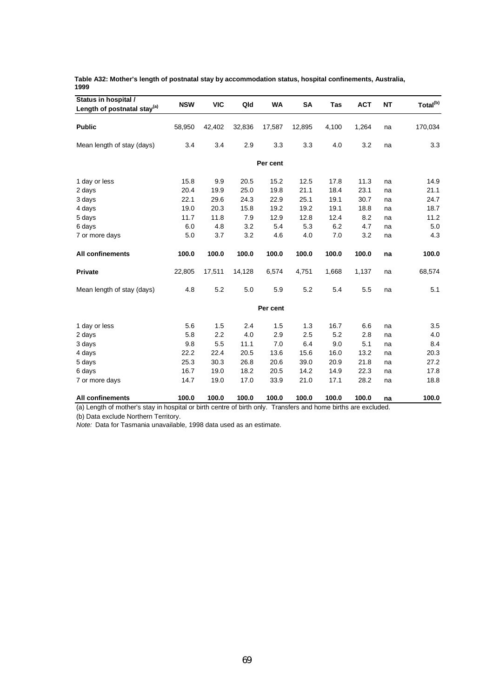| Table A32: Mother's length of postnatal stay by accommodation status, hospital confinements, Australia, |  |
|---------------------------------------------------------------------------------------------------------|--|
| 1999                                                                                                    |  |

| Status in hospital /<br>Length of postnatal stay <sup>(a)</sup> | <b>NSW</b> | <b>VIC</b> | Qld    | <b>WA</b> | SA     | Tas   | <b>ACT</b> | <b>NT</b> | Total <sup>(b)</sup> |
|-----------------------------------------------------------------|------------|------------|--------|-----------|--------|-------|------------|-----------|----------------------|
| <b>Public</b>                                                   | 58,950     | 42,402     | 32,836 | 17,587    | 12,895 | 4,100 | 1,264      | na        | 170,034              |
|                                                                 |            |            |        |           |        |       |            |           |                      |
| Mean length of stay (days)                                      | 3.4        | 3.4        | 2.9    | 3.3       | 3.3    | 4.0   | 3.2        | na        | 3.3                  |
|                                                                 |            |            |        | Per cent  |        |       |            |           |                      |
| 1 day or less                                                   | 15.8       | 9.9        | 20.5   | 15.2      | 12.5   | 17.8  | 11.3       | na        | 14.9                 |
| 2 days                                                          | 20.4       | 19.9       | 25.0   | 19.8      | 21.1   | 18.4  | 23.1       | na        | 21.1                 |
| 3 days                                                          | 22.1       | 29.6       | 24.3   | 22.9      | 25.1   | 19.1  | 30.7       | na        | 24.7                 |
| 4 days                                                          | 19.0       | 20.3       | 15.8   | 19.2      | 19.2   | 19.1  | 18.8       | na        | 18.7                 |
| 5 days                                                          | 11.7       | 11.8       | 7.9    | 12.9      | 12.8   | 12.4  | 8.2        | na        | 11.2                 |
| 6 days                                                          | 6.0        | 4.8        | 3.2    | 5.4       | 5.3    | 6.2   | 4.7        | na        | 5.0                  |
| 7 or more days                                                  | 5.0        | 3.7        | 3.2    | 4.6       | 4.0    | 7.0   | 3.2        | na        | 4.3                  |
| All confinements                                                | 100.0      | 100.0      | 100.0  | 100.0     | 100.0  | 100.0 | 100.0      | na        | 100.0                |
| <b>Private</b>                                                  | 22,805     | 17,511     | 14,128 | 6,574     | 4,751  | 1,668 | 1,137      | na        | 68,574               |
| Mean length of stay (days)                                      | 4.8        | 5.2        | 5.0    | 5.9       | 5.2    | 5.4   | 5.5        | na        | 5.1                  |
|                                                                 |            |            |        | Per cent  |        |       |            |           |                      |
| 1 day or less                                                   | 5.6        | 1.5        | 2.4    | 1.5       | 1.3    | 16.7  | 6.6        | na        | 3.5                  |
| 2 days                                                          | 5.8        | 2.2        | 4.0    | 2.9       | 2.5    | 5.2   | 2.8        | na        | 4.0                  |
| 3 days                                                          | 9.8        | 5.5        | 11.1   | 7.0       | 6.4    | 9.0   | 5.1        | na        | 8.4                  |
| 4 days                                                          | 22.2       | 22.4       | 20.5   | 13.6      | 15.6   | 16.0  | 13.2       | na        | 20.3                 |
| 5 days                                                          | 25.3       | 30.3       | 26.8   | 20.6      | 39.0   | 20.9  | 21.8       | na        | 27.2                 |
| 6 days                                                          | 16.7       | 19.0       | 18.2   | 20.5      | 14.2   | 14.9  | 22.3       | na        | 17.8                 |
| 7 or more days                                                  | 14.7       | 19.0       | 17.0   | 33.9      | 21.0   | 17.1  | 28.2       | na        | 18.8                 |
| <b>All confinements</b>                                         | 100.0      | 100.0      | 100.0  | 100.0     | 100.0  | 100.0 | 100.0      | na        | 100.0                |

(a) Length of mother's stay in hospital or birth centre of birth only. Transfers and home births are excluded.

(b) Data exclude Northern Territory.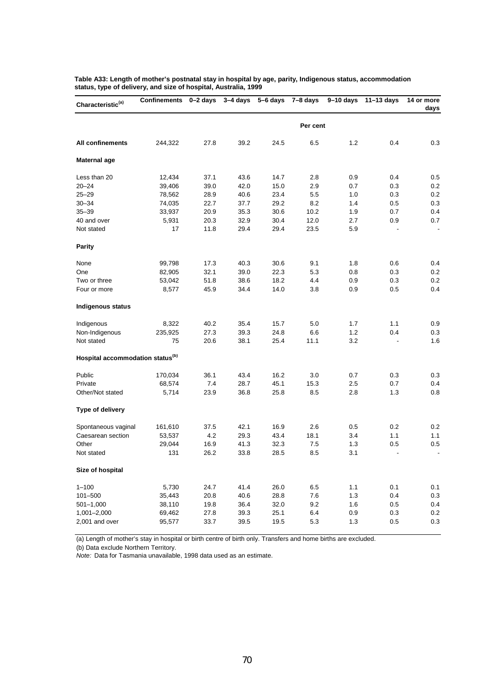| Per cent<br>1.2<br>244,322<br>27.8<br>39.2<br>24.5<br>6.5<br>0.4<br>All confinements<br><b>Maternal age</b><br>Less than 20<br>37.1<br>43.6<br>14.7<br>0.5<br>12,434<br>2.8<br>0.9<br>0.4<br>$20 - 24$<br>39.0<br>42.0<br>15.0<br>2.9<br>0.2<br>39,406<br>0.7<br>0.3<br>$25 - 29$<br>23.4<br>78,562<br>28.9<br>40.6<br>5.5<br>1.0<br>0.3<br>$30 - 34$<br>29.2<br>8.2<br>74,035<br>22.7<br>37.7<br>1.4<br>0.5<br>$35 - 39$<br>33,937<br>20.9<br>35.3<br>30.6<br>10.2<br>1.9<br>0.7<br>30.4<br>40 and over<br>5,931<br>20.3<br>32.9<br>12.0<br>2.7<br>0.9<br>17<br>29.4<br>Not stated<br>11.8<br>29.4<br>23.5<br>5.9<br><b>Parity</b><br>None<br>17.3<br>40.3<br>30.6<br>9.1<br>1.8<br>0.6<br>0.4<br>99,798<br>32.1<br>39.0<br>22.3<br>82,905<br>5.3<br>0.8<br>0.3<br>One<br>38.6<br>18.2<br>0.3<br>Two or three<br>53,042<br>51.8<br>4.4<br>0.9<br>0.4<br>Four or more<br>8,577<br>45.9<br>34.4<br>14.0<br>3.8<br>0.9<br>0.5<br>Indigenous status<br>35.4<br>1.1<br>Indigenous<br>8,322<br>40.2<br>15.7<br>5.0<br>1.7<br>39.3<br>1.2<br>0.4<br>Non-Indigenous<br>235,925<br>27.3<br>24.8<br>6.6<br>Not stated<br>38.1<br>11.1<br>3.2<br>75<br>20.6<br>25.4<br>$\overline{\phantom{a}}$<br>Hospital accommodation status <sup>(b)</sup><br>Public<br>43.4<br>$0.3\,$<br>170,034<br>36.1<br>16.2<br>3.0<br>0.7<br>0.3<br>Private<br>68,574<br>28.7<br>0.4<br>7.4<br>45.1<br>15.3<br>2.5<br>0.7<br>36.8<br>2.8<br>1.3<br>Other/Not stated<br>5,714<br>23.9<br>25.8<br>8.5<br>Type of delivery<br>0.2<br>Spontaneous vaginal<br>161,610<br>42.1<br>16.9<br>2.6<br>0.5<br>0.2<br>37.5<br>4.2<br>29.3<br>43.4<br>18.1<br>1.1<br>Caesarean section<br>53,537<br>3.4<br>1.1<br>29,044<br>16.9<br>41.3<br>32.3<br>1.3<br>0.5<br>0.5<br>Other<br>7.5<br>131<br>28.5<br>8.5<br>Not stated<br>26.2<br>33.8<br>3.1<br>Size of hospital<br>41.4<br>0.1<br>$1 - 100$<br>5,730<br>24.7<br>26.0<br>6.5<br>1.1<br>0.1<br>7.6<br>1.3<br>0.4<br>101-500<br>35,443<br>20.8<br>40.6<br>28.8<br>$501 - 1,000$<br>38,110<br>19.8<br>36.4<br>32.0<br>9.2<br>1.6<br>0.5 | Characteristic <sup>(a)</sup> | Confinements 0-2 days |      | $3-4$ days $5-6$ days $7-8$ days |      |     | $9-10$ days | $11 - 13$ days | 14 or more<br>days |
|----------------------------------------------------------------------------------------------------------------------------------------------------------------------------------------------------------------------------------------------------------------------------------------------------------------------------------------------------------------------------------------------------------------------------------------------------------------------------------------------------------------------------------------------------------------------------------------------------------------------------------------------------------------------------------------------------------------------------------------------------------------------------------------------------------------------------------------------------------------------------------------------------------------------------------------------------------------------------------------------------------------------------------------------------------------------------------------------------------------------------------------------------------------------------------------------------------------------------------------------------------------------------------------------------------------------------------------------------------------------------------------------------------------------------------------------------------------------------------------------------------------------------------------------------------------------------------------------------------------------------------------------------------------------------------------------------------------------------------------------------------------------------------------------------------------------------------------------------------------------------------------------------------------------------------------------------------------------------------------------------------------------------------------------|-------------------------------|-----------------------|------|----------------------------------|------|-----|-------------|----------------|--------------------|
|                                                                                                                                                                                                                                                                                                                                                                                                                                                                                                                                                                                                                                                                                                                                                                                                                                                                                                                                                                                                                                                                                                                                                                                                                                                                                                                                                                                                                                                                                                                                                                                                                                                                                                                                                                                                                                                                                                                                                                                                                                              |                               |                       |      |                                  |      |     |             |                |                    |
| 0.2                                                                                                                                                                                                                                                                                                                                                                                                                                                                                                                                                                                                                                                                                                                                                                                                                                                                                                                                                                                                                                                                                                                                                                                                                                                                                                                                                                                                                                                                                                                                                                                                                                                                                                                                                                                                                                                                                                                                                                                                                                          |                               |                       |      |                                  |      |     |             |                | 0.3                |
|                                                                                                                                                                                                                                                                                                                                                                                                                                                                                                                                                                                                                                                                                                                                                                                                                                                                                                                                                                                                                                                                                                                                                                                                                                                                                                                                                                                                                                                                                                                                                                                                                                                                                                                                                                                                                                                                                                                                                                                                                                              |                               |                       |      |                                  |      |     |             |                |                    |
|                                                                                                                                                                                                                                                                                                                                                                                                                                                                                                                                                                                                                                                                                                                                                                                                                                                                                                                                                                                                                                                                                                                                                                                                                                                                                                                                                                                                                                                                                                                                                                                                                                                                                                                                                                                                                                                                                                                                                                                                                                              |                               |                       |      |                                  |      |     |             |                |                    |
|                                                                                                                                                                                                                                                                                                                                                                                                                                                                                                                                                                                                                                                                                                                                                                                                                                                                                                                                                                                                                                                                                                                                                                                                                                                                                                                                                                                                                                                                                                                                                                                                                                                                                                                                                                                                                                                                                                                                                                                                                                              |                               |                       |      |                                  |      |     |             |                |                    |
| 0.3<br>0.4<br>0.7<br>$\overline{\phantom{a}}$<br>0.2<br>0.2<br>0.9<br>0.3<br>1.6<br>0.8<br>0.3<br>0.4                                                                                                                                                                                                                                                                                                                                                                                                                                                                                                                                                                                                                                                                                                                                                                                                                                                                                                                                                                                                                                                                                                                                                                                                                                                                                                                                                                                                                                                                                                                                                                                                                                                                                                                                                                                                                                                                                                                                        |                               |                       |      |                                  |      |     |             |                |                    |
|                                                                                                                                                                                                                                                                                                                                                                                                                                                                                                                                                                                                                                                                                                                                                                                                                                                                                                                                                                                                                                                                                                                                                                                                                                                                                                                                                                                                                                                                                                                                                                                                                                                                                                                                                                                                                                                                                                                                                                                                                                              |                               |                       |      |                                  |      |     |             |                |                    |
|                                                                                                                                                                                                                                                                                                                                                                                                                                                                                                                                                                                                                                                                                                                                                                                                                                                                                                                                                                                                                                                                                                                                                                                                                                                                                                                                                                                                                                                                                                                                                                                                                                                                                                                                                                                                                                                                                                                                                                                                                                              |                               |                       |      |                                  |      |     |             |                |                    |
|                                                                                                                                                                                                                                                                                                                                                                                                                                                                                                                                                                                                                                                                                                                                                                                                                                                                                                                                                                                                                                                                                                                                                                                                                                                                                                                                                                                                                                                                                                                                                                                                                                                                                                                                                                                                                                                                                                                                                                                                                                              |                               |                       |      |                                  |      |     |             |                |                    |
|                                                                                                                                                                                                                                                                                                                                                                                                                                                                                                                                                                                                                                                                                                                                                                                                                                                                                                                                                                                                                                                                                                                                                                                                                                                                                                                                                                                                                                                                                                                                                                                                                                                                                                                                                                                                                                                                                                                                                                                                                                              |                               |                       |      |                                  |      |     |             |                |                    |
|                                                                                                                                                                                                                                                                                                                                                                                                                                                                                                                                                                                                                                                                                                                                                                                                                                                                                                                                                                                                                                                                                                                                                                                                                                                                                                                                                                                                                                                                                                                                                                                                                                                                                                                                                                                                                                                                                                                                                                                                                                              |                               |                       |      |                                  |      |     |             |                |                    |
|                                                                                                                                                                                                                                                                                                                                                                                                                                                                                                                                                                                                                                                                                                                                                                                                                                                                                                                                                                                                                                                                                                                                                                                                                                                                                                                                                                                                                                                                                                                                                                                                                                                                                                                                                                                                                                                                                                                                                                                                                                              |                               |                       |      |                                  |      |     |             |                |                    |
|                                                                                                                                                                                                                                                                                                                                                                                                                                                                                                                                                                                                                                                                                                                                                                                                                                                                                                                                                                                                                                                                                                                                                                                                                                                                                                                                                                                                                                                                                                                                                                                                                                                                                                                                                                                                                                                                                                                                                                                                                                              |                               |                       |      |                                  |      |     |             |                |                    |
|                                                                                                                                                                                                                                                                                                                                                                                                                                                                                                                                                                                                                                                                                                                                                                                                                                                                                                                                                                                                                                                                                                                                                                                                                                                                                                                                                                                                                                                                                                                                                                                                                                                                                                                                                                                                                                                                                                                                                                                                                                              |                               |                       |      |                                  |      |     |             |                |                    |
|                                                                                                                                                                                                                                                                                                                                                                                                                                                                                                                                                                                                                                                                                                                                                                                                                                                                                                                                                                                                                                                                                                                                                                                                                                                                                                                                                                                                                                                                                                                                                                                                                                                                                                                                                                                                                                                                                                                                                                                                                                              |                               |                       |      |                                  |      |     |             |                |                    |
|                                                                                                                                                                                                                                                                                                                                                                                                                                                                                                                                                                                                                                                                                                                                                                                                                                                                                                                                                                                                                                                                                                                                                                                                                                                                                                                                                                                                                                                                                                                                                                                                                                                                                                                                                                                                                                                                                                                                                                                                                                              |                               |                       |      |                                  |      |     |             |                |                    |
|                                                                                                                                                                                                                                                                                                                                                                                                                                                                                                                                                                                                                                                                                                                                                                                                                                                                                                                                                                                                                                                                                                                                                                                                                                                                                                                                                                                                                                                                                                                                                                                                                                                                                                                                                                                                                                                                                                                                                                                                                                              |                               |                       |      |                                  |      |     |             |                |                    |
|                                                                                                                                                                                                                                                                                                                                                                                                                                                                                                                                                                                                                                                                                                                                                                                                                                                                                                                                                                                                                                                                                                                                                                                                                                                                                                                                                                                                                                                                                                                                                                                                                                                                                                                                                                                                                                                                                                                                                                                                                                              |                               |                       |      |                                  |      |     |             |                |                    |
|                                                                                                                                                                                                                                                                                                                                                                                                                                                                                                                                                                                                                                                                                                                                                                                                                                                                                                                                                                                                                                                                                                                                                                                                                                                                                                                                                                                                                                                                                                                                                                                                                                                                                                                                                                                                                                                                                                                                                                                                                                              |                               |                       |      |                                  |      |     |             |                |                    |
|                                                                                                                                                                                                                                                                                                                                                                                                                                                                                                                                                                                                                                                                                                                                                                                                                                                                                                                                                                                                                                                                                                                                                                                                                                                                                                                                                                                                                                                                                                                                                                                                                                                                                                                                                                                                                                                                                                                                                                                                                                              |                               |                       |      |                                  |      |     |             |                |                    |
|                                                                                                                                                                                                                                                                                                                                                                                                                                                                                                                                                                                                                                                                                                                                                                                                                                                                                                                                                                                                                                                                                                                                                                                                                                                                                                                                                                                                                                                                                                                                                                                                                                                                                                                                                                                                                                                                                                                                                                                                                                              |                               |                       |      |                                  |      |     |             |                |                    |
|                                                                                                                                                                                                                                                                                                                                                                                                                                                                                                                                                                                                                                                                                                                                                                                                                                                                                                                                                                                                                                                                                                                                                                                                                                                                                                                                                                                                                                                                                                                                                                                                                                                                                                                                                                                                                                                                                                                                                                                                                                              |                               |                       |      |                                  |      |     |             |                |                    |
|                                                                                                                                                                                                                                                                                                                                                                                                                                                                                                                                                                                                                                                                                                                                                                                                                                                                                                                                                                                                                                                                                                                                                                                                                                                                                                                                                                                                                                                                                                                                                                                                                                                                                                                                                                                                                                                                                                                                                                                                                                              |                               |                       |      |                                  |      |     |             |                |                    |
|                                                                                                                                                                                                                                                                                                                                                                                                                                                                                                                                                                                                                                                                                                                                                                                                                                                                                                                                                                                                                                                                                                                                                                                                                                                                                                                                                                                                                                                                                                                                                                                                                                                                                                                                                                                                                                                                                                                                                                                                                                              |                               |                       |      |                                  |      |     |             |                |                    |
|                                                                                                                                                                                                                                                                                                                                                                                                                                                                                                                                                                                                                                                                                                                                                                                                                                                                                                                                                                                                                                                                                                                                                                                                                                                                                                                                                                                                                                                                                                                                                                                                                                                                                                                                                                                                                                                                                                                                                                                                                                              |                               |                       |      |                                  |      |     |             |                |                    |
|                                                                                                                                                                                                                                                                                                                                                                                                                                                                                                                                                                                                                                                                                                                                                                                                                                                                                                                                                                                                                                                                                                                                                                                                                                                                                                                                                                                                                                                                                                                                                                                                                                                                                                                                                                                                                                                                                                                                                                                                                                              |                               |                       |      |                                  |      |     |             |                |                    |
|                                                                                                                                                                                                                                                                                                                                                                                                                                                                                                                                                                                                                                                                                                                                                                                                                                                                                                                                                                                                                                                                                                                                                                                                                                                                                                                                                                                                                                                                                                                                                                                                                                                                                                                                                                                                                                                                                                                                                                                                                                              |                               |                       |      |                                  |      |     |             |                |                    |
|                                                                                                                                                                                                                                                                                                                                                                                                                                                                                                                                                                                                                                                                                                                                                                                                                                                                                                                                                                                                                                                                                                                                                                                                                                                                                                                                                                                                                                                                                                                                                                                                                                                                                                                                                                                                                                                                                                                                                                                                                                              |                               |                       |      |                                  |      |     |             |                |                    |
|                                                                                                                                                                                                                                                                                                                                                                                                                                                                                                                                                                                                                                                                                                                                                                                                                                                                                                                                                                                                                                                                                                                                                                                                                                                                                                                                                                                                                                                                                                                                                                                                                                                                                                                                                                                                                                                                                                                                                                                                                                              |                               |                       |      |                                  |      |     |             |                |                    |
|                                                                                                                                                                                                                                                                                                                                                                                                                                                                                                                                                                                                                                                                                                                                                                                                                                                                                                                                                                                                                                                                                                                                                                                                                                                                                                                                                                                                                                                                                                                                                                                                                                                                                                                                                                                                                                                                                                                                                                                                                                              |                               |                       |      |                                  |      |     |             |                |                    |
|                                                                                                                                                                                                                                                                                                                                                                                                                                                                                                                                                                                                                                                                                                                                                                                                                                                                                                                                                                                                                                                                                                                                                                                                                                                                                                                                                                                                                                                                                                                                                                                                                                                                                                                                                                                                                                                                                                                                                                                                                                              |                               |                       |      |                                  |      |     |             |                |                    |
|                                                                                                                                                                                                                                                                                                                                                                                                                                                                                                                                                                                                                                                                                                                                                                                                                                                                                                                                                                                                                                                                                                                                                                                                                                                                                                                                                                                                                                                                                                                                                                                                                                                                                                                                                                                                                                                                                                                                                                                                                                              |                               |                       |      |                                  |      |     |             |                |                    |
|                                                                                                                                                                                                                                                                                                                                                                                                                                                                                                                                                                                                                                                                                                                                                                                                                                                                                                                                                                                                                                                                                                                                                                                                                                                                                                                                                                                                                                                                                                                                                                                                                                                                                                                                                                                                                                                                                                                                                                                                                                              | $1,001 - 2,000$               | 69,462                | 27.8 | 39.3                             | 25.1 | 6.4 | 0.9         | 0.3            | $0.2\,$            |
| 39.5<br>1.3<br>0.3<br>2,001 and over<br>95,577<br>33.7<br>19.5<br>5.3<br>0.5                                                                                                                                                                                                                                                                                                                                                                                                                                                                                                                                                                                                                                                                                                                                                                                                                                                                                                                                                                                                                                                                                                                                                                                                                                                                                                                                                                                                                                                                                                                                                                                                                                                                                                                                                                                                                                                                                                                                                                 |                               |                       |      |                                  |      |     |             |                |                    |

**Table A33: Length of mother's postnatal stay in hospital by age, parity, Indigenous status, accommodation status, type of delivery, and size of hospital, Australia, 1999**

(a) Length of mother's stay in hospital or birth centre of birth only. Transfers and home births are excluded.

(b) Data exclude Northern Territory.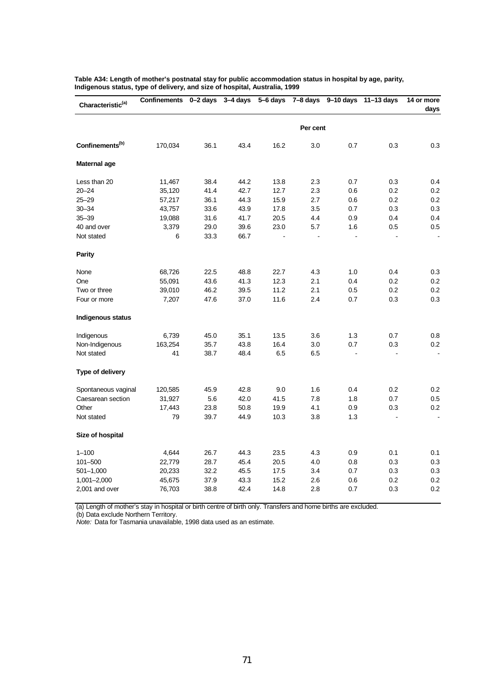| Characteristic <sup>(a)</sup> | <b>Confinements</b> | $0 - 2$ days | $3-4$ days | $\overline{5}$ -6 days |          | 7-8 days 9-10 days | $11 - 13$ days | 14 or more<br>days |
|-------------------------------|---------------------|--------------|------------|------------------------|----------|--------------------|----------------|--------------------|
|                               |                     |              |            |                        | Per cent |                    |                |                    |
| Confinements <sup>(b)</sup>   | 170,034             | 36.1         | 43.4       | 16.2                   | 3.0      | 0.7                | 0.3            | 0.3                |
| Maternal age                  |                     |              |            |                        |          |                    |                |                    |
| Less than 20                  | 11,467              | 38.4         | 44.2       | 13.8                   | 2.3      | 0.7                | 0.3            | 0.4                |
| $20 - 24$                     | 35,120              | 41.4         | 42.7       | 12.7                   | 2.3      | 0.6                | 0.2            | 0.2                |
| $25 - 29$                     | 57,217              | 36.1         | 44.3       | 15.9                   | 2.7      | 0.6                | 0.2            | 0.2                |
| $30 - 34$                     | 43,757              | 33.6         | 43.9       | 17.8                   | 3.5      | 0.7                | 0.3            | 0.3                |
| $35 - 39$                     | 19,088              | 31.6         | 41.7       | 20.5                   | 4.4      | 0.9                | 0.4            | 0.4                |
| 40 and over                   | 3,379               | 29.0         | 39.6       | 23.0                   | 5.7      | 1.6                | 0.5            | 0.5                |
| Not stated                    | 6                   | 33.3         | 66.7       |                        |          |                    |                |                    |
| <b>Parity</b>                 |                     |              |            |                        |          |                    |                |                    |
| None                          | 68,726              | 22.5         | 48.8       | 22.7                   | 4.3      | 1.0                | 0.4            | 0.3                |
| One                           | 55,091              | 43.6         | 41.3       | 12.3                   | 2.1      | 0.4                | 0.2            | 0.2                |
| Two or three                  | 39,010              | 46.2         | 39.5       | 11.2                   | 2.1      | $0.5\,$            | 0.2            | 0.2                |
| Four or more                  | 7,207               | 47.6         | 37.0       | 11.6                   | 2.4      | 0.7                | 0.3            | 0.3                |
| <b>Indigenous status</b>      |                     |              |            |                        |          |                    |                |                    |
| Indigenous                    | 6,739               | 45.0         | 35.1       | 13.5                   | 3.6      | 1.3                | 0.7            | 0.8                |
| Non-Indigenous                | 163,254             | 35.7         | 43.8       | 16.4                   | 3.0      | 0.7                | 0.3            | 0.2                |
| Not stated                    | 41                  | 38.7         | 48.4       | 6.5                    | 6.5      | ÷                  | $\overline{a}$ | $\blacksquare$     |
| Type of delivery              |                     |              |            |                        |          |                    |                |                    |
| Spontaneous vaginal           | 120,585             | 45.9         | 42.8       | 9.0                    | 1.6      | 0.4                | 0.2            | 0.2                |
| Caesarean section             | 31,927              | 5.6          | 42.0       | 41.5                   | 7.8      | 1.8                | 0.7            | 0.5                |
| Other                         | 17,443              | 23.8         | 50.8       | 19.9                   | 4.1      | 0.9                | 0.3            | 0.2                |
| Not stated                    | 79                  | 39.7         | 44.9       | 10.3                   | 3.8      | 1.3                |                | ä,                 |
| Size of hospital              |                     |              |            |                        |          |                    |                |                    |
| $1 - 100$                     | 4,644               | 26.7         | 44.3       | 23.5                   | 4.3      | 0.9                | 0.1            | 0.1                |
| 101-500                       | 22,779              | 28.7         | 45.4       | 20.5                   | 4.0      | 0.8                | 0.3            | 0.3                |
| $501 - 1,000$                 | 20,233              | 32.2         | 45.5       | 17.5                   | 3.4      | 0.7                | 0.3            | 0.3                |
| 1,001-2,000                   | 45,675              | 37.9         | 43.3       | 15.2                   | 2.6      | 0.6                | 0.2            | 0.2                |
| 2,001 and over                | 76,703              | 38.8         | 42.4       | 14.8                   | 2.8      | 0.7                | 0.3            | 0.2                |
|                               |                     |              |            |                        |          |                    |                |                    |

**Table A34: Length of mother's postnatal stay for public accommodation status in hospital by age, parity, Indigenous status, type of delivery, and size of hospital, Australia, 1999**

(a) Length of mother's stay in hospital or birth centre of birth only. Transfers and home births are excluded.

(b) Data exclude Northern Territory.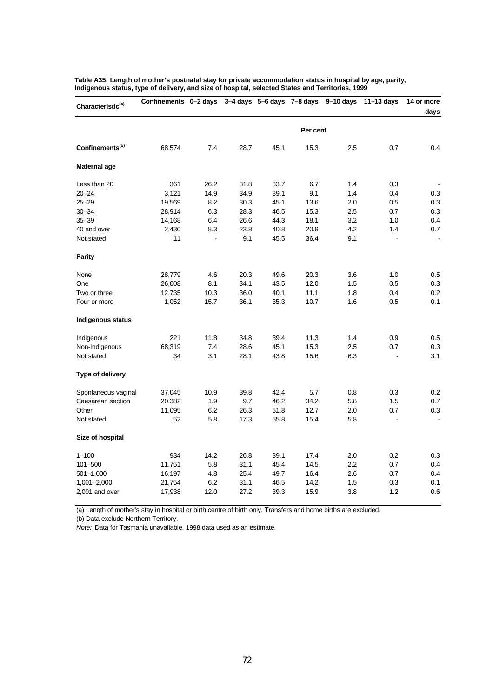| Characteristic <sup>(a)</sup> | Confinements 0-2 days |      |      |      |          | $3-4$ days $5-6$ days $7-8$ days $9-10$ days | $11 - 13$ days | 14 or more     |
|-------------------------------|-----------------------|------|------|------|----------|----------------------------------------------|----------------|----------------|
|                               |                       |      |      |      |          |                                              |                | days           |
|                               |                       |      |      |      | Per cent |                                              |                |                |
| Confinements <sup>(b)</sup>   | 68,574                | 7.4  | 28.7 | 45.1 | 15.3     | 2.5                                          | 0.7            | 0.4            |
| Maternal age                  |                       |      |      |      |          |                                              |                |                |
| Less than 20                  | 361                   | 26.2 | 31.8 | 33.7 | 6.7      | 1.4                                          | 0.3            |                |
| $20 - 24$                     | 3,121                 | 14.9 | 34.9 | 39.1 | 9.1      | 1.4                                          | 0.4            | 0.3            |
| $25 - 29$                     | 19,569                | 8.2  | 30.3 | 45.1 | 13.6     | 2.0                                          | 0.5            | 0.3            |
| $30 - 34$                     | 28,914                | 6.3  | 28.3 | 46.5 | 15.3     | 2.5                                          | 0.7            | 0.3            |
| $35 - 39$                     | 14,168                | 6.4  | 26.6 | 44.3 | 18.1     | 3.2                                          | 1.0            | 0.4            |
| 40 and over                   | 2,430                 | 8.3  | 23.8 | 40.8 | 20.9     | 4.2                                          | 1.4            | 0.7            |
| Not stated                    | 11                    | ä,   | 9.1  | 45.5 | 36.4     | 9.1                                          | ä,             | $\blacksquare$ |
| <b>Parity</b>                 |                       |      |      |      |          |                                              |                |                |
| None                          | 28,779                | 4.6  | 20.3 | 49.6 | 20.3     | 3.6                                          | 1.0            | 0.5            |
| One                           | 26,008                | 8.1  | 34.1 | 43.5 | 12.0     | 1.5                                          | 0.5            | 0.3            |
| Two or three                  | 12,735                | 10.3 | 36.0 | 40.1 | 11.1     | 1.8                                          | 0.4            | 0.2            |
| Four or more                  | 1,052                 | 15.7 | 36.1 | 35.3 | 10.7     | 1.6                                          | 0.5            | 0.1            |
| Indigenous status             |                       |      |      |      |          |                                              |                |                |
| Indigenous                    | 221                   | 11.8 | 34.8 | 39.4 | 11.3     | 1.4                                          | 0.9            | 0.5            |
| Non-Indigenous                | 68,319                | 7.4  | 28.6 | 45.1 | 15.3     | 2.5                                          | 0.7            | 0.3            |
| Not stated                    | 34                    | 3.1  | 28.1 | 43.8 | 15.6     | 6.3                                          |                | 3.1            |
| Type of delivery              |                       |      |      |      |          |                                              |                |                |
| Spontaneous vaginal           | 37,045                | 10.9 | 39.8 | 42.4 | 5.7      | 0.8                                          | 0.3            | 0.2            |
| Caesarean section             | 20,382                | 1.9  | 9.7  | 46.2 | 34.2     | 5.8                                          | 1.5            | 0.7            |
| Other                         | 11,095                | 6.2  | 26.3 | 51.8 | 12.7     | 2.0                                          | 0.7            | 0.3            |
| Not stated                    | 52                    | 5.8  | 17.3 | 55.8 | 15.4     | 5.8                                          |                | $\blacksquare$ |
| Size of hospital              |                       |      |      |      |          |                                              |                |                |
| $1 - 100$                     | 934                   | 14.2 | 26.8 | 39.1 | 17.4     | 2.0                                          | 0.2            | 0.3            |
| 101-500                       | 11,751                | 5.8  | 31.1 | 45.4 | 14.5     | 2.2                                          | 0.7            | 0.4            |
| $501 - 1,000$                 | 16,197                | 4.8  | 25.4 | 49.7 | 16.4     | 2.6                                          | 0.7            | 0.4            |
| 1,001-2,000                   | 21,754                | 6.2  | 31.1 | 46.5 | 14.2     | 1.5                                          | 0.3            | 0.1            |
| 2,001 and over                | 17,938                | 12.0 | 27.2 | 39.3 | 15.9     | 3.8                                          | 1.2            | 0.6            |
|                               |                       |      |      |      |          |                                              |                |                |

**Table A35: Length of mother's postnatal stay for private accommodation status in hospital by age, parity, Indigenous status, type of delivery, and size of hospital, selected States and Territories, 1999**

(a) Length of mother's stay in hospital or birth centre of birth only. Transfers and home births are excluded.

(b) Data exclude Northern Territory.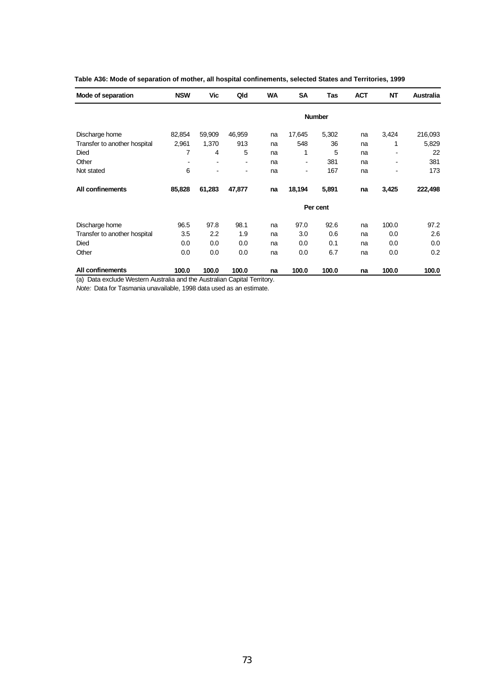| Mode of separation           | <b>NSW</b> | Vic                      | Qld                          | <b>WA</b> | <b>SA</b> | Tas           | <b>ACT</b> | <b>NT</b> | <b>Australia</b> |
|------------------------------|------------|--------------------------|------------------------------|-----------|-----------|---------------|------------|-----------|------------------|
|                              |            |                          |                              |           |           | <b>Number</b> |            |           |                  |
| Discharge home               | 82,854     | 59,909                   | 46,959                       | na        | 17,645    | 5,302         | na         | 3,424     | 216,093          |
| Transfer to another hospital | 2,961      | 1,370                    | 913                          | na        | 548       | 36            | na         | 1         | 5,829            |
| Died                         | 7          | 4                        | 5                            | na        | 1         | 5             | na         |           | 22               |
| Other                        | ۰          | $\overline{\phantom{a}}$ | $\qquad \qquad \blacksquare$ | na        | ۰         | 381           | na         | ٠         | 381              |
| Not stated                   | 6          |                          |                              | na        | ۰         | 167           | na         |           | 173              |
| <b>All confinements</b>      | 85,828     | 61,283                   | 47,877                       | na        | 18,194    | 5,891         | na         | 3,425     | 222,498          |
|                              |            |                          |                              |           |           | Per cent      |            |           |                  |
| Discharge home               | 96.5       | 97.8                     | 98.1                         | na        | 97.0      | 92.6          | na         | 100.0     | 97.2             |
| Transfer to another hospital | 3.5        | 2.2                      | 1.9                          | na        | 3.0       | 0.6           | na         | 0.0       | 2.6              |
| Died                         | 0.0        | 0.0                      | 0.0                          | na        | 0.0       | 0.1           | na         | 0.0       | 0.0              |
| Other                        | 0.0        | 0.0                      | 0.0                          | na        | 0.0       | 6.7           | na         | 0.0       | 0.2              |
| All confinements             | 100.0      | 100.0                    | 100.0                        | na        | 100.0     | 100.0         | na         | 100.0     | 100.0            |

| Table A36: Mode of separation of mother, all hospital confinements, selected States and Territories, 1999 |  |  |  |
|-----------------------------------------------------------------------------------------------------------|--|--|--|
|-----------------------------------------------------------------------------------------------------------|--|--|--|

(a) Data exclude Western Australia and the Australian Capital Territory.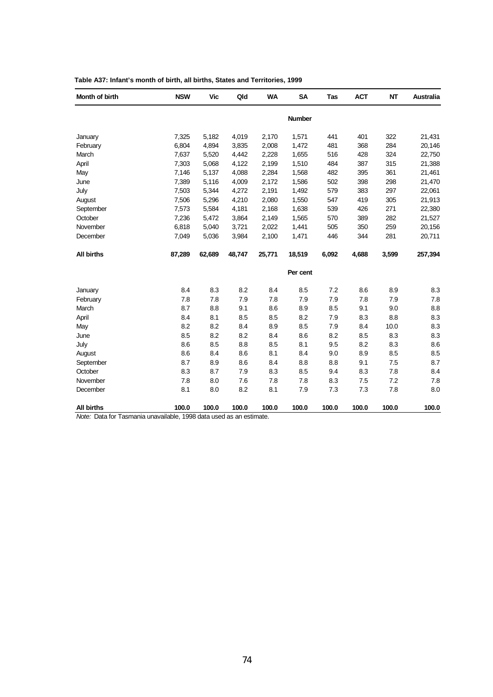| Month of birth                                                                         | <b>NSW</b> | Vic    | Qld    | <b>WA</b> | <b>SA</b>     | Tas   | <b>ACT</b> | <b>NT</b> | <b>Australia</b> |
|----------------------------------------------------------------------------------------|------------|--------|--------|-----------|---------------|-------|------------|-----------|------------------|
|                                                                                        |            |        |        |           | <b>Number</b> |       |            |           |                  |
| January                                                                                | 7,325      | 5,182  | 4,019  | 2,170     | 1,571         | 441   | 401        | 322       | 21,431           |
| February                                                                               | 6,804      | 4,894  | 3,835  | 2,008     | 1,472         | 481   | 368        | 284       | 20,146           |
| March                                                                                  | 7,637      | 5,520  | 4,442  | 2,228     | 1,655         | 516   | 428        | 324       | 22,750           |
| April                                                                                  | 7,303      | 5,068  | 4,122  | 2,199     | 1,510         | 484   | 387        | 315       | 21,388           |
| May                                                                                    | 7,146      | 5,137  | 4,088  | 2,284     | 1,568         | 482   | 395        | 361       | 21,461           |
| June                                                                                   | 7,389      | 5,116  | 4,009  | 2,172     | 1,586         | 502   | 398        | 298       | 21,470           |
| July                                                                                   | 7,503      | 5,344  | 4,272  | 2,191     | 1,492         | 579   | 383        | 297       | 22,061           |
| August                                                                                 | 7,506      | 5,296  | 4,210  | 2,080     | 1,550         | 547   | 419        | 305       | 21,913           |
| September                                                                              | 7,573      | 5,584  | 4,181  | 2,168     | 1,638         | 539   | 426        | 271       | 22,380           |
| October                                                                                | 7,236      | 5,472  | 3,864  | 2,149     | 1,565         | 570   | 389        | 282       | 21,527           |
| November                                                                               | 6,818      | 5,040  | 3,721  | 2,022     | 1,441         | 505   | 350        | 259       | 20,156           |
| December                                                                               | 7,049      | 5,036  | 3,984  | 2,100     | 1,471         | 446   | 344        | 281       | 20,711           |
| <b>All births</b>                                                                      | 87,289     | 62,689 | 48,747 | 25,771    | 18,519        | 6,092 | 4,688      | 3,599     | 257,394          |
|                                                                                        |            |        |        |           | Per cent      |       |            |           |                  |
| January                                                                                | 8.4        | 8.3    | 8.2    | 8.4       | 8.5           | 7.2   | 8.6        | 8.9       | 8.3              |
| February                                                                               | 7.8        | 7.8    | 7.9    | 7.8       | 7.9           | 7.9   | 7.8        | 7.9       | 7.8              |
| March                                                                                  | 8.7        | 8.8    | 9.1    | 8.6       | 8.9           | 8.5   | 9.1        | 9.0       | 8.8              |
| April                                                                                  | 8.4        | 8.1    | 8.5    | 8.5       | 8.2           | 7.9   | 8.3        | 8.8       | 8.3              |
| May                                                                                    | 8.2        | 8.2    | 8.4    | 8.9       | 8.5           | 7.9   | 8.4        | 10.0      | 8.3              |
| June                                                                                   | 8.5        | 8.2    | 8.2    | 8.4       | 8.6           | 8.2   | 8.5        | 8.3       | 8.3              |
| July                                                                                   | 8.6        | 8.5    | 8.8    | 8.5       | 8.1           | 9.5   | 8.2        | 8.3       | 8.6              |
| August                                                                                 | 8.6        | 8.4    | 8.6    | 8.1       | 8.4           | 9.0   | 8.9        | 8.5       | 8.5              |
| September                                                                              | 8.7        | 8.9    | 8.6    | 8.4       | 8.8           | 8.8   | 9.1        | 7.5       | 8.7              |
| October                                                                                | 8.3        | 8.7    | 7.9    | 8.3       | 8.5           | 9.4   | 8.3        | 7.8       | 8.4              |
| November                                                                               | 7.8        | 8.0    | 7.6    | 7.8       | 7.8           | 8.3   | 7.5        | 7.2       | 7.8              |
| December                                                                               | 8.1        | 8.0    | 8.2    | 8.1       | 7.9           | 7.3   | 7.3        | 7.8       | 8.0              |
| <b>All births</b><br>Note: Data for Tasmania unavailable 1998 data used as an estimate | 100.0      | 100.0  | 100.0  | 100.0     | 100.0         | 100.0 | 100.0      | 100.0     | 100.0            |

| Table A37: Infant's month of birth, all births, States and Territories, 1999 |  |
|------------------------------------------------------------------------------|--|
|------------------------------------------------------------------------------|--|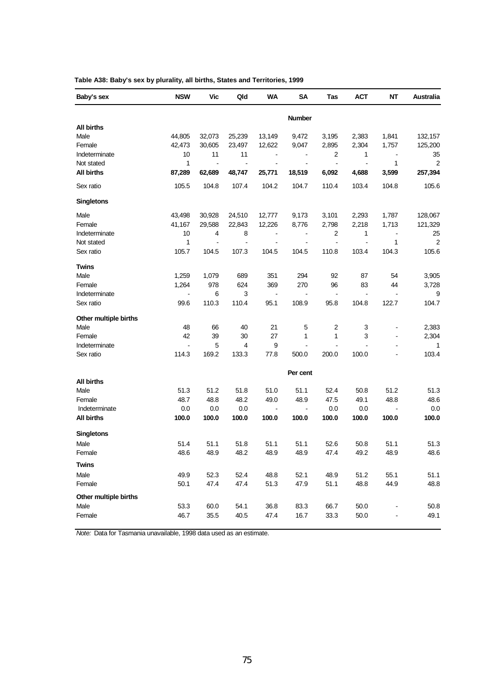| Baby's sex            | <b>NSW</b>     | Vic                      | Qld            | <b>WA</b>             | SΑ             | Tas            | <b>ACT</b>     | NΤ             | Australia    |
|-----------------------|----------------|--------------------------|----------------|-----------------------|----------------|----------------|----------------|----------------|--------------|
|                       |                |                          |                |                       | <b>Number</b>  |                |                |                |              |
| <b>All births</b>     |                |                          |                |                       |                |                |                |                |              |
| Male                  | 44,805         | 32,073                   | 25,239         | 13,149                | 9,472          | 3,195          | 2,383          | 1,841          | 132,157      |
| Female                | 42,473         | 30,605                   | 23,497         | 12,622                | 9,047          | 2,895          | 2,304          | 1,757          | 125,200      |
| Indeterminate         | 10             | 11                       | 11             | $\sim$                | $\blacksquare$ | 2              | 1              | $\blacksquare$ | 35           |
| Not stated            | 1              | $\blacksquare$           | $\blacksquare$ | $\blacksquare$        | $\blacksquare$ | $\blacksquare$ | $\blacksquare$ | 1              | 2            |
| <b>All births</b>     | 87,289         | 62,689                   | 48,747         | 25,771                | 18,519         | 6,092          | 4,688          | 3,599          | 257,394      |
| Sex ratio             | 105.5          | 104.8                    | 107.4          | 104.2                 | 104.7          | 110.4          | 103.4          | 104.8          | 105.6        |
| <b>Singletons</b>     |                |                          |                |                       |                |                |                |                |              |
| Male                  | 43,498         | 30,928                   | 24,510         | 12,777                | 9,173          | 3,101          | 2,293          | 1,787          | 128,067      |
| Female                | 41,167         | 29,588                   | 22,843         | 12,226                | 8,776          | 2,798          | 2,218          | 1,713          | 121,329      |
| Indeterminate         | 10             | 4                        | 8              | $\blacksquare$        | $\blacksquare$ | 2              | 1              | $\blacksquare$ | 25           |
| Not stated            | 1              | $\overline{\phantom{a}}$ | $\blacksquare$ | $\blacksquare$        | $\blacksquare$ | $\blacksquare$ | ä,             | $\mathbf{1}$   | 2            |
| Sex ratio             | 105.7          | 104.5                    | 107.3          | 104.5                 | 104.5          | 110.8          | 103.4          | 104.3          | 105.6        |
| Twins                 |                |                          |                |                       |                |                |                |                |              |
| Male                  | 1,259          | 1,079                    | 689            | 351                   | 294            | 92             | 87             | 54             | 3,905        |
| Female                | 1,264          | 978                      | 624            | 369                   | 270            | 96             | 83             | 44             | 3,728        |
| Indeterminate         |                | 6                        | 3              | $\tilde{\phantom{a}}$ | $\blacksquare$ | $\blacksquare$ | $\blacksquare$ |                | 9            |
| Sex ratio             | 99.6           | 110.3                    | 110.4          | 95.1                  | 108.9          | 95.8           | 104.8          | 122.7          | 104.7        |
| Other multiple births |                |                          |                |                       |                |                |                |                |              |
| Male                  | 48             | 66                       | 40             | 21                    | 5              | 2              | 3              | $\blacksquare$ | 2,383        |
| Female                | 42             | 39                       | 30             | 27                    | 1              | 1              | 3              | $\sim$         | 2,304        |
| Indeterminate         | $\blacksquare$ | 5                        | 4              | 9                     | $\blacksquare$ | $\blacksquare$ | $\sim$         | $\sim$         | $\mathbf{1}$ |
| Sex ratio             | 114.3          | 169.2                    | 133.3          | 77.8                  | 500.0          | 200.0          | 100.0          |                | 103.4        |
|                       |                |                          |                |                       | Per cent       |                |                |                |              |
| <b>All births</b>     |                |                          |                |                       |                |                |                |                |              |
| Male                  | 51.3           | 51.2                     | 51.8           | 51.0                  | 51.1           | 52.4           | 50.8           | 51.2           | 51.3         |
| Female                | 48.7           | 48.8                     | 48.2           | 49.0                  | 48.9           | 47.5           | 49.1           | 48.8           | 48.6         |
| Indeterminate         | 0.0            | 0.0                      | 0.0            | $\blacksquare$        | $\blacksquare$ | 0.0            | 0.0            | $\blacksquare$ | 0.0          |
| All births            | 100.0          | 100.0                    | 100.0          | 100.0                 | 100.0          | 100.0          | 100.0          | 100.0          | 100.0        |
| <b>Singletons</b>     |                |                          |                |                       |                |                |                |                |              |
| Male                  | 51.4           | 51.1                     | 51.8           | 51.1                  | 51.1           | 52.6           | 50.8           | 51.1           | 51.3         |
| Female                | 48.6           | 48.9                     | 48.2           | 48.9                  | 48.9           | 47.4           | 49.2           | 48.9           | 48.6         |
| <b>Twins</b>          |                |                          |                |                       |                |                |                |                |              |
| Male                  | 49.9           | 52.3                     | 52.4           | 48.8                  | 52.1           | 48.9           | 51.2           | 55.1           | 51.1         |
| Female                | 50.1           | 47.4                     | 47.4           | 51.3                  | 47.9           | 51.1           | 48.8           | 44.9           | 48.8         |
| Other multiple births |                |                          |                |                       |                |                |                |                |              |
| Male                  | 53.3           | 60.0                     | 54.1           | 36.8                  | 83.3           | 66.7           | 50.0           | $\blacksquare$ | 50.8         |
| Female                | 46.7           | 35.5                     | 40.5           | 47.4                  | 16.7           | 33.3           | 50.0           | $\blacksquare$ | 49.1         |
|                       |                |                          |                |                       |                |                |                |                |              |

**Table A38: Baby's sex by plurality, all births, States and Territories, 1999**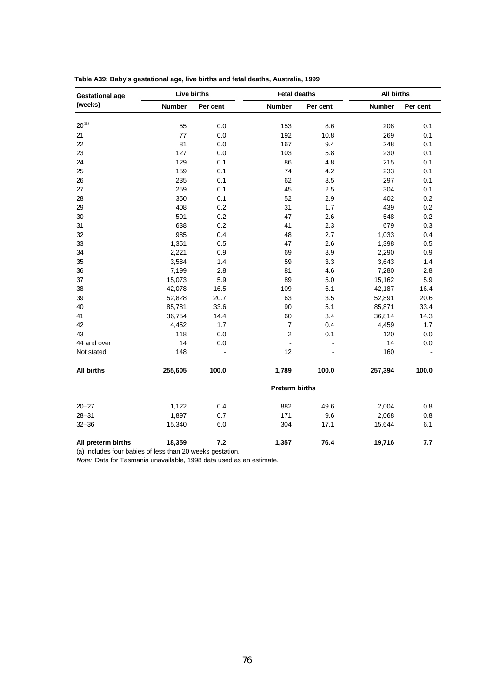| <b>Gestational age</b> |               | <b>Live births</b> | <b>Fetal deaths</b>   |          | <b>All births</b> |          |
|------------------------|---------------|--------------------|-----------------------|----------|-------------------|----------|
| (weeks)                | <b>Number</b> | Per cent           | <b>Number</b>         | Per cent | <b>Number</b>     | Per cent |
| $20^{(a)}$             | 55            | 0.0                | 153                   | 8.6      | 208               | 0.1      |
| 21                     | 77            | 0.0                | 192                   | 10.8     | 269               | 0.1      |
| 22                     | 81            | 0.0                | 167                   | 9.4      | 248               | 0.1      |
| 23                     | 127           | 0.0                | 103                   | 5.8      | 230               | 0.1      |
| 24                     | 129           | 0.1                | 86                    | 4.8      | 215               | 0.1      |
| 25                     | 159           | 0.1                | 74                    | 4.2      | 233               | 0.1      |
| 26                     | 235           | 0.1                | 62                    | 3.5      | 297               | 0.1      |
| 27                     | 259           | 0.1                | 45                    | 2.5      | 304               | 0.1      |
| 28                     | 350           | 0.1                | 52                    | 2.9      | 402               | $0.2\,$  |
| 29                     | 408           | 0.2                | 31                    | 1.7      | 439               | $0.2\,$  |
| 30                     | 501           | 0.2                | 47                    | 2.6      | 548               | $0.2\,$  |
| 31                     | 638           | 0.2                | 41                    | 2.3      | 679               | 0.3      |
| 32                     | 985           | 0.4                | 48                    | 2.7      | 1,033             | 0.4      |
| 33                     | 1,351         | 0.5                | 47                    | 2.6      | 1,398             | 0.5      |
| 34                     | 2,221         | 0.9                | 69                    | 3.9      | 2,290             | 0.9      |
| 35                     | 3,584         | 1.4                | 59                    | 3.3      | 3,643             | 1.4      |
| 36                     | 7,199         | 2.8                | 81                    | 4.6      | 7,280             | 2.8      |
| 37                     | 15,073        | 5.9                | 89                    | 5.0      | 15,162            | 5.9      |
| 38                     | 42,078        | 16.5               | 109                   | 6.1      | 42,187            | 16.4     |
| 39                     | 52,828        | 20.7               | 63                    | 3.5      | 52,891            | 20.6     |
| 40                     | 85,781        | 33.6               | 90                    | 5.1      | 85,871            | 33.4     |
| 41                     | 36,754        | 14.4               | 60                    | 3.4      | 36,814            | 14.3     |
| 42                     | 4,452         | 1.7                | $\overline{7}$        | 0.4      | 4,459             | 1.7      |
| 43                     | 118           | 0.0                | $\boldsymbol{2}$      | 0.1      | 120               | 0.0      |
| 44 and over            | 14            | 0.0                | $\blacksquare$        |          | 14                | 0.0      |
| Not stated             | 148           |                    | 12                    |          | 160               |          |
| <b>All births</b>      | 255,605       | 100.0              | 1,789                 | 100.0    | 257,394           | 100.0    |
|                        |               |                    | <b>Preterm births</b> |          |                   |          |
| $20 - 27$              | 1,122         | 0.4                | 882                   | 49.6     | 2,004             | 0.8      |
| $28 - 31$              | 1,897         | 0.7                | 171                   | 9.6      | 2,068             | 0.8      |
| $32 - 36$              | 15,340        | 6.0                | 304                   | 17.1     | 15,644            | 6.1      |
| All preterm births     | 18,359        | 7.2                | 1,357                 | 76.4     | 19,716            | 7.7      |

|  | Table A39: Baby's gestational age, live births and fetal deaths, Australia, 1999 |  |
|--|----------------------------------------------------------------------------------|--|
|  |                                                                                  |  |

(a) Includes four babies of less than 20 weeks gestation.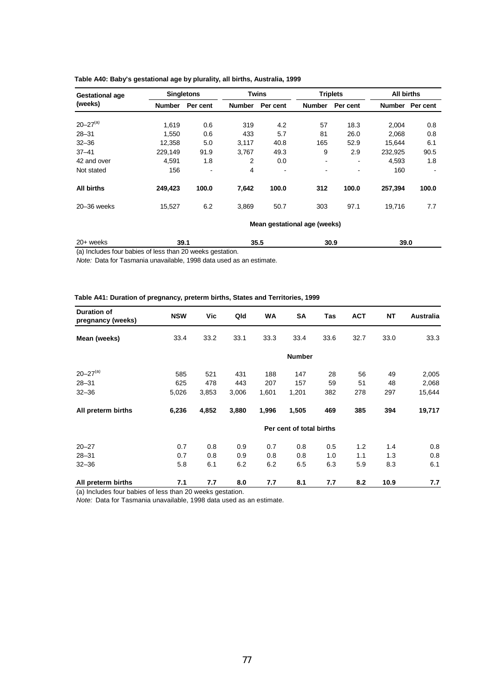| <b>Gestational age</b> |                              | <b>Singletons</b> |               | <b>Twins</b> | <b>Triplets</b> |                | All births    |                |  |
|------------------------|------------------------------|-------------------|---------------|--------------|-----------------|----------------|---------------|----------------|--|
| (weeks)                | <b>Number</b>                | Per cent          | <b>Number</b> | Per cent     | <b>Number</b>   | Per cent       | <b>Number</b> | Per cent       |  |
|                        |                              |                   |               |              |                 |                |               |                |  |
| $20 - 27^{(a)}$        | 1.619                        | 0.6               | 319           | 4.2          | 57              | 18.3           | 2.004         | 0.8            |  |
| $28 - 31$              | 1.550                        | 0.6               | 433           | 5.7          | 81              | 26.0           | 2,068         | 0.8            |  |
| $32 - 36$              | 12,358                       | 5.0               | 3,117         | 40.8         | 165             | 52.9           | 15,644        | 6.1            |  |
| $37 - 41$              | 229.149                      | 91.9              | 3.767         | 49.3         | 9               | 2.9            | 232.925       | 90.5           |  |
| 42 and over            | 4,591                        | 1.8               | 2             | 0.0          | ۰               | $\blacksquare$ | 4,593         | 1.8            |  |
| Not stated             | 156                          | $\,$              | 4             | $\,$         | -               | $\blacksquare$ | 160           | $\blacksquare$ |  |
| <b>All births</b>      | 249,423                      | 100.0             | 7.642         | 100.0        | 312             | 100.0          | 257,394       | 100.0          |  |
| $20 - 36$ weeks        | 15,527                       | 6.2               | 3.869         | 50.7         | 303             | 97.1           | 19,716        | 7.7            |  |
|                        | Mean gestational age (weeks) |                   |               |              |                 |                |               |                |  |

### **Table A40: Baby's gestational age by plurality, all births, Australia, 1999**

20+ weeks **39.1 35.5 30.9 39.0** (a) Includes four babies of less than 20 weeks gestation.

*Note:* Data for Tasmania unavailable, 1998 data used as an estimate.

#### **Table A41: Duration of pregnancy, preterm births, States and Territories, 1999**

| <b>Duration of</b><br>pregnancy (weeks) | <b>NSW</b> | Vic   | Qld   | WA    | SA                       | Tas  | <b>ACT</b> | <b>NT</b> | Australia |
|-----------------------------------------|------------|-------|-------|-------|--------------------------|------|------------|-----------|-----------|
| Mean (weeks)                            | 33.4       | 33.2  | 33.1  | 33.3  | 33.4                     | 33.6 | 32.7       | 33.0      | 33.3      |
|                                         |            |       |       |       | <b>Number</b>            |      |            |           |           |
| $20 - 27^{(a)}$                         | 585        | 521   | 431   | 188   | 147                      | 28   | 56         | 49        | 2,005     |
| $28 - 31$                               | 625        | 478   | 443   | 207   | 157                      | 59   | 51         | 48        | 2,068     |
| $32 - 36$                               | 5,026      | 3,853 | 3,006 | 1,601 | 1,201                    | 382  | 278        | 297       | 15,644    |
| All preterm births                      | 6,236      | 4,852 | 3,880 | 1,996 | 1,505                    | 469  | 385        | 394       | 19,717    |
|                                         |            |       |       |       | Per cent of total births |      |            |           |           |
| $20 - 27$                               | 0.7        | 0.8   | 0.9   | 0.7   | 0.8                      | 0.5  | 1.2        | 1.4       | 0.8       |
| $28 - 31$                               | 0.7        | 0.8   | 0.9   | 0.8   | 0.8                      | 1.0  | 1.1        | 1.3       | 0.8       |
| $32 - 36$                               | 5.8        | 6.1   | 6.2   | 6.2   | 6.5                      | 6.3  | 5.9        | 8.3       | 6.1       |
| All preterm births                      | 7.1        | 7.7   | 8.0   | 7.7   | 8.1                      | 7.7  | 8.2        | 10.9      | 7.7       |

(a) Includes four babies of less than 20 weeks gestation.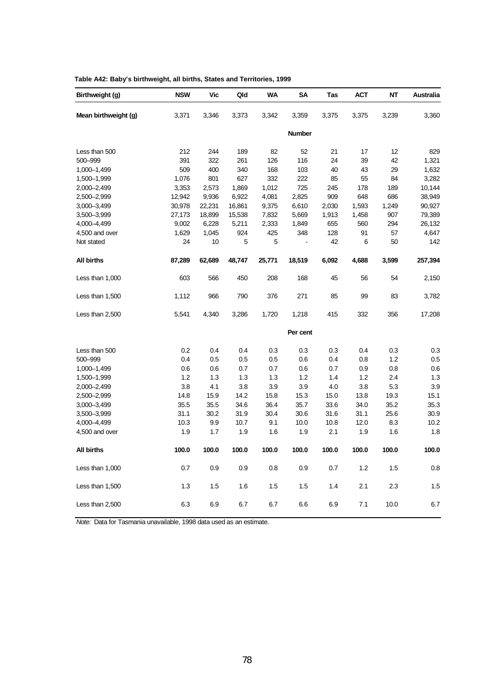| Birthweight (g)      | <b>NSW</b> | Vic    | Qld    | WA     | SΑ             | Tas   | <b>ACT</b> | <b>NT</b> | <b>Australia</b> |
|----------------------|------------|--------|--------|--------|----------------|-------|------------|-----------|------------------|
| Mean birthweight (g) | 3,371      | 3,346  | 3,373  | 3,342  | 3,359          | 3,375 | 3,375      | 3,239     | 3,360            |
|                      |            |        |        |        | <b>Number</b>  |       |            |           |                  |
| Less than 500        | 212        | 244    | 189    | 82     | 52             | 21    | 17         | 12        | 829              |
| 500-999              | 391        | 322    | 261    | 126    | 116            | 24    | 39         | 42        | 1,321            |
| 1,000-1,499          | 509        | 400    | 340    | 168    | 103            | 40    | 43         | 29        | 1,632            |
| 1,500-1,999          | 1,076      | 801    | 627    | 332    | 222            | 85    | 55         | 84        | 3,282            |
| 2,000-2,499          | 3,353      | 2,573  | 1,869  | 1,012  | 725            | 245   | 178        | 189       | 10,144           |
| 2,500-2,999          | 12,942     | 9,936  | 6,922  | 4,081  | 2,825          | 909   | 648        | 686       | 38,949           |
| 3,000-3,499          | 30,978     | 22,231 | 16,861 | 9,375  | 6,610          | 2,030 | 1,593      | 1,249     | 90,927           |
| 3,500 - 3,999        | 27,173     | 18,899 | 15,538 | 7,832  | 5,669          | 1,913 | 1,458      | 907       | 79,389           |
| 4,000 - 4,499        | 9,002      | 6,228  | 5,211  | 2,333  | 1,849          | 655   | 560        | 294       | 26,132           |
| 4,500 and over       | 1,629      | 1,045  | 924    | 425    | 348            | 128   | 91         | 57        | 4,647            |
| Not stated           | 24         | 10     | 5      | 5      | $\blacksquare$ | 42    | 6          | 50        | 142              |
| <b>All births</b>    | 87,289     | 62,689 | 48,747 | 25,771 | 18,519         | 6,092 | 4,688      | 3,599     | 257,394          |
| Less than 1,000      | 603        | 566    | 450    | 208    | 168            | 45    | 56         | 54        | 2,150            |
| Less than 1,500      | 1,112      | 966    | 790    | 376    | 271            | 85    | 99         | 83        | 3,782            |
| Less than 2,500      | 5,541      | 4,340  | 3,286  | 1,720  | 1,218          | 415   | 332        | 356       | 17,208           |
|                      |            |        |        |        | Per cent       |       |            |           |                  |
| Less than 500        | 0.2        | 0.4    | 0.4    | 0.3    | 0.3            | 0.3   | 0.4        | 0.3       | 0.3              |
| 500-999              | 0.4        | 0.5    | 0.5    | 0.5    | 0.6            | 0.4   | 0.8        | 1.2       | 0.5              |
| 1,000-1,499          | 0.6        | 0.6    | 0.7    | 0.7    | 0.6            | 0.7   | 0.9        | 0.8       | 0.6              |
| 1,500-1,999          | 1.2        | 1.3    | 1.3    | 1.3    | 1.2            | 1.4   | 1.2        | 2.4       | 1.3              |
| 2,000-2,499          | 3.8        | 4.1    | 3.8    | 3.9    | 3.9            | 4.0   | 3.8        | 5.3       | 3.9              |
| 2,500-2,999          | 14.8       | 15.9   | 14.2   | 15.8   | 15.3           | 15.0  | 13.8       | 19.3      | 15.1             |
| 3,000-3,499          | 35.5       | 35.5   | 34.6   | 36.4   | 35.7           | 33.6  | 34.0       | 35.2      | 35.3             |
| 3,500-3,999          | 31.1       | 30.2   | 31.9   | 30.4   | 30.6           | 31.6  | 31.1       | 25.6      | 30.9             |
| 4,000-4,499          | 10.3       | 9.9    | 10.7   | 9.1    | 10.0           | 10.8  | 12.0       | 8.3       | 10.2             |
| 4,500 and over       | 1.9        | 1.7    | 1.9    | 1.6    | 1.9            | 2.1   | 1.9        | 1.6       | 1.8              |
| <b>All births</b>    | 100.0      | 100.0  | 100.0  | 100.0  | 100.0          | 100.0 | 100.0      | 100.0     | 100.0            |
| Less than 1,000      | 0.7        | 0.9    | 0.9    | 0.8    | 0.9            | 0.7   | 1.2        | 1.5       | 0.8              |
| Less than 1,500      | 1.3        | 1.5    | 1.6    | 1.5    | 1.5            | 1.4   | 2.1        | 2.3       | 1.5              |
| Less than 2,500      | 6.3        | 6.9    | 6.7    | 6.7    | 6.6            | 6.9   | 7.1        | 10.0      | 6.7              |
|                      |            |        |        |        |                |       |            |           |                  |

|  |  | Table A42: Baby's birthweight, all births, States and Territories, 1999 |
|--|--|-------------------------------------------------------------------------|
|--|--|-------------------------------------------------------------------------|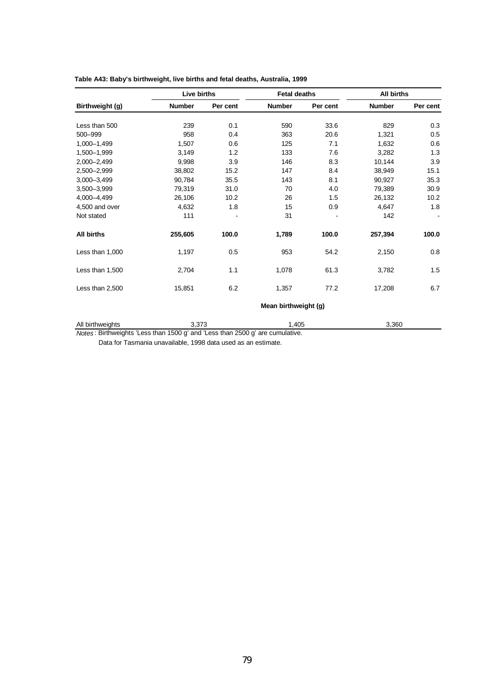|                   | Live births   |          | <b>Fetal deaths</b>  |          | <b>All births</b> |          |  |
|-------------------|---------------|----------|----------------------|----------|-------------------|----------|--|
| Birthweight (g)   | <b>Number</b> | Per cent | <b>Number</b>        | Per cent | <b>Number</b>     | Per cent |  |
| Less than 500     | 239           | 0.1      | 590                  | 33.6     | 829               | 0.3      |  |
| 500-999           | 958           | 0.4      | 363                  | 20.6     | 1,321             | 0.5      |  |
|                   |               |          |                      |          |                   |          |  |
| 1,000-1,499       | 1,507         | 0.6      | 125                  | 7.1      | 1,632             | 0.6      |  |
| 1.500-1.999       | 3,149         | 1.2      | 133                  | 7.6      | 3,282             | 1.3      |  |
| 2,000-2,499       | 9,998         | 3.9      | 146                  | 8.3      | 10,144            | 3.9      |  |
| 2,500-2,999       | 38,802        | 15.2     | 147                  | 8.4      | 38,949            | 15.1     |  |
| 3,000-3,499       | 90,784        | 35.5     | 143                  | 8.1      | 90,927            | 35.3     |  |
| 3.500-3.999       | 79,319        | 31.0     | 70                   | 4.0      | 79,389            | 30.9     |  |
| 4,000-4,499       | 26,106        | 10.2     | 26                   | 1.5      | 26,132            | 10.2     |  |
| 4,500 and over    | 4,632         | 1.8      | 15                   | 0.9      | 4,647             | 1.8      |  |
| Not stated        | 111           |          | 31                   |          | 142               |          |  |
| <b>All births</b> | 255,605       | 100.0    | 1,789                | 100.0    | 257,394           | 100.0    |  |
| Less than 1,000   | 1,197         | 0.5      | 953                  | 54.2     | 2,150             | 0.8      |  |
| Less than 1,500   | 2,704         | 1.1      | 1,078                | 61.3     | 3,782             | 1.5      |  |
| Less than 2,500   | 15,851        | 6.2      | 1,357                | 77.2     | 17,208            | 6.7      |  |
|                   |               |          | Mean birthweight (g) |          |                   |          |  |
| All birthweights  | 3,373         |          | 1,405                |          | 3,360             |          |  |

## **Table A43: Baby's birthweight, live births and fetal deaths, Australia, 1999**

*Notes* : Birthweights 'Less than 1500 g' and 'Less than 2500 g' are cumulative.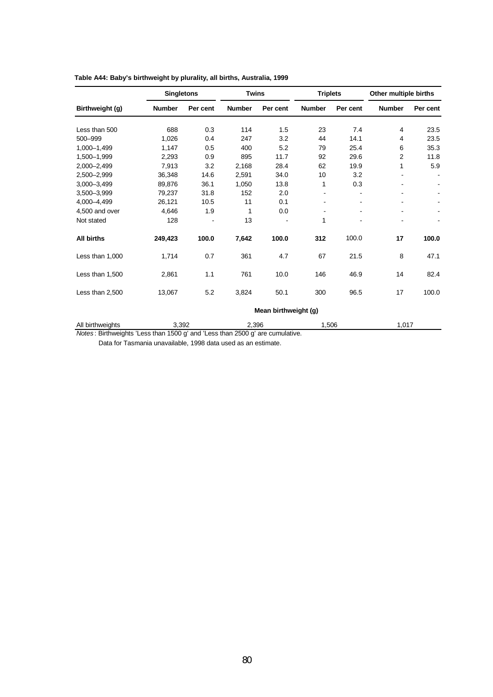|                   | <b>Singletons</b> |          | <b>Twins</b>  |                      | <b>Triplets</b> |          | Other multiple births |          |
|-------------------|-------------------|----------|---------------|----------------------|-----------------|----------|-----------------------|----------|
| Birthweight (g)   | <b>Number</b>     | Per cent | <b>Number</b> | Per cent             | <b>Number</b>   | Per cent | <b>Number</b>         | Per cent |
| Less than 500     | 688               | 0.3      | 114           | 1.5                  | 23              | 7.4      | 4                     | 23.5     |
| 500-999           | 1,026             | 0.4      | 247           | 3.2                  | 44              | 14.1     | 4                     | 23.5     |
| 1,000-1,499       | 1,147             | 0.5      | 400           | 5.2                  | 79              | 25.4     | 6                     | 35.3     |
| 1,500-1,999       | 2,293             | 0.9      | 895           | 11.7                 | 92              | 29.6     | 2                     | 11.8     |
| 2,000-2,499       | 7,913             | 3.2      | 2,168         | 28.4                 | 62              | 19.9     | 1                     | 5.9      |
| 2,500-2,999       | 36,348            | 14.6     | 2,591         | 34.0                 | 10              | 3.2      |                       |          |
| 3,000-3,499       | 89,876            | 36.1     | 1,050         | 13.8                 | 1               | 0.3      | ۰                     |          |
| 3,500-3,999       | 79,237            | 31.8     | 152           | 2.0                  |                 |          |                       |          |
| 4,000-4,499       | 26,121            | 10.5     | 11            | 0.1                  |                 |          |                       |          |
| 4,500 and over    | 4,646             | 1.9      | 1             | 0.0                  |                 |          |                       |          |
| Not stated        | 128               |          | 13            |                      | 1               |          |                       |          |
| <b>All births</b> | 249,423           | 100.0    | 7,642         | 100.0                | 312             | 100.0    | 17                    | 100.0    |
| Less than 1,000   | 1,714             | 0.7      | 361           | 4.7                  | 67              | 21.5     | 8                     | 47.1     |
| Less than 1,500   | 2,861             | 1.1      | 761           | 10.0                 | 146             | 46.9     | 14                    | 82.4     |
| Less than 2,500   | 13,067            | 5.2      | 3,824         | 50.1                 | 300             | 96.5     | 17                    | 100.0    |
|                   |                   |          |               | Mean birthweight (g) |                 |          |                       |          |
| All birthweights  | 3,392             |          | 2,396         |                      | 1,506           |          | 1,017                 |          |

## **Table A44: Baby's birthweight by plurality, all births, Australia, 1999**

*Notes* : Birthweights 'Less than 1500 g' and 'Less than 2500 g' are cumulative.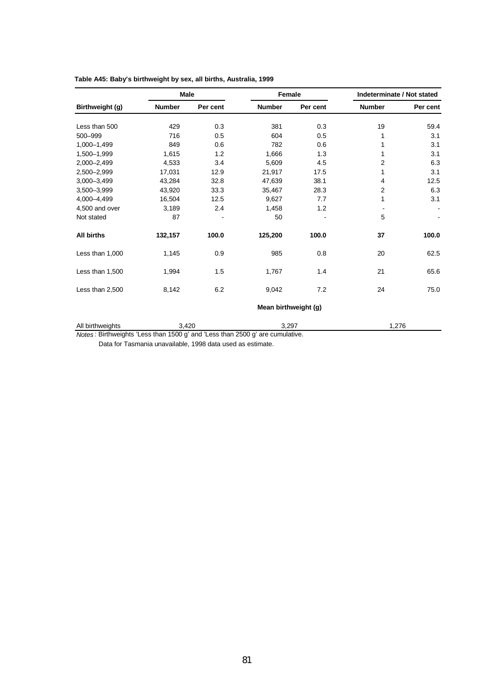|                   | <b>Male</b>   |          | Female               |          | Indeterminate / Not stated |          |
|-------------------|---------------|----------|----------------------|----------|----------------------------|----------|
| Birthweight (g)   | <b>Number</b> | Per cent | <b>Number</b>        | Per cent | <b>Number</b>              | Per cent |
| Less than 500     | 429           | 0.3      | 381                  | 0.3      | 19                         | 59.4     |
| 500-999           | 716           | 0.5      | 604                  | 0.5      |                            | 3.1      |
| 1.000-1.499       | 849           | 0.6      | 782                  | 0.6      | 1                          | 3.1      |
| 1,500-1,999       | 1,615         | 1.2      | 1,666                | 1.3      |                            | 3.1      |
| 2,000-2,499       | 4,533         | 3.4      | 5,609                | 4.5      | $\overline{2}$             | 6.3      |
| 2,500-2,999       | 17,031        | 12.9     | 21,917               | 17.5     | 1                          | 3.1      |
| 3,000-3,499       | 43,284        | 32.8     | 47,639               | 38.1     | 4                          | 12.5     |
| 3,500-3,999       | 43,920        | 33.3     | 35,467               | 28.3     | 2                          | 6.3      |
| 4,000-4,499       | 16,504        | 12.5     | 9,627                | 7.7      | 1                          | 3.1      |
| 4,500 and over    | 3,189         | 2.4      | 1,458                | 1.2      |                            |          |
| Not stated        | 87            |          | 50                   |          | 5                          |          |
| <b>All births</b> | 132,157       | 100.0    | 125,200              | 100.0    | 37                         | 100.0    |
| Less than 1,000   | 1,145         | 0.9      | 985                  | 0.8      | 20                         | 62.5     |
| Less than 1,500   | 1,994         | 1.5      | 1,767                | 1.4      | 21                         | 65.6     |
| Less than 2,500   | 8,142         | 6.2      | 9,042                | 7.2      | 24                         | 75.0     |
|                   |               |          | Mean birthweight (g) |          |                            |          |
| All birthweights  | 3,420         |          | 3,297                |          | 1,276                      |          |

## **Table A45: Baby's birthweight by sex, all births, Australia, 1999**

*Notes* : Birthweights 'Less than 1500 g' and 'Less than 2500 g' are cumulative.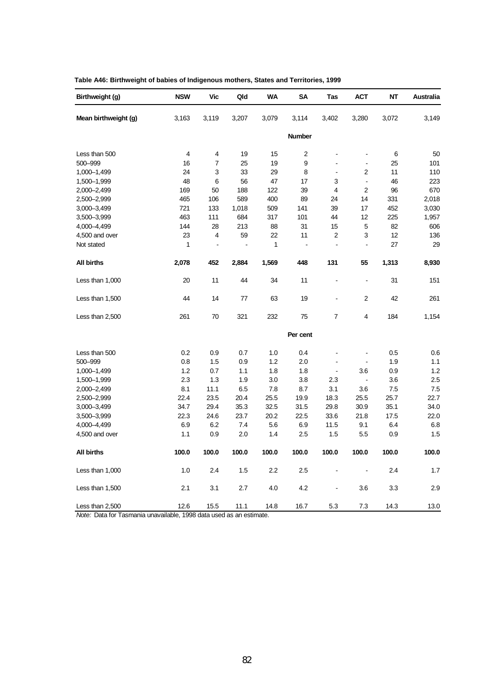| Birthweight (g)      | <b>NSW</b> | Vic   | Qld   | WA    | <b>SA</b>      | Tas              | <b>ACT</b>               | NΤ    | Australia |
|----------------------|------------|-------|-------|-------|----------------|------------------|--------------------------|-------|-----------|
| Mean birthweight (g) | 3,163      | 3,119 | 3,207 | 3,079 | 3,114          | 3,402            | 3,280                    | 3,072 | 3,149     |
|                      |            |       |       |       | <b>Number</b>  |                  |                          |       |           |
| Less than 500        | 4          | 4     | 19    | 15    | 2              |                  | $\overline{a}$           | 6     | 50        |
| 500-999              | 16         | 7     | 25    | 19    | 9              | $\blacksquare$   | $\blacksquare$           | 25    | 101       |
| 1,000-1,499          | 24         | 3     | 33    | 29    | 8              | $\blacksquare$   | $\overline{2}$           | 11    | 110       |
| 1,500-1,999          | 48         | 6     | 56    | 47    | 17             | 3                | $\overline{\phantom{a}}$ | 46    | 223       |
| 2,000-2,499          | 169        | 50    | 188   | 122   | 39             | 4                | $\overline{2}$           | 96    | 670       |
| 2,500-2,999          | 465        | 106   | 589   | 400   | 89             | 24               | 14                       | 331   | 2,018     |
| 3,000-3,499          | 721        | 133   | 1,018 | 509   | 141            | 39               | 17                       | 452   | 3,030     |
| 3,500-3,999          | 463        | 111   | 684   | 317   | 101            | 44               | 12                       | 225   | 1,957     |
| 4,000-4,499          | 144        | 28    | 213   | 88    | 31             | 15               | 5                        | 82    | 606       |
| 4,500 and over       | 23         | 4     | 59    | 22    | 11             | $\boldsymbol{2}$ | 3                        | 12    | 136       |
| Not stated           | 1          | ÷,    | ÷,    | 1     | $\overline{a}$ | $\blacksquare$   | $\overline{\phantom{a}}$ | 27    | 29        |
| <b>All births</b>    | 2,078      | 452   | 2,884 | 1,569 | 448            | 131              | 55                       | 1,313 | 8,930     |
| Less than 1,000      | 20         | 11    | 44    | 34    | 11             |                  | $\blacksquare$           | 31    | 151       |
| Less than 1,500      | 44         | 14    | 77    | 63    | 19             | L,               | $\overline{2}$           | 42    | 261       |
| Less than 2,500      | 261        | 70    | 321   | 232   | 75             | 7                | 4                        | 184   | 1,154     |
|                      |            |       |       |       | Per cent       |                  |                          |       |           |
| Less than 500        | 0.2        | 0.9   | 0.7   | 1.0   | 0.4            |                  |                          | 0.5   | 0.6       |
| 500-999              | 0.8        | 1.5   | 0.9   | 1.2   | 2.0            | $\blacksquare$   | $\blacksquare$           | 1.9   | 1.1       |
| 1,000-1,499          | 1.2        | 0.7   | 1.1   | 1.8   | 1.8            | $\blacksquare$   | 3.6                      | 0.9   | 1.2       |
| 1,500-1,999          | 2.3        | 1.3   | 1.9   | 3.0   | 3.8            | 2.3              | $\blacksquare$           | 3.6   | 2.5       |
| 2,000-2,499          | 8.1        | 11.1  | 6.5   | 7.8   | 8.7            | 3.1              | 3.6                      | 7.5   | 7.5       |
| 2,500-2,999          | 22.4       | 23.5  | 20.4  | 25.5  | 19.9           | 18.3             | 25.5                     | 25.7  | 22.7      |
| 3,000-3,499          | 34.7       | 29.4  | 35.3  | 32.5  | 31.5           | 29.8             | 30.9                     | 35.1  | 34.0      |
| 3,500-3,999          | 22.3       | 24.6  | 23.7  | 20.2  | 22.5           | 33.6             | 21.8                     | 17.5  | 22.0      |
| 4,000-4,499          | 6.9        | 6.2   | 7.4   | 5.6   | 6.9            | 11.5             | 9.1                      | 6.4   | 6.8       |
| 4,500 and over       | 1.1        | 0.9   | 2.0   | 1.4   | 2.5            | 1.5              | 5.5                      | 0.9   | 1.5       |
| <b>All births</b>    | 100.0      | 100.0 | 100.0 | 100.0 | 100.0          | 100.0            | 100.0                    | 100.0 | 100.0     |
| Less than 1,000      | 1.0        | 2.4   | 1.5   | 2.2   | 2.5            |                  | $\blacksquare$           | 2.4   | 1.7       |
| Less than 1,500      | 2.1        | 3.1   | 2.7   | 4.0   | 4.2            | $\blacksquare$   | 3.6                      | 3.3   | 2.9       |
| Less than 2,500      | 12.6       | 15.5  | 11.1  | 14.8  | 16.7           | 5.3              | 7.3                      | 14.3  | 13.0      |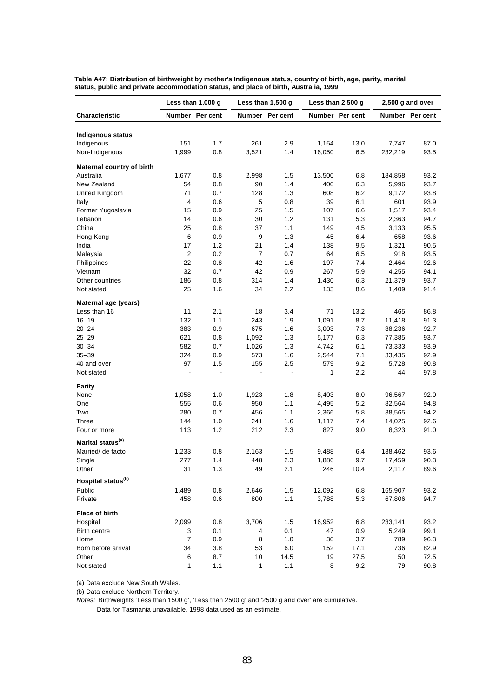|                                | Less than 1,000 g |                 |                          | Less than $1,500$ g      |        | Less than 2,500 g |         | 2,500 g and over |  |
|--------------------------------|-------------------|-----------------|--------------------------|--------------------------|--------|-------------------|---------|------------------|--|
| Characteristic                 |                   | Number Per cent |                          | Number Per cent          |        | Number Per cent   |         | Number Per cent  |  |
| <b>Indigenous status</b>       |                   |                 |                          |                          |        |                   |         |                  |  |
| Indigenous                     | 151               | 1.7             | 261                      | 2.9                      | 1,154  | 13.0              | 7,747   | 87.0             |  |
| Non-Indigenous                 | 1,999             | 0.8             | 3,521                    | 1.4                      | 16,050 | 6.5               | 232,219 | 93.5             |  |
| Maternal country of birth      |                   |                 |                          |                          |        |                   |         |                  |  |
| Australia                      | 1,677             | 0.8             | 2,998                    | 1.5                      | 13,500 | 6.8               | 184,858 | 93.2             |  |
| New Zealand                    | 54                | 0.8             | 90                       | 1.4                      | 400    | 6.3               | 5,996   | 93.7             |  |
| United Kingdom                 | 71                | 0.7             | 128                      | 1.3                      | 608    | 6.2               | 9,172   | 93.8             |  |
| Italy                          | 4                 | 0.6             | 5                        | 0.8                      | 39     | 6.1               | 601     | 93.9             |  |
| Former Yugoslavia              | 15                | 0.9             | 25                       | 1.5                      | 107    | 6.6               | 1,517   | 93.4             |  |
| Lebanon                        | 14                | 0.6             | 30                       | 1.2                      | 131    | 5.3               | 2,363   | 94.7             |  |
| China                          | 25                | 0.8             | 37                       | 1.1                      | 149    | 4.5               | 3,133   | 95.5             |  |
| Hong Kong                      | 6                 | 0.9             | 9                        | 1.3                      | 45     | 6.4               | 658     | 93.6             |  |
| India                          | 17                | 1.2             | 21                       | 1.4                      | 138    | 9.5               | 1,321   | 90.5             |  |
| Malaysia                       | $\overline{2}$    | 0.2             | $\overline{7}$           | 0.7                      | 64     | 6.5               | 918     | 93.5             |  |
| Philippines                    | 22                | 0.8             | 42                       | 1.6                      | 197    | 7.4               | 2,464   | 92.6             |  |
| Vietnam                        | 32                | 0.7             | 42                       | 0.9                      | 267    | 5.9               | 4,255   | 94.1             |  |
| Other countries                | 186               | 0.8             | 314                      | 1.4                      | 1,430  | 6.3               | 21,379  | 93.7             |  |
| Not stated                     | 25                | 1.6             | 34                       | 2.2                      | 133    | 8.6               | 1,409   | 91.4             |  |
| Maternal age (years)           |                   |                 |                          |                          |        |                   |         |                  |  |
| Less than 16                   | 11                | 2.1             | 18                       | 3.4                      | 71     | 13.2              | 465     | 86.8             |  |
| $16 - 19$                      | 132               | 1.1             | 243                      | 1.9                      | 1,091  | 8.7               | 11,418  | 91.3             |  |
| $20 - 24$                      | 383               | 0.9             | 675                      | 1.6                      | 3,003  | 7.3               | 38,236  | 92.7             |  |
| $25 - 29$                      | 621               | 0.8             | 1,092                    | 1.3                      | 5,177  | 6.3               | 77,385  | 93.7             |  |
| $30 - 34$                      | 582               | 0.7             | 1,026                    | 1.3                      | 4,742  | 6.1               | 73,333  | 93.9             |  |
| $35 - 39$                      | 324               | 0.9             | 573                      | 1.6                      | 2,544  | 7.1               | 33,435  | 92.9             |  |
| 40 and over                    | 97                | 1.5             | 155                      | 2.5                      | 579    | 9.2               | 5,728   | 90.8             |  |
| Not stated                     | $\blacksquare$    | $\blacksquare$  | $\overline{\phantom{a}}$ | $\overline{\phantom{a}}$ | 1      | 2.2               | 44      | 97.8             |  |
| <b>Parity</b>                  |                   |                 |                          |                          |        |                   |         |                  |  |
| None                           | 1,058             | 1.0             | 1,923                    | 1.8                      | 8,403  | 8.0               | 96,567  | 92.0             |  |
| One                            | 555               | 0.6             | 950                      | 1.1                      | 4,495  | 5.2               | 82,564  | 94.8             |  |
| Two                            | 280               | 0.7             | 456                      | 1.1                      | 2,366  | 5.8               | 38,565  | 94.2             |  |
| Three                          | 144               | 1.0             | 241                      | 1.6                      | 1,117  | 7.4               | 14,025  | 92.6             |  |
| Four or more                   | 113               | 1.2             | 212                      | 2.3                      | 827    | 9.0               | 8,323   | 91.0             |  |
| Marital status <sup>(a)</sup>  |                   |                 |                          |                          |        |                   |         |                  |  |
| Married/ de facto              | 1,233             | 0.8             | 2,163                    | 1.5                      | 9,488  | 6.4               | 138,462 | 93.6             |  |
| Single                         | 277               | 1.4             | 448                      | 2.3                      | 1,886  | 9.7               | 17,459  | 90.3             |  |
| Other                          | 31                | $1.3$           | 49                       | 2.1                      | 246    | 10.4              | 2,117   | 89.6             |  |
| Hospital status <sup>(b)</sup> |                   |                 |                          |                          |        |                   |         |                  |  |
| Public                         | 1,489             | 0.8             | 2,646                    | 1.5                      | 12,092 | 6.8               | 165,907 | 93.2             |  |
| Private                        | 458               | 0.6             | 800                      | 1.1                      | 3,788  | 5.3               | 67,806  | 94.7             |  |
| Place of birth                 |                   |                 |                          |                          |        |                   |         |                  |  |
| Hospital                       | 2,099             | 0.8             | 3,706                    | 1.5                      | 16,952 | $6.8\,$           | 233,141 | 93.2             |  |
| Birth centre                   | 3                 | 0.1             | 4                        | 0.1                      | 47     | 0.9               | 5,249   | 99.1             |  |
| Home                           | $\overline{7}$    | 0.9             | 8                        | 1.0                      | 30     | 3.7               | 789     | 96.3             |  |
| Born before arrival            | 34                | 3.8             | 53                       | 6.0                      | 152    | 17.1              | 736     | 82.9             |  |
| Other                          | 6                 | 8.7             | 10                       | 14.5                     | 19     | 27.5              | 50      | 72.5             |  |
| Not stated                     | 1                 | 1.1             | $\mathbf{1}$             | 1.1                      | 8      | 9.2               | 79      | 90.8             |  |

**Table A47: Distribution of birthweight by mother's Indigenous status, country of birth, age, parity, marital status, public and private accommodation status, and place of birth, Australia, 1999**

(a) Data exclude New South Wales.

(b) Data exclude Northern Territory.

*Notes:* Birthweights 'Less than 1500 g', 'Less than 2500 g' and '2500 g and over' are cumulative.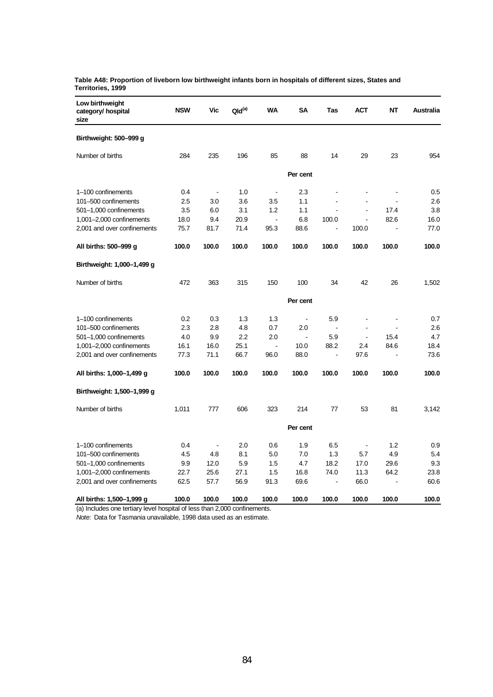|                   |  |  | Table A48: Proportion of liveborn low birthweight infants born in hospitals of different sizes, States and |  |
|-------------------|--|--|------------------------------------------------------------------------------------------------------------|--|
| Territories, 1999 |  |  |                                                                                                            |  |

| Low birthweight<br>category/ hospital<br>size | <b>NSW</b> | Vic            | $Qld^{(a)}$ | <b>WA</b>      | <b>SA</b>             | Tas                      | <b>ACT</b>     | <b>NT</b>      | Australia |
|-----------------------------------------------|------------|----------------|-------------|----------------|-----------------------|--------------------------|----------------|----------------|-----------|
| Birthweight: 500-999 g                        |            |                |             |                |                       |                          |                |                |           |
| Number of births                              | 284        | 235            | 196         | 85             | 88                    | 14                       | 29             | 23             | 954       |
|                                               |            |                |             |                | Per cent              |                          |                |                |           |
| 1-100 confinements                            | 0.4        | $\blacksquare$ | 1.0         | $\blacksquare$ | 2.3                   |                          |                |                | 0.5       |
| 101-500 confinements                          | 2.5        | 3.0            | 3.6         | 3.5            | 1.1                   | $\blacksquare$           | $\blacksquare$ |                | 2.6       |
| 501-1,000 confinements                        | 3.5        | 6.0            | 3.1         | 1.2            | 1.1                   |                          | ä,             | 17.4           | 3.8       |
| 1,001-2,000 confinements                      | 18.0       | 9.4            | 20.9        | $\Box$         | 6.8                   | 100.0                    | $\blacksquare$ | 82.6           | 16.0      |
| 2,001 and over confinements                   | 75.7       | 81.7           | 71.4        | 95.3           | 88.6                  | $\overline{a}$           | 100.0          | L,             | 77.0      |
| All births: 500-999 g                         | 100.0      | 100.0          | 100.0       | 100.0          | 100.0                 | 100.0                    | 100.0          | 100.0          | 100.0     |
| Birthweight: 1,000-1,499 g                    |            |                |             |                |                       |                          |                |                |           |
| Number of births                              | 472        | 363            | 315         | 150            | 100                   | 34                       | 42             | 26             | 1,502     |
|                                               |            |                |             |                | Per cent              |                          |                |                |           |
| 1-100 confinements                            | 0.2        | 0.3            | 1.3         | 1.3            | $\blacksquare$        | 5.9                      | ÷,             | ä,             | 0.7       |
| 101-500 confinements                          | 2.3        | 2.8            | 4.8         | 0.7            | 2.0                   | $\overline{\phantom{a}}$ | $\sim$         | $\overline{a}$ | 2.6       |
| 501-1,000 confinements                        | 4.0        | 9.9            | 2.2         | 2.0            | $\tilde{\phantom{a}}$ | 5.9                      | $\blacksquare$ | 15.4           | 4.7       |
| $1,001-2,000$ confinements                    | 16.1       | 16.0           | 25.1        | $\overline{a}$ | 10.0                  | 88.2                     | 2.4            | 84.6           | 18.4      |
| 2,001 and over confinements                   | 77.3       | 71.1           | 66.7        | 96.0           | 88.0                  | $\blacksquare$           | 97.6           | $\blacksquare$ | 73.6      |
| All births: 1,000-1,499 g                     | 100.0      | 100.0          | 100.0       | 100.0          | 100.0                 | 100.0                    | 100.0          | 100.0          | 100.0     |
| Birthweight: 1,500-1,999 g                    |            |                |             |                |                       |                          |                |                |           |
| Number of births                              | 1,011      | 777            | 606         | 323            | 214                   | 77                       | 53             | 81             | 3,142     |
|                                               |            |                |             |                | Per cent              |                          |                |                |           |
| 1-100 confinements                            | 0.4        | $\blacksquare$ | 2.0         | 0.6            | 1.9                   | 6.5                      | $\blacksquare$ | 1.2            | 0.9       |
| 101-500 confinements                          | 4.5        | 4.8            | 8.1         | 5.0            | 7.0                   | 1.3                      | 5.7            | 4.9            | 5.4       |
| 501-1,000 confinements                        | 9.9        | 12.0           | 5.9         | 1.5            | 4.7                   | 18.2                     | 17.0           | 29.6           | 9.3       |
| $1,001-2,000$ confinements                    | 22.7       | 25.6           | 27.1        | 1.5            | 16.8                  | 74.0                     | 11.3           | 64.2           | 23.8      |
| 2,001 and over confinements                   | 62.5       | 57.7           | 56.9        | 91.3           | 69.6                  | $\overline{a}$           | 66.0           | L,             | 60.6      |
| All births: 1,500-1,999 g                     | 100.0      | 100.0          | 100.0       | 100.0          | 100.0                 | 100.0                    | 100.0          | 100.0          | 100.0     |

(a) Includes one tertiary level hospital of less than 2,000 confinements.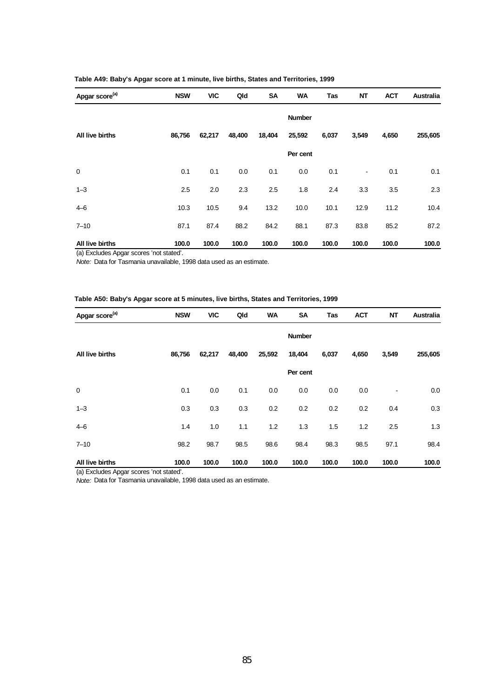| Table A49: Baby's Apgar score at 1 minute, live births, States and Territories, 1999 |  |  |  |  |  |  |
|--------------------------------------------------------------------------------------|--|--|--|--|--|--|
|--------------------------------------------------------------------------------------|--|--|--|--|--|--|

| Apgar score <sup>(a)</sup> | <b>NSW</b> | <b>VIC</b> | Qld    | <b>SA</b> | <b>WA</b>     | Tas   | <b>NT</b> | <b>ACT</b> | Australia |
|----------------------------|------------|------------|--------|-----------|---------------|-------|-----------|------------|-----------|
|                            |            |            |        |           | <b>Number</b> |       |           |            |           |
| All live births            | 86,756     | 62,217     | 48,400 | 18,404    | 25,592        | 6,037 | 3,549     | 4,650      | 255,605   |
|                            |            |            |        |           | Per cent      |       |           |            |           |
| $\mathbf 0$                | 0.1        | 0.1        | 0.0    | 0.1       | 0.0           | 0.1   | ۰         | 0.1        | 0.1       |
| $1 - 3$                    | 2.5        | 2.0        | 2.3    | 2.5       | 1.8           | 2.4   | 3.3       | 3.5        | 2.3       |
| $4 - 6$                    | 10.3       | 10.5       | 9.4    | 13.2      | 10.0          | 10.1  | 12.9      | 11.2       | 10.4      |
| $7 - 10$                   | 87.1       | 87.4       | 88.2   | 84.2      | 88.1          | 87.3  | 83.8      | 85.2       | 87.2      |
| All live births            | 100.0      | 100.0      | 100.0  | 100.0     | 100.0         | 100.0 | 100.0     | 100.0      | 100.0     |

(a) Excludes Apgar scores 'not stated'.

*Note:* Data for Tasmania unavailable, 1998 data used as an estimate.

### **Table A50: Baby's Apgar score at 5 minutes, live births, States and Territories, 1999**

| Apgar score <sup>(a)</sup> | <b>NSW</b> | <b>VIC</b> | Qld    | <b>WA</b> | <b>SA</b>     | Tas   | <b>ACT</b> | <b>NT</b> | Australia |
|----------------------------|------------|------------|--------|-----------|---------------|-------|------------|-----------|-----------|
|                            |            |            |        |           | <b>Number</b> |       |            |           |           |
| All live births            | 86,756     | 62,217     | 48,400 | 25,592    | 18,404        | 6,037 | 4,650      | 3,549     | 255,605   |
|                            |            |            |        |           | Per cent      |       |            |           |           |
| 0                          | 0.1        | 0.0        | 0.1    | 0.0       | 0.0           | 0.0   | 0.0        | ٠         | 0.0       |
| $1 - 3$                    | 0.3        | 0.3        | 0.3    | 0.2       | 0.2           | 0.2   | 0.2        | 0.4       | 0.3       |
| $4 - 6$                    | 1.4        | 1.0        | 1.1    | 1.2       | 1.3           | 1.5   | 1.2        | 2.5       | 1.3       |
| $7 - 10$                   | 98.2       | 98.7       | 98.5   | 98.6      | 98.4          | 98.3  | 98.5       | 97.1      | 98.4      |
| All live births            | 100.0      | 100.0      | 100.0  | 100.0     | 100.0         | 100.0 | 100.0      | 100.0     | 100.0     |

(a) Excludes Apgar scores 'not stated'.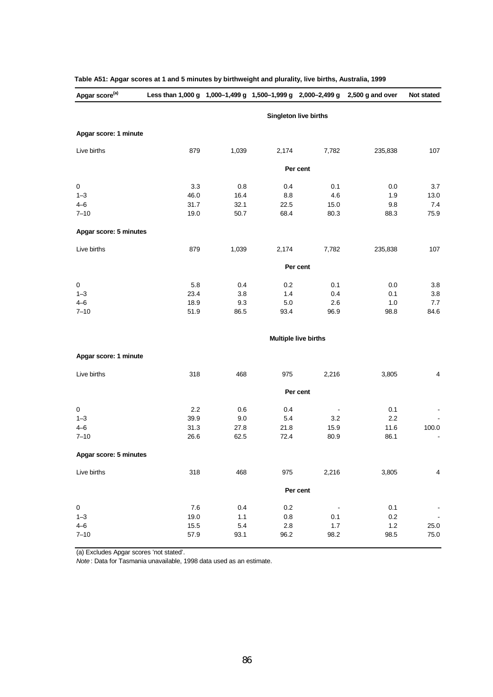| Apgar score <sup>(a)</sup> | Less than 1,000 g 1,000-1,499 g 1,500-1,999 g 2,000-2,499 g |       |         |                             | $2,500$ g and over | Not stated     |
|----------------------------|-------------------------------------------------------------|-------|---------|-----------------------------|--------------------|----------------|
|                            |                                                             |       |         | Singleton live births       |                    |                |
| Apgar score: 1 minute      |                                                             |       |         |                             |                    |                |
| Live births                | 879                                                         | 1,039 | 2,174   | 7,782                       | 235,838            | 107            |
|                            |                                                             |       |         | Per cent                    |                    |                |
| $\pmb{0}$                  | 3.3                                                         | 0.8   | 0.4     | 0.1                         | 0.0                | 3.7            |
| $1 - 3$                    | 46.0                                                        | 16.4  | 8.8     | 4.6                         | 1.9                | 13.0           |
| $4 - 6$                    | 31.7                                                        | 32.1  | 22.5    | 15.0                        | 9.8                | 7.4            |
| $7 - 10$                   | 19.0                                                        | 50.7  | 68.4    | 80.3                        | 88.3               | 75.9           |
| Apgar score: 5 minutes     |                                                             |       |         |                             |                    |                |
| Live births                | 879                                                         | 1,039 | 2,174   | 7,782                       | 235,838            | 107            |
|                            |                                                             |       |         | Per cent                    |                    |                |
| 0                          | 5.8                                                         | 0.4   | 0.2     | 0.1                         | 0.0                | 3.8            |
| $1 - 3$                    | 23.4                                                        | 3.8   | 1.4     | 0.4                         | 0.1                | 3.8            |
| $4 - 6$                    | 18.9                                                        | 9.3   | $5.0\,$ | 2.6                         | 1.0                | 7.7            |
| $7 - 10$                   | 51.9                                                        | 86.5  | 93.4    | 96.9                        | 98.8               | 84.6           |
|                            |                                                             |       |         | <b>Multiple live births</b> |                    |                |
| Apgar score: 1 minute      |                                                             |       |         |                             |                    |                |
| Live births                | 318                                                         | 468   | 975     | 2,216                       | 3,805              | 4              |
|                            |                                                             |       |         | Per cent                    |                    |                |
| 0                          | 2.2                                                         | 0.6   | 0.4     |                             | 0.1                |                |
| $1 - 3$                    | 39.9                                                        | 9.0   | 5.4     | 3.2                         | 2.2                |                |
| $4 - 6$                    | 31.3                                                        | 27.8  | 21.8    | 15.9                        | 11.6               | 100.0          |
| $7 - 10$                   | 26.6                                                        | 62.5  | 72.4    | 80.9                        | 86.1               |                |
| Apgar score: 5 minutes     |                                                             |       |         |                             |                    |                |
| Live births                | 318                                                         | 468   | 975     | 2,216                       | 3,805              | 4              |
|                            |                                                             |       |         | Per cent                    |                    |                |
| 0                          | 7.6                                                         | 0.4   | 0.2     |                             | 0.1                |                |
| $1 - 3$                    | 19.0                                                        | 1.1   | 0.8     | 0.1                         | 0.2                | $\blacksquare$ |
| $4 - 6$                    | 15.5                                                        | 5.4   | 2.8     | 1.7                         | 1.2                | 25.0           |
| $7 - 10$                   | 57.9                                                        | 93.1  | 96.2    | 98.2                        | 98.5               | 75.0           |

## **Table A51: Apgar scores at 1 and 5 minutes by birthweight and plurality, live births, Australia, 1999**

(a) Excludes Apgar scores 'not stated'.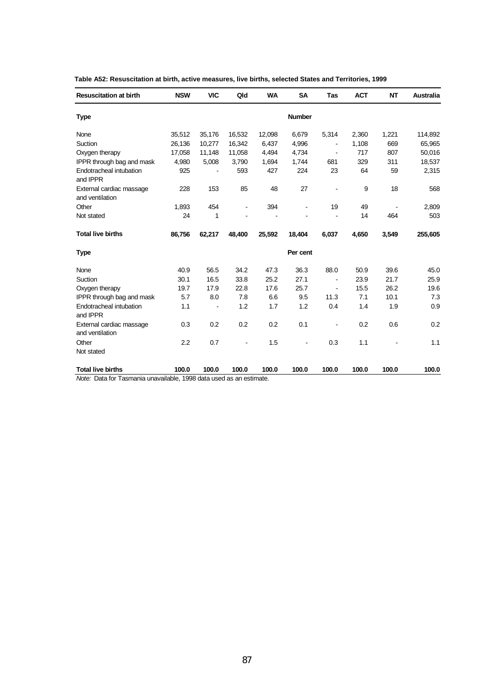| <b>Resuscitation at birth</b>               | <b>NSW</b> | <b>VIC</b> | Qld    | <b>WA</b> | <b>SA</b>                | Tas            | <b>ACT</b> | <b>NT</b> | <b>Australia</b> |
|---------------------------------------------|------------|------------|--------|-----------|--------------------------|----------------|------------|-----------|------------------|
| <b>Type</b>                                 |            |            |        |           | <b>Number</b>            |                |            |           |                  |
| None                                        | 35,512     | 35,176     | 16,532 | 12,098    | 6,679                    | 5,314          | 2,360      | 1,221     | 114,892          |
| Suction                                     | 26,136     | 10,277     | 16,342 | 6,437     | 4,996                    |                | 1,108      | 669       | 65,965           |
| Oxygen therapy                              | 17,058     | 11,148     | 11,058 | 4,494     | 4,734                    | $\blacksquare$ | 717        | 807       | 50,016           |
| IPPR through bag and mask                   | 4,980      | 5,008      | 3,790  | 1,694     | 1,744                    | 681            | 329        | 311       | 18,537           |
| Endotracheal intubation<br>and IPPR         | 925        |            | 593    | 427       | 224                      | 23             | 64         | 59        | 2,315            |
| External cardiac massage<br>and ventilation | 228        | 153        | 85     | 48        | 27                       |                | 9          | 18        | 568              |
| Other                                       | 1,893      | 454        |        | 394       |                          | 19             | 49         |           | 2,809            |
| Not stated                                  | 24         | 1          |        |           |                          |                | 14         | 464       | 503              |
| <b>Total live births</b>                    | 86,756     | 62,217     | 48,400 | 25,592    | 18,404                   | 6,037          | 4,650      | 3,549     | 255,605          |
| <b>Type</b>                                 |            |            |        |           | Per cent                 |                |            |           |                  |
| None                                        | 40.9       | 56.5       | 34.2   | 47.3      | 36.3                     | 88.0           | 50.9       | 39.6      | 45.0             |
| Suction                                     | 30.1       | 16.5       | 33.8   | 25.2      | 27.1                     | $\blacksquare$ | 23.9       | 21.7      | 25.9             |
| Oxygen therapy                              | 19.7       | 17.9       | 22.8   | 17.6      | 25.7                     | $\blacksquare$ | 15.5       | 26.2      | 19.6             |
| IPPR through bag and mask                   | 5.7        | 8.0        | 7.8    | 6.6       | 9.5                      | 11.3           | 7.1        | 10.1      | 7.3              |
| Endotracheal intubation<br>and IPPR         | 1.1        |            | 1.2    | 1.7       | 1.2                      | 0.4            | 1.4        | 1.9       | 0.9              |
| External cardiac massage<br>and ventilation | 0.3        | 0.2        | 0.2    | 0.2       | 0.1                      |                | 0.2        | 0.6       | 0.2              |
| Other                                       | 2.2        | 0.7        |        | 1.5       | $\overline{\phantom{a}}$ | 0.3            | 1.1        |           | 1.1              |
| Not stated                                  |            |            |        |           |                          |                |            |           |                  |
| <b>Total live births</b>                    | 100.0      | 100.0      | 100.0  | 100.0     | 100.0                    | 100.0          | 100.0      | 100.0     | 100.0            |

**Table A52: Resuscitation at birth, active measures, live births, selected States and Territories, 1999**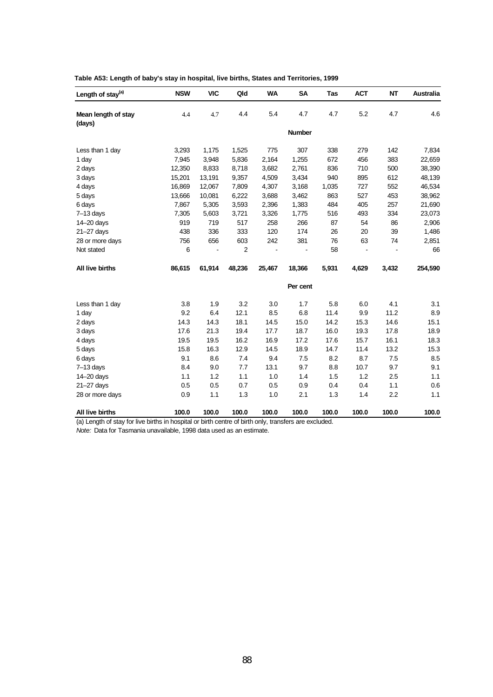| Length of stay <sup>(a)</sup> | <b>NSW</b> | <b>VIC</b> | Qld    | <b>WA</b> | <b>SA</b>     | Tas   | <b>ACT</b> | NT    | <b>Australia</b> |
|-------------------------------|------------|------------|--------|-----------|---------------|-------|------------|-------|------------------|
| Mean length of stay           | 4.4        | 4.7        | 4.4    | 5.4       | 4.7           | 4.7   | 5.2        | 4.7   | 4.6              |
| (days)                        |            |            |        |           | <b>Number</b> |       |            |       |                  |
| Less than 1 day               | 3,293      | 1,175      | 1,525  | 775       | 307           | 338   | 279        | 142   | 7,834            |
| 1 day                         | 7,945      | 3,948      | 5,836  | 2,164     | 1,255         | 672   | 456        | 383   | 22,659           |
| 2 days                        | 12,350     | 8,833      | 8,718  | 3,682     | 2,761         | 836   | 710        | 500   | 38,390           |
| 3 days                        | 15,201     | 13,191     | 9,357  | 4,509     | 3,434         | 940   | 895        | 612   | 48,139           |
| 4 days                        | 16,869     | 12,067     | 7,809  | 4,307     | 3,168         | 1,035 | 727        | 552   | 46,534           |
| 5 days                        | 13,666     | 10,081     | 6,222  | 3,688     | 3,462         | 863   | 527        | 453   | 38,962           |
| 6 days                        | 7,867      | 5,305      | 3,593  | 2,396     | 1,383         | 484   | 405        | 257   | 21,690           |
| $7-13$ days                   | 7,305      | 5,603      | 3,721  | 3,326     | 1,775         | 516   | 493        | 334   | 23,073           |
| 14-20 days                    | 919        | 719        | 517    | 258       | 266           | 87    | 54         | 86    | 2,906            |
| $21 - 27$ days                | 438        | 336        | 333    | 120       | 174           | 26    | 20         | 39    | 1,486            |
| 28 or more days               | 756        | 656        | 603    | 242       | 381           | 76    | 63         | 74    | 2,851            |
| Not stated                    | 6          |            | 2      |           |               | 58    |            |       | 66               |
| All live births               | 86,615     | 61,914     | 48,236 | 25,467    | 18,366        | 5,931 | 4,629      | 3,432 | 254,590          |
|                               |            |            |        |           | Per cent      |       |            |       |                  |
| Less than 1 day               | 3.8        | 1.9        | 3.2    | 3.0       | 1.7           | 5.8   | 6.0        | 4.1   | 3.1              |
| 1 day                         | 9.2        | 6.4        | 12.1   | 8.5       | 6.8           | 11.4  | 9.9        | 11.2  | 8.9              |
| 2 days                        | 14.3       | 14.3       | 18.1   | 14.5      | 15.0          | 14.2  | 15.3       | 14.6  | 15.1             |
| 3 days                        | 17.6       | 21.3       | 19.4   | 17.7      | 18.7          | 16.0  | 19.3       | 17.8  | 18.9             |
| 4 days                        | 19.5       | 19.5       | 16.2   | 16.9      | 17.2          | 17.6  | 15.7       | 16.1  | 18.3             |
| 5 days                        | 15.8       | 16.3       | 12.9   | 14.5      | 18.9          | 14.7  | 11.4       | 13.2  | 15.3             |
| 6 days                        | 9.1        | 8.6        | 7.4    | 9.4       | 7.5           | 8.2   | 8.7        | 7.5   | 8.5              |
| $7-13$ days                   | 8.4        | 9.0        | 7.7    | 13.1      | 9.7           | 8.8   | 10.7       | 9.7   | 9.1              |
| 14-20 days                    | 1.1        | 1.2        | 1.1    | 1.0       | 1.4           | 1.5   | 1.2        | 2.5   | 1.1              |
| $21 - 27$ days                | 0.5        | 0.5        | 0.7    | 0.5       | 0.9           | 0.4   | 0.4        | 1.1   | 0.6              |
| 28 or more days               | 0.9        | 1.1        | 1.3    | 1.0       | 2.1           | 1.3   | 1.4        | 2.2   | 1.1              |
| All live births               | 100.0      | 100.0      | 100.0  | 100.0     | 100.0         | 100.0 | 100.0      | 100.0 | 100.0            |

**Table A53: Length of baby's stay in hospital, live births, States and Territories, 1999**

(a) Length of stay for live births in hospital or birth centre of birth only, transfers are excluded.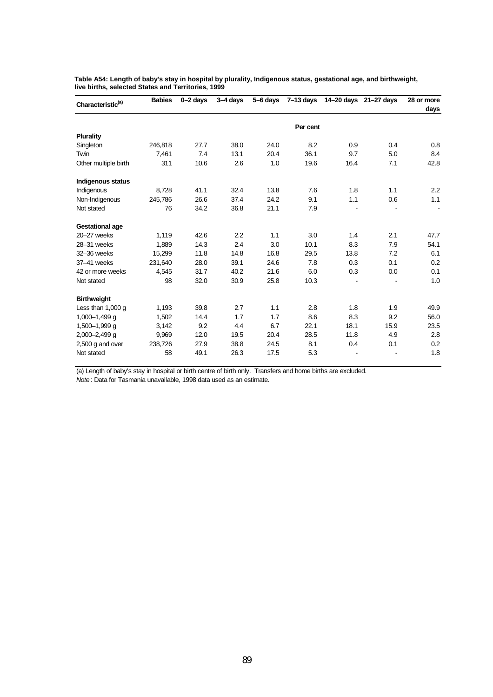| Characteristic <sup>(a)</sup> | <b>Babies</b> | $0 - 2$ days | $3-4$ days | 5-6 days | 7–13 days |      | 14-20 days 21-27 days | 28 or more<br>days |
|-------------------------------|---------------|--------------|------------|----------|-----------|------|-----------------------|--------------------|
|                               |               |              |            |          | Per cent  |      |                       |                    |
| <b>Plurality</b>              |               |              |            |          |           |      |                       |                    |
| Singleton                     | 246,818       | 27.7         | 38.0       | 24.0     | 8.2       | 0.9  | 0.4                   | 0.8                |
| Twin                          | 7,461         | 7.4          | 13.1       | 20.4     | 36.1      | 9.7  | 5.0                   | 8.4                |
| Other multiple birth          | 311           | 10.6         | 2.6        | 1.0      | 19.6      | 16.4 | 7.1                   | 42.8               |
| Indigenous status             |               |              |            |          |           |      |                       |                    |
| Indigenous                    | 8,728         | 41.1         | 32.4       | 13.8     | 7.6       | 1.8  | 1.1                   | 2.2                |
| Non-Indigenous                | 245,786       | 26.6         | 37.4       | 24.2     | 9.1       | 1.1  | 0.6                   | 1.1                |
| Not stated                    | 76            | 34.2         | 36.8       | 21.1     | 7.9       |      |                       |                    |
| <b>Gestational age</b>        |               |              |            |          |           |      |                       |                    |
| 20-27 weeks                   | 1,119         | 42.6         | 2.2        | 1.1      | 3.0       | 1.4  | 2.1                   | 47.7               |
| 28-31 weeks                   | 1,889         | 14.3         | 2.4        | 3.0      | 10.1      | 8.3  | 7.9                   | 54.1               |
| 32-36 weeks                   | 15,299        | 11.8         | 14.8       | 16.8     | 29.5      | 13.8 | 7.2                   | 6.1                |
| 37-41 weeks                   | 231,640       | 28.0         | 39.1       | 24.6     | 7.8       | 0.3  | 0.1                   | 0.2                |
| 42 or more weeks              | 4,545         | 31.7         | 40.2       | 21.6     | 6.0       | 0.3  | 0.0                   | 0.1                |
| Not stated                    | 98            | 32.0         | 30.9       | 25.8     | 10.3      |      |                       | 1.0                |
| <b>Birthweight</b>            |               |              |            |          |           |      |                       |                    |
| Less than 1,000 g             | 1,193         | 39.8         | 2.7        | 1.1      | 2.8       | 1.8  | 1.9                   | 49.9               |
| $1,000 - 1,499$ g             | 1,502         | 14.4         | 1.7        | 1.7      | 8.6       | 8.3  | 9.2                   | 56.0               |
| 1,500-1,999 q                 | 3,142         | 9.2          | 4.4        | 6.7      | 22.1      | 18.1 | 15.9                  | 23.5               |
| 2,000-2,499 g                 | 9,969         | 12.0         | 19.5       | 20.4     | 28.5      | 11.8 | 4.9                   | 2.8                |
| $2,500$ g and over            | 238,726       | 27.9         | 38.8       | 24.5     | 8.1       | 0.4  | 0.1                   | 0.2                |
| Not stated                    | 58            | 49.1         | 26.3       | 17.5     | 5.3       |      |                       | 1.8                |

**Table A54: Length of baby's stay in hospital by plurality, Indigenous status, gestational age, and birthweight, live births, selected States and Territories, 1999**

(a) Length of baby's stay in hospital or birth centre of birth only. Transfers and home births are excluded. *Note*: Data for Tasmania unavailable, 1998 data used as an estimate.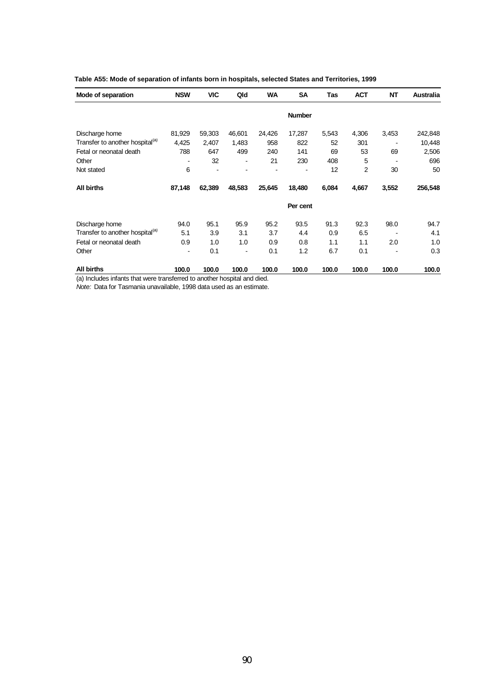| Mode of separation                          | <b>NSW</b>                   | <b>VIC</b> | Qld    | <b>WA</b> | <b>SA</b>     | Tas   | <b>ACT</b> | <b>NT</b>      | <b>Australia</b> |
|---------------------------------------------|------------------------------|------------|--------|-----------|---------------|-------|------------|----------------|------------------|
|                                             |                              |            |        |           | <b>Number</b> |       |            |                |                  |
| Discharge home                              | 81,929                       | 59,303     | 46,601 | 24,426    | 17,287        | 5,543 | 4,306      | 3,453          | 242,848          |
| Transfer to another hospital <sup>(a)</sup> | 4,425                        | 2,407      | 1,483  | 958       | 822           | 52    | 301        |                | 10,448           |
| Fetal or neonatal death                     | 788                          | 647        | 499    | 240       | 141           | 69    | 53         | 69             | 2,506            |
| Other                                       | $\qquad \qquad \blacksquare$ | 32         | ۰      | 21        | 230           | 408   | 5          | $\overline{a}$ | 696              |
| Not stated                                  | 6                            |            |        |           |               | 12    | 2          | 30             | 50               |
| <b>All births</b>                           | 87,148                       | 62,389     | 48,583 | 25,645    | 18,480        | 6,084 | 4,667      | 3,552          | 256,548          |
|                                             |                              |            |        |           | Per cent      |       |            |                |                  |
| Discharge home                              | 94.0                         | 95.1       | 95.9   | 95.2      | 93.5          | 91.3  | 92.3       | 98.0           | 94.7             |
| Transfer to another hospital <sup>(a)</sup> | 5.1                          | 3.9        | 3.1    | 3.7       | 4.4           | 0.9   | 6.5        |                | 4.1              |
| Fetal or neonatal death                     | 0.9                          | 1.0        | 1.0    | 0.9       | 0.8           | 1.1   | 1.1        | 2.0            | 1.0              |
| Other                                       |                              | 0.1        |        | 0.1       | 1.2           | 6.7   | 0.1        |                | 0.3              |
| <b>All births</b>                           | 100.0                        | 100.0      | 100.0  | 100.0     | 100.0         | 100.0 | 100.0      | 100.0          | 100.0            |

|  |  |  | Table A55: Mode of separation of infants born in hospitals, selected States and Territories, 1999 |  |  |  |
|--|--|--|---------------------------------------------------------------------------------------------------|--|--|--|
|--|--|--|---------------------------------------------------------------------------------------------------|--|--|--|

(a) Includes infants that were transferred to another hospital and died.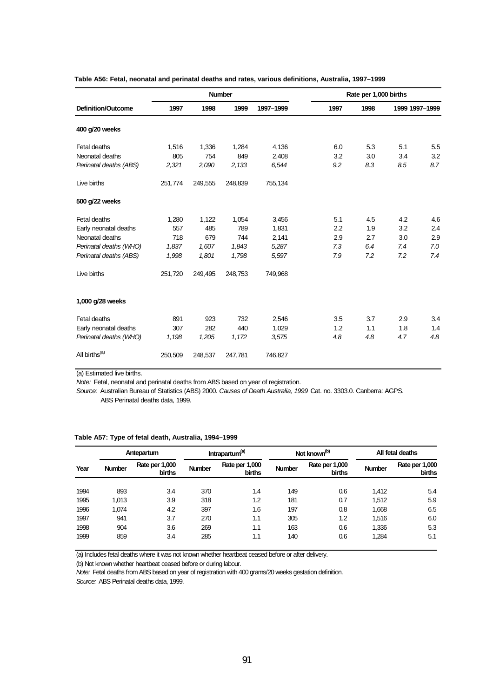|                           |         |         | <b>Number</b> |           | Rate per 1,000 births |      |                |     |
|---------------------------|---------|---------|---------------|-----------|-----------------------|------|----------------|-----|
| Definition/Outcome        | 1997    | 1998    | 1999          | 1997-1999 | 1997                  | 1998 | 1999 1997-1999 |     |
| 400 g/20 weeks            |         |         |               |           |                       |      |                |     |
| Fetal deaths              | 1,516   | 1,336   | 1,284         | 4,136     | 6.0                   | 5.3  | 5.1            | 5.5 |
| Neonatal deaths           | 805     | 754     | 849           | 2,408     | 3.2                   | 3.0  | 3.4            | 3.2 |
| Perinatal deaths (ABS)    | 2,321   | 2,090   | 2,133         | 6,544     | 9.2                   | 8.3  | 8.5            | 8.7 |
| Live births               | 251,774 | 249,555 | 248,839       | 755,134   |                       |      |                |     |
| 500 g/22 weeks            |         |         |               |           |                       |      |                |     |
| Fetal deaths              | 1,280   | 1,122   | 1,054         | 3,456     | 5.1                   | 4.5  | 4.2            | 4.6 |
| Early neonatal deaths     | 557     | 485     | 789           | 1,831     | 2.2                   | 1.9  | 3.2            | 2.4 |
| Neonatal deaths           | 718     | 679     | 744           | 2,141     | 2.9                   | 2.7  | 3.0            | 2.9 |
| Perinatal deaths (WHO)    | 1,837   | 1,607   | 1,843         | 5,287     | 7.3                   | 6.4  | 7.4            | 7.0 |
| Perinatal deaths (ABS)    | 1,998   | 1,801   | 1,798         | 5,597     | 7.9                   | 7.2  | 7.2            | 7.4 |
| Live births               | 251,720 | 249,495 | 248,753       | 749,968   |                       |      |                |     |
| 1,000 g/28 weeks          |         |         |               |           |                       |      |                |     |
| Fetal deaths              | 891     | 923     | 732           | 2,546     | 3.5                   | 3.7  | 2.9            | 3.4 |
| Early neonatal deaths     | 307     | 282     | 440           | 1,029     | 1.2                   | 1.1  | 1.8            | 1.4 |
| Perinatal deaths (WHO)    | 1,198   | 1,205   | 1,172         | 3,575     | 4.8                   | 4.8  | 4.7            | 4.8 |
| All births <sup>(a)</sup> | 250,509 | 248,537 | 247,781       | 746,827   |                       |      |                |     |

**Table A56: Fetal, neonatal and perinatal deaths and rates, various definitions, Australia, 1997–1999**

(a) Estimated live births.

*Note:* Fetal, neonatal and perinatal deaths from ABS based on year of registration.

*Source:* Australian Bureau of Statistics (ABS) 2000. *Causes of Death Australia, 1999* Cat. no. 3303.0. Canberra: AGPS. ABS Perinatal deaths data, 1999.

|  | Table A57: Type of fetal death, Australia, 1994–1999 |  |  |  |
|--|------------------------------------------------------|--|--|--|
|--|------------------------------------------------------|--|--|--|

|      | Antepartum    |                                 | Intrapartum <sup>(a)</sup> |                                 |               | Not known <sup>(b)</sup>        | All fetal deaths |                          |  |
|------|---------------|---------------------------------|----------------------------|---------------------------------|---------------|---------------------------------|------------------|--------------------------|--|
| Year | <b>Number</b> | Rate per 1,000<br><b>births</b> | <b>Number</b>              | Rate per 1,000<br><b>births</b> | <b>Number</b> | Rate per 1,000<br><b>births</b> | <b>Number</b>    | Rate per 1,000<br>births |  |
| 1994 | 893           | 3.4                             | 370                        | 1.4                             | 149           | 0.6                             | 1,412            | 5.4                      |  |
| 1995 | 1,013         | 3.9                             | 318                        | 1.2                             | 181           | 0.7                             | 1,512            | 5.9                      |  |
| 1996 | 1.074         | 4.2                             | 397                        | 1.6                             | 197           | 0.8                             | 1,668            | 6.5                      |  |
| 1997 | 941           | 3.7                             | 270                        | 1.1                             | 305           | 1.2                             | 1.516            | 6.0                      |  |
| 1998 | 904           | 3.6                             | 269                        | 1.1                             | 163           | 0.6                             | 1,336            | 5.3                      |  |
| 1999 | 859           | 3.4                             | 285                        | 1.1                             | 140           | 0.6                             | 1,284            | 5.1                      |  |

(a) Includes fetal deaths where it was not known whether heartbeat ceased before or after delivery.

(b) Not known whether heartbeat ceased before or during labour.

*Note:* Fetal deaths from ABS based on year of registration with 400 grams/20 weeks gestation definition.

*Source:* ABS Perinatal deaths data, 1999.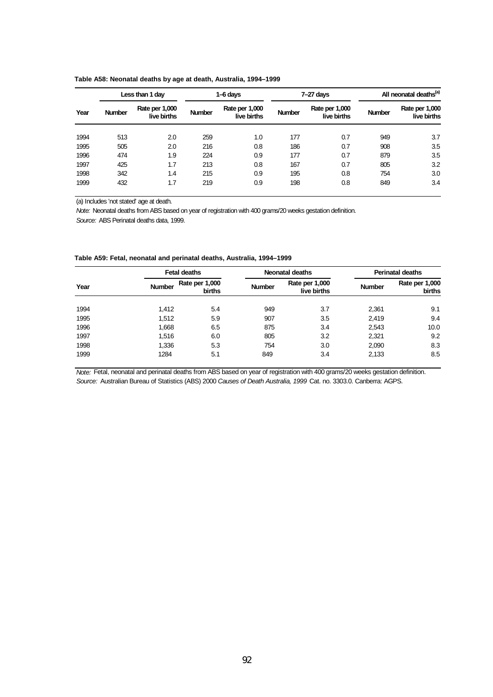|      | Less than 1 day |                               |               | 1-6 days                      |               | $7-27$ days                   | All neonatal deaths <sup>(a)</sup> |                               |
|------|-----------------|-------------------------------|---------------|-------------------------------|---------------|-------------------------------|------------------------------------|-------------------------------|
| Year | <b>Number</b>   | Rate per 1,000<br>live births | <b>Number</b> | Rate per 1,000<br>live births | <b>Number</b> | Rate per 1,000<br>live births | <b>Number</b>                      | Rate per 1,000<br>live births |
| 1994 | 513             | 2.0                           | 259           | 1.0                           | 177           | 0.7                           | 949                                | 3.7                           |
| 1995 | 505             | 2.0                           | 216           | 0.8                           | 186           | 0.7                           | 908                                | 3.5                           |
| 1996 | 474             | 1.9                           | 224           | 0.9                           | 177           | 0.7                           | 879                                | 3.5                           |
| 1997 | 425             | 1.7                           | 213           | 0.8                           | 167           | 0.7                           | 805                                | 3.2                           |
| 1998 | 342             | 1.4                           | 215           | 0.9                           | 195           | 0.8                           | 754                                | 3.0                           |
| 1999 | 432             | 1.7                           | 219           | 0.9                           | 198           | 0.8                           | 849                                | 3.4                           |

**Table A58: Neonatal deaths by age at death, Australia, 1994–1999**

(a) Includes 'not stated' age at death.

*Note:* Neonatal deaths from ABS based on year of registration with 400 grams/20 weeks gestation definition.

*Source:* ABS Perinatal deaths data, 1999.

| Year |               | <b>Fetal deaths</b>      |               | Neonatal deaths               | <b>Perinatal deaths</b> |                          |  |
|------|---------------|--------------------------|---------------|-------------------------------|-------------------------|--------------------------|--|
|      | <b>Number</b> | Rate per 1,000<br>births | <b>Number</b> | Rate per 1,000<br>live births | <b>Number</b>           | Rate per 1,000<br>births |  |
| 1994 | 1.412         | 5.4                      | 949           | 3.7                           | 2,361                   | 9.1                      |  |
| 1995 | 1,512         | 5.9                      | 907           | 3.5                           | 2,419                   | 9.4                      |  |
| 1996 | 1,668         | 6.5                      | 875           | 3.4                           | 2,543                   | 10.0                     |  |
| 1997 | 1,516         | 6.0                      | 805           | 3.2                           | 2,321                   | 9.2                      |  |
| 1998 | 1,336         | 5.3                      | 754           | 3.0                           | 2,090                   | 8.3                      |  |
| 1999 | 1284          | 5.1                      | 849           | 3.4                           | 2,133                   | 8.5                      |  |

**Table A59: Fetal, neonatal and perinatal deaths, Australia, 1994–1999**

*Note:* Fetal, neonatal and perinatal deaths from ABS based on year of registration with 400 grams/20 weeks gestation definition. *Source:* Australian Bureau of Statistics (ABS) 2000 *Causes of Death Australia, 1999* Cat. no. 3303.0. Canberra: AGPS.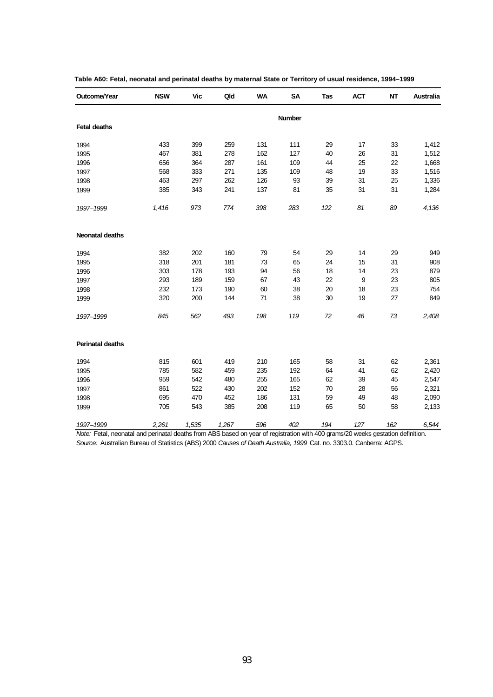| Outcome/Year            | <b>NSW</b> | Vic   | Qld   | <b>WA</b> | <b>SA</b> | Tas | <b>ACT</b> | <b>NT</b> | Australia |
|-------------------------|------------|-------|-------|-----------|-----------|-----|------------|-----------|-----------|
|                         |            |       |       |           | Number    |     |            |           |           |
| <b>Fetal deaths</b>     |            |       |       |           |           |     |            |           |           |
| 1994                    | 433        | 399   | 259   | 131       | 111       | 29  | 17         | 33        | 1,412     |
| 1995                    | 467        | 381   | 278   | 162       | 127       | 40  | 26         | 31        | 1,512     |
| 1996                    | 656        | 364   | 287   | 161       | 109       | 44  | 25         | 22        | 1,668     |
| 1997                    | 568        | 333   | 271   | 135       | 109       | 48  | 19         | 33        | 1,516     |
| 1998                    | 463        | 297   | 262   | 126       | 93        | 39  | 31         | 25        | 1,336     |
| 1999                    | 385        | 343   | 241   | 137       | 81        | 35  | 31         | 31        | 1,284     |
| 1997-1999               | 1,416      | 973   | 774   | 398       | 283       | 122 | 81         | 89        | 4,136     |
| <b>Neonatal deaths</b>  |            |       |       |           |           |     |            |           |           |
| 1994                    | 382        | 202   | 160   | 79        | 54        | 29  | 14         | 29        | 949       |
| 1995                    | 318        | 201   | 181   | 73        | 65        | 24  | 15         | 31        | 908       |
| 1996                    | 303        | 178   | 193   | 94        | 56        | 18  | 14         | 23        | 879       |
| 1997                    | 293        | 189   | 159   | 67        | 43        | 22  | 9          | 23        | 805       |
| 1998                    | 232        | 173   | 190   | 60        | 38        | 20  | 18         | 23        | 754       |
| 1999                    | 320        | 200   | 144   | 71        | 38        | 30  | 19         | 27        | 849       |
| 1997-1999               | 845        | 562   | 493   | 198       | 119       | 72  | 46         | 73        | 2,408     |
| <b>Perinatal deaths</b> |            |       |       |           |           |     |            |           |           |
| 1994                    | 815        | 601   | 419   | 210       | 165       | 58  | 31         | 62        | 2,361     |
| 1995                    | 785        | 582   | 459   | 235       | 192       | 64  | 41         | 62        | 2,420     |
| 1996                    | 959        | 542   | 480   | 255       | 165       | 62  | 39         | 45        | 2,547     |
| 1997                    | 861        | 522   | 430   | 202       | 152       | 70  | 28         | 56        | 2,321     |
| 1998                    | 695        | 470   | 452   | 186       | 131       | 59  | 49         | 48        | 2,090     |
| 1999                    | 705        | 543   | 385   | 208       | 119       | 65  | 50         | 58        | 2,133     |
| 1997-1999               | 2,261      | 1,535 | 1,267 | 596       | 402       | 194 | 127        | 162       | 6,544     |

| Table A60: Fetal, neonatal and perinatal deaths by maternal State or Territory of usual residence, 1994–1999 |  |  |  |
|--------------------------------------------------------------------------------------------------------------|--|--|--|
|--------------------------------------------------------------------------------------------------------------|--|--|--|

*Note:* Fetal, neonatal and perinatal deaths from ABS based on year of registration with 400 grams/20 weeks gestation definition. *Source:* Australian Bureau of Statistics (ABS) 2000 *Causes of Death Australia, 1999* Cat. no. 3303.0. Canberra: AGPS.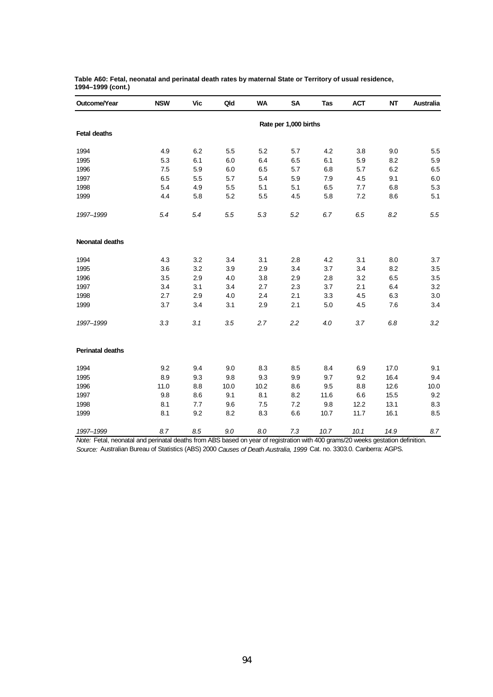| Outcome/Year            | <b>NSW</b> | <b>Vic</b> | Qld  | <b>WA</b> | <b>SA</b>             | Tas  | <b>ACT</b> | NT   | <b>Australia</b> |
|-------------------------|------------|------------|------|-----------|-----------------------|------|------------|------|------------------|
|                         |            |            |      |           | Rate per 1,000 births |      |            |      |                  |
| <b>Fetal deaths</b>     |            |            |      |           |                       |      |            |      |                  |
| 1994                    | 4.9        | 6.2        | 5.5  | 5.2       | 5.7                   | 4.2  | 3.8        | 9.0  | 5.5              |
| 1995                    | 5.3        | 6.1        | 6.0  | 6.4       | 6.5                   | 6.1  | 5.9        | 8.2  | 5.9              |
| 1996                    | 7.5        | 5.9        | 6.0  | 6.5       | 5.7                   | 6.8  | 5.7        | 6.2  | 6.5              |
| 1997                    | 6.5        | 5.5        | 5.7  | 5.4       | 5.9                   | 7.9  | 4.5        | 9.1  | 6.0              |
| 1998                    | 5.4        | 4.9        | 5.5  | 5.1       | 5.1                   | 6.5  | 7.7        | 6.8  | 5.3              |
| 1999                    | 4.4        | 5.8        | 5.2  | 5.5       | 4.5                   | 5.8  | 7.2        | 8.6  | 5.1              |
| 1997-1999               | 5.4        | 5.4        | 5.5  | 5.3       | 5.2                   | 6.7  | 6.5        | 8.2  | $5.5\,$          |
| <b>Neonatal deaths</b>  |            |            |      |           |                       |      |            |      |                  |
| 1994                    | 4.3        | 3.2        | 3.4  | 3.1       | 2.8                   | 4.2  | 3.1        | 8.0  | 3.7              |
| 1995                    | 3.6        | 3.2        | 3.9  | 2.9       | 3.4                   | 3.7  | 3.4        | 8.2  | $3.5\,$          |
| 1996                    | 3.5        | 2.9        | 4.0  | 3.8       | 2.9                   | 2.8  | 3.2        | 6.5  | $3.5\,$          |
| 1997                    | 3.4        | 3.1        | 3.4  | 2.7       | 2.3                   | 3.7  | 2.1        | 6.4  | 3.2              |
| 1998                    | 2.7        | 2.9        | 4.0  | 2.4       | 2.1                   | 3.3  | 4.5        | 6.3  | 3.0              |
| 1999                    | 3.7        | 3.4        | 3.1  | 2.9       | 2.1                   | 5.0  | 4.5        | 7.6  | 3.4              |
| 1997-1999               | 3.3        | 3.1        | 3.5  | 2.7       | 2.2                   | 4.0  | 3.7        | 6.8  | 3.2              |
| <b>Perinatal deaths</b> |            |            |      |           |                       |      |            |      |                  |
| 1994                    | 9.2        | 9.4        | 9.0  | 8.3       | 8.5                   | 8.4  | 6.9        | 17.0 | 9.1              |
| 1995                    | 8.9        | 9.3        | 9.8  | 9.3       | 9.9                   | 9.7  | 9.2        | 16.4 | 9.4              |
| 1996                    | 11.0       | 8.8        | 10.0 | 10.2      | 8.6                   | 9.5  | 8.8        | 12.6 | 10.0             |
| 1997                    | 9.8        | 8.6        | 9.1  | 8.1       | 8.2                   | 11.6 | 6.6        | 15.5 | 9.2              |
| 1998                    | 8.1        | 7.7        | 9.6  | 7.5       | 7.2                   | 9.8  | 12.2       | 13.1 | 8.3              |
| 1999                    | 8.1        | 9.2        | 8.2  | 8.3       | 6.6                   | 10.7 | 11.7       | 16.1 | 8.5              |
| 1997-1999               | 8.7        | 8.5        | 9.0  | 8.0       | 7.3                   | 10.7 | 10.1       | 14.9 | 8.7              |

**Table A60: Fetal, neonatal and perinatal death rates by maternal State or Territory of usual residence, 1994–1999 (cont.)**

*Note:* Fetal, neonatal and perinatal deaths from ABS based on year of registration with 400 grams/20 weeks gestation definition. *Source:* Australian Bureau of Statistics (ABS) 2000 *Causes of Death Australia, 1999* Cat. no. 3303.0. Canberra: AGPS.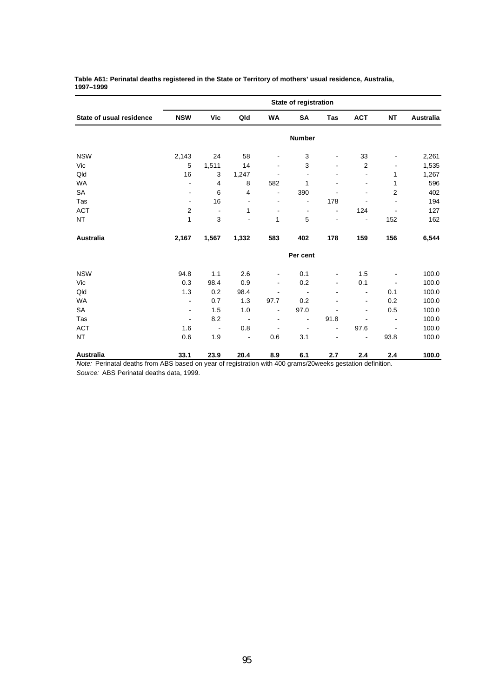|                          |                          |                          |                          |                          | State of registration    |                          |                          |                              |                  |
|--------------------------|--------------------------|--------------------------|--------------------------|--------------------------|--------------------------|--------------------------|--------------------------|------------------------------|------------------|
| State of usual residence | <b>NSW</b>               | Vic                      | Qld                      | WA                       | SA                       | Tas                      | <b>ACT</b>               | <b>NT</b>                    | <b>Australia</b> |
|                          |                          |                          |                          |                          | Number                   |                          |                          |                              |                  |
| <b>NSW</b>               | 2,143                    | 24                       | 58                       | ۰                        | 3                        | ۰                        | 33                       |                              | 2,261            |
| Vic                      | 5                        | 1,511                    | 14                       | $\blacksquare$           | 3                        | $\overline{\phantom{a}}$ | $\overline{2}$           |                              | 1,535            |
| Qld                      | 16                       | 3                        | 1,247                    |                          | $\blacksquare$           |                          | $\overline{\phantom{0}}$ | 1                            | 1,267            |
| <b>WA</b>                | L,                       | $\overline{4}$           | 8                        | 582                      | 1                        | $\blacksquare$           | $\overline{\phantom{a}}$ | 1                            | 596              |
| SA                       |                          | 6                        | 4                        | $\blacksquare$           | 390                      |                          |                          | $\overline{2}$               | 402              |
| Tas                      | ٠                        | 16                       | $\overline{\phantom{a}}$ | $\overline{\phantom{0}}$ | $\overline{a}$           | 178                      | $\overline{a}$           |                              | 194              |
| <b>ACT</b>               | $\overline{c}$           | $\overline{\phantom{a}}$ | 1                        | $\overline{\phantom{a}}$ | $\overline{\phantom{a}}$ | $\overline{\phantom{a}}$ | 124                      | $\blacksquare$               | 127              |
| <b>NT</b>                | 1                        | 3                        | $\blacksquare$           | 1                        | 5                        | ÷,                       | $\overline{\phantom{a}}$ | 152                          | 162              |
| Australia                | 2,167                    | 1,567                    | 1,332                    | 583                      | 402                      | 178                      | 159                      | 156                          | 6,544            |
|                          |                          |                          |                          |                          | Per cent                 |                          |                          |                              |                  |
| <b>NSW</b>               | 94.8                     | 1.1                      | 2.6                      | -                        | 0.1                      | $\overline{\phantom{a}}$ | 1.5                      |                              | 100.0            |
| Vic                      | 0.3                      | 98.4                     | 0.9                      | $\blacksquare$           | 0.2                      | $\blacksquare$           | 0.1                      | $\qquad \qquad \blacksquare$ | 100.0            |
| Qld                      | 1.3                      | 0.2                      | 98.4                     |                          | $\overline{\phantom{a}}$ |                          | $\overline{\phantom{a}}$ | 0.1                          | 100.0            |
| <b>WA</b>                | $\overline{\phantom{0}}$ | 0.7                      | 1.3                      | 97.7                     | 0.2                      |                          | $\blacksquare$           | 0.2                          | 100.0            |
| SA                       | $\blacksquare$           | 1.5                      | 1.0                      | $\blacksquare$           | 97.0                     |                          | $\blacksquare$           | 0.5                          | 100.0            |
| Tas                      | $\blacksquare$           | 8.2                      | $\blacksquare$           | $\blacksquare$           | $\overline{\phantom{a}}$ | 91.8                     | ٠                        | $\overline{\phantom{a}}$     | 100.0            |
| <b>ACT</b>               | 1.6                      | $\blacksquare$           | 0.8                      |                          | $\overline{\phantom{a}}$ | ä,                       | 97.6                     |                              | 100.0            |
| <b>NT</b>                | 0.6                      | 1.9                      | $\blacksquare$           | 0.6                      | 3.1                      |                          |                          | 93.8                         | 100.0            |
| Australia                | 33.1                     | 23.9                     | 20.4                     | 8.9                      | 6.1                      | 2.7                      | 2.4                      | 2.4                          | 100.0            |

#### **Table A61: Perinatal deaths registered in the State or Territory of mothers' usual residence, Australia, 1997–1999**

*Note:* Perinatal deaths from ABS based on year of registration with 400 grams/20weeks gestation definition. *Source:* ABS Perinatal deaths data, 1999.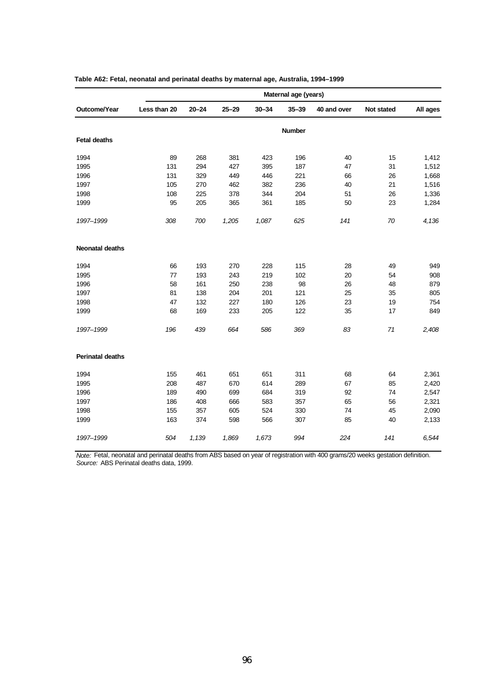|                         |              |           |           |           | Maternal age (years) |             |            |          |
|-------------------------|--------------|-----------|-----------|-----------|----------------------|-------------|------------|----------|
| Outcome/Year            | Less than 20 | $20 - 24$ | $25 - 29$ | $30 - 34$ | $35 - 39$            | 40 and over | Not stated | All ages |
|                         |              |           |           |           | <b>Number</b>        |             |            |          |
| <b>Fetal deaths</b>     |              |           |           |           |                      |             |            |          |
| 1994                    | 89           | 268       | 381       | 423       | 196                  | 40          | 15         | 1,412    |
| 1995                    | 131          | 294       | 427       | 395       | 187                  | 47          | 31         | 1,512    |
| 1996                    | 131          | 329       | 449       | 446       | 221                  | 66          | 26         | 1,668    |
| 1997                    | 105          | 270       | 462       | 382       | 236                  | 40          | 21         | 1,516    |
| 1998                    | 108          | 225       | 378       | 344       | 204                  | 51          | 26         | 1,336    |
| 1999                    | 95           | 205       | 365       | 361       | 185                  | 50          | 23         | 1,284    |
| 1997-1999               | 308          | 700       | 1,205     | 1,087     | 625                  | 141         | 70         | 4,136    |
| <b>Neonatal deaths</b>  |              |           |           |           |                      |             |            |          |
| 1994                    | 66           | 193       | 270       | 228       | 115                  | 28          | 49         | 949      |
| 1995                    | 77           | 193       | 243       | 219       | 102                  | 20          | 54         | 908      |
| 1996                    | 58           | 161       | 250       | 238       | 98                   | 26          | 48         | 879      |
| 1997                    | 81           | 138       | 204       | 201       | 121                  | 25          | 35         | 805      |
| 1998                    | 47           | 132       | 227       | 180       | 126                  | 23          | 19         | 754      |
| 1999                    | 68           | 169       | 233       | 205       | 122                  | 35          | 17         | 849      |
| 1997-1999               | 196          | 439       | 664       | 586       | 369                  | 83          | 71         | 2,408    |
| <b>Perinatal deaths</b> |              |           |           |           |                      |             |            |          |
| 1994                    | 155          | 461       | 651       | 651       | 311                  | 68          | 64         | 2,361    |
| 1995                    | 208          | 487       | 670       | 614       | 289                  | 67          | 85         | 2,420    |
| 1996                    | 189          | 490       | 699       | 684       | 319                  | 92          | 74         | 2,547    |
| 1997                    | 186          | 408       | 666       | 583       | 357                  | 65          | 56         | 2,321    |
| 1998                    | 155          | 357       | 605       | 524       | 330                  | 74          | 45         | 2,090    |
| 1999                    | 163          | 374       | 598       | 566       | 307                  | 85          | 40         | 2,133    |
| 1997-1999               | 504          | 1,139     | 1,869     | 1,673     | 994                  | 224         | 141        | 6,544    |

| Table A62: Fetal, neonatal and perinatal deaths by maternal age, Australia, 1994–1999 |  |  |  |  |
|---------------------------------------------------------------------------------------|--|--|--|--|
|---------------------------------------------------------------------------------------|--|--|--|--|

*Note:* Fetal, neonatal and perinatal deaths from ABS based on year of registration with 400 grams/20 weeks gestation definition. *Source:* ABS Perinatal deaths data, 1999.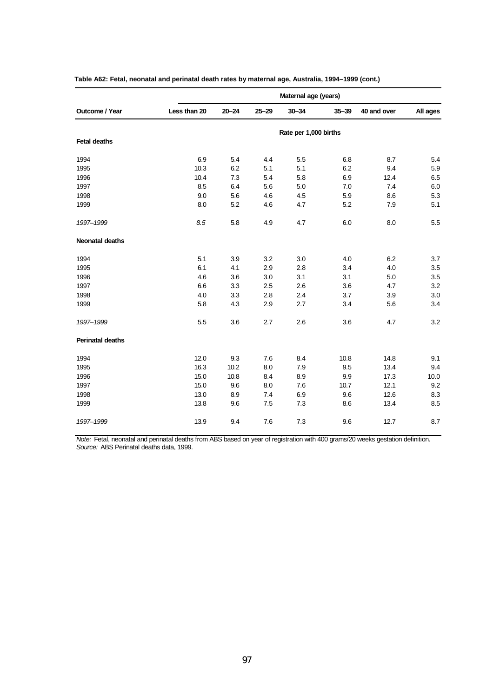|                         |              |           |           | Maternal age (years)  |           |             |          |
|-------------------------|--------------|-----------|-----------|-----------------------|-----------|-------------|----------|
| Outcome / Year          | Less than 20 | $20 - 24$ | $25 - 29$ | $30 - 34$             | $35 - 39$ | 40 and over | All ages |
|                         |              |           |           | Rate per 1,000 births |           |             |          |
| <b>Fetal deaths</b>     |              |           |           |                       |           |             |          |
| 1994                    | 6.9          | 5.4       | 4.4       | 5.5                   | 6.8       | 8.7         | 5.4      |
| 1995                    | 10.3         | 6.2       | 5.1       | 5.1                   | 6.2       | 9.4         | 5.9      |
| 1996                    | 10.4         | 7.3       | 5.4       | 5.8                   | 6.9       | 12.4        | 6.5      |
| 1997                    | 8.5          | 6.4       | 5.6       | 5.0                   | 7.0       | 7.4         | 6.0      |
| 1998                    | 9.0          | 5.6       | 4.6       | 4.5                   | 5.9       | 8.6         | 5.3      |
| 1999                    | 8.0          | 5.2       | 4.6       | 4.7                   | 5.2       | 7.9         | 5.1      |
| 1997-1999               | 8.5          | 5.8       | 4.9       | 4.7                   | 6.0       | 8.0         | 5.5      |
| <b>Neonatal deaths</b>  |              |           |           |                       |           |             |          |
| 1994                    | 5.1          | 3.9       | 3.2       | 3.0                   | 4.0       | 6.2         | 3.7      |
| 1995                    | 6.1          | 4.1       | 2.9       | 2.8                   | 3.4       | 4.0         | 3.5      |
| 1996                    | 4.6          | 3.6       | 3.0       | 3.1                   | 3.1       | 5.0         | 3.5      |
| 1997                    | 6.6          | 3.3       | 2.5       | 2.6                   | 3.6       | 4.7         | 3.2      |
| 1998                    | 4.0          | 3.3       | 2.8       | 2.4                   | 3.7       | 3.9         | 3.0      |
| 1999                    | 5.8          | 4.3       | 2.9       | 2.7                   | 3.4       | 5.6         | 3.4      |
| 1997-1999               | 5.5          | 3.6       | 2.7       | 2.6                   | 3.6       | 4.7         | 3.2      |
| <b>Perinatal deaths</b> |              |           |           |                       |           |             |          |
| 1994                    | 12.0         | 9.3       | 7.6       | 8.4                   | 10.8      | 14.8        | 9.1      |
| 1995                    | 16.3         | 10.2      | 8.0       | 7.9                   | 9.5       | 13.4        | 9.4      |
| 1996                    | 15.0         | 10.8      | 8.4       | 8.9                   | 9.9       | 17.3        | 10.0     |
| 1997                    | 15.0         | 9.6       | 8.0       | 7.6                   | 10.7      | 12.1        | 9.2      |
| 1998                    | 13.0         | 8.9       | 7.4       | 6.9                   | 9.6       | 12.6        | 8.3      |
| 1999                    | 13.8         | 9.6       | 7.5       | 7.3                   | 8.6       | 13.4        | 8.5      |
| 1997-1999               | 13.9         | 9.4       | 7.6       | 7.3                   | 9.6       | 12.7        | 8.7      |

| Table A62: Fetal, neonatal and perinatal death rates by maternal age, Australia, 1994–1999 (cont.) |  |  |  |  |
|----------------------------------------------------------------------------------------------------|--|--|--|--|
|----------------------------------------------------------------------------------------------------|--|--|--|--|

*Note:* Fetal, neonatal and perinatal deaths from ABS based on year of registration with 400 grams/20 weeks gestation definition. *Source:* ABS Perinatal deaths data, 1999.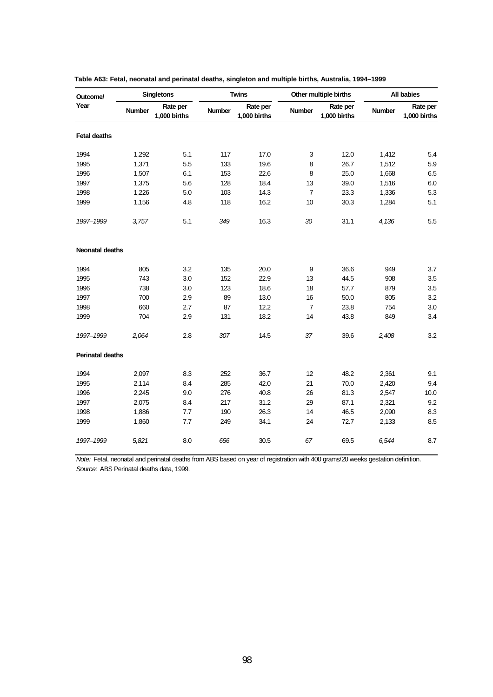| Outcome/                |               | <b>Singletons</b>        |               | <b>Twins</b>             |                | Other multiple births    |               | All babies               |
|-------------------------|---------------|--------------------------|---------------|--------------------------|----------------|--------------------------|---------------|--------------------------|
| Year                    | <b>Number</b> | Rate per<br>1,000 births | <b>Number</b> | Rate per<br>1,000 births | Number         | Rate per<br>1,000 births | <b>Number</b> | Rate per<br>1,000 births |
| <b>Fetal deaths</b>     |               |                          |               |                          |                |                          |               |                          |
| 1994                    | 1,292         | 5.1                      | 117           | 17.0                     | 3              | 12.0                     | 1,412         | 5.4                      |
| 1995                    | 1,371         | 5.5                      | 133           | 19.6                     | 8              | 26.7                     | 1,512         | 5.9                      |
| 1996                    | 1,507         | 6.1                      | 153           | 22.6                     | 8              | 25.0                     | 1,668         | 6.5                      |
| 1997                    | 1,375         | 5.6                      | 128           | 18.4                     | 13             | 39.0                     | 1,516         | 6.0                      |
| 1998                    | 1,226         | 5.0                      | 103           | 14.3                     | $\overline{7}$ | 23.3                     | 1,336         | 5.3                      |
| 1999                    | 1,156         | 4.8                      | 118           | 16.2                     | 10             | 30.3                     | 1,284         | 5.1                      |
| 1997-1999               | 3,757         | 5.1                      | 349           | 16.3                     | 30             | 31.1                     | 4,136         | 5.5                      |
| Neonatal deaths         |               |                          |               |                          |                |                          |               |                          |
| 1994                    | 805           | 3.2                      | 135           | 20.0                     | 9              | 36.6                     | 949           | 3.7                      |
| 1995                    | 743           | 3.0                      | 152           | 22.9                     | 13             | 44.5                     | 908           | 3.5                      |
| 1996                    | 738           | 3.0                      | 123           | 18.6                     | 18             | 57.7                     | 879           | 3.5                      |
| 1997                    | 700           | 2.9                      | 89            | 13.0                     | 16             | 50.0                     | 805           | 3.2                      |
| 1998                    | 660           | 2.7                      | 87            | 12.2                     | $\overline{7}$ | 23.8                     | 754           | 3.0                      |
| 1999                    | 704           | 2.9                      | 131           | 18.2                     | 14             | 43.8                     | 849           | 3.4                      |
| 1997-1999               | 2,064         | 2.8                      | 307           | 14.5                     | 37             | 39.6                     | 2,408         | 3.2                      |
| <b>Perinatal deaths</b> |               |                          |               |                          |                |                          |               |                          |
| 1994                    | 2,097         | 8.3                      | 252           | 36.7                     | 12             | 48.2                     | 2,361         | 9.1                      |
| 1995                    | 2,114         | 8.4                      | 285           | 42.0                     | 21             | 70.0                     | 2,420         | 9.4                      |
| 1996                    | 2,245         | 9.0                      | 276           | 40.8                     | 26             | 81.3                     | 2,547         | 10.0                     |
| 1997                    | 2,075         | 8.4                      | 217           | 31.2                     | 29             | 87.1                     | 2,321         | 9.2                      |
| 1998                    | 1,886         | 7.7                      | 190           | 26.3                     | 14             | 46.5                     | 2,090         | 8.3                      |
| 1999                    | 1,860         | 7.7                      | 249           | 34.1                     | 24             | 72.7                     | 2,133         | 8.5                      |
| 1997-1999               | 5,821         | 8.0                      | 656           | 30.5                     | 67             | 69.5                     | 6,544         | 8.7                      |

| Table A63: Fetal, neonatal and perinatal deaths, singleton and multiple births, Australia, 1994–1999 |  |  |  |
|------------------------------------------------------------------------------------------------------|--|--|--|
|------------------------------------------------------------------------------------------------------|--|--|--|

*Note:* Fetal, neonatal and perinatal deaths from ABS based on year of registration with 400 grams/20 weeks gestation definition. *Source:* ABS Perinatal deaths data, 1999.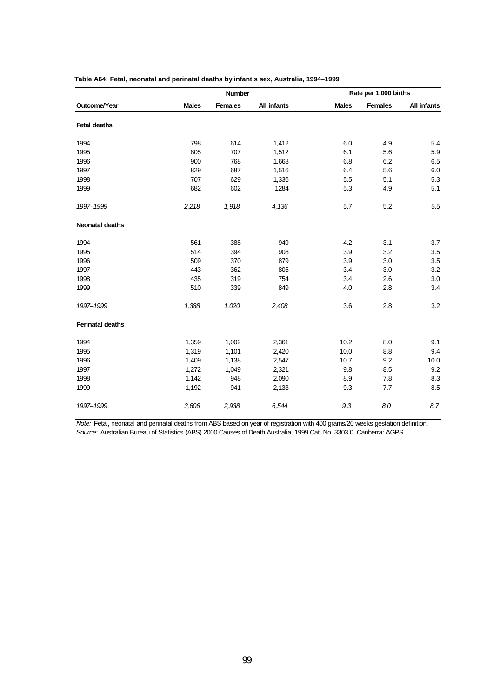|                         |              | <b>Number</b>  |                    |              | Rate per 1,000 births |             |
|-------------------------|--------------|----------------|--------------------|--------------|-----------------------|-------------|
| Outcome/Year            | <b>Males</b> | <b>Females</b> | <b>All infants</b> | <b>Males</b> | <b>Females</b>        | All infants |
| <b>Fetal deaths</b>     |              |                |                    |              |                       |             |
| 1994                    | 798          | 614            | 1,412              | 6.0          | 4.9                   | 5.4         |
| 1995                    | 805          | 707            | 1,512              | 6.1          | 5.6                   | 5.9         |
| 1996                    | 900          | 768            | 1,668              | 6.8          | 6.2                   | 6.5         |
| 1997                    | 829          | 687            | 1,516              | 6.4          | 5.6                   | 6.0         |
| 1998                    | 707          | 629            | 1,336              | 5.5          | 5.1                   | 5.3         |
| 1999                    | 682          | 602            | 1284               | 5.3          | 4.9                   | 5.1         |
| 1997-1999               | 2,218        | 1,918          | 4,136              | 5.7          | 5.2                   | 5.5         |
| <b>Neonatal deaths</b>  |              |                |                    |              |                       |             |
| 1994                    | 561          | 388            | 949                | 4.2          | 3.1                   | 3.7         |
| 1995                    | 514          | 394            | 908                | 3.9          | 3.2                   | 3.5         |
| 1996                    | 509          | 370            | 879                | 3.9          | 3.0                   | 3.5         |
| 1997                    | 443          | 362            | 805                | 3.4          | 3.0                   | 3.2         |
| 1998                    | 435          | 319            | 754                | 3.4          | 2.6                   | 3.0         |
| 1999                    | 510          | 339            | 849                | 4.0          | 2.8                   | 3.4         |
| 1997-1999               | 1,388        | 1,020          | 2,408              | 3.6          | 2.8                   | 3.2         |
| <b>Perinatal deaths</b> |              |                |                    |              |                       |             |
| 1994                    | 1,359        | 1,002          | 2,361              | 10.2         | 8.0                   | 9.1         |
| 1995                    | 1,319        | 1,101          | 2,420              | 10.0         | 8.8                   | 9.4         |
| 1996                    | 1,409        | 1,138          | 2,547              | 10.7         | 9.2                   | 10.0        |
| 1997                    | 1,272        | 1,049          | 2,321              | 9.8          | 8.5                   | 9.2         |
| 1998                    | 1,142        | 948            | 2,090              | 8.9          | $7.8\,$               | 8.3         |
| 1999                    | 1,192        | 941            | 2,133              | 9.3          | 7.7                   | 8.5         |
| 1997-1999               | 3,606        | 2,938          | 6,544              | 9.3          | 8.0                   | 8.7         |

| Table A64: Fetal, neonatal and perinatal deaths by infant's sex, Australia, 1994–1999 |  |  |  |
|---------------------------------------------------------------------------------------|--|--|--|
|---------------------------------------------------------------------------------------|--|--|--|

*Note:* Fetal, neonatal and perinatal deaths from ABS based on year of registration with 400 grams/20 weeks gestation definition. *Source:* Australian Bureau of Statistics (ABS) 2000 Causes of Death Australia, 1999 Cat. No. 3303.0. Canberra: AGPS.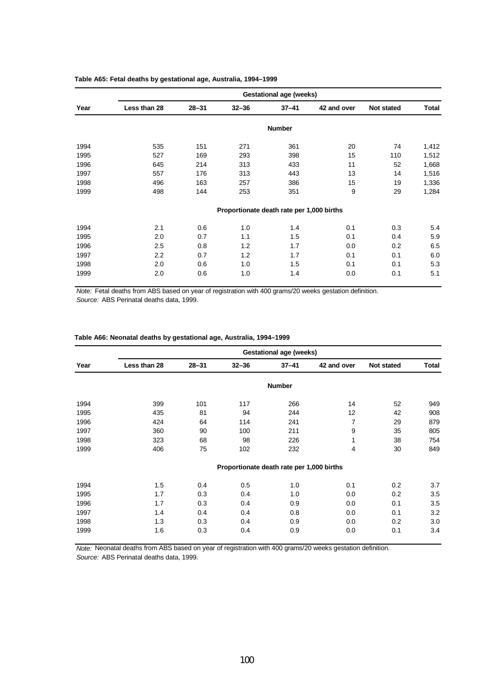|      |              | <b>Gestational age (weeks)</b> |                                           |               |             |            |       |  |  |  |  |
|------|--------------|--------------------------------|-------------------------------------------|---------------|-------------|------------|-------|--|--|--|--|
| Year | Less than 28 | $28 - 31$                      | $32 - 36$                                 | $37 - 41$     | 42 and over | Not stated | Total |  |  |  |  |
|      |              |                                |                                           | <b>Number</b> |             |            |       |  |  |  |  |
| 1994 | 535          | 151                            | 271                                       | 361           | 20          | 74         | 1,412 |  |  |  |  |
| 1995 | 527          | 169                            | 293                                       | 398           | 15          | 110        | 1,512 |  |  |  |  |
| 1996 | 645          | 214                            | 313                                       | 433           | 11          | 52         | 1,668 |  |  |  |  |
| 1997 | 557          | 176                            | 313                                       | 443           | 13          | 14         | 1,516 |  |  |  |  |
| 1998 | 496          | 163                            | 257                                       | 386           | 15          | 19         | 1,336 |  |  |  |  |
| 1999 | 498          | 144                            | 253                                       | 351           | 9           | 29         | 1,284 |  |  |  |  |
|      |              |                                | Proportionate death rate per 1,000 births |               |             |            |       |  |  |  |  |
| 1994 | 2.1          | 0.6                            | 1.0                                       | 1.4           | 0.1         | 0.3        | 5.4   |  |  |  |  |
| 1995 | 2.0          | 0.7                            | 1.1                                       | 1.5           | 0.1         | 0.4        | 5.9   |  |  |  |  |
| 1996 | 2.5          | 0.8                            | 1.2                                       | 1.7           | 0.0         | 0.2        | 6.5   |  |  |  |  |
| 1997 | 2.2          | 0.7                            | 1.2                                       | 1.7           | 0.1         | 0.1        | 6.0   |  |  |  |  |
| 1998 | 2.0          | 0.6                            | 1.0                                       | 1.5           | 0.1         | 0.1        | 5.3   |  |  |  |  |
| 1999 | 2.0          | 0.6                            | 1.0                                       | 1.4           | 0.0         | 0.1        | 5.1   |  |  |  |  |

### **Table A65: Fetal deaths by gestational age, Australia, 1994–1999**

*Note:* Fetal deaths from ABS based on year of registration with 400 grams/20 weeks gestation definition. *Source:* ABS Perinatal deaths data, 1999.

| Table A66: Neonatal deaths by gestational age, Australia, 1994–1999 |  |  |  |
|---------------------------------------------------------------------|--|--|--|
|---------------------------------------------------------------------|--|--|--|

|      |              |           |                                           | <b>Gestational age (weeks)</b> |             |            |       |
|------|--------------|-----------|-------------------------------------------|--------------------------------|-------------|------------|-------|
| Year | Less than 28 | $28 - 31$ | $32 - 36$                                 | $37 - 41$                      | 42 and over | Not stated | Total |
|      |              |           |                                           | <b>Number</b>                  |             |            |       |
| 1994 | 399          | 101       | 117                                       | 266                            | 14          | 52         | 949   |
| 1995 | 435          | 81        | 94                                        | 244                            | 12          | 42         | 908   |
| 1996 | 424          | 64        | 114                                       | 241                            | 7           | 29         | 879   |
| 1997 | 360          | 90        | 100                                       | 211                            | 9           | 35         | 805   |
| 1998 | 323          | 68        | 98                                        | 226                            | 1           | 38         | 754   |
| 1999 | 406          | 75        | 102                                       | 232                            | 4           | 30         | 849   |
|      |              |           | Proportionate death rate per 1,000 births |                                |             |            |       |
| 1994 | 1.5          | 0.4       | 0.5                                       | 1.0                            | 0.1         | 0.2        | 3.7   |
| 1995 | 1.7          | 0.3       | 0.4                                       | 1.0                            | 0.0         | 0.2        | 3.5   |
| 1996 | 1.7          | 0.3       | 0.4                                       | 0.9                            | 0.0         | 0.1        | 3.5   |
| 1997 | 1.4          | 0.4       | 0.4                                       | 0.8                            | 0.0         | 0.1        | 3.2   |
| 1998 | 1.3          | 0.3       | 0.4                                       | 0.9                            | 0.0         | 0.2        | 3.0   |
| 1999 | 1.6          | 0.3       | 0.4                                       | 0.9                            | 0.0         | 0.1        | 3.4   |

*Note:* Neonatal deaths from ABS based on year of registration with 400 grams/20 weeks gestation definition. *Source:* ABS Perinatal deaths data, 1999.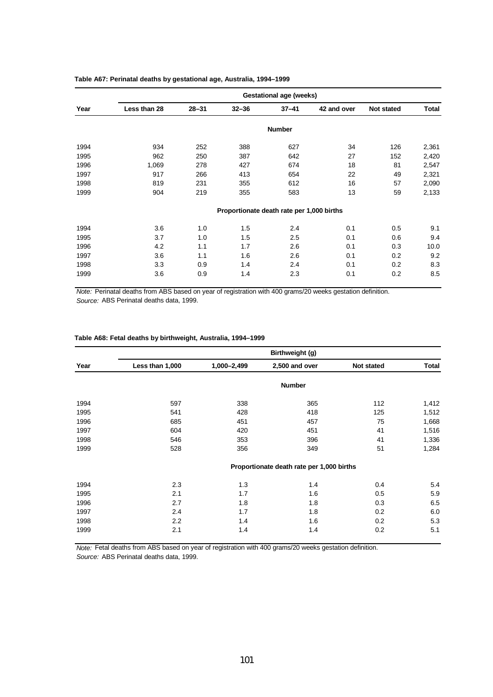|      |              |           |                                           | <b>Gestational age (weeks)</b> |             |            |              |
|------|--------------|-----------|-------------------------------------------|--------------------------------|-------------|------------|--------------|
| Year | Less than 28 | $28 - 31$ | $32 - 36$                                 | $37 - 41$                      | 42 and over | Not stated | <b>Total</b> |
|      |              |           |                                           | <b>Number</b>                  |             |            |              |
| 1994 | 934          | 252       | 388                                       | 627                            | 34          | 126        | 2,361        |
| 1995 | 962          | 250       | 387                                       | 642                            | 27          | 152        | 2,420        |
| 1996 | 1,069        | 278       | 427                                       | 674                            | 18          | 81         | 2,547        |
| 1997 | 917          | 266       | 413                                       | 654                            | 22          | 49         | 2,321        |
| 1998 | 819          | 231       | 355                                       | 612                            | 16          | 57         | 2,090        |
| 1999 | 904          | 219       | 355                                       | 583                            | 13          | 59         | 2,133        |
|      |              |           | Proportionate death rate per 1,000 births |                                |             |            |              |
| 1994 | 3.6          | 1.0       | 1.5                                       | 2.4                            | 0.1         | 0.5        | 9.1          |
| 1995 | 3.7          | 1.0       | 1.5                                       | $2.5\,$                        | 0.1         | 0.6        | 9.4          |
| 1996 | 4.2          | 1.1       | 1.7                                       | 2.6                            | 0.1         | 0.3        | 10.0         |
| 1997 | 3.6          | 1.1       | 1.6                                       | 2.6                            | 0.1         | 0.2        | 9.2          |
| 1998 | 3.3          | 0.9       | 1.4                                       | 2.4                            | 0.1         | 0.2        | 8.3          |
| 1999 | 3.6          | 0.9       | 1.4                                       | 2.3                            | 0.1         | 0.2        | 8.5          |

### **Table A67: Perinatal deaths by gestational age, Australia, 1994–1999**

*Note:* Perinatal deaths from ABS based on year of registration with 400 grams/20 weeks gestation definition. *Source:* ABS Perinatal deaths data, 1999.

### **Table A68: Fetal deaths by birthweight, Australia, 1994–1999**

|      | Birthweight (g) |             |                                           |            |              |  |  |  |  |  |
|------|-----------------|-------------|-------------------------------------------|------------|--------------|--|--|--|--|--|
| Year | Less than 1,000 | 1,000-2,499 | 2,500 and over                            | Not stated | <b>Total</b> |  |  |  |  |  |
|      |                 |             | <b>Number</b>                             |            |              |  |  |  |  |  |
| 1994 | 597             | 338         | 365                                       | 112        | 1,412        |  |  |  |  |  |
| 1995 | 541             | 428         | 418                                       | 125        | 1,512        |  |  |  |  |  |
| 1996 | 685             | 451         | 457                                       | 75         | 1,668        |  |  |  |  |  |
| 1997 | 604             | 420         | 451                                       | 41         | 1,516        |  |  |  |  |  |
| 1998 | 546             | 353         | 396                                       | 41         | 1,336        |  |  |  |  |  |
| 1999 | 528             | 356         | 349                                       | 51         | 1,284        |  |  |  |  |  |
|      |                 |             | Proportionate death rate per 1,000 births |            |              |  |  |  |  |  |
| 1994 | 2.3             | 1.3         | 1.4                                       | 0.4        | 5.4          |  |  |  |  |  |
| 1995 | 2.1             | 1.7         | 1.6                                       | 0.5        | 5.9          |  |  |  |  |  |
| 1996 | 2.7             | 1.8         | 1.8                                       | 0.3        | 6.5          |  |  |  |  |  |
| 1997 | 2.4             | 1.7         | 1.8                                       | 0.2        | 6.0          |  |  |  |  |  |
| 1998 | 2.2             | 1.4         | 1.6                                       | 0.2        | 5.3          |  |  |  |  |  |
| 1999 | 2.1             | 1.4         | 1.4                                       | 0.2        | 5.1          |  |  |  |  |  |

*Note:* Fetal deaths from ABS based on year of registration with 400 grams/20 weeks gestation definition. *Source:* ABS Perinatal deaths data, 1999.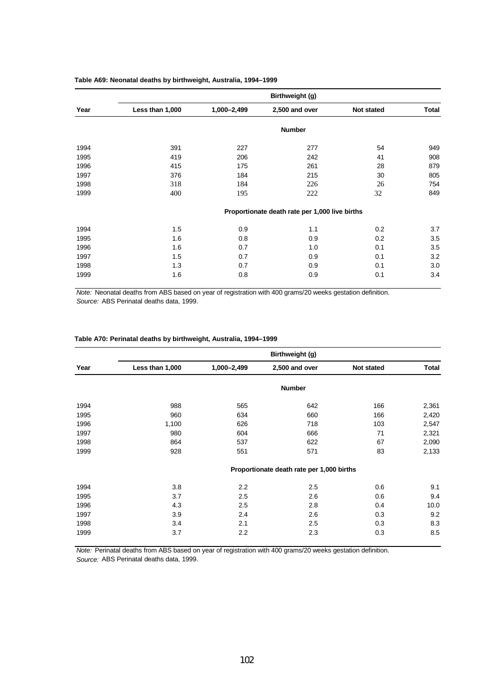|      | Birthweight (g) |             |                                                |            |              |  |  |  |  |
|------|-----------------|-------------|------------------------------------------------|------------|--------------|--|--|--|--|
| Year | Less than 1,000 | 1,000-2,499 | 2,500 and over                                 | Not stated | <b>Total</b> |  |  |  |  |
|      |                 |             | <b>Number</b>                                  |            |              |  |  |  |  |
| 1994 | 391             | 227         | 277                                            | 54         | 949          |  |  |  |  |
| 1995 | 419             | 206         | 242                                            | 41         | 908          |  |  |  |  |
| 1996 | 415             | 175         | 261                                            | 28         | 879          |  |  |  |  |
| 1997 | 376             | 184         | 215                                            | 30         | 805          |  |  |  |  |
| 1998 | 318             | 184         | 226                                            | 26         | 754          |  |  |  |  |
| 1999 | 400             | 195         | 222                                            | 32         | 849          |  |  |  |  |
|      |                 |             | Proportionate death rate per 1,000 live births |            |              |  |  |  |  |
| 1994 | 1.5             | 0.9         | 1.1                                            | 0.2        | 3.7          |  |  |  |  |
| 1995 | 1.6             | 0.8         | 0.9                                            | 0.2        | 3.5          |  |  |  |  |
| 1996 | 1.6             | 0.7         | 1.0                                            | 0.1        | 3.5          |  |  |  |  |
| 1997 | 1.5             | 0.7         | 0.9                                            | 0.1        | 3.2          |  |  |  |  |
| 1998 | 1.3             | 0.7         | 0.9                                            | 0.1        | 3.0          |  |  |  |  |
| 1999 | 1.6             | 0.8         | 0.9                                            | 0.1        | 3.4          |  |  |  |  |

### **Table A69: Neonatal deaths by birthweight, Australia, 1994–1999**

*Note:* Neonatal deaths from ABS based on year of registration with 400 grams/20 weeks gestation definition. *Source:* ABS Perinatal deaths data, 1999.

|  |  | Table A70: Perinatal deaths by birthweight, Australia, 1994–1999 |  |  |  |
|--|--|------------------------------------------------------------------|--|--|--|
|--|--|------------------------------------------------------------------|--|--|--|

|      | Birthweight (g) |             |                                           |            |              |  |  |  |  |
|------|-----------------|-------------|-------------------------------------------|------------|--------------|--|--|--|--|
| Year | Less than 1,000 | 1,000-2,499 | 2,500 and over                            | Not stated | <b>Total</b> |  |  |  |  |
|      |                 |             | <b>Number</b>                             |            |              |  |  |  |  |
| 1994 | 988             | 565         | 642                                       | 166        | 2,361        |  |  |  |  |
| 1995 | 960             | 634         | 660                                       | 166        | 2,420        |  |  |  |  |
| 1996 | 1,100           | 626         | 718                                       | 103        | 2,547        |  |  |  |  |
| 1997 | 980             | 604         | 666                                       | 71         | 2,321        |  |  |  |  |
| 1998 | 864             | 537         | 622                                       | 67         | 2,090        |  |  |  |  |
| 1999 | 928             | 551         | 571                                       | 83         | 2,133        |  |  |  |  |
|      |                 |             | Proportionate death rate per 1,000 births |            |              |  |  |  |  |
| 1994 | 3.8             | 2.2         | 2.5                                       | 0.6        | 9.1          |  |  |  |  |
| 1995 | 3.7             | 2.5         | 2.6                                       | 0.6        | 9.4          |  |  |  |  |
| 1996 | 4.3             | 2.5         | 2.8                                       | 0.4        | 10.0         |  |  |  |  |
| 1997 | 3.9             | 2.4         | 2.6                                       | 0.3        | 9.2          |  |  |  |  |
| 1998 | 3.4             | 2.1         | 2.5                                       | 0.3        | 8.3          |  |  |  |  |
| 1999 | 3.7             | 2.2         | 2.3                                       | 0.3        | 8.5          |  |  |  |  |

*Note:* Perinatal deaths from ABS based on year of registration with 400 grams/20 weeks gestation definition. *Source:* ABS Perinatal deaths data, 1999.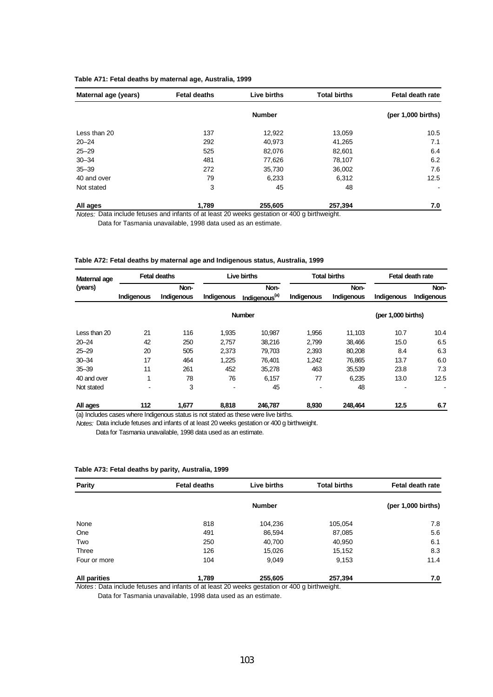### **Table A71: Fetal deaths by maternal age, Australia, 1999**

| Maternal age (years) | <b>Fetal deaths</b> | Live births   | <b>Total births</b> | Fetal death rate             |
|----------------------|---------------------|---------------|---------------------|------------------------------|
|                      |                     | <b>Number</b> |                     | $(per 1,000 \text{ births})$ |
| Less than 20         | 137                 | 12,922        | 13,059              | 10.5                         |
| $20 - 24$            | 292                 | 40,973        | 41,265              | 7.1                          |
| $25 - 29$            | 525                 | 82,076        | 82,601              | 6.4                          |
| $30 - 34$            | 481                 | 77,626        | 78,107              | 6.2                          |
| $35 - 39$            | 272                 | 35,730        | 36,002              | 7.6                          |
| 40 and over          | 79                  | 6,233         | 6,312               | 12.5                         |
| Not stated           | 3                   | 45            | 48                  |                              |
| All ages             | 1,789               | 255,605       | 257,394             | 7.0                          |

*Notes:* Data include fetuses and infants of at least 20 weeks gestation or 400 g birthweight. Data for Tasmania unavailable, 1998 data used as an estimate.

#### **Table A72: Fetal deaths by maternal age and Indigenous status, Australia, 1999**

| Maternal age |            | <b>Fetal deaths</b> |            | Live births               |            | <b>Total births</b> |                    | Fetal death rate |  |
|--------------|------------|---------------------|------------|---------------------------|------------|---------------------|--------------------|------------------|--|
| (years)      |            | Non-                |            | Non-                      |            | Non-                |                    | Non-             |  |
|              | Indigenous | Indigenous          | Indigenous | Indigenous <sup>(a)</sup> | Indigenous | Indigenous          | Indigenous         | Indigenous       |  |
|              |            |                     |            | <b>Number</b>             |            |                     | (per 1,000 births) |                  |  |
| Less than 20 | 21         | 116                 | 1.935      | 10.987                    | 1,956      | 11.103              | 10.7               | 10.4             |  |
| $20 - 24$    | 42         | 250                 | 2.757      | 38,216                    | 2,799      | 38.466              | 15.0               | 6.5              |  |
| $25 - 29$    | 20         | 505                 | 2,373      | 79,703                    | 2,393      | 80.208              | 8.4                | 6.3              |  |
| $30 - 34$    | 17         | 464                 | 1,225      | 76,401                    | 1,242      | 76,865              | 13.7               | 6.0              |  |
| $35 - 39$    | 11         | 261                 | 452        | 35,278                    | 463        | 35,539              | 23.8               | 7.3              |  |
| 40 and over  | 1          | 78                  | 76         | 6,157                     | 77         | 6,235               | 13.0               | 12.5             |  |
| Not stated   |            | 3                   |            | 45                        |            | 48                  |                    |                  |  |
| All ages     | 112        | 1.677               | 8,818      | 246.787                   | 8.930      | 248.464             | 12.5               | 6.7              |  |

(a) Includes cases where Indigenous status is not stated as these were live births.

*Notes:* Data include fetuses and infants of at least 20 weeks gestation or 400 g birthweight.

Data for Tasmania unavailable, 1998 data used as an estimate.

| <b>Parity</b>       | <b>Fetal deaths</b> | Live births   | <b>Total births</b> | Fetal death rate             |  |
|---------------------|---------------------|---------------|---------------------|------------------------------|--|
|                     |                     | <b>Number</b> |                     | $(per 1,000 \text{ births})$ |  |
| None                | 818                 | 104,236       | 105,054             | 7.8                          |  |
| One                 | 491                 | 86,594        | 87,085              | 5.6                          |  |
| Two                 | 250                 | 40,700        | 40,950              | 6.1                          |  |
| Three               | 126                 | 15,026        | 15,152              | 8.3                          |  |
| Four or more        | 104                 | 9,049         | 9,153               | 11.4                         |  |
| <b>All parities</b> | 1,789               | 255,605       | 257,394             | 7.0                          |  |

### **Table A73: Fetal deaths by parity, Australia, 1999**

*Notes* : Data include fetuses and infants of at least 20 weeks gestation or 400 g birthweight.

Data for Tasmania unavailable, 1998 data used as an estimate.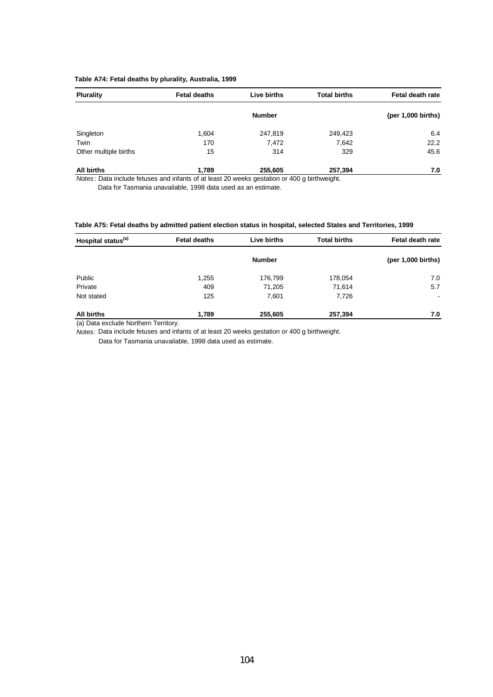### **Table A74: Fetal deaths by plurality, Australia, 1999**

| <b>Plurality</b>      | <b>Fetal deaths</b> | Live births   | <b>Total births</b> | Fetal death rate             |
|-----------------------|---------------------|---------------|---------------------|------------------------------|
|                       |                     | <b>Number</b> |                     | $(per 1,000 \text{ births})$ |
| Singleton             | 1,604               | 247,819       | 249,423             | 6.4                          |
| Twin                  | 170                 | 7,472         | 7,642               | 22.2                         |
| Other multiple births | 15                  | 314           | 329                 | 45.6                         |
| <b>All births</b>     | 1.789               | 255,605       | 257,394             | 7.0                          |

*Notes* : Data include fetuses and infants of at least 20 weeks gestation or 400 g birthweight.

Data for Tasmania unavailable, 1998 data used as an estimate.

#### **Table A75: Fetal deaths by admitted patient election status in hospital, selected States and Territories, 1999**

| Hospital status <sup>(a)</sup> | Live births<br><b>Total births</b><br><b>Fetal deaths</b> |               |         | Fetal death rate             |  |
|--------------------------------|-----------------------------------------------------------|---------------|---------|------------------------------|--|
|                                |                                                           | <b>Number</b> |         | $(per 1,000 \text{ births})$ |  |
| Public                         | 1,255                                                     | 176,799       | 178,054 | 7.0                          |  |
| Private                        | 409                                                       | 71,205        | 71,614  | 5.7                          |  |
| Not stated                     | 125                                                       | 7,601         | 7,726   | $\overline{\phantom{a}}$     |  |
| <b>All births</b>              | 1,789                                                     | 255,605       | 257,394 | 7.0                          |  |

(a) Data exclude Northern Territory.

*Notes:* Data include fetuses and infants of at least 20 weeks gestation or 400 g birthweight.

Data for Tasmania unavailable, 1998 data used as estimate.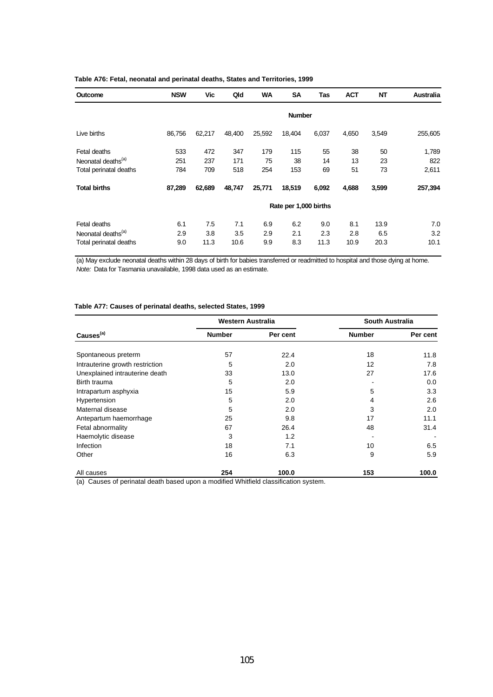| Outcome                        | <b>NSW</b> | Vic    | Qld    | <b>WA</b> | <b>SA</b>             | Tas   | <b>ACT</b> | <b>NT</b> | <b>Australia</b> |
|--------------------------------|------------|--------|--------|-----------|-----------------------|-------|------------|-----------|------------------|
|                                |            |        |        |           | <b>Number</b>         |       |            |           |                  |
| Live births                    | 86,756     | 62,217 | 48,400 | 25,592    | 18,404                | 6,037 | 4,650      | 3,549     | 255,605          |
| Fetal deaths                   | 533        | 472    | 347    | 179       | 115                   | 55    | 38         | 50        | 1,789            |
| Neonatal deaths <sup>(a)</sup> | 251        | 237    | 171    | 75        | 38                    | 14    | 13         | 23        | 822              |
| Total perinatal deaths         | 784        | 709    | 518    | 254       | 153                   | 69    | 51         | 73        | 2,611            |
| <b>Total births</b>            | 87,289     | 62,689 | 48,747 | 25,771    | 18,519                | 6,092 | 4,688      | 3,599     | 257,394          |
|                                |            |        |        |           | Rate per 1,000 births |       |            |           |                  |
| Fetal deaths                   | 6.1        | 7.5    | 7.1    | 6.9       | 6.2                   | 9.0   | 8.1        | 13.9      | 7.0              |
| Neonatal deaths <sup>(a)</sup> | 2.9        | 3.8    | 3.5    | 2.9       | 2.1                   | 2.3   | 2.8        | 6.5       | 3.2              |
| Total perinatal deaths         | 9.0        | 11.3   | 10.6   | 9.9       | 8.3                   | 11.3  | 10.9       | 20.3      | 10.1             |

### **Table A76: Fetal, neonatal and perinatal deaths, States and Territories, 1999**

(a) May exclude neonatal deaths within 28 days of birth for babies transferred or readmitted to hospital and those dying at home. *Note:* Data for Tasmania unavailable, 1998 data used as an estimate.

| Table A77: Causes of perinatal deaths, selected States, 1999 |  |  |  |
|--------------------------------------------------------------|--|--|--|
|                                                              |  |  |  |

|                                                                                                                       | Western Australia                                                 |                                               | <b>South Australia</b> |          |
|-----------------------------------------------------------------------------------------------------------------------|-------------------------------------------------------------------|-----------------------------------------------|------------------------|----------|
| Causes <sup>(a)</sup>                                                                                                 | <b>Number</b>                                                     | Per cent                                      | <b>Number</b>          | Per cent |
| Spontaneous preterm                                                                                                   | 57                                                                | 22.4                                          | 18                     | 11.8     |
| Intrauterine growth restriction                                                                                       | 5                                                                 | 2.0                                           | 12                     | 7.8      |
| Unexplained intrauterine death                                                                                        | 33                                                                | 13.0                                          | 27                     | 17.6     |
| Birth trauma                                                                                                          | 5                                                                 | 2.0                                           |                        | 0.0      |
| Intrapartum asphyxia                                                                                                  | 15                                                                | 5.9                                           | 5                      | 3.3      |
| Hypertension                                                                                                          | 5                                                                 | 2.0                                           | 4                      | 2.6      |
| Maternal disease                                                                                                      | 5                                                                 | 2.0                                           | 3                      | 2.0      |
| Antepartum haemorrhage                                                                                                | 25                                                                | 9.8                                           | 17                     | 11.1     |
| Fetal abnormality                                                                                                     | 67                                                                | 26.4                                          | 48                     | 31.4     |
| Haemolytic disease                                                                                                    | 3                                                                 | 1.2                                           |                        |          |
| Infection                                                                                                             | 18                                                                | 7.1                                           | 10                     | 6.5      |
| Other                                                                                                                 | 16                                                                | 6.3                                           | 9                      | 5.9      |
| All causes<br>$f = \lambda$ . $\bigcap_{n=1}^{\infty} f_n$ is a subset of all the set of the set of such as $\lambda$ | 254<br>. P. C. S. S. L. A. A. P. C. S. L. L. S. S. S. S. S. S. S. | 100.0<br>المناولين والمستراة والمستنبة الأكال | 153                    | 100.0    |

(a) Causes of perinatal death based upon a modified Whitfield classification system.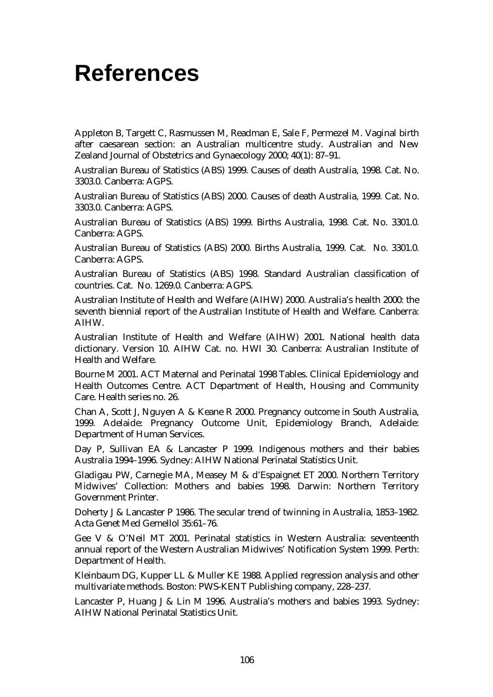## **References**

Appleton B, Targett C, Rasmussen M, Readman E, Sale F, Permezel M. Vaginal birth after caesarean section: an Australian multicentre study. Australian and New Zealand Journal of Obstetrics and Gynaecology 2000; 40(1): 87–91.

Australian Bureau of Statistics (ABS) 1999. Causes of death Australia, 1998. Cat. No. 3303.0. Canberra: AGPS.

Australian Bureau of Statistics (ABS) 2000. Causes of death Australia, 1999. Cat. No. 3303.0. Canberra: AGPS.

Australian Bureau of Statistics (ABS) 1999. Births Australia, 1998. Cat. No. 3301.0. Canberra: AGPS.

Australian Bureau of Statistics (ABS) 2000. Births Australia, 1999. Cat. No. 3301.0. Canberra: AGPS.

Australian Bureau of Statistics (ABS) 1998. Standard Australian classification of countries. Cat. No. 1269.0. Canberra: AGPS.

Australian Institute of Health and Welfare (AIHW) 2000. Australia's health 2000: the seventh biennial report of the Australian Institute of Health and Welfare. Canberra: AIHW.

Australian Institute of Health and Welfare (AIHW) 2001. National health data dictionary. Version 10. AIHW Cat. no. HWI 30. Canberra: Australian Institute of Health and Welfare.

Bourne M 2001. ACT Maternal and Perinatal 1998 Tables. Clinical Epidemiology and Health Outcomes Centre. ACT Department of Health, Housing and Community Care. Health series no. 26.

Chan A, Scott J, Nguyen A & Keane R 2000. Pregnancy outcome in South Australia, 1999. Adelaide: Pregnancy Outcome Unit, Epidemiology Branch, Adelaide: Department of Human Services.

Day P, Sullivan EA & Lancaster P 1999. Indigenous mothers and their babies Australia 1994–1996. Sydney: AIHW National Perinatal Statistics Unit.

Gladigau PW, Carnegie MA, Measey M & d'Espaignet ET 2000. Northern Territory Midwives' Collection: Mothers and babies 1998. Darwin: Northern Territory Government Printer.

Doherty J & Lancaster P 1986. The secular trend of twinning in Australia, 1853–1982. Acta Genet Med Gemellol 35:61–76.

Gee V & O'Neil MT 2001. Perinatal statistics in Western Australia: seventeenth annual report of the Western Australian Midwives' Notification System 1999. Perth: Department of Health.

Kleinbaum DG, Kupper LL & Muller KE 1988. Applied regression analysis and other multivariate methods. Boston: PWS-KENT Publishing company, 228–237.

Lancaster P, Huang J & Lin M 1996. Australia's mothers and babies 1993. Sydney: AIHW National Perinatal Statistics Unit.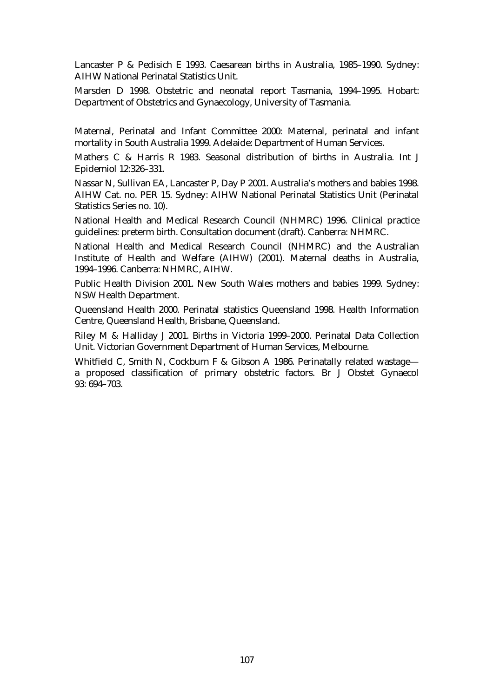Lancaster P & Pedisich E 1993. Caesarean births in Australia, 1985–1990. Sydney: AIHW National Perinatal Statistics Unit.

Marsden D 1998. Obstetric and neonatal report Tasmania, 1994–1995. Hobart: Department of Obstetrics and Gynaecology, University of Tasmania.

Maternal, Perinatal and Infant Committee 2000: Maternal, perinatal and infant mortality in South Australia 1999. Adelaide: Department of Human Services.

Mathers C & Harris R 1983. Seasonal distribution of births in Australia. Int J Epidemiol 12:326–331.

Nassar N, Sullivan EA, Lancaster P, Day P 2001. Australia's mothers and babies 1998. AIHW Cat. no. PER 15. Sydney: AIHW National Perinatal Statistics Unit (Perinatal Statistics Series no. 10).

National Health and Medical Research Council (NHMRC) 1996. Clinical practice guidelines: preterm birth. Consultation document (draft). Canberra: NHMRC.

National Health and Medical Research Council (NHMRC) and the Australian Institute of Health and Welfare (AIHW) (2001). Maternal deaths in Australia, 1994–1996. Canberra: NHMRC, AIHW.

Public Health Division 2001. New South Wales mothers and babies 1999. Sydney: NSW Health Department.

Queensland Health 2000. Perinatal statistics Queensland 1998. Health Information Centre, Queensland Health, Brisbane, Queensland.

Riley M & Halliday J 2001. Births in Victoria 1999–2000. Perinatal Data Collection Unit. Victorian Government Department of Human Services, Melbourne.

Whitfield C, Smith N, Cockburn F & Gibson A 1986. Perinatally related wastage a proposed classification of primary obstetric factors. Br J Obstet Gynaecol 93: 694–703.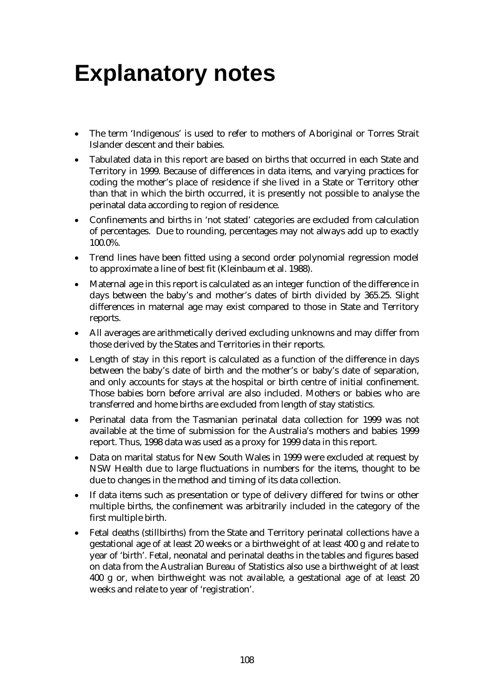# **Explanatory notes**

- The term 'Indigenous' is used to refer to mothers of Aboriginal or Torres Strait Islander descent and their babies.
- Tabulated data in this report are based on births that occurred in each State and Territory in 1999. Because of differences in data items, and varying practices for coding the mother's place of residence if she lived in a State or Territory other than that in which the birth occurred, it is presently not possible to analyse the perinatal data according to region of residence.
- Confinements and births in 'not stated' categories are excluded from calculation of percentages. Due to rounding, percentages may not always add up to exactly 100.0%.
- Trend lines have been fitted using a second order polynomial regression model to approximate a line of best fit (Kleinbaum et al. 1988).
- Maternal age in this report is calculated as an integer function of the difference in days between the baby's and mother's dates of birth divided by 365.25. Slight differences in maternal age may exist compared to those in State and Territory reports.
- All averages are arithmetically derived excluding unknowns and may differ from those derived by the States and Territories in their reports.
- Length of stay in this report is calculated as a function of the difference in days between the baby's date of birth and the mother's or baby's date of separation, and only accounts for stays at the hospital or birth centre of initial confinement. Those babies born before arrival are also included. Mothers or babies who are transferred and home births are excluded from length of stay statistics.
- Perinatal data from the Tasmanian perinatal data collection for 1999 was not available at the time of submission for the Australia's mothers and babies 1999 report. Thus, 1998 data was used as a proxy for 1999 data in this report.
- Data on marital status for New South Wales in 1999 were excluded at request by NSW Health due to large fluctuations in numbers for the items, thought to be due to changes in the method and timing of its data collection.
- If data items such as presentation or type of delivery differed for twins or other multiple births, the confinement was arbitrarily included in the category of the first multiple birth.
- Fetal deaths (stillbirths) from the State and Territory perinatal collections have a gestational age of at least 20 weeks or a birthweight of at least 400 g and relate to year of 'birth'. Fetal, neonatal and perinatal deaths in the tables and figures based on data from the Australian Bureau of Statistics also use a birthweight of at least 400 g or, when birthweight was not available, a gestational age of at least 20 weeks and relate to year of 'registration'.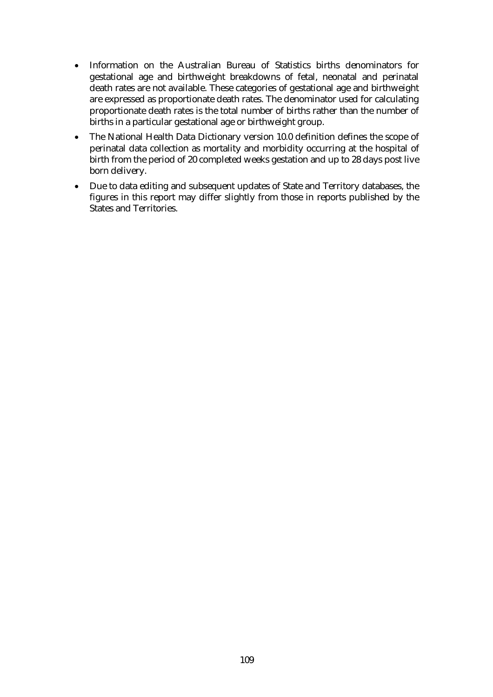- Information on the Australian Bureau of Statistics births denominators for gestational age and birthweight breakdowns of fetal, neonatal and perinatal death rates are not available. These categories of gestational age and birthweight are expressed as proportionate death rates. The denominator used for calculating proportionate death rates is the total number of births rather than the number of births in a particular gestational age or birthweight group.
- The National Health Data Dictionary version 10.0 definition defines the scope of perinatal data collection as mortality and morbidity occurring at the hospital of birth from the period of 20 completed weeks gestation and up to 28 days post live born delivery.
- Due to data editing and subsequent updates of State and Territory databases, the figures in this report may differ slightly from those in reports published by the States and Territories.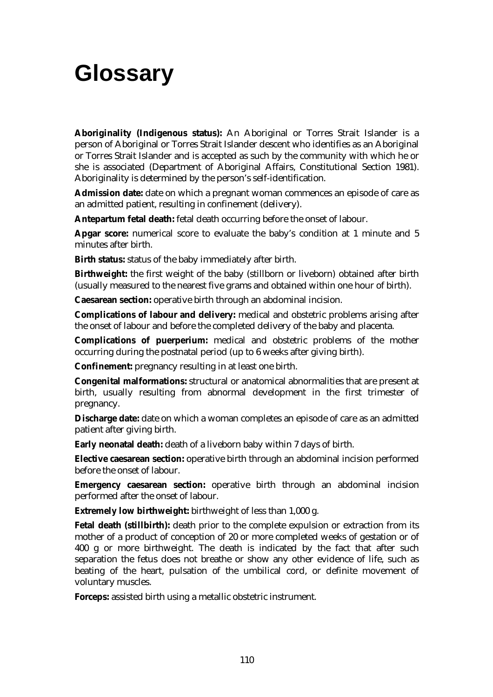## **Glossary**

**Aboriginality (Indigenous status):** An Aboriginal or Torres Strait Islander is a person of Aboriginal or Torres Strait Islander descent who identifies as an Aboriginal or Torres Strait Islander and is accepted as such by the community with which he or she is associated (Department of Aboriginal Affairs, Constitutional Section 1981). Aboriginality is determined by the person's self-identification.

**Admission date:** date on which a pregnant woman commences an episode of care as an admitted patient, resulting in confinement (delivery).

**Antepartum fetal death:** fetal death occurring before the onset of labour.

**Apgar score:** numerical score to evaluate the baby's condition at 1 minute and 5 minutes after birth.

**Birth status:** status of the baby immediately after birth.

**Birthweight:** the first weight of the baby (stillborn or liveborn) obtained after birth (usually measured to the nearest five grams and obtained within one hour of birth).

**Caesarean section:** operative birth through an abdominal incision.

**Complications of labour and delivery:** medical and obstetric problems arising after the onset of labour and before the completed delivery of the baby and placenta.

**Complications of puerperium:** medical and obstetric problems of the mother occurring during the postnatal period (up to 6 weeks after giving birth).

**Confinement:** pregnancy resulting in at least one birth.

**Congenital malformations:** structural or anatomical abnormalities that are present at birth, usually resulting from abnormal development in the first trimester of pregnancy.

**Discharge date:** date on which a woman completes an episode of care as an admitted patient after giving birth.

**Early neonatal death:** death of a liveborn baby within 7 days of birth.

**Elective caesarean section:** operative birth through an abdominal incision performed before the onset of labour.

**Emergency caesarean section:** operative birth through an abdominal incision performed after the onset of labour.

**Extremely low birthweight:** birthweight of less than 1,000 g.

Fetal death (stillbirth): death prior to the complete expulsion or extraction from its mother of a product of conception of 20 or more completed weeks of gestation or of 400 g or more birthweight. The death is indicated by the fact that after such separation the fetus does not breathe or show any other evidence of life, such as beating of the heart, pulsation of the umbilical cord, or definite movement of voluntary muscles.

**Forceps:** assisted birth using a metallic obstetric instrument.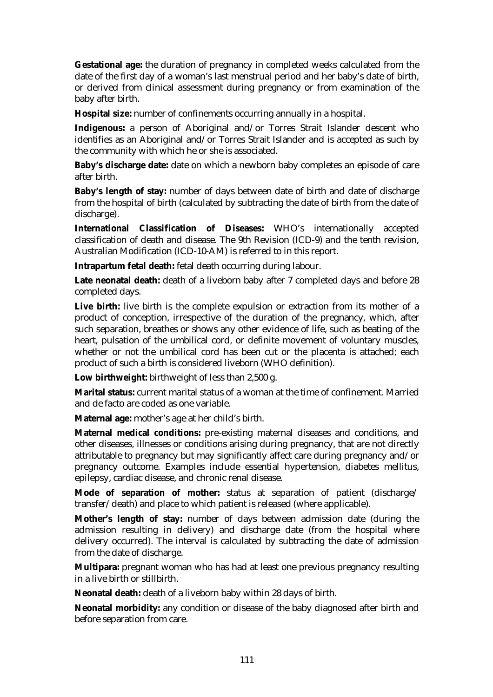**Gestational age:** the duration of pregnancy in completed weeks calculated from the date of the first day of a woman's last menstrual period and her baby's date of birth, or derived from clinical assessment during pregnancy or from examination of the baby after birth.

**Hospital size:** number of confinements occurring annually in a hospital.

**Indigenous:** a person of Aboriginal and/or Torres Strait Islander descent who identifies as an Aboriginal and/or Torres Strait Islander and is accepted as such by the community with which he or she is associated.

**Baby's discharge date:** date on which a newborn baby completes an episode of care after birth.

**Baby's length of stay:** number of days between date of birth and date of discharge from the hospital of birth (calculated by subtracting the date of birth from the date of discharge).

**International Classification of Diseases:** WHO's internationally accepted classification of death and disease. The 9th Revision (ICD-9) and the tenth revision, Australian Modification (ICD-10-AM) is referred to in this report.

**Intrapartum fetal death:** fetal death occurring during labour.

**Late neonatal death:** death of a liveborn baby after 7 completed days and before 28 completed days.

Live birth: live birth is the complete expulsion or extraction from its mother of a product of conception, irrespective of the duration of the pregnancy, which, after such separation, breathes or shows any other evidence of life, such as beating of the heart, pulsation of the umbilical cord, or definite movement of voluntary muscles, whether or not the umbilical cord has been cut or the placenta is attached; each product of such a birth is considered liveborn (WHO definition).

**Low birthweight:** birthweight of less than 2,500 g.

**Marital status:** current marital status of a woman at the time of confinement. Married and de facto are coded as one variable.

**Maternal age:** mother's age at her child's birth.

**Maternal medical conditions:** pre-existing maternal diseases and conditions, and other diseases, illnesses or conditions arising during pregnancy, that are not directly attributable to pregnancy but may significantly affect care during pregnancy and/or pregnancy outcome. Examples include essential hypertension, diabetes mellitus, epilepsy, cardiac disease, and chronic renal disease.

**Mode of separation of mother:** status at separation of patient (discharge/ transfer/death) and place to which patient is released (where applicable).

**Mother's length of stay:** number of days between admission date (during the admission resulting in delivery) and discharge date (from the hospital where delivery occurred). The interval is calculated by subtracting the date of admission from the date of discharge.

**Multipara:** pregnant woman who has had at least one previous pregnancy resulting in a live birth or stillbirth.

**Neonatal death:** death of a liveborn baby within 28 days of birth.

**Neonatal morbidity:** any condition or disease of the baby diagnosed after birth and before separation from care.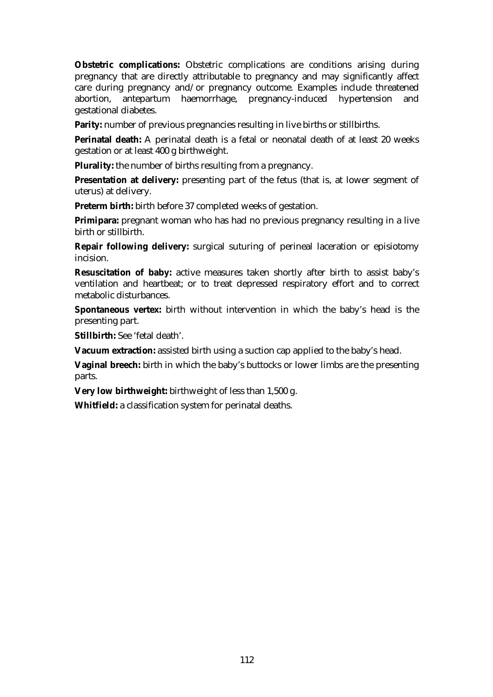**Obstetric complications:** Obstetric complications are conditions arising during pregnancy that are directly attributable to pregnancy and may significantly affect care during pregnancy and/or pregnancy outcome. Examples include threatened abortion, antepartum haemorrhage, pregnancy-induced hypertension and gestational diabetes.

**Parity:** number of previous pregnancies resulting in live births or stillbirths.

**Perinatal death:** A perinatal death is a fetal or neonatal death of at least 20 weeks gestation or at least 400 g birthweight.

**Plurality:** the number of births resulting from a pregnancy.

**Presentation at delivery:** presenting part of the fetus (that is, at lower segment of uterus) at delivery.

**Preterm birth:** birth before 37 completed weeks of gestation.

**Primipara:** pregnant woman who has had no previous pregnancy resulting in a live birth or stillbirth.

**Repair following delivery:** surgical suturing of perineal laceration or episiotomy incision.

**Resuscitation of baby:** active measures taken shortly after birth to assist baby's ventilation and heartbeat; or to treat depressed respiratory effort and to correct metabolic disturbances.

**Spontaneous vertex:** birth without intervention in which the baby's head is the presenting part.

**Stillbirth:** See 'fetal death'.

**Vacuum extraction:** assisted birth using a suction cap applied to the baby's head.

**Vaginal breech:** birth in which the baby's buttocks or lower limbs are the presenting parts.

**Very low birthweight:** birthweight of less than 1,500 g.

**Whitfield:** a classification system for perinatal deaths.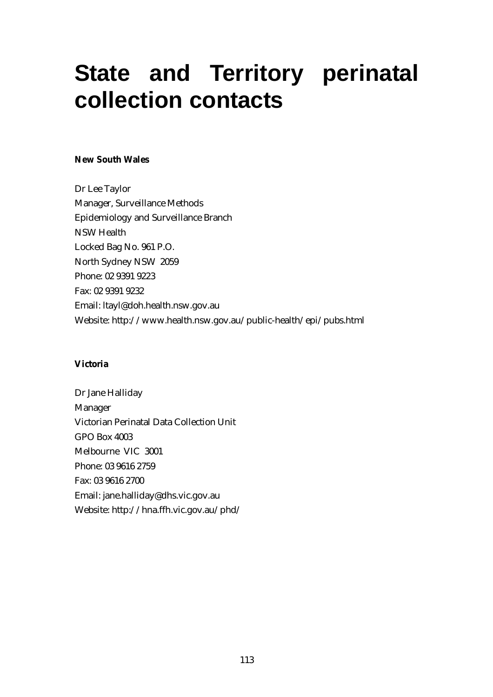## **State and Territory perinatal collection contacts**

## **New South Wales**

Dr Lee Taylor Manager, Surveillance Methods Epidemiology and Surveillance Branch NSW Health Locked Bag No. 961 P.O. North Sydney NSW 2059 Phone: 02 9391 9223 Fax: 02 9391 9232 Email: ltayl@doh.health.nsw.gov.au Website: http://www.health.nsw.gov.au/public-health/epi/pubs.html

## **Victoria**

Dr Jane Halliday Manager Victorian Perinatal Data Collection Unit GPO Box 4003 Melbourne VIC 3001 Phone: 03 9616 2759 Fax: 03 9616 2700 Email: jane.halliday@dhs.vic.gov.au Website: http://hna.ffh.vic.gov.au/phd/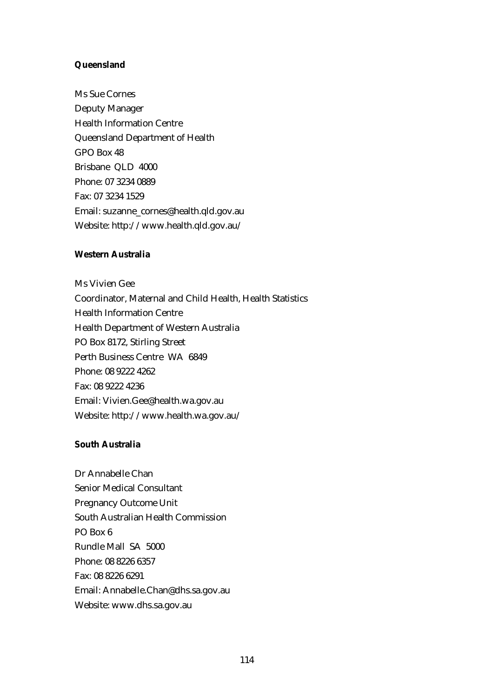### **Queensland**

Ms Sue Cornes Deputy Manager Health Information Centre Queensland Department of Health GPO Box 48 Brisbane QLD 4000 Phone: 07 3234 0889 Fax: 07 3234 1529 Email: suzanne\_cornes@health.qld.gov.au Website: http://www.health.qld.gov.au/

### **Western Australia**

Ms Vivien Gee Coordinator, Maternal and Child Health, Health Statistics Health Information Centre Health Department of Western Australia PO Box 8172, Stirling Street Perth Business Centre WA 6849 Phone: 08 9222 4262 Fax: 08 9222 4236 Email: Vivien.Gee@health.wa.gov.au Website: http://www.health.wa.gov.au/

### **South Australia**

Dr Annabelle Chan Senior Medical Consultant Pregnancy Outcome Unit South Australian Health Commission PO Box 6 Rundle Mall SA 5000 Phone: 08 8226 6357 Fax: 08 8226 6291 Email: Annabelle.Chan@dhs.sa.gov.au Website: www.dhs.sa.gov.au